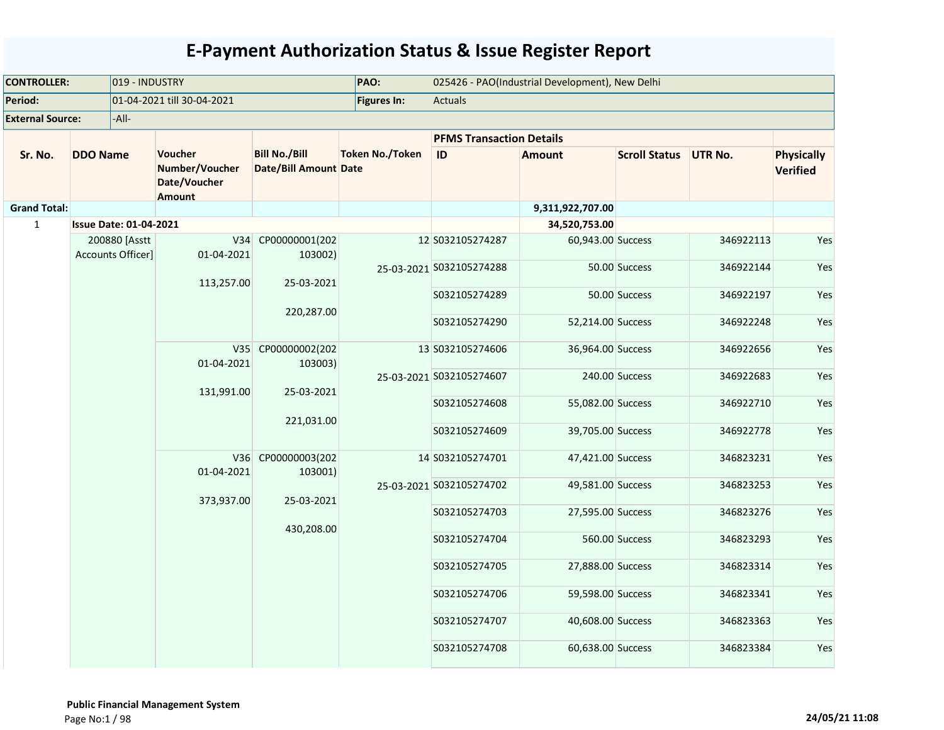| <b>CONTROLLER:</b>      |                               | 019 - INDUSTRY    |                                                                   |                                                      | PAO:                     |                                 | 025426 - PAO(Industrial Development), New Delhi |                      |                |                                      |
|-------------------------|-------------------------------|-------------------|-------------------------------------------------------------------|------------------------------------------------------|--------------------------|---------------------------------|-------------------------------------------------|----------------------|----------------|--------------------------------------|
| Period:                 |                               |                   | 01-04-2021 till 30-04-2021                                        |                                                      | <b>Figures In:</b>       | Actuals                         |                                                 |                      |                |                                      |
| <b>External Source:</b> |                               | -All-             |                                                                   |                                                      |                          |                                 |                                                 |                      |                |                                      |
|                         |                               |                   |                                                                   |                                                      |                          | <b>PFMS Transaction Details</b> |                                                 |                      |                |                                      |
| Sr. No.                 | <b>DDO Name</b>               |                   | <b>Voucher</b><br>Number/Voucher<br>Date/Voucher<br><b>Amount</b> | <b>Bill No./Bill</b><br><b>Date/Bill Amount Date</b> | <b>Token No./Token</b>   | ID                              | <b>Amount</b>                                   | <b>Scroll Status</b> | <b>UTR No.</b> | <b>Physically</b><br><b>Verified</b> |
| <b>Grand Total:</b>     |                               |                   |                                                                   |                                                      |                          |                                 | 9,311,922,707.00                                |                      |                |                                      |
| $\mathbf{1}$            | <b>Issue Date: 01-04-2021</b> |                   |                                                                   |                                                      |                          |                                 | 34,520,753.00                                   |                      |                |                                      |
|                         | Accounts Officer]             | 200880 [Asstt     | V34<br>01-04-2021                                                 | CP00000001(202<br>103002)                            |                          | 12 S032105274287                | 60,943.00 Success                               |                      | 346922113      | Yes                                  |
|                         |                               |                   | 113,257.00                                                        | 25-03-2021                                           |                          | 25-03-2021 S032105274288        |                                                 | 50.00 Success        | 346922144      | Yes                                  |
|                         |                               |                   |                                                                   | 220,287.00                                           |                          | S032105274289                   |                                                 | 50.00 Success        | 346922197      | Yes                                  |
|                         |                               |                   |                                                                   |                                                      |                          | S032105274290                   | 52,214.00 Success                               |                      | 346922248      | Yes                                  |
|                         |                               | V35<br>01-04-2021 | CP00000002(202<br>103003)                                         |                                                      | 13 S032105274606         | 36,964.00 Success               |                                                 | 346922656            | Yes            |                                      |
|                         |                               | 131,991.00        | 25-03-2021                                                        |                                                      | 25-03-2021 S032105274607 |                                 | 240.00 Success                                  | 346922683            | Yes            |                                      |
|                         |                               |                   | 221,031.00                                                        |                                                      | S032105274608            | 55,082.00 Success               |                                                 | 346922710            | Yes            |                                      |
|                         |                               |                   |                                                                   |                                                      |                          | S032105274609                   | 39,705.00 Success                               |                      | 346922778      | Yes                                  |
|                         |                               |                   | V36<br>01-04-2021                                                 | CP00000003(202<br>103001)                            |                          | 14 S032105274701                | 47,421.00 Success                               |                      | 346823231      | Yes                                  |
|                         |                               |                   | 373,937.00                                                        | 25-03-2021                                           |                          | 25-03-2021 S032105274702        | 49,581.00 Success                               |                      | 346823253      | Yes                                  |
|                         |                               |                   |                                                                   | 430,208.00                                           |                          | S032105274703                   | 27,595.00 Success                               |                      | 346823276      | Yes                                  |
|                         |                               |                   |                                                                   |                                                      |                          | S032105274704                   |                                                 | 560.00 Success       | 346823293      | Yes                                  |
|                         |                               |                   |                                                                   |                                                      |                          | S032105274705                   | 27,888.00 Success                               |                      | 346823314      | Yes                                  |
|                         |                               |                   |                                                                   |                                                      |                          | S032105274706                   | 59,598.00 Success                               |                      | 346823341      | Yes                                  |
|                         |                               |                   |                                                                   |                                                      |                          | S032105274707                   | 40,608.00 Success                               |                      | 346823363      | Yes                                  |
|                         |                               |                   |                                                                   |                                                      |                          | S032105274708                   | 60,638.00 Success                               |                      | 346823384      | Yes                                  |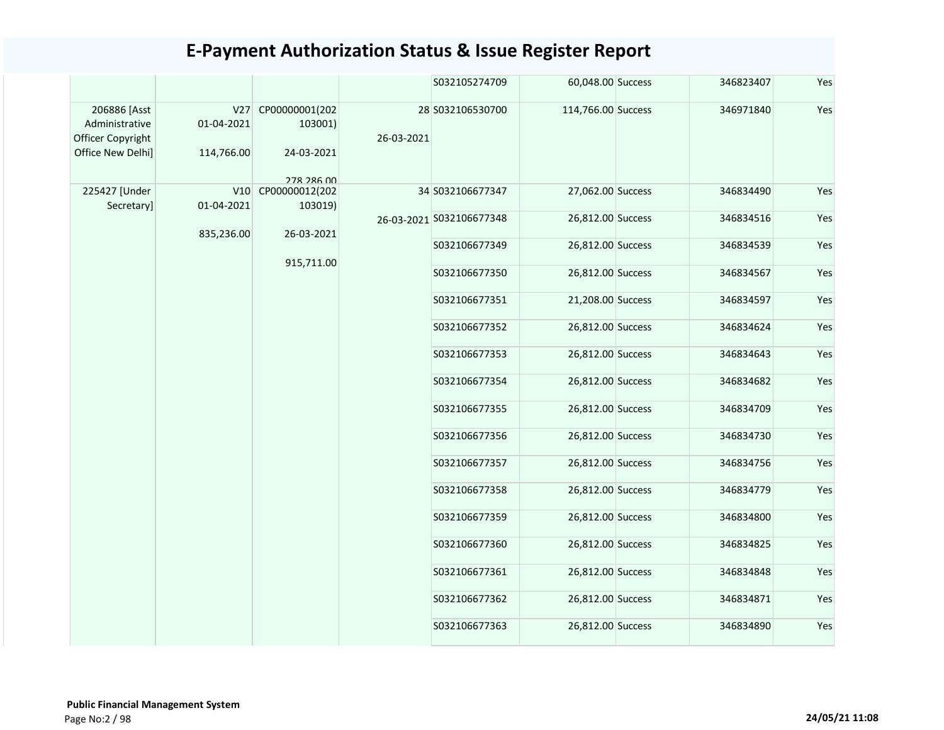|                                                                          |                                 |                                                       |                   | S032105274709            | 60,048.00 Success  | 346823407         | Yes               |           |     |
|--------------------------------------------------------------------------|---------------------------------|-------------------------------------------------------|-------------------|--------------------------|--------------------|-------------------|-------------------|-----------|-----|
| 206886 [Asst<br>Administrative<br>Officer Copyright<br>Office New Delhi] | V27<br>01-04-2021<br>114,766.00 | CP00000001(202<br>103001)<br>24-03-2021<br>278 286 00 | 26-03-2021        | 28 5032106530700         | 114,766.00 Success | 346971840         | Yes               |           |     |
| 225427 [Under<br>Secretary]                                              | 01-04-2021                      | V10 CP00000012(202<br>103019)                         |                   | 34 S032106677347         | 27,062.00 Success  | 346834490         | Yes               |           |     |
|                                                                          |                                 |                                                       |                   | 26-03-2021 S032106677348 | 26,812.00 Success  | 346834516         | Yes               |           |     |
|                                                                          | 835,236.00                      |                                                       | 26-03-2021        |                          | S032106677349      | 26,812.00 Success | 346834539         | Yes       |     |
|                                                                          | 915,711.00                      | S032106677350                                         | 26,812.00 Success | 346834567                | Yes                |                   |                   |           |     |
|                                                                          |                                 |                                                       |                   | S032106677351            | 21,208.00 Success  | 346834597         | Yes               |           |     |
|                                                                          |                                 |                                                       |                   |                          |                    | S032106677352     | 26,812.00 Success | 346834624 | Yes |
|                                                                          |                                 |                                                       |                   |                          | S032106677353      | 26,812.00 Success | 346834643         | Yes       |     |
|                                                                          |                                 |                                                       |                   |                          | S032106677354      | 26,812.00 Success | 346834682         | Yes       |     |
|                                                                          |                                 |                                                       |                   | S032106677355            | 26,812.00 Success  | 346834709         | Yes               |           |     |
|                                                                          |                                 |                                                       |                   | S032106677356            | 26,812.00 Success  | 346834730         | Yes               |           |     |
|                                                                          |                                 |                                                       |                   | S032106677357            | 26,812.00 Success  | 346834756         | Yes               |           |     |
|                                                                          |                                 |                                                       |                   | S032106677358            | 26,812.00 Success  | 346834779         | Yes               |           |     |
|                                                                          |                                 |                                                       |                   | S032106677359            | 26,812.00 Success  | 346834800         | Yes               |           |     |
|                                                                          |                                 |                                                       |                   | S032106677360            | 26,812.00 Success  | 346834825         | Yes               |           |     |
|                                                                          |                                 |                                                       |                   | S032106677361            | 26,812.00 Success  | 346834848         | Yes               |           |     |
|                                                                          |                                 |                                                       |                   | S032106677362            | 26,812.00 Success  | 346834871         | Yes               |           |     |
|                                                                          |                                 |                                                       |                   | S032106677363            | 26,812.00 Success  | 346834890         | Yes               |           |     |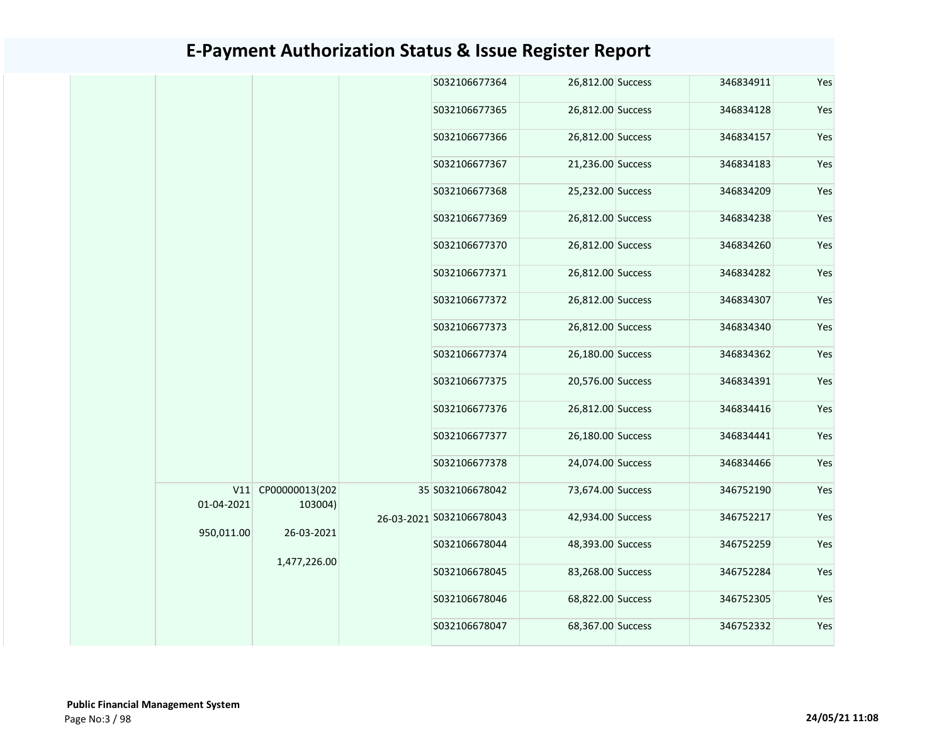|  |                   |                           |                            | S032106677364            | 26,812.00 Success | 346834911         | Yes               |           |     |
|--|-------------------|---------------------------|----------------------------|--------------------------|-------------------|-------------------|-------------------|-----------|-----|
|  |                   |                           |                            | S032106677365            | 26,812.00 Success | 346834128         | Yes               |           |     |
|  |                   |                           |                            | S032106677366            | 26,812.00 Success | 346834157         | Yes               |           |     |
|  |                   |                           |                            | S032106677367            | 21,236.00 Success | 346834183         | Yes               |           |     |
|  |                   |                           |                            | S032106677368            | 25,232.00 Success | 346834209         | Yes               |           |     |
|  |                   |                           |                            | S032106677369            | 26,812.00 Success | 346834238         | Yes               |           |     |
|  |                   |                           |                            |                          |                   | S032106677370     | 26,812.00 Success | 346834260 | Yes |
|  |                   |                           |                            | S032106677371            | 26,812.00 Success | 346834282         | Yes               |           |     |
|  |                   |                           |                            |                          |                   | S032106677372     | 26,812.00 Success | 346834307 | Yes |
|  |                   |                           |                            |                          | S032106677373     | 26,812.00 Success | 346834340         | Yes       |     |
|  |                   |                           |                            | S032106677374            | 26,180.00 Success | 346834362         | Yes               |           |     |
|  |                   |                           |                            |                          |                   | S032106677375     | 20,576.00 Success | 346834391 | Yes |
|  |                   |                           |                            |                          | S032106677376     | 26,812.00 Success | 346834416         | Yes       |     |
|  |                   |                           |                            |                          |                   | S032106677377     | 26,180.00 Success | 346834441 | Yes |
|  |                   |                           |                            | S032106677378            | 24,074.00 Success | 346834466         | Yes               |           |     |
|  | V11<br>01-04-2021 | CP00000013(202<br>103004) |                            | 35 S032106678042         | 73,674.00 Success | 346752190         | Yes               |           |     |
|  | 950,011.00        |                           |                            | 26-03-2021 S032106678043 | 42,934.00 Success | 346752217         | Yes               |           |     |
|  |                   |                           | 26-03-2021<br>1,477,226.00 | S032106678044            | 48,393.00 Success | 346752259         | Yes               |           |     |
|  |                   |                           |                            | S032106678045            | 83,268.00 Success | 346752284         | Yes               |           |     |
|  |                   |                           |                            | S032106678046            | 68,822.00 Success | 346752305         | Yes               |           |     |
|  |                   |                           | S032106678047              | 68,367.00 Success        | 346752332         | Yes               |                   |           |     |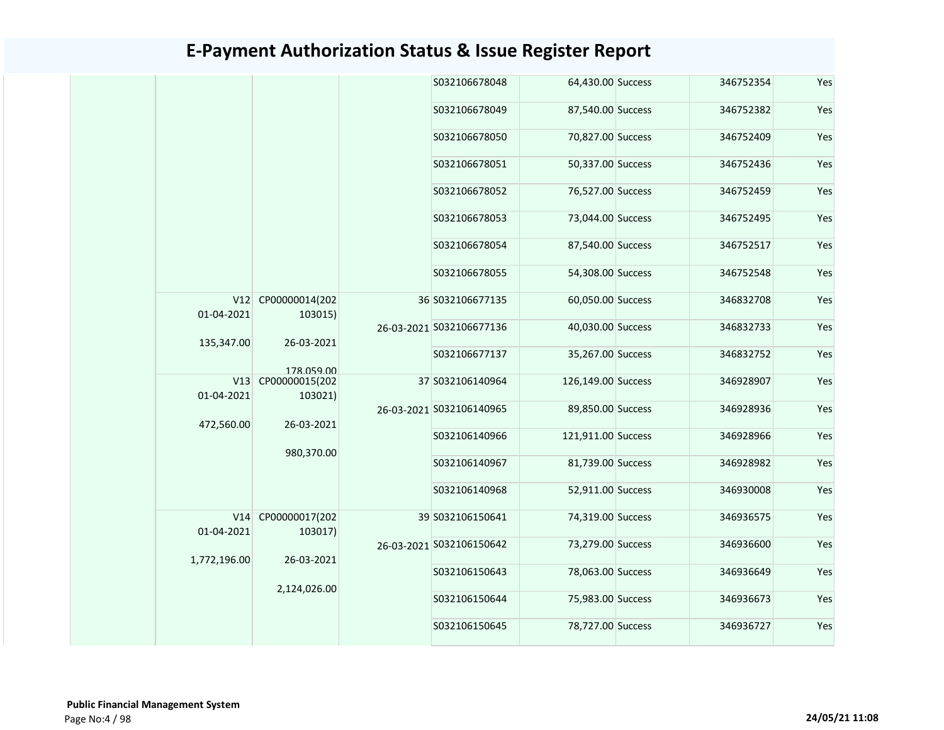|                   |                                                                     |  | S032106678048            | 64,430.00 Success  | 346752354 | Yes |
|-------------------|---------------------------------------------------------------------|--|--------------------------|--------------------|-----------|-----|
|                   |                                                                     |  | S032106678049            | 87,540.00 Success  | 346752382 | Yes |
|                   |                                                                     |  | S032106678050            | 70,827.00 Success  | 346752409 | Yes |
|                   |                                                                     |  | S032106678051            | 50,337.00 Success  | 346752436 | Yes |
|                   |                                                                     |  | S032106678052            | 76,527.00 Success  | 346752459 | Yes |
|                   |                                                                     |  | S032106678053            | 73,044.00 Success  | 346752495 | Yes |
|                   |                                                                     |  | S032106678054            | 87,540.00 Success  | 346752517 | Yes |
|                   |                                                                     |  | S032106678055            | 54,308.00 Success  | 346752548 | Yes |
| 01-04-2021        | V12 CP00000014(202<br>103015)                                       |  | 36 S032106677135         | 60,050.00 Success  | 346832708 | Yes |
|                   |                                                                     |  | 26-03-2021 S032106677136 | 40,030.00 Success  | 346832733 | Yes |
| 135,347.00        | 26-03-2021                                                          |  | S032106677137            | 35,267.00 Success  | 346832752 | Yes |
|                   | 178 059 00                                                          |  |                          |                    |           |     |
| V13<br>01-04-2021 | CP00000015(202<br>103021)                                           |  | 37 S032106140964         | 126,149.00 Success | 346928907 | Yes |
| 472,560.00        | 26-03-2021                                                          |  | 26-03-2021 S032106140965 | 89,850.00 Success  | 346928936 | Yes |
|                   |                                                                     |  | S032106140966            | 121,911.00 Success | 346928966 | Yes |
|                   | 980,370.00                                                          |  | S032106140967            | 81,739.00 Success  | 346928982 | Yes |
|                   |                                                                     |  | S032106140968            | 52,911.00 Success  | 346930008 | Yes |
| V14               | CP00000017(202                                                      |  | 39 S032106150641         | 74,319.00 Success  | 346936575 | Yes |
|                   | 01-04-2021<br>103017)<br>1,772,196.00<br>26-03-2021<br>2,124,026.00 |  | 26-03-2021 S032106150642 | 73,279.00 Success  | 346936600 | Yes |
|                   |                                                                     |  | S032106150643            | 78,063.00 Success  | 346936649 | Yes |
|                   |                                                                     |  | S032106150644            | 75,983.00 Success  | 346936673 | Yes |
|                   |                                                                     |  | S032106150645            | 78,727.00 Success  | 346936727 | Yes |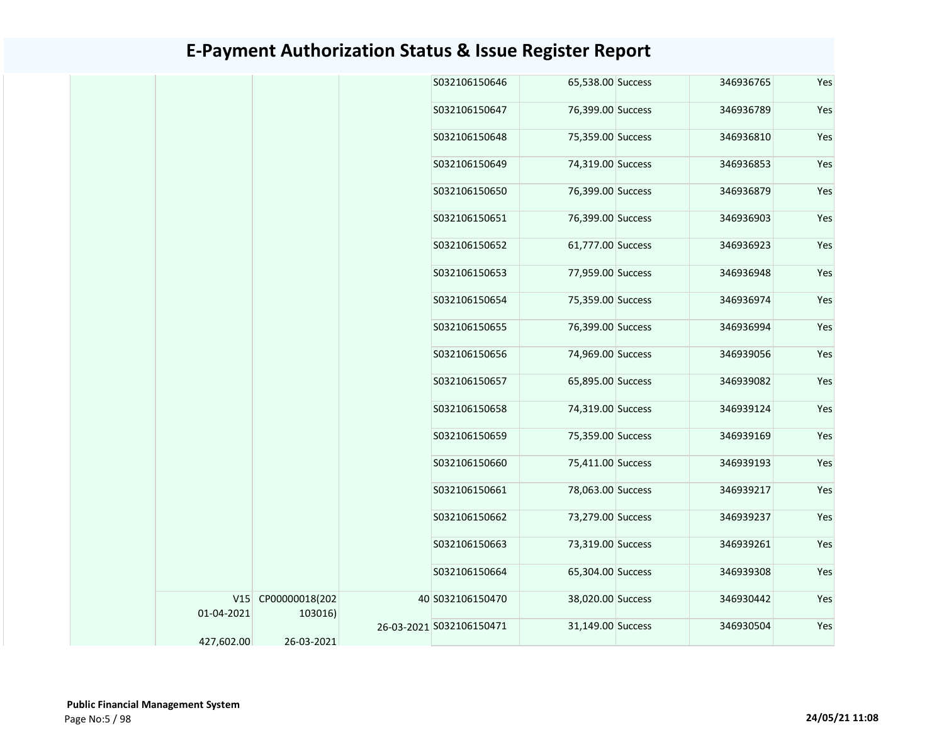|            |                               | S032106150646     | 65,538.00 Success | 346936765 | Yes |
|------------|-------------------------------|-------------------|-------------------|-----------|-----|
|            |                               | S032106150647     | 76,399.00 Success | 346936789 | Yes |
|            |                               | S032106150648     | 75,359.00 Success | 346936810 | Yes |
|            |                               | S032106150649     | 74,319.00 Success | 346936853 | Yes |
|            |                               | S032106150650     | 76,399.00 Success | 346936879 | Yes |
|            |                               | S032106150651     | 76,399.00 Success | 346936903 | Yes |
|            |                               | S032106150652     | 61,777.00 Success | 346936923 | Yes |
|            |                               | S032106150653     | 77,959.00 Success | 346936948 | Yes |
|            |                               | S032106150654     | 75,359.00 Success | 346936974 | Yes |
|            |                               | S032106150655     | 76,399.00 Success | 346936994 | Yes |
|            |                               | S032106150656     | 74,969.00 Success | 346939056 | Yes |
|            |                               | S032106150657     | 65,895.00 Success | 346939082 | Yes |
|            |                               | S032106150658     | 74,319.00 Success | 346939124 | Yes |
|            |                               | S032106150659     | 75,359.00 Success | 346939169 | Yes |
|            |                               | S032106150660     | 75,411.00 Success | 346939193 | Yes |
|            |                               | S032106150661     | 78,063.00 Success | 346939217 | Yes |
|            |                               | S032106150662     | 73,279.00 Success | 346939237 | Yes |
|            |                               | S032106150663     | 73,319.00 Success | 346939261 | Yes |
|            |                               | S032106150664     | 65,304.00 Success | 346939308 | Yes |
| 01-04-2021 | V15 CP00000018(202<br>103016) | 40 S032106150470  | 38,020.00 Success | 346930442 | Yes |
|            | 26-03-2021 S032106150471      | 31,149.00 Success | 346930504         | Yes       |     |
| 427,602.00 | 26-03-2021                    |                   |                   |           |     |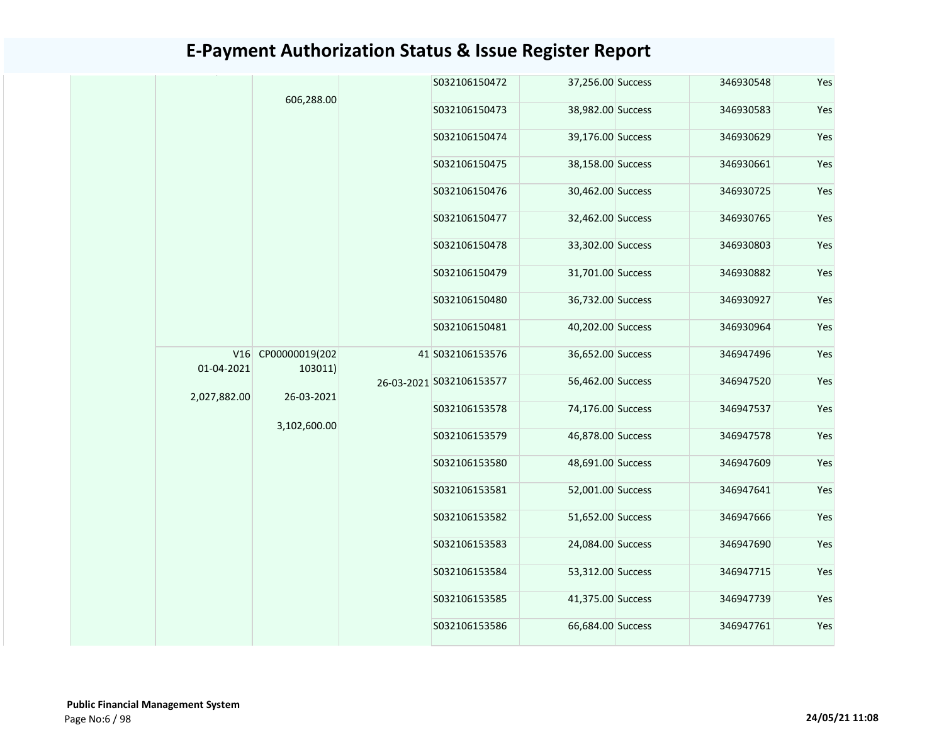|                   | 606,288.00                |               | S032106150472     | 37,256.00 Success | 346930548                | Yes               |           |     |
|-------------------|---------------------------|---------------|-------------------|-------------------|--------------------------|-------------------|-----------|-----|
|                   |                           |               | S032106150473     | 38,982.00 Success | 346930583                | Yes               |           |     |
|                   |                           |               | S032106150474     | 39,176.00 Success | 346930629                | Yes               |           |     |
|                   |                           |               | S032106150475     | 38,158.00 Success | 346930661                | Yes               |           |     |
|                   |                           |               | S032106150476     | 30,462.00 Success | 346930725                | Yes               |           |     |
|                   |                           |               | S032106150477     | 32,462.00 Success | 346930765                | Yes               |           |     |
|                   |                           |               | S032106150478     | 33,302.00 Success | 346930803                | Yes               |           |     |
|                   |                           |               | S032106150479     | 31,701.00 Success | 346930882                | Yes               |           |     |
|                   |                           |               | S032106150480     | 36,732.00 Success | 346930927                | Yes               |           |     |
|                   |                           |               | S032106150481     | 40,202.00 Success | 346930964                | Yes               |           |     |
| V16<br>01-04-2021 | CP00000019(202<br>103011) |               | 41 S032106153576  | 36,652.00 Success | 346947496                | Yes               |           |     |
|                   |                           |               |                   |                   | 26-03-2021 S032106153577 | 56,462.00 Success | 346947520 | Yes |
| 2,027,882.00      | 26-03-2021                |               | S032106153578     | 74,176.00 Success | 346947537                | Yes               |           |     |
|                   | 3,102,600.00              |               | S032106153579     | 46,878.00 Success | 346947578                | Yes               |           |     |
|                   |                           |               | S032106153580     | 48,691.00 Success | 346947609                | Yes               |           |     |
|                   |                           |               | S032106153581     | 52,001.00 Success | 346947641                | Yes               |           |     |
|                   |                           |               | S032106153582     | 51,652.00 Success | 346947666                | Yes               |           |     |
|                   |                           |               | S032106153583     | 24,084.00 Success | 346947690                | Yes               |           |     |
|                   |                           |               | S032106153584     | 53,312.00 Success | 346947715                | Yes               |           |     |
|                   |                           |               | S032106153585     | 41,375.00 Success | 346947739                | Yes               |           |     |
|                   |                           | S032106153586 | 66,684.00 Success | 346947761         | Yes                      |                   |           |     |
|                   |                           |               |                   |                   |                          |                   |           |     |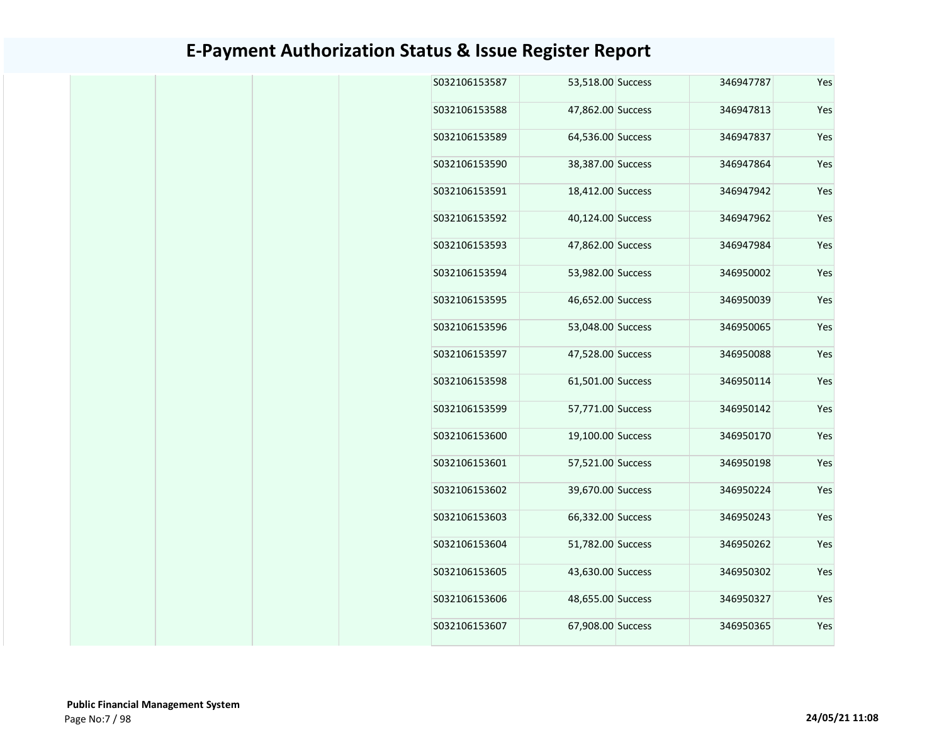| Yes | 346947787 | 53,518.00 Success | S032106153587 |
|-----|-----------|-------------------|---------------|
| Yes | 346947813 | 47,862.00 Success | S032106153588 |
| Yes | 346947837 | 64,536.00 Success | S032106153589 |
| Yes | 346947864 | 38,387.00 Success | S032106153590 |
| Yes | 346947942 | 18,412.00 Success | S032106153591 |
| Yes | 346947962 | 40,124.00 Success | S032106153592 |
| Yes | 346947984 | 47,862.00 Success | S032106153593 |
| Yes | 346950002 | 53,982.00 Success | S032106153594 |
| Yes | 346950039 | 46,652.00 Success | S032106153595 |
| Yes | 346950065 | 53,048.00 Success | S032106153596 |
| Yes | 346950088 | 47,528.00 Success | S032106153597 |
| Yes | 346950114 | 61,501.00 Success | S032106153598 |
| Yes | 346950142 | 57,771.00 Success | S032106153599 |
| Yes | 346950170 | 19,100.00 Success | S032106153600 |
| Yes | 346950198 | 57,521.00 Success | S032106153601 |
| Yes | 346950224 | 39,670.00 Success | S032106153602 |
| Yes | 346950243 | 66,332.00 Success | S032106153603 |
| Yes | 346950262 | 51,782.00 Success | S032106153604 |
| Yes | 346950302 | 43,630.00 Success | S032106153605 |
| Yes | 346950327 | 48,655.00 Success | S032106153606 |
| Yes | 346950365 | 67,908.00 Success | S032106153607 |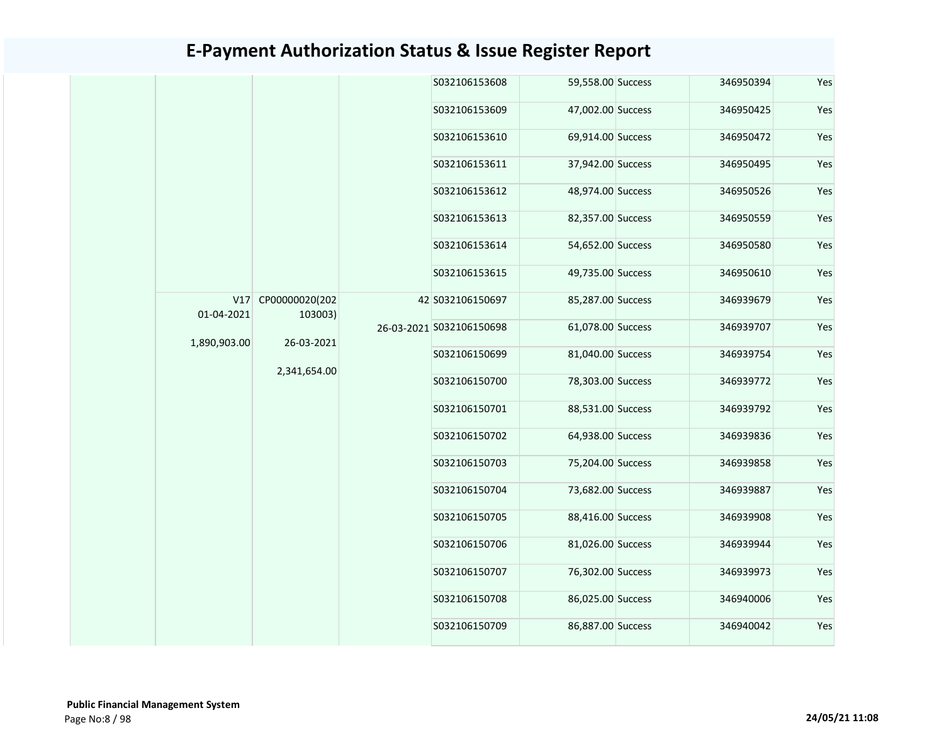|              |                    | S032106153608            | 59,558.00 Success | 346950394 | Yes |
|--------------|--------------------|--------------------------|-------------------|-----------|-----|
|              |                    | S032106153609            | 47,002.00 Success | 346950425 | Yes |
|              |                    | S032106153610            | 69,914.00 Success | 346950472 | Yes |
|              |                    | S032106153611            | 37,942.00 Success | 346950495 | Yes |
|              |                    | S032106153612            | 48,974.00 Success | 346950526 | Yes |
|              |                    | S032106153613            | 82,357.00 Success | 346950559 | Yes |
|              |                    | S032106153614            | 54,652.00 Success | 346950580 | Yes |
|              |                    | S032106153615            | 49,735.00 Success | 346950610 | Yes |
|              | V17 CP00000020(202 | 42 S032106150697         | 85,287.00 Success | 346939679 | Yes |
| 01-04-2021   | 103003)            | 26-03-2021 S032106150698 | 61,078.00 Success | 346939707 | Yes |
| 1,890,903.00 | 26-03-2021         | S032106150699            | 81,040.00 Success | 346939754 | Yes |
|              | 2,341,654.00       | S032106150700            | 78,303.00 Success | 346939772 | Yes |
|              |                    | S032106150701            | 88,531.00 Success | 346939792 | Yes |
|              |                    | S032106150702            | 64,938.00 Success | 346939836 | Yes |
|              |                    | S032106150703            | 75,204.00 Success | 346939858 | Yes |
|              |                    | S032106150704            | 73,682.00 Success | 346939887 | Yes |
|              |                    | S032106150705            | 88,416.00 Success | 346939908 | Yes |
|              |                    | S032106150706            | 81,026.00 Success | 346939944 | Yes |
|              |                    | S032106150707            | 76,302.00 Success | 346939973 | Yes |
|              |                    | S032106150708            | 86,025.00 Success | 346940006 | Yes |
|              |                    | S032106150709            | 86,887.00 Success | 346940042 | Yes |
|              |                    |                          |                   |           |     |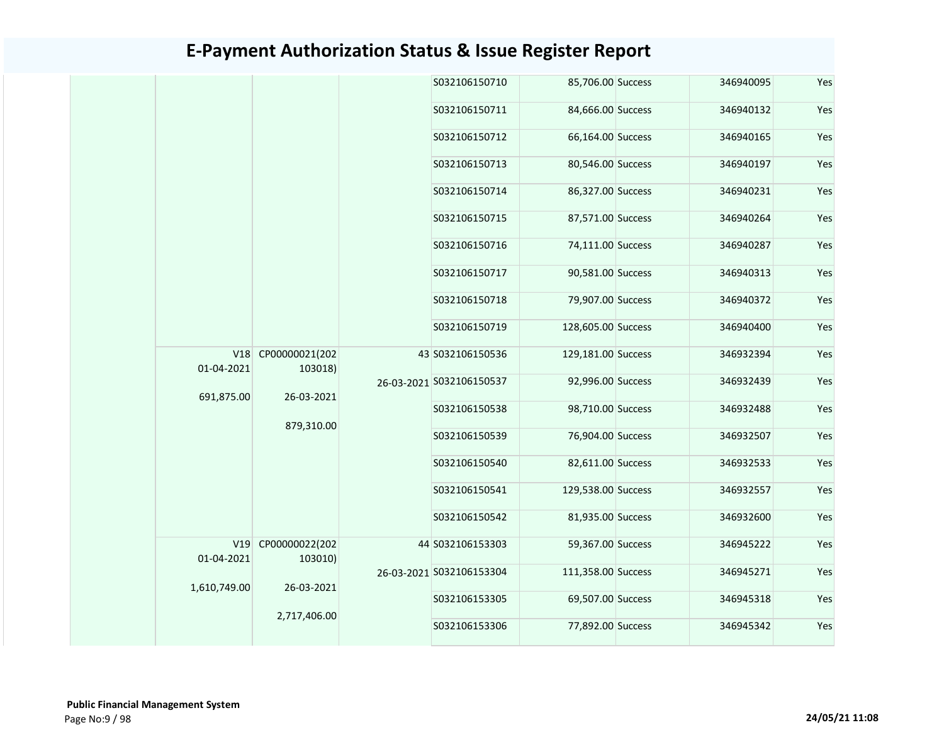|                       |                                                     |                          | S032106150710            | 85,706.00 Success  | 346940095 |  |
|-----------------------|-----------------------------------------------------|--------------------------|--------------------------|--------------------|-----------|--|
|                       |                                                     |                          | S032106150711            | 84,666.00 Success  | 346940132 |  |
|                       |                                                     |                          | S032106150712            | 66,164.00 Success  | 346940165 |  |
|                       |                                                     |                          | S032106150713            | 80,546.00 Success  | 346940197 |  |
|                       |                                                     |                          | S032106150714            | 86,327.00 Success  | 346940231 |  |
|                       |                                                     |                          | S032106150715            | 87,571.00 Success  | 346940264 |  |
|                       |                                                     |                          | S032106150716            | 74,111.00 Success  | 346940287 |  |
|                       |                                                     |                          | S032106150717            | 90,581.00 Success  | 346940313 |  |
|                       |                                                     |                          | S032106150718            | 79,907.00 Success  | 346940372 |  |
|                       |                                                     |                          | S032106150719            | 128,605.00 Success | 346940400 |  |
| 01-04-2021            | V18 CP00000021(202<br>103018)                       |                          | 43 S032106150536         | 129,181.00 Success | 346932394 |  |
|                       |                                                     | 26-03-2021<br>879,310.00 | 26-03-2021 S032106150537 | 92,996.00 Success  | 346932439 |  |
| 691,875.00            |                                                     |                          | S032106150538            | 98,710.00 Success  | 346932488 |  |
|                       |                                                     |                          | S032106150539            | 76,904.00 Success  | 346932507 |  |
|                       |                                                     |                          | S032106150540            | 82,611.00 Success  | 346932533 |  |
|                       |                                                     |                          | S032106150541            | 129,538.00 Success | 346932557 |  |
|                       |                                                     |                          | S032106150542            | 81,935.00 Success  | 346932600 |  |
| V19<br>CP00000022(202 |                                                     | 44 S032106153303         | 59,367.00 Success        | 346945222          |           |  |
|                       | 01-04-2021<br>103010)<br>26-03-2021<br>2,717,406.00 |                          | 26-03-2021 S032106153304 | 111,358.00 Success | 346945271 |  |
| 1,610,749.00          |                                                     | S032106153305            | 69,507.00 Success        | 346945318          |           |  |
|                       |                                                     | S032106153306            |                          |                    |           |  |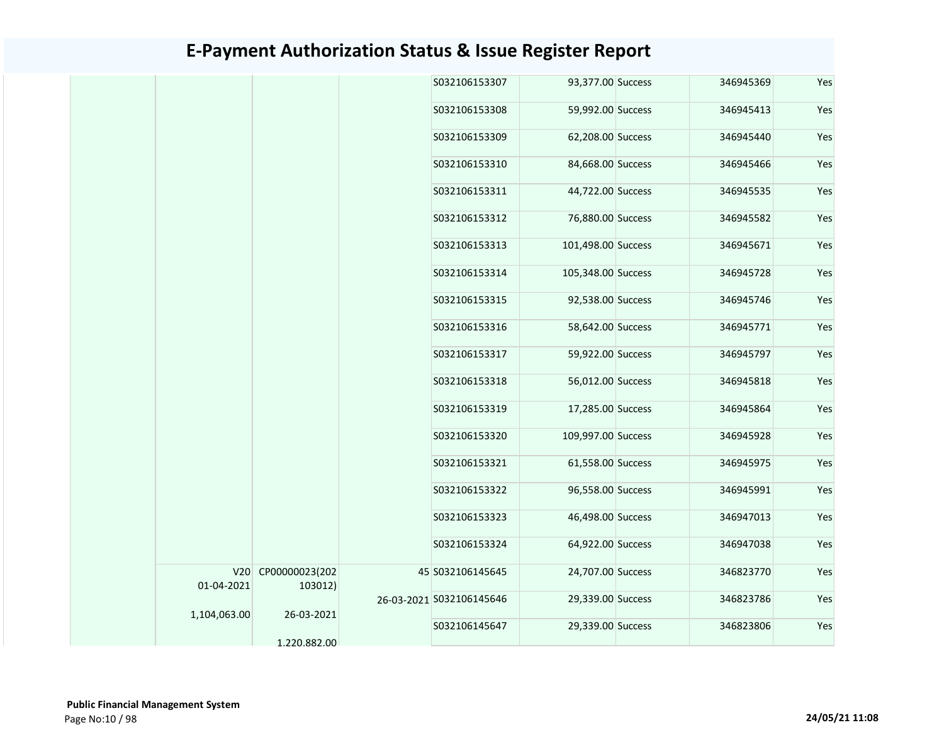|  |              |                       |               | S032106153307            | 93,377.00 Success  | 346945369 | Yes |
|--|--------------|-----------------------|---------------|--------------------------|--------------------|-----------|-----|
|  |              |                       |               | S032106153308            | 59,992.00 Success  | 346945413 | Yes |
|  |              |                       |               | S032106153309            | 62,208.00 Success  | 346945440 | Yes |
|  |              |                       |               | S032106153310            | 84,668.00 Success  | 346945466 | Yes |
|  |              |                       |               | S032106153311            | 44,722.00 Success  | 346945535 | Yes |
|  |              |                       |               | S032106153312            | 76,880.00 Success  | 346945582 | Yes |
|  |              |                       |               | S032106153313            | 101,498.00 Success | 346945671 | Yes |
|  |              |                       |               | S032106153314            | 105,348.00 Success | 346945728 | Yes |
|  |              |                       |               | S032106153315            | 92,538.00 Success  | 346945746 | Yes |
|  |              |                       |               | S032106153316            | 58,642.00 Success  | 346945771 | Yes |
|  |              |                       |               | S032106153317            | 59,922.00 Success  | 346945797 | Yes |
|  |              |                       |               | S032106153318            | 56,012.00 Success  | 346945818 | Yes |
|  |              |                       |               | S032106153319            | 17,285.00 Success  | 346945864 | Yes |
|  |              |                       |               | S032106153320            | 109,997.00 Success | 346945928 | Yes |
|  |              |                       |               | S032106153321            | 61,558.00 Success  | 346945975 | Yes |
|  |              |                       |               | S032106153322            | 96,558.00 Success  | 346945991 | Yes |
|  |              |                       |               | S032106153323            | 46,498.00 Success  | 346947013 | Yes |
|  |              |                       |               | S032106153324            | 64,922.00 Success  | 346947038 | Yes |
|  |              | V20 CP00000023(202    |               | 45 S032106145645         | 24,707.00 Success  | 346823770 | Yes |
|  | 01-04-2021   | 103012)<br>26-03-2021 |               | 26-03-2021 S032106145646 | 29,339.00 Success  | 346823786 | Yes |
|  | 1,104,063.00 |                       | S032106145647 | 29,339.00 Success        | 346823806          | Yes       |     |
|  |              | 1.220.882.00          |               |                          |                    |           |     |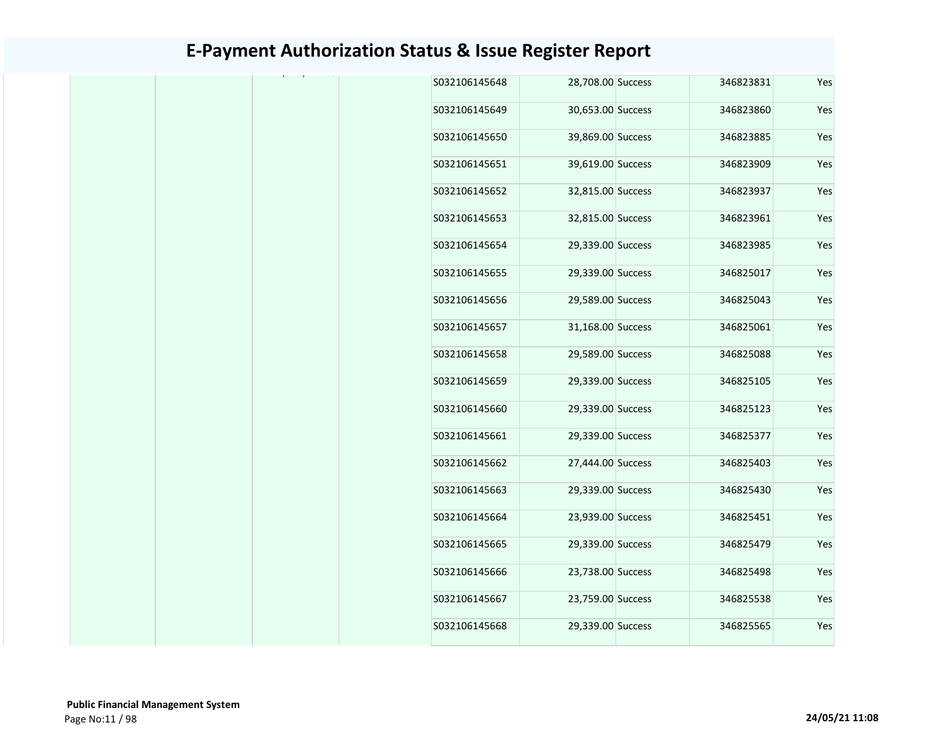|  |  | S032106145648 | 28,708.00 Success | 346823831 | Yes |
|--|--|---------------|-------------------|-----------|-----|
|  |  | S032106145649 | 30,653.00 Success | 346823860 | Yes |
|  |  | S032106145650 | 39,869.00 Success | 346823885 | Yes |
|  |  | S032106145651 | 39,619.00 Success | 346823909 | Yes |
|  |  | S032106145652 | 32,815.00 Success | 346823937 | Yes |
|  |  | S032106145653 | 32,815.00 Success | 346823961 | Yes |
|  |  | S032106145654 | 29,339.00 Success | 346823985 | Yes |
|  |  | S032106145655 | 29,339.00 Success | 346825017 | Yes |
|  |  | S032106145656 | 29,589.00 Success | 346825043 | Yes |
|  |  | S032106145657 | 31,168.00 Success | 346825061 | Yes |
|  |  | S032106145658 | 29,589.00 Success | 346825088 | Yes |
|  |  | S032106145659 | 29,339.00 Success | 346825105 | Yes |
|  |  | S032106145660 | 29,339.00 Success | 346825123 | Yes |
|  |  | S032106145661 | 29,339.00 Success | 346825377 | Yes |
|  |  | S032106145662 | 27,444.00 Success | 346825403 | Yes |
|  |  | S032106145663 | 29,339.00 Success | 346825430 | Yes |
|  |  | S032106145664 | 23,939.00 Success | 346825451 | Yes |
|  |  | S032106145665 | 29,339.00 Success | 346825479 | Yes |
|  |  | S032106145666 | 23,738.00 Success | 346825498 | Yes |
|  |  | S032106145667 | 23,759.00 Success | 346825538 | Yes |
|  |  | S032106145668 | 29,339.00 Success | 346825565 | Yes |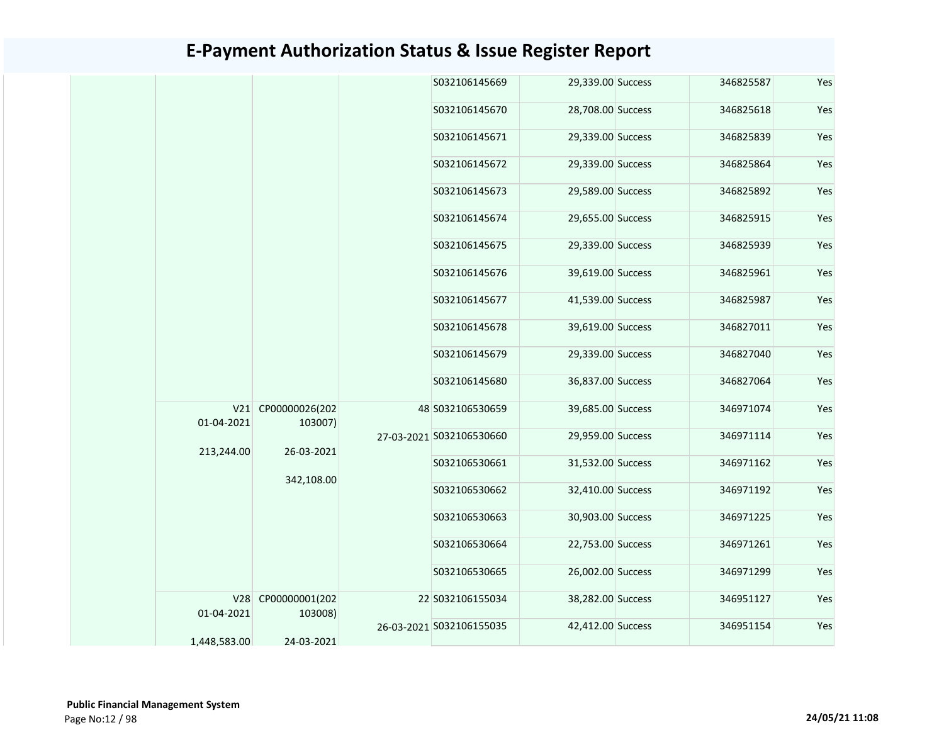|  |  |                   |                               | S032106145669 | 29,339.00 Success        | 346825587         | Yes           |                   |           |     |
|--|--|-------------------|-------------------------------|---------------|--------------------------|-------------------|---------------|-------------------|-----------|-----|
|  |  |                   |                               |               | S032106145670            | 28,708.00 Success | 346825618     | Yes               |           |     |
|  |  |                   |                               |               | S032106145671            | 29,339.00 Success | 346825839     | Yes               |           |     |
|  |  |                   |                               |               | S032106145672            | 29,339.00 Success | 346825864     | Yes               |           |     |
|  |  |                   |                               |               | S032106145673            | 29,589.00 Success | 346825892     | Yes               |           |     |
|  |  |                   |                               |               | S032106145674            | 29,655.00 Success | 346825915     | Yes               |           |     |
|  |  |                   |                               |               | S032106145675            | 29,339.00 Success | 346825939     | Yes               |           |     |
|  |  |                   |                               |               | S032106145676            | 39,619.00 Success | 346825961     | Yes               |           |     |
|  |  |                   |                               |               | S032106145677            | 41,539.00 Success | 346825987     | Yes               |           |     |
|  |  |                   |                               |               |                          |                   | S032106145678 | 39,619.00 Success | 346827011 | Yes |
|  |  |                   |                               |               |                          |                   | S032106145679 | 29,339.00 Success | 346827040 | Yes |
|  |  |                   |                               |               | S032106145680            | 36,837.00 Success | 346827064     | Yes               |           |     |
|  |  | 01-04-2021        | V21 CP00000026(202<br>103007) |               | 48 S032106530659         | 39,685.00 Success | 346971074     | Yes               |           |     |
|  |  | 213,244.00        | 26-03-2021                    |               | 27-03-2021 S032106530660 | 29,959.00 Success | 346971114     | Yes               |           |     |
|  |  |                   | 342,108.00                    |               | S032106530661            | 31,532.00 Success | 346971162     | Yes               |           |     |
|  |  |                   |                               |               | S032106530662            | 32,410.00 Success | 346971192     | Yes               |           |     |
|  |  |                   |                               |               | S032106530663            | 30,903.00 Success | 346971225     | Yes               |           |     |
|  |  |                   |                               |               | S032106530664            | 22,753.00 Success | 346971261     | Yes               |           |     |
|  |  |                   |                               |               | S032106530665            | 26,002.00 Success | 346971299     | Yes               |           |     |
|  |  | V28<br>01-04-2021 | CP00000001(202<br>103008)     |               | 22 S032106155034         | 38,282.00 Success | 346951127     | Yes               |           |     |
|  |  | 1,448,583.00      | 24-03-2021                    |               | 26-03-2021 S032106155035 | 42,412.00 Success | 346951154     | Yes               |           |     |
|  |  |                   |                               |               |                          |                   |               |                   |           |     |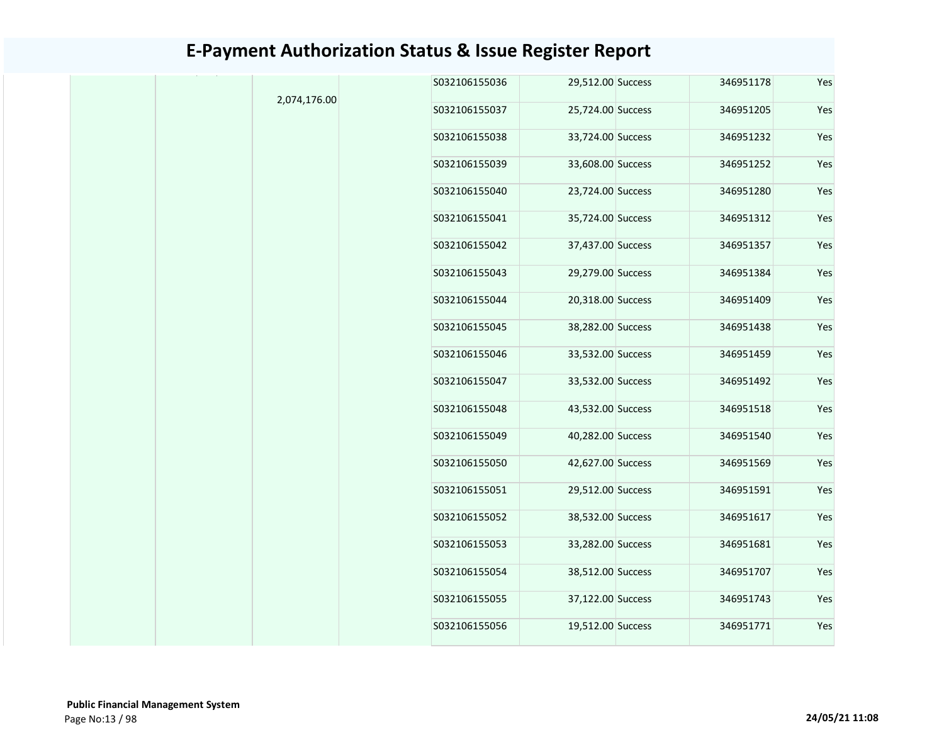|              | S032106155036 | 29,512.00 Success | 346951178 | Yes |
|--------------|---------------|-------------------|-----------|-----|
| 2,074,176.00 | S032106155037 | 25,724.00 Success | 346951205 | Yes |
|              | S032106155038 | 33,724.00 Success | 346951232 | Yes |
|              | S032106155039 | 33,608.00 Success | 346951252 | Yes |
|              | S032106155040 | 23,724.00 Success | 346951280 | Yes |
|              | S032106155041 | 35,724.00 Success | 346951312 | Yes |
|              | S032106155042 | 37,437.00 Success | 346951357 | Yes |
|              | S032106155043 | 29,279.00 Success | 346951384 | Yes |
|              | S032106155044 | 20,318.00 Success | 346951409 | Yes |
|              | S032106155045 | 38,282.00 Success | 346951438 | Yes |
|              | S032106155046 | 33,532.00 Success | 346951459 | Yes |
|              | S032106155047 | 33,532.00 Success | 346951492 | Yes |
|              | S032106155048 | 43,532.00 Success | 346951518 | Yes |
|              | S032106155049 | 40,282.00 Success | 346951540 | Yes |
|              | S032106155050 | 42,627.00 Success | 346951569 | Yes |
|              | S032106155051 | 29,512.00 Success | 346951591 | Yes |
|              | S032106155052 | 38,532.00 Success | 346951617 | Yes |
|              | S032106155053 | 33,282.00 Success | 346951681 | Yes |
|              | S032106155054 | 38,512.00 Success | 346951707 | Yes |
|              | S032106155055 | 37,122.00 Success | 346951743 | Yes |
|              | S032106155056 | 19,512.00 Success | 346951771 | Yes |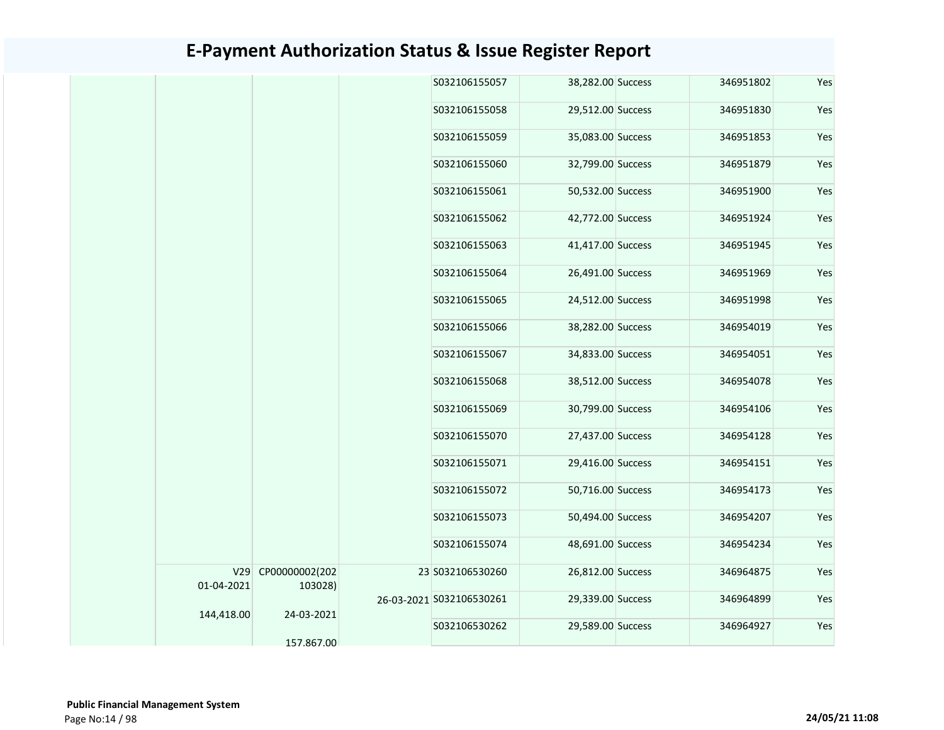|            |                               | S032106155057            | 38,282.00 Success | 346951802 | Yes |
|------------|-------------------------------|--------------------------|-------------------|-----------|-----|
|            |                               | S032106155058            | 29,512.00 Success | 346951830 | Yes |
|            |                               | S032106155059            | 35,083.00 Success | 346951853 | Yes |
|            |                               | S032106155060            | 32,799.00 Success | 346951879 | Yes |
|            |                               | S032106155061            | 50,532.00 Success | 346951900 | Yes |
|            |                               | S032106155062            | 42,772.00 Success | 346951924 | Yes |
|            |                               | S032106155063            | 41,417.00 Success | 346951945 | Yes |
|            |                               | S032106155064            | 26,491.00 Success | 346951969 | Yes |
|            |                               | S032106155065            | 24,512.00 Success | 346951998 | Yes |
|            |                               | S032106155066            | 38,282.00 Success | 346954019 | Yes |
|            |                               | S032106155067            | 34,833.00 Success | 346954051 | Yes |
|            |                               | S032106155068            | 38,512.00 Success | 346954078 | Yes |
|            |                               | S032106155069            | 30,799.00 Success | 346954106 | Yes |
|            |                               | S032106155070            | 27,437.00 Success | 346954128 | Yes |
|            |                               | S032106155071            | 29,416.00 Success | 346954151 | Yes |
|            |                               | S032106155072            | 50,716.00 Success | 346954173 | Yes |
|            |                               | S032106155073            | 50,494.00 Success | 346954207 | Yes |
|            |                               | S032106155074            | 48,691.00 Success | 346954234 | Yes |
| 01-04-2021 | V29 CP00000002(202<br>103028) | 23 S032106530260         | 26,812.00 Success | 346964875 | Yes |
| 144,418.00 | 24-03-2021                    | 26-03-2021 S032106530261 | 29,339.00 Success | 346964899 | Yes |
|            | 157.867.00                    | S032106530262            | 29,589.00 Success | 346964927 | Yes |
|            |                               |                          |                   |           |     |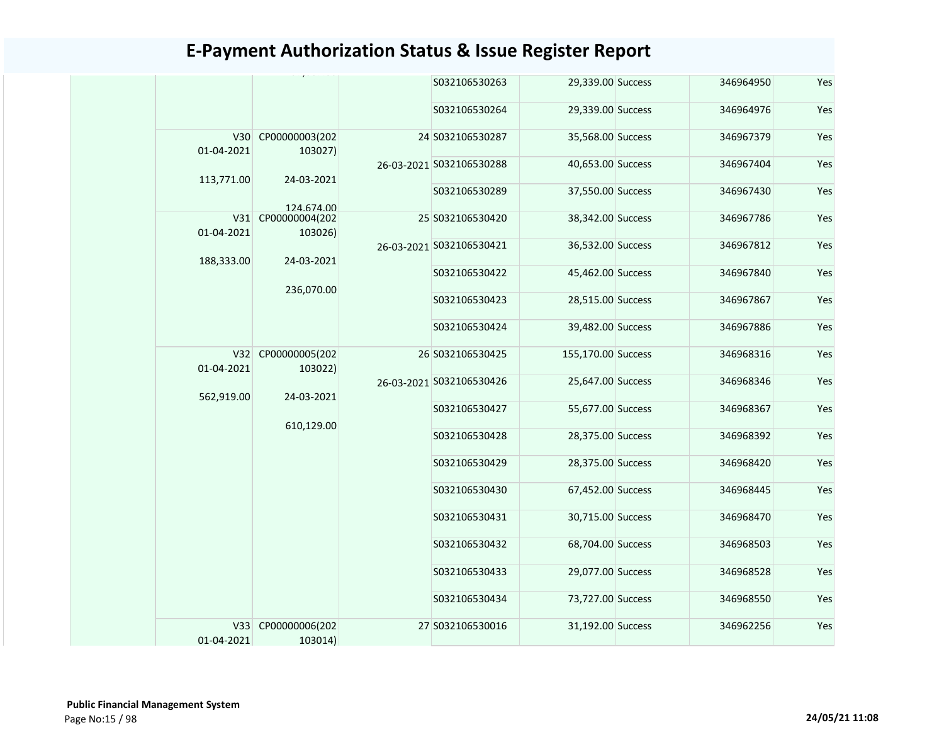|                   |                               |  | S032106530263            | 29,339.00 Success  | 346964950 | Yes |
|-------------------|-------------------------------|--|--------------------------|--------------------|-----------|-----|
|                   |                               |  | S032106530264            | 29,339.00 Success  | 346964976 | Yes |
| 01-04-2021        | V30 CP00000003(202<br>103027) |  | 24 S032106530287         | 35,568.00 Success  | 346967379 | Yes |
| 113,771.00        | 24-03-2021                    |  | 26-03-2021 S032106530288 | 40,653.00 Success  | 346967404 | Yes |
|                   | 124 674 00                    |  | S032106530289            | 37,550.00 Success  | 346967430 | Yes |
| V31<br>01-04-2021 | CP00000004(202<br>103026)     |  | 25 S032106530420         | 38,342.00 Success  | 346967786 | Yes |
| 188,333.00        | 24-03-2021                    |  | 26-03-2021 S032106530421 | 36,532.00 Success  | 346967812 | Yes |
|                   | 236,070.00                    |  | S032106530422            | 45,462.00 Success  | 346967840 | Yes |
|                   |                               |  | S032106530423            | 28,515.00 Success  | 346967867 | Yes |
|                   |                               |  | S032106530424            | 39,482.00 Success  | 346967886 | Yes |
| 01-04-2021        | V32 CP00000005(202<br>103022) |  | 26 S032106530425         | 155,170.00 Success | 346968316 | Yes |
| 562,919.00        | 24-03-2021                    |  | 26-03-2021 S032106530426 | 25,647.00 Success  | 346968346 | Yes |
|                   | 610,129.00                    |  | S032106530427            | 55,677.00 Success  | 346968367 | Yes |
|                   |                               |  | S032106530428            | 28,375.00 Success  | 346968392 | Yes |
|                   |                               |  | S032106530429            | 28,375.00 Success  | 346968420 | Yes |
|                   |                               |  | S032106530430            | 67,452.00 Success  | 346968445 | Yes |
|                   |                               |  | S032106530431            | 30,715.00 Success  | 346968470 | Yes |
|                   |                               |  | S032106530432            | 68,704.00 Success  | 346968503 | Yes |
|                   |                               |  | S032106530433            | 29,077.00 Success  | 346968528 | Yes |
|                   |                               |  | S032106530434            | 73,727.00 Success  | 346968550 | Yes |
| V33<br>01-04-2021 | CP00000006(202<br>103014)     |  | 27 S032106530016         | 31,192.00 Success  | 346962256 | Yes |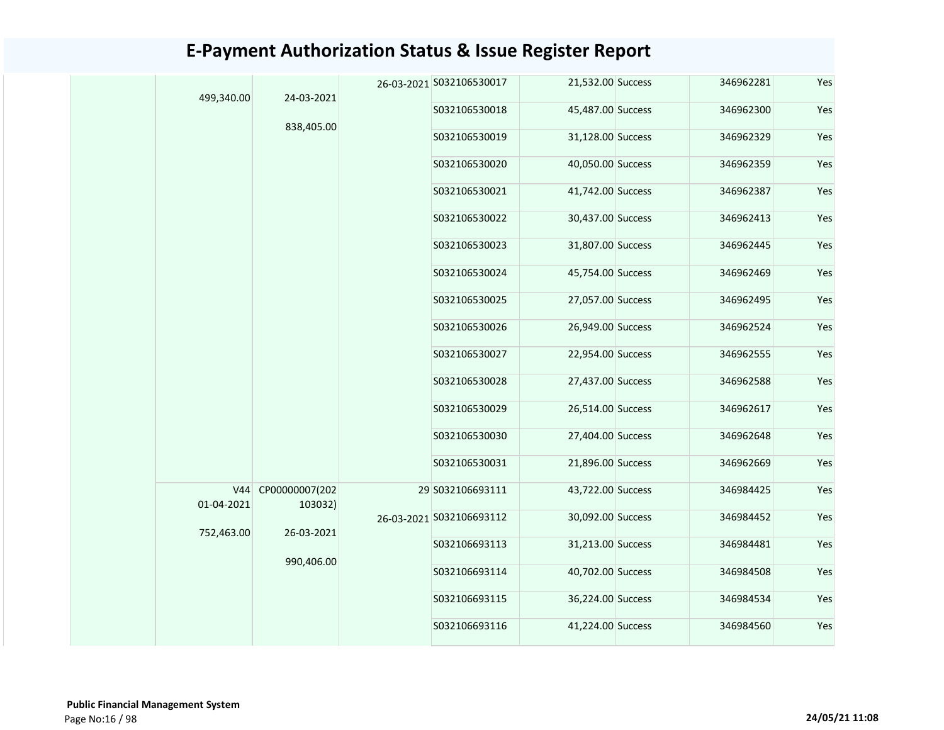|  | 499,340.00        | 24-03-2021                |  | 26-03-2021 S032106530017 | 21,532.00 Success | 346962281 | Yes |
|--|-------------------|---------------------------|--|--------------------------|-------------------|-----------|-----|
|  |                   |                           |  | S032106530018            | 45,487.00 Success | 346962300 | Yes |
|  |                   | 838,405.00                |  | S032106530019            | 31,128.00 Success | 346962329 | Yes |
|  |                   |                           |  | S032106530020            | 40,050.00 Success | 346962359 | Yes |
|  |                   |                           |  | S032106530021            | 41,742.00 Success | 346962387 | Yes |
|  |                   |                           |  | S032106530022            | 30,437.00 Success | 346962413 | Yes |
|  |                   |                           |  | S032106530023            | 31,807.00 Success | 346962445 | Yes |
|  |                   |                           |  | S032106530024            | 45,754.00 Success | 346962469 | Yes |
|  |                   |                           |  | S032106530025            | 27,057.00 Success | 346962495 | Yes |
|  |                   |                           |  | S032106530026            | 26,949.00 Success | 346962524 | Yes |
|  |                   |                           |  | S032106530027            | 22,954.00 Success | 346962555 | Yes |
|  |                   |                           |  | S032106530028            | 27,437.00 Success | 346962588 | Yes |
|  |                   |                           |  | S032106530029            | 26,514.00 Success | 346962617 | Yes |
|  |                   |                           |  | S032106530030            | 27,404.00 Success | 346962648 | Yes |
|  |                   |                           |  | S032106530031            | 21,896.00 Success | 346962669 | Yes |
|  | V44<br>01-04-2021 | CP00000007(202<br>103032) |  | 29 S032106693111         | 43,722.00 Success | 346984425 | Yes |
|  | 752,463.00        | 26-03-2021                |  | 26-03-2021 S032106693112 | 30,092.00 Success | 346984452 | Yes |
|  |                   |                           |  | S032106693113            | 31,213.00 Success | 346984481 | Yes |
|  |                   | 990,406.00                |  | S032106693114            | 40,702.00 Success | 346984508 | Yes |
|  |                   |                           |  | S032106693115            | 36,224.00 Success | 346984534 | Yes |
|  |                   |                           |  | S032106693116            | 41,224.00 Success | 346984560 | Yes |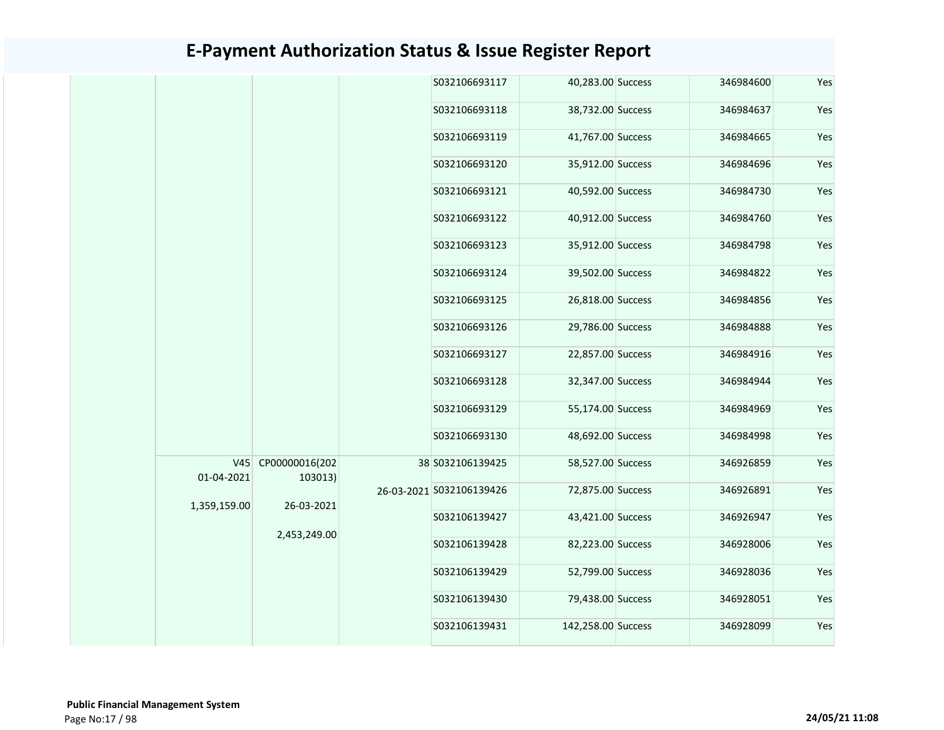|              |                               | S032106693117            | 40,283.00 Success  | 346984600 | Yes |
|--------------|-------------------------------|--------------------------|--------------------|-----------|-----|
|              |                               | S032106693118            | 38,732.00 Success  | 346984637 | Yes |
|              |                               | S032106693119            | 41,767.00 Success  | 346984665 | Yes |
|              |                               | S032106693120            | 35,912.00 Success  | 346984696 | Yes |
|              |                               | S032106693121            | 40,592.00 Success  | 346984730 | Yes |
|              |                               | S032106693122            | 40,912.00 Success  | 346984760 | Yes |
|              |                               | S032106693123            | 35,912.00 Success  | 346984798 | Yes |
|              |                               | S032106693124            | 39,502.00 Success  | 346984822 | Yes |
|              |                               | S032106693125            | 26,818.00 Success  | 346984856 | Yes |
|              |                               | S032106693126            | 29,786.00 Success  | 346984888 | Yes |
|              |                               | S032106693127            | 22,857.00 Success  | 346984916 | Yes |
|              |                               | S032106693128            | 32,347.00 Success  | 346984944 | Yes |
|              |                               | S032106693129            | 55,174.00 Success  | 346984969 | Yes |
|              |                               | S032106693130            | 48,692.00 Success  | 346984998 | Yes |
| 01-04-2021   | V45 CP00000016(202<br>103013) | 38 S032106139425         | 58,527.00 Success  | 346926859 | Yes |
| 1,359,159.00 | 26-03-2021                    | 26-03-2021 S032106139426 | 72,875.00 Success  | 346926891 | Yes |
|              | 2,453,249.00                  | S032106139427            | 43,421.00 Success  | 346926947 | Yes |
|              |                               | S032106139428            | 82,223.00 Success  | 346928006 | Yes |
|              |                               | S032106139429            | 52,799.00 Success  | 346928036 | Yes |
|              |                               | S032106139430            | 79,438.00 Success  | 346928051 | Yes |
|              |                               | S032106139431            | 142,258.00 Success | 346928099 | Yes |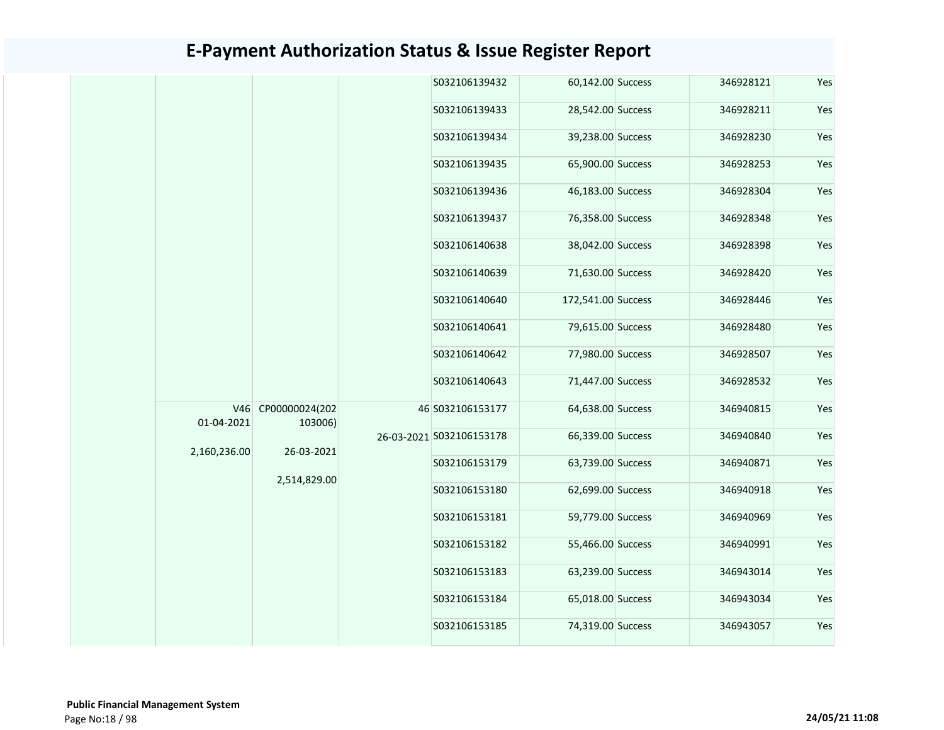|  |              |                               |  | S032106139432            | 60,142.00 Success  | 346928121 | Yes |
|--|--------------|-------------------------------|--|--------------------------|--------------------|-----------|-----|
|  |              |                               |  | S032106139433            | 28,542.00 Success  | 346928211 | Yes |
|  |              |                               |  | S032106139434            | 39,238.00 Success  | 346928230 | Yes |
|  |              |                               |  | S032106139435            | 65,900.00 Success  | 346928253 | Yes |
|  |              |                               |  | S032106139436            | 46,183.00 Success  | 346928304 | Yes |
|  |              |                               |  | S032106139437            | 76,358.00 Success  | 346928348 | Yes |
|  |              |                               |  | S032106140638            | 38,042.00 Success  | 346928398 | Yes |
|  |              |                               |  | S032106140639            | 71,630.00 Success  | 346928420 | Yes |
|  |              |                               |  | S032106140640            | 172,541.00 Success | 346928446 | Yes |
|  |              |                               |  | S032106140641            | 79,615.00 Success  | 346928480 | Yes |
|  |              |                               |  | S032106140642            | 77,980.00 Success  | 346928507 | Yes |
|  |              |                               |  | S032106140643            | 71,447.00 Success  | 346928532 | Yes |
|  | 01-04-2021   | V46 CP00000024(202<br>103006) |  | 46 S032106153177         | 64,638.00 Success  | 346940815 | Yes |
|  | 2,160,236.00 | 26-03-2021                    |  | 26-03-2021 S032106153178 | 66,339.00 Success  | 346940840 | Yes |
|  |              | 2,514,829.00                  |  | S032106153179            | 63,739.00 Success  | 346940871 | Yes |
|  |              |                               |  | S032106153180            | 62,699.00 Success  | 346940918 | Yes |
|  |              |                               |  | S032106153181            | 59,779.00 Success  | 346940969 | Yes |
|  |              |                               |  | S032106153182            | 55,466.00 Success  | 346940991 | Yes |
|  |              |                               |  | S032106153183            | 63,239.00 Success  | 346943014 | Yes |
|  |              |                               |  | S032106153184            | 65,018.00 Success  | 346943034 | Yes |
|  |              |                               |  | S032106153185            | 74,319.00 Success  | 346943057 | Yes |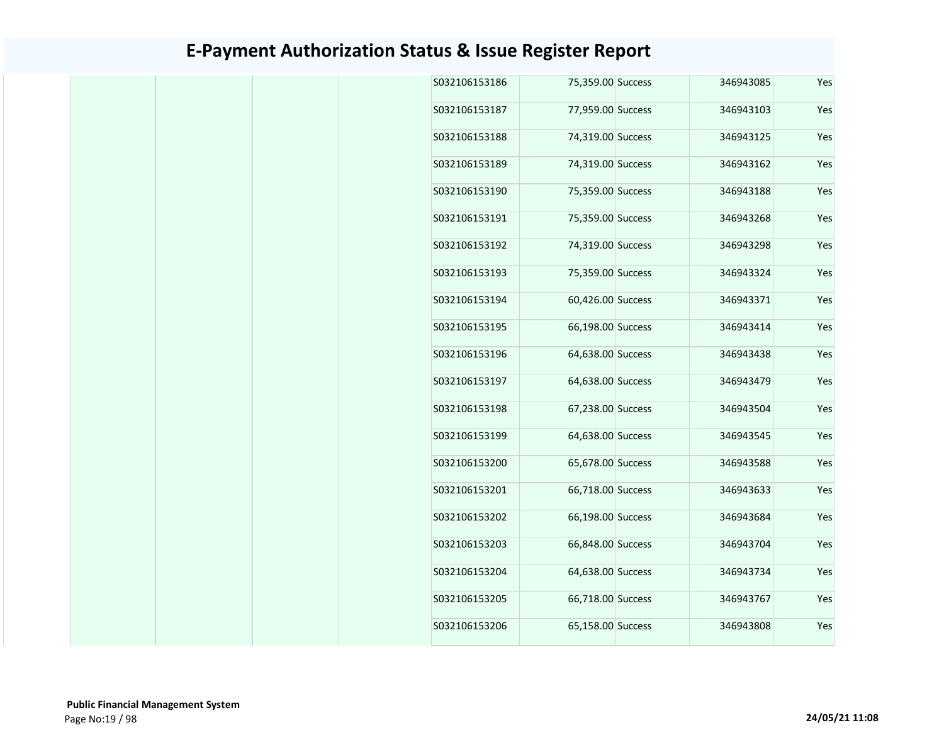| Yes | 346943085 | 75,359.00 Success | S032106153186 |
|-----|-----------|-------------------|---------------|
| Yes | 346943103 | 77,959.00 Success | S032106153187 |
| Yes | 346943125 | 74,319.00 Success | S032106153188 |
| Yes | 346943162 | 74,319.00 Success | S032106153189 |
| Yes | 346943188 | 75,359.00 Success | S032106153190 |
| Yes | 346943268 | 75,359.00 Success | S032106153191 |
| Yes | 346943298 | 74,319.00 Success | S032106153192 |
| Yes | 346943324 | 75,359.00 Success | S032106153193 |
| Yes | 346943371 | 60,426.00 Success | S032106153194 |
| Yes | 346943414 | 66,198.00 Success | S032106153195 |
| Yes | 346943438 | 64,638.00 Success | S032106153196 |
| Yes | 346943479 | 64,638.00 Success | S032106153197 |
| Yes | 346943504 | 67,238.00 Success | S032106153198 |
| Yes | 346943545 | 64,638.00 Success | S032106153199 |
| Yes | 346943588 | 65,678.00 Success | S032106153200 |
| Yes | 346943633 | 66,718.00 Success | S032106153201 |
| Yes | 346943684 | 66,198.00 Success | S032106153202 |
| Yes | 346943704 | 66,848.00 Success | S032106153203 |
| Yes | 346943734 | 64,638.00 Success | S032106153204 |
| Yes | 346943767 | 66,718.00 Success | S032106153205 |
| Yes | 346943808 | 65,158.00 Success | S032106153206 |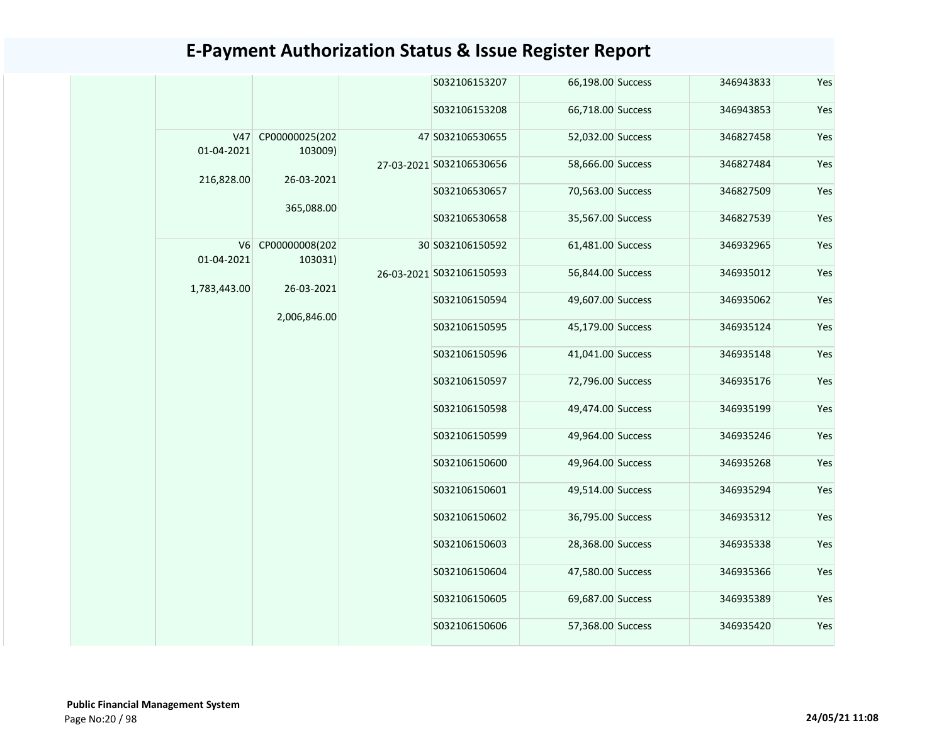|                                                | S032106153207            | 66,198.00 Success | 346943833 | Yes |
|------------------------------------------------|--------------------------|-------------------|-----------|-----|
|                                                | S032106153208            | 66,718.00 Success | 346943853 | Yes |
| V47<br>CP00000025(202<br>01-04-2021<br>103009) | 47 S032106530655         | 52,032.00 Success | 346827458 | Yes |
|                                                | 27-03-2021 S032106530656 | 58,666.00 Success | 346827484 | Yes |
| 216,828.00<br>26-03-2021                       | S032106530657            | 70,563.00 Success | 346827509 | Yes |
| 365,088.00                                     | S032106530658            | 35,567.00 Success | 346827539 | Yes |
| V6 CP00000008(202                              | 30 S032106150592         | 61,481.00 Success | 346932965 | Yes |
| 01-04-2021<br>103031)                          | 26-03-2021 S032106150593 | 56,844.00 Success | 346935012 | Yes |
| 26-03-2021<br>1,783,443.00                     | S032106150594            | 49,607.00 Success | 346935062 | Yes |
| 2,006,846.00                                   | S032106150595            | 45,179.00 Success | 346935124 | Yes |
|                                                | S032106150596            | 41,041.00 Success | 346935148 | Yes |
|                                                | S032106150597            | 72,796.00 Success | 346935176 | Yes |
|                                                | S032106150598            | 49,474.00 Success | 346935199 | Yes |
|                                                | S032106150599            | 49,964.00 Success | 346935246 | Yes |
|                                                | S032106150600            | 49,964.00 Success | 346935268 | Yes |
|                                                | S032106150601            | 49,514.00 Success | 346935294 | Yes |
|                                                | S032106150602            | 36,795.00 Success | 346935312 | Yes |
|                                                | S032106150603            | 28,368.00 Success | 346935338 | Yes |
|                                                | S032106150604            | 47,580.00 Success | 346935366 | Yes |
|                                                |                          |                   |           |     |
|                                                | S032106150605            | 69,687.00 Success | 346935389 | Yes |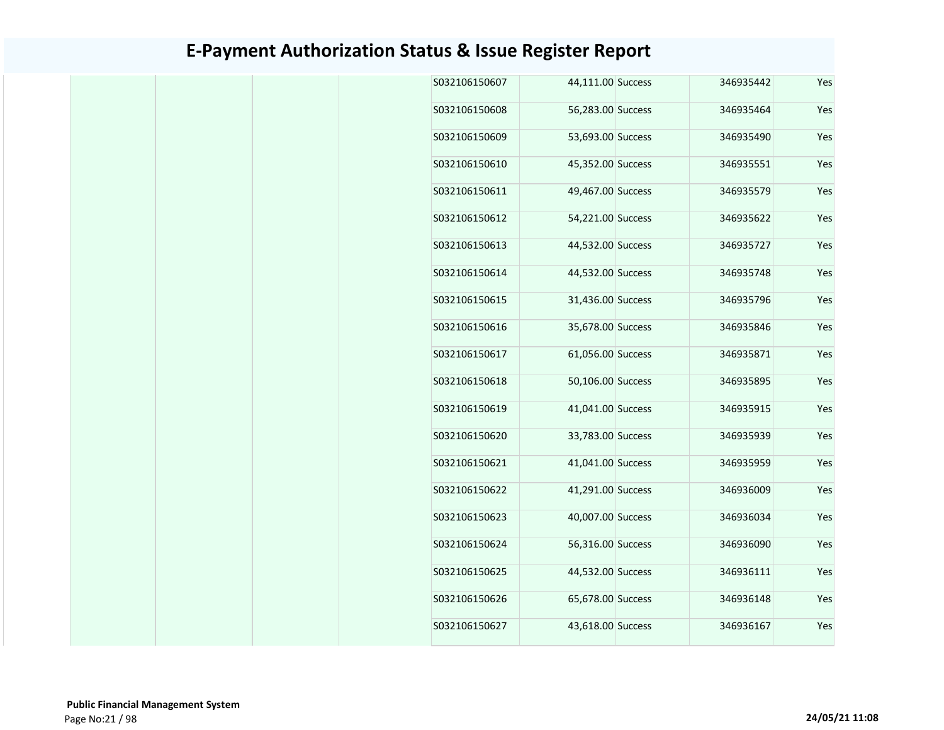|  | S032106150607 | 44,111.00 Success | 346935442 | Yes |
|--|---------------|-------------------|-----------|-----|
|  | S032106150608 | 56,283.00 Success | 346935464 | Yes |
|  | S032106150609 | 53,693.00 Success | 346935490 | Yes |
|  | S032106150610 | 45,352.00 Success | 346935551 | Yes |
|  | S032106150611 | 49,467.00 Success | 346935579 | Yes |
|  | S032106150612 | 54,221.00 Success | 346935622 | Yes |
|  | S032106150613 | 44,532.00 Success | 346935727 | Yes |
|  | S032106150614 | 44,532.00 Success | 346935748 | Yes |
|  | S032106150615 | 31,436.00 Success | 346935796 | Yes |
|  | S032106150616 | 35,678.00 Success | 346935846 | Yes |
|  | S032106150617 | 61,056.00 Success | 346935871 | Yes |
|  | S032106150618 | 50,106.00 Success | 346935895 | Yes |
|  | S032106150619 | 41,041.00 Success | 346935915 | Yes |
|  | S032106150620 | 33,783.00 Success | 346935939 | Yes |
|  | S032106150621 | 41,041.00 Success | 346935959 | Yes |
|  | S032106150622 | 41,291.00 Success | 346936009 | Yes |
|  | S032106150623 | 40,007.00 Success | 346936034 | Yes |
|  | S032106150624 | 56,316.00 Success | 346936090 | Yes |
|  | S032106150625 | 44,532.00 Success | 346936111 | Yes |
|  | S032106150626 | 65,678.00 Success | 346936148 | Yes |
|  | S032106150627 | 43,618.00 Success | 346936167 | Yes |
|  |               |                   |           |     |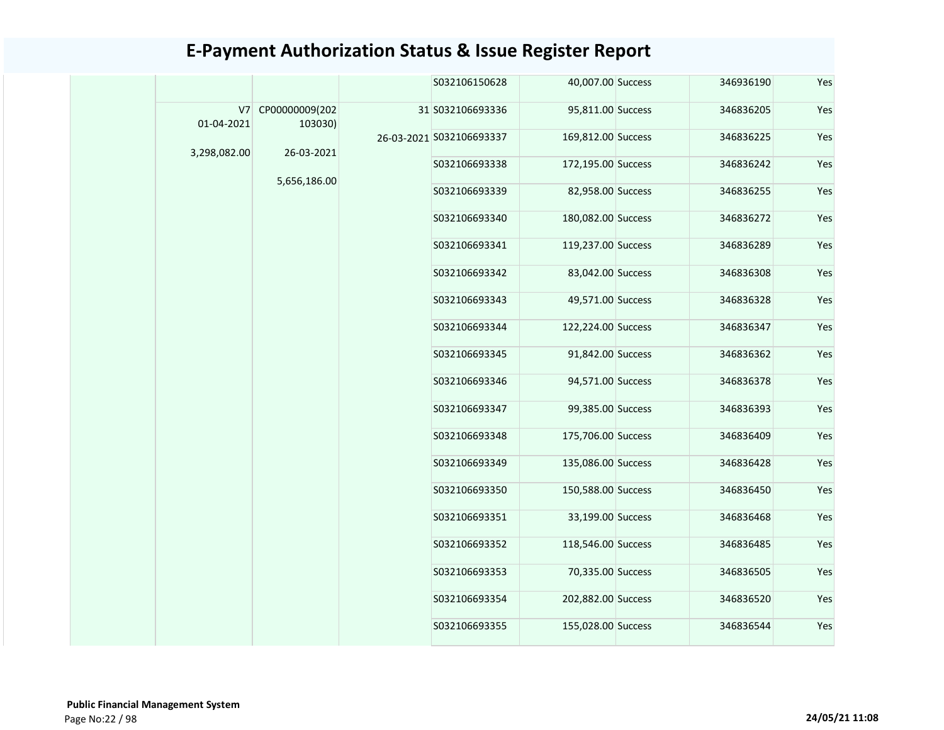|                  |                           |                          | S032106150628                       | 40,007.00 Success  | 346936190         | Yes       |     |               |                   |               |                    |
|------------------|---------------------------|--------------------------|-------------------------------------|--------------------|-------------------|-----------|-----|---------------|-------------------|---------------|--------------------|
| V7<br>01-04-2021 | CP00000009(202<br>103030) |                          | 31 S032106693336                    | 95,811.00 Success  | 346836205         | Yes       |     |               |                   |               |                    |
| 3,298,082.00     |                           | 26-03-2021 S032106693337 | 169,812.00 Success                  | 346836225          | Yes               |           |     |               |                   |               |                    |
|                  | 26-03-2021                |                          | S032106693338                       | 172,195.00 Success | 346836242         | Yes       |     |               |                   |               |                    |
|                  | 5,656,186.00              |                          | S032106693339                       | 82,958.00 Success  | 346836255         | Yes       |     |               |                   |               |                    |
|                  |                           |                          | S032106693340                       | 180,082.00 Success | 346836272         | Yes       |     |               |                   |               |                    |
|                  |                           |                          | S032106693341                       | 119,237.00 Success | 346836289         | Yes       |     |               |                   |               |                    |
|                  |                           |                          | S032106693342                       | 83,042.00 Success  | 346836308         | Yes       |     |               |                   |               |                    |
|                  |                           |                          | S032106693343                       | 49,571.00 Success  | 346836328         | Yes       |     |               |                   |               |                    |
|                  |                           |                          | S032106693344                       | 122,224.00 Success | 346836347         | Yes       |     |               |                   |               |                    |
|                  |                           |                          | S032106693345                       | 91,842.00 Success  | 346836362         | Yes       |     |               |                   |               |                    |
|                  |                           |                          | S032106693346                       | 94,571.00 Success  | 346836378         | Yes       |     |               |                   |               |                    |
|                  |                           |                          |                                     | S032106693347      | 99,385.00 Success | 346836393 | Yes |               |                   |               |                    |
|                  |                           |                          | 175,706.00 Success<br>S032106693348 | 346836409          | Yes               |           |     |               |                   |               |                    |
|                  |                           |                          | S032106693349                       | 135,086.00 Success | 346836428         | Yes       |     |               |                   |               |                    |
|                  |                           |                          | S032106693350                       | 150,588.00 Success | 346836450         | Yes       |     |               |                   |               |                    |
|                  |                           |                          | S032106693351                       | 33,199.00 Success  | 346836468         | Yes       |     |               |                   |               |                    |
|                  |                           |                          | S032106693352                       | 118,546.00 Success | 346836485         | Yes       |     |               |                   |               |                    |
|                  |                           |                          |                                     |                    |                   |           |     | S032106693353 | 70,335.00 Success | 346836505     | Yes                |
|                  |                           |                          |                                     |                    |                   |           |     |               |                   | S032106693354 | 202,882.00 Success |
|                  |                           |                          | S032106693355                       | 155,028.00 Success | 346836544         | Yes       |     |               |                   |               |                    |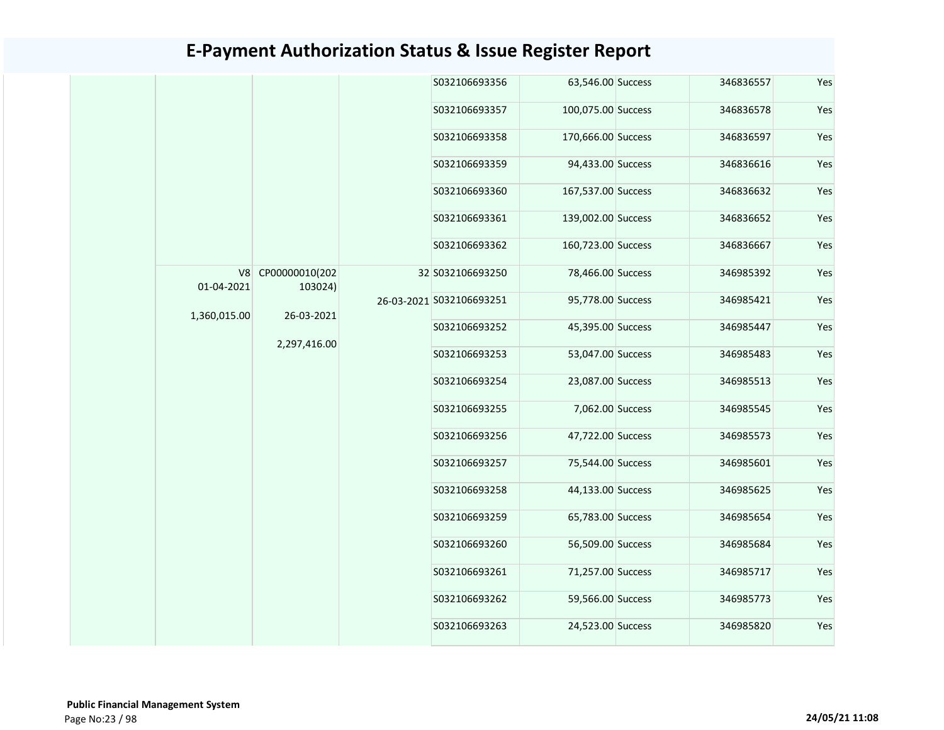|  |                  |                |                                       | S032106693356            | 63,546.00 Success  | 346836557 | Yes |
|--|------------------|----------------|---------------------------------------|--------------------------|--------------------|-----------|-----|
|  |                  |                |                                       | S032106693357            | 100,075.00 Success | 346836578 | Yes |
|  |                  |                |                                       | S032106693358            | 170,666.00 Success | 346836597 | Yes |
|  |                  |                |                                       | S032106693359            | 94,433.00 Success  | 346836616 | Yes |
|  |                  |                |                                       | S032106693360            | 167,537.00 Success | 346836632 | Yes |
|  |                  |                |                                       | S032106693361            | 139,002.00 Success | 346836652 | Yes |
|  |                  |                |                                       | S032106693362            | 160,723.00 Success | 346836667 | Yes |
|  | V8<br>01-04-2021 | CP00000010(202 |                                       | 32 S032106693250         | 78,466.00 Success  | 346985392 | Yes |
|  |                  |                | 103024)<br>26-03-2021<br>2,297,416.00 | 26-03-2021 S032106693251 | 95,778.00 Success  | 346985421 | Yes |
|  | 1,360,015.00     |                |                                       | S032106693252            | 45,395.00 Success  | 346985447 | Yes |
|  |                  |                |                                       | S032106693253            | 53,047.00 Success  | 346985483 | Yes |
|  |                  |                |                                       | S032106693254            | 23,087.00 Success  | 346985513 | Yes |
|  |                  |                |                                       | S032106693255            | 7,062.00 Success   | 346985545 | Yes |
|  |                  |                |                                       | S032106693256            | 47,722.00 Success  | 346985573 | Yes |
|  |                  |                |                                       | S032106693257            | 75,544.00 Success  | 346985601 | Yes |
|  |                  |                |                                       | S032106693258            | 44,133.00 Success  | 346985625 | Yes |
|  |                  |                |                                       | S032106693259            | 65,783.00 Success  | 346985654 | Yes |
|  |                  |                |                                       | \$032106693260           | 56,509.00 Success  | 346985684 | Yes |
|  |                  |                |                                       | S032106693261            | 71,257.00 Success  | 346985717 | Yes |
|  |                  |                |                                       | S032106693262            | 59,566.00 Success  | 346985773 | Yes |
|  |                  |                |                                       | S032106693263            | 24,523.00 Success  | 346985820 | Yes |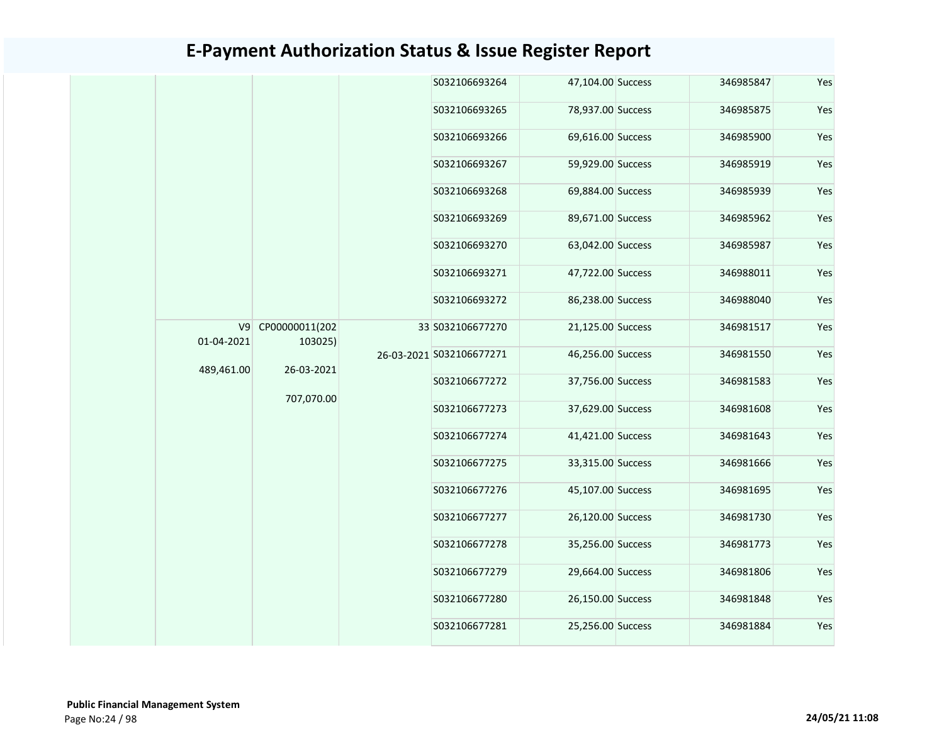|                                               | S032106693264            | 47,104.00 Success | 346985847 | Yes |
|-----------------------------------------------|--------------------------|-------------------|-----------|-----|
|                                               | S032106693265            | 78,937.00 Success | 346985875 | Yes |
|                                               | S032106693266            | 69,616.00 Success | 346985900 | Yes |
|                                               | S032106693267            | 59,929.00 Success | 346985919 | Yes |
|                                               | S032106693268            | 69,884.00 Success | 346985939 | Yes |
|                                               | S032106693269            | 89,671.00 Success | 346985962 | Yes |
|                                               | S032106693270            | 63,042.00 Success | 346985987 | Yes |
|                                               | S032106693271            | 47,722.00 Success | 346988011 | Yes |
|                                               | S032106693272            | 86,238.00 Success | 346988040 | Yes |
| V9<br>CP00000011(202<br>01-04-2021<br>103025) | 33 S032106677270         | 21,125.00 Success | 346981517 | Yes |
|                                               | 26-03-2021 S032106677271 | 46,256.00 Success | 346981550 | Yes |
| 489,461.00<br>26-03-2021                      | S032106677272            | 37,756.00 Success | 346981583 | Yes |
| 707,070.00                                    | S032106677273            | 37,629.00 Success | 346981608 | Yes |
|                                               | S032106677274            | 41,421.00 Success | 346981643 | Yes |
|                                               | S032106677275            | 33,315.00 Success | 346981666 | Yes |
|                                               | S032106677276            | 45,107.00 Success | 346981695 | Yes |
|                                               | S032106677277            | 26,120.00 Success | 346981730 | Yes |
|                                               | S032106677278            | 35,256.00 Success | 346981773 | Yes |
|                                               | S032106677279            | 29,664.00 Success | 346981806 | Yes |
|                                               | S032106677280            | 26,150.00 Success | 346981848 | Yes |
|                                               | S032106677281            | 25,256.00 Success | 346981884 | Yes |
|                                               |                          |                   |           |     |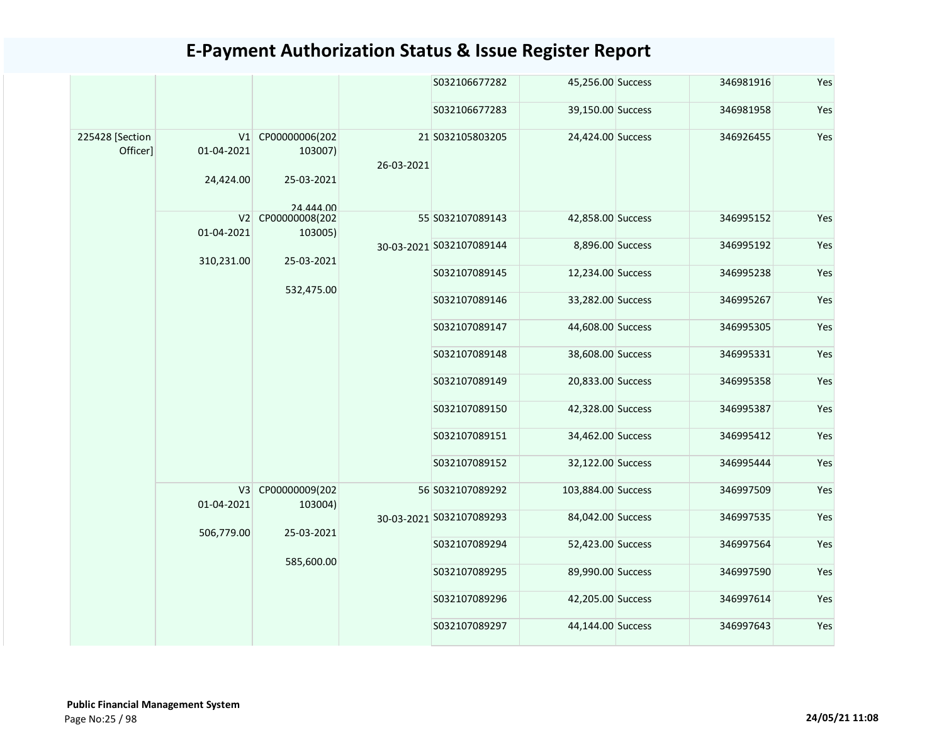|                             |                         |                                                         |            | S032106677282            | 45,256.00 Success  | 346981916 | Yes |
|-----------------------------|-------------------------|---------------------------------------------------------|------------|--------------------------|--------------------|-----------|-----|
|                             |                         |                                                         |            | S032106677283            | 39,150.00 Success  | 346981958 | Yes |
| 225428 [Section<br>Officer] | 01-04-2021<br>24,424.00 | V1 CP00000006(202<br>103007)<br>25-03-2021<br>24 444 00 | 26-03-2021 | 21 S032105803205         | 24,424.00 Success  | 346926455 | Yes |
|                             | 01-04-2021              | V2 CP00000008(202<br>103005)                            |            | 55 S032107089143         | 42,858.00 Success  | 346995152 | Yes |
|                             | 310,231.00              | 25-03-2021                                              |            | 30-03-2021 S032107089144 | 8,896.00 Success   | 346995192 | Yes |
|                             |                         | 532,475.00                                              |            | S032107089145            | 12,234.00 Success  | 346995238 | Yes |
|                             |                         |                                                         |            | S032107089146            | 33,282.00 Success  | 346995267 | Yes |
|                             |                         |                                                         |            | S032107089147            | 44,608.00 Success  | 346995305 | Yes |
|                             |                         |                                                         |            | S032107089148            | 38,608.00 Success  | 346995331 | Yes |
|                             |                         |                                                         |            | S032107089149            | 20,833.00 Success  | 346995358 | Yes |
|                             |                         |                                                         |            | S032107089150            | 42,328.00 Success  | 346995387 | Yes |
|                             |                         |                                                         |            | S032107089151            | 34,462.00 Success  | 346995412 | Yes |
|                             |                         |                                                         |            | S032107089152            | 32,122.00 Success  | 346995444 | Yes |
|                             | V3                      | CP00000009(202<br>01-04-2021<br>103004)                 |            | 56 S032107089292         | 103,884.00 Success | 346997509 | Yes |
|                             | 506,779.00              | 25-03-2021                                              |            | 30-03-2021 S032107089293 | 84,042.00 Success  | 346997535 | Yes |
|                             |                         | 585,600.00                                              |            | S032107089294            | 52,423.00 Success  | 346997564 | Yes |
|                             |                         |                                                         |            | S032107089295            | 89,990.00 Success  | 346997590 | Yes |
|                             |                         |                                                         |            | S032107089296            | 42,205.00 Success  | 346997614 | Yes |
|                             |                         |                                                         |            | S032107089297            | 44,144.00 Success  | 346997643 | Yes |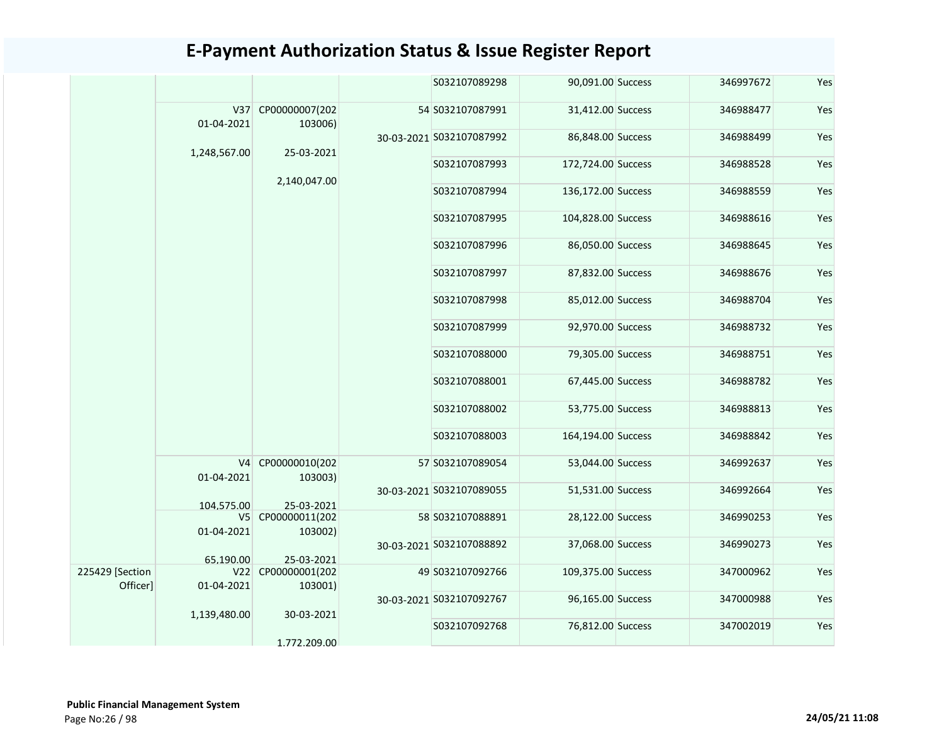|                             |                              |                               | S032107089298            | 90,091.00 Success  | 346997672 | Yes |
|-----------------------------|------------------------------|-------------------------------|--------------------------|--------------------|-----------|-----|
|                             | 01-04-2021                   | V37 CP00000007(202<br>103006) | 54 S032107087991         | 31,412.00 Success  | 346988477 | Yes |
|                             |                              |                               | 30-03-2021 S032107087992 | 86,848.00 Success  | 346988499 | Yes |
|                             | 1,248,567.00                 | 25-03-2021                    | S032107087993            | 172,724.00 Success | 346988528 | Yes |
|                             |                              | 2,140,047.00                  | S032107087994            | 136,172.00 Success | 346988559 | Yes |
|                             |                              |                               | S032107087995            | 104,828.00 Success | 346988616 | Yes |
|                             |                              |                               | S032107087996            | 86,050.00 Success  | 346988645 | Yes |
|                             |                              |                               | S032107087997            | 87,832.00 Success  | 346988676 | Yes |
|                             |                              |                               | S032107087998            | 85,012.00 Success  | 346988704 | Yes |
|                             |                              |                               | S032107087999            | 92,970.00 Success  | 346988732 | Yes |
|                             |                              |                               | S032107088000            | 79,305.00 Success  | 346988751 | Yes |
|                             |                              |                               | S032107088001            | 67,445.00 Success  | 346988782 | Yes |
|                             |                              |                               | S032107088002            | 53,775.00 Success  | 346988813 | Yes |
|                             |                              |                               | S032107088003            | 164,194.00 Success | 346988842 | Yes |
|                             | V <sub>4</sub><br>01-04-2021 | CP00000010(202<br>103003)     | 57 S032107089054         | 53,044.00 Success  | 346992637 | Yes |
|                             | 104.575.00                   | 25-03-2021                    | 30-03-2021 S032107089055 | 51,531.00 Success  | 346992664 | Yes |
|                             | 01-04-2021                   | V5 CP00000011(202<br>103002)  | 58 S032107088891         | 28,122.00 Success  | 346990253 | Yes |
|                             | 65.190.00                    | 25-03-2021                    | 30-03-2021 S032107088892 | 37,068.00 Success  | 346990273 | Yes |
| 225429 [Section<br>Officer] | 01-04-2021                   | V22 CP00000001(202<br>103001) | 49 S032107092766         | 109,375.00 Success | 347000962 | Yes |
|                             |                              | 30-03-2021                    | 30-03-2021 S032107092767 | 96,165.00 Success  | 347000988 | Yes |
|                             | 1,139,480.00                 |                               | S032107092768            | 76,812.00 Success  | 347002019 | Yes |
|                             |                              | 1.772.209.00                  |                          |                    |           |     |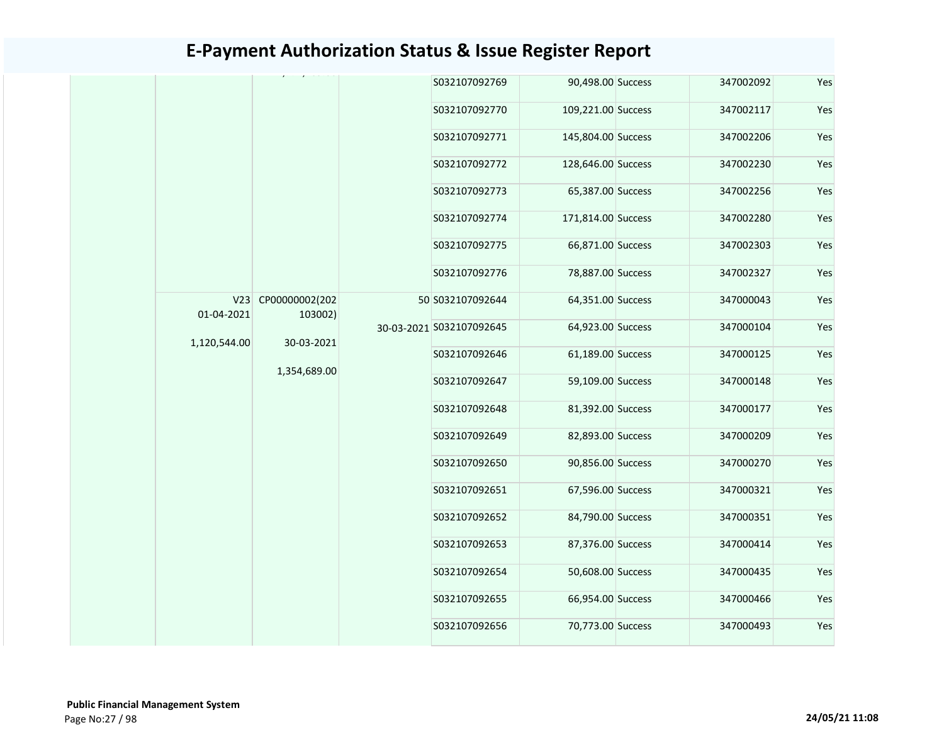|                                                |  | S032107092769            | 90,498.00 Success  | 347002092 | Yes |
|------------------------------------------------|--|--------------------------|--------------------|-----------|-----|
|                                                |  | S032107092770            | 109,221.00 Success | 347002117 | Yes |
|                                                |  | S032107092771            | 145,804.00 Success | 347002206 | Yes |
|                                                |  | S032107092772            | 128,646.00 Success | 347002230 | Yes |
|                                                |  | S032107092773            | 65,387.00 Success  | 347002256 | Yes |
|                                                |  | S032107092774            | 171,814.00 Success | 347002280 | Yes |
|                                                |  | S032107092775            | 66,871.00 Success  | 347002303 | Yes |
|                                                |  | S032107092776            | 78,887.00 Success  | 347002327 | Yes |
| CP00000002(202<br>V23<br>01-04-2021<br>103002) |  | 50 S032107092644         | 64,351.00 Success  | 347000043 | Yes |
| 1,120,544.00<br>30-03-2021                     |  | 30-03-2021 S032107092645 | 64,923.00 Success  | 347000104 | Yes |
|                                                |  | S032107092646            | 61,189.00 Success  | 347000125 | Yes |
| 1,354,689.00                                   |  | S032107092647            | 59,109.00 Success  | 347000148 | Yes |
|                                                |  | S032107092648            | 81,392.00 Success  | 347000177 | Yes |
|                                                |  | S032107092649            | 82,893.00 Success  | 347000209 | Yes |
|                                                |  | S032107092650            | 90,856.00 Success  | 347000270 | Yes |
|                                                |  | S032107092651            | 67,596.00 Success  | 347000321 | Yes |
|                                                |  | S032107092652            | 84,790.00 Success  | 347000351 | Yes |
|                                                |  | S032107092653            | 87,376.00 Success  | 347000414 | Yes |
|                                                |  | S032107092654            | 50,608.00 Success  | 347000435 | Yes |
|                                                |  | S032107092655            | 66,954.00 Success  | 347000466 | Yes |
|                                                |  | S032107092656            | 70,773.00 Success  | 347000493 | Yes |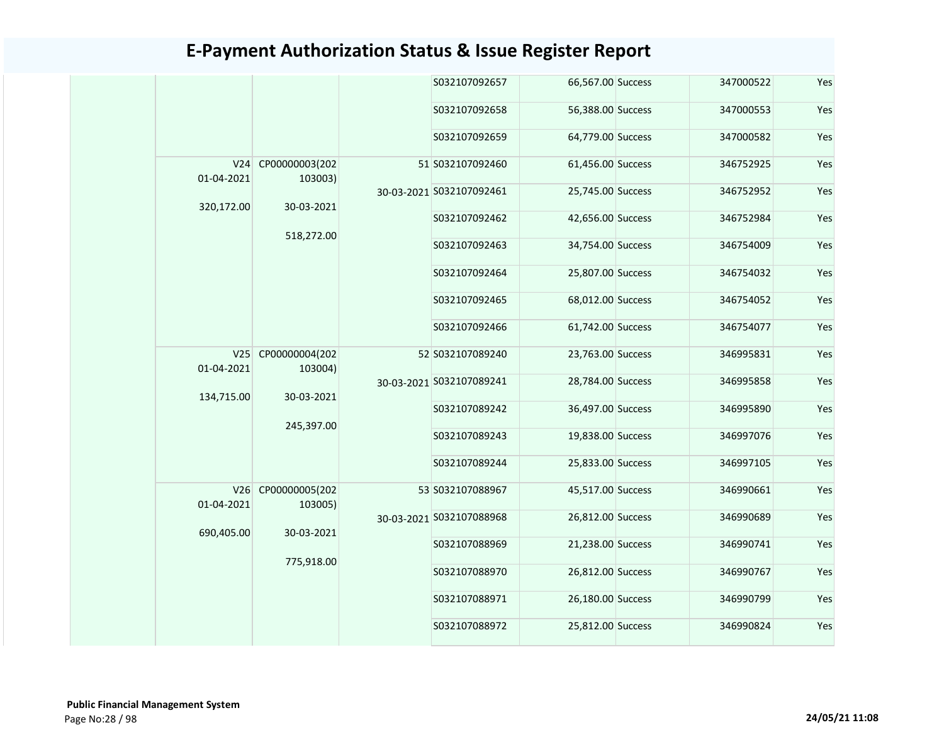|                   |                               | S032107092657            | 66,567.00 Success | 347000522 | Yes |
|-------------------|-------------------------------|--------------------------|-------------------|-----------|-----|
|                   |                               | S032107092658            | 56,388.00 Success | 347000553 | Yes |
|                   |                               | S032107092659            | 64,779.00 Success | 347000582 | Yes |
| 01-04-2021        | V24 CP00000003(202<br>103003) | 51 S032107092460         | 61,456.00 Success | 346752925 | Yes |
|                   |                               | 30-03-2021 S032107092461 | 25,745.00 Success | 346752952 | Yes |
| 320,172.00        | 30-03-2021                    | S032107092462            | 42,656.00 Success | 346752984 | Yes |
|                   | 518,272.00                    | S032107092463            | 34,754.00 Success | 346754009 | Yes |
|                   |                               | S032107092464            | 25,807.00 Success | 346754032 | Yes |
|                   |                               | S032107092465            | 68,012.00 Success | 346754052 | Yes |
|                   |                               | S032107092466            | 61,742.00 Success | 346754077 | Yes |
| 01-04-2021        | V25 CP00000004(202<br>103004) | 52 S032107089240         | 23,763.00 Success | 346995831 | Yes |
|                   |                               | 30-03-2021 S032107089241 | 28,784.00 Success | 346995858 | Yes |
| 134,715.00        | 30-03-2021                    | S032107089242            | 36,497.00 Success | 346995890 | Yes |
|                   | 245,397.00                    | S032107089243            | 19,838.00 Success | 346997076 | Yes |
|                   |                               | S032107089244            | 25,833.00 Success | 346997105 | Yes |
| V26<br>01-04-2021 | CP00000005(202<br>103005)     | 53 S032107088967         | 45,517.00 Success | 346990661 | Yes |
| 690,405.00        | 30-03-2021                    | 30-03-2021 S032107088968 | 26,812.00 Success | 346990689 | Yes |
|                   |                               | S032107088969            | 21,238.00 Success | 346990741 | Yes |
|                   | 775,918.00                    | S032107088970            | 26,812.00 Success | 346990767 | Yes |
|                   |                               | S032107088971            | 26,180.00 Success | 346990799 | Yes |
|                   |                               | S032107088972            | 25,812.00 Success | 346990824 | Yes |
|                   |                               |                          |                   |           |     |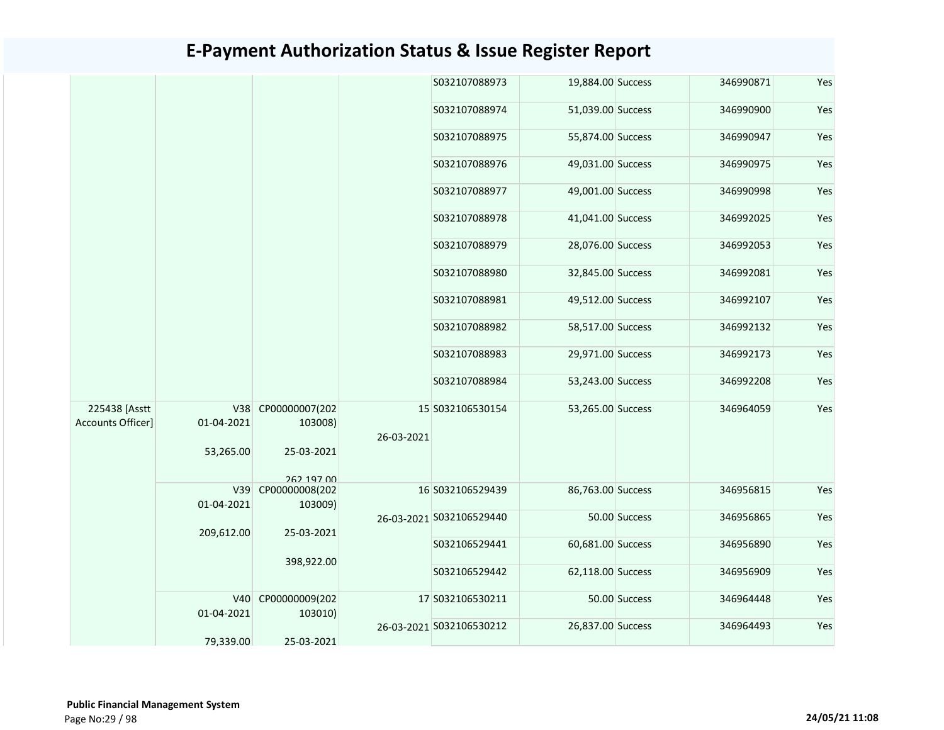|                                    |                                                              |                               |                  | S032107088973            | 19,884.00 Success |               | 346990871 | Yes |
|------------------------------------|--------------------------------------------------------------|-------------------------------|------------------|--------------------------|-------------------|---------------|-----------|-----|
|                                    |                                                              |                               |                  | S032107088974            | 51,039.00 Success |               | 346990900 | Yes |
|                                    |                                                              |                               | S032107088975    | 55,874.00 Success        |                   | 346990947     | Yes       |     |
|                                    |                                                              |                               |                  | S032107088976            | 49,031.00 Success |               | 346990975 | Yes |
|                                    |                                                              |                               |                  | S032107088977            | 49,001.00 Success |               | 346990998 | Yes |
|                                    |                                                              |                               |                  | S032107088978            | 41,041.00 Success |               | 346992025 | Yes |
|                                    |                                                              |                               |                  | S032107088979            | 28,076.00 Success |               | 346992053 | Yes |
|                                    |                                                              |                               |                  | S032107088980            | 32,845.00 Success |               | 346992081 | Yes |
|                                    |                                                              |                               |                  | S032107088981            | 49,512.00 Success |               | 346992107 | Yes |
|                                    |                                                              |                               | S032107088982    | 58,517.00 Success        |                   | 346992132     | Yes       |     |
|                                    |                                                              |                               |                  | S032107088983            | 29,971.00 Success |               | 346992173 | Yes |
|                                    |                                                              |                               |                  | S032107088984            | 53,243.00 Success |               | 346992208 | Yes |
| 225438 [Asstt<br>Accounts Officer] | 01-04-2021                                                   | V38 CP00000007(202<br>103008) | 26-03-2021       | 15 S032106530154         | 53,265.00 Success |               | 346964059 | Yes |
|                                    | 53,265.00                                                    | 25-03-2021<br>262 197 00      |                  |                          |                   |               |           |     |
|                                    | V39<br>01-04-2021                                            | CP00000008(202<br>103009)     |                  | 16 S032106529439         | 86,763.00 Success |               | 346956815 | Yes |
|                                    | 209,612.00                                                   | 25-03-2021                    |                  | 26-03-2021 S032106529440 |                   | 50.00 Success | 346956865 | Yes |
|                                    |                                                              |                               |                  | S032106529441            | 60,681.00 Success |               | 346956890 | Yes |
|                                    | 398,922.00<br>CP00000009(202<br>V40<br>01-04-2021<br>103010) |                               |                  | S032106529442            | 62,118.00 Success |               | 346956909 | Yes |
|                                    |                                                              |                               | 17 S032106530211 |                          | 50.00 Success     | 346964448     | Yes       |     |
|                                    | 79,339.00                                                    | 25-03-2021                    |                  | 26-03-2021 S032106530212 | 26,837.00 Success |               | 346964493 | Yes |
|                                    |                                                              |                               |                  |                          |                   |               |           |     |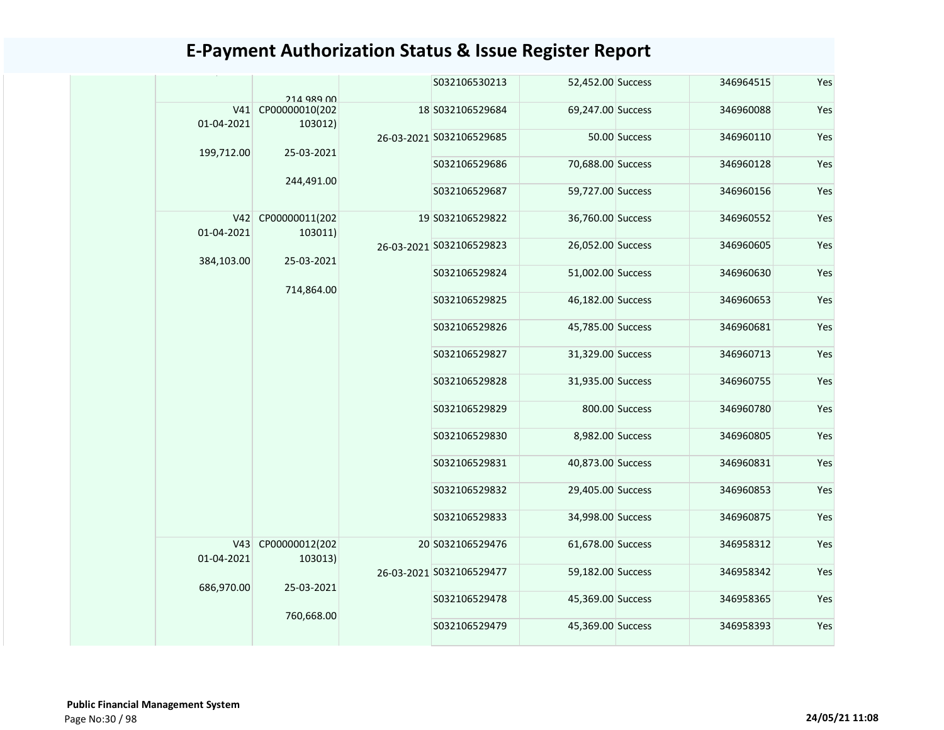|            | 214 989 00                    |            | S032106530213            | 52,452.00 Success |                | 346964515 | Yes |
|------------|-------------------------------|------------|--------------------------|-------------------|----------------|-----------|-----|
| 01-04-2021 | V41 CP00000010(202<br>103012) |            | 18 S032106529684         | 69,247.00 Success |                | 346960088 | Yes |
|            |                               |            | 26-03-2021 S032106529685 |                   | 50.00 Success  | 346960110 | Yes |
| 199,712.00 | 25-03-2021                    |            | S032106529686            | 70,688.00 Success |                | 346960128 | Yes |
|            | 244,491.00                    |            | S032106529687            | 59,727.00 Success |                | 346960156 | Yes |
|            | V42 CP00000011(202            |            | 19 S032106529822         | 36,760.00 Success |                | 346960552 | Yes |
| 01-04-2021 | 103011)                       |            | 26-03-2021 S032106529823 | 26,052.00 Success |                | 346960605 | Yes |
| 384,103.00 | 25-03-2021                    |            | S032106529824            | 51,002.00 Success |                | 346960630 | Yes |
|            | 714,864.00                    |            | S032106529825            | 46,182.00 Success |                | 346960653 | Yes |
|            |                               |            | S032106529826            | 45,785.00 Success |                | 346960681 | Yes |
|            |                               |            | S032106529827            | 31,329.00 Success |                | 346960713 | Yes |
|            |                               |            | S032106529828            | 31,935.00 Success |                | 346960755 | Yes |
|            |                               |            | S032106529829            |                   | 800.00 Success | 346960780 | Yes |
|            |                               |            | S032106529830            | 8,982.00 Success  |                | 346960805 | Yes |
|            |                               |            | S032106529831            | 40,873.00 Success |                | 346960831 | Yes |
|            |                               |            | S032106529832            | 29,405.00 Success |                | 346960853 | Yes |
|            |                               |            | S032106529833            | 34,998.00 Success |                | 346960875 | Yes |
|            | V43 CP00000012(202            |            | 20 S032106529476         | 61,678.00 Success |                | 346958312 | Yes |
| 01-04-2021 | 103013)                       |            | 26-03-2021 S032106529477 | 59,182.00 Success |                | 346958342 | Yes |
|            | 686,970.00<br>25-03-2021      |            | S032106529478            | 45,369.00 Success |                | 346958365 | Yes |
|            |                               | 760,668.00 | S032106529479            | 45,369.00 Success |                | 346958393 | Yes |
|            |                               |            |                          |                   |                |           |     |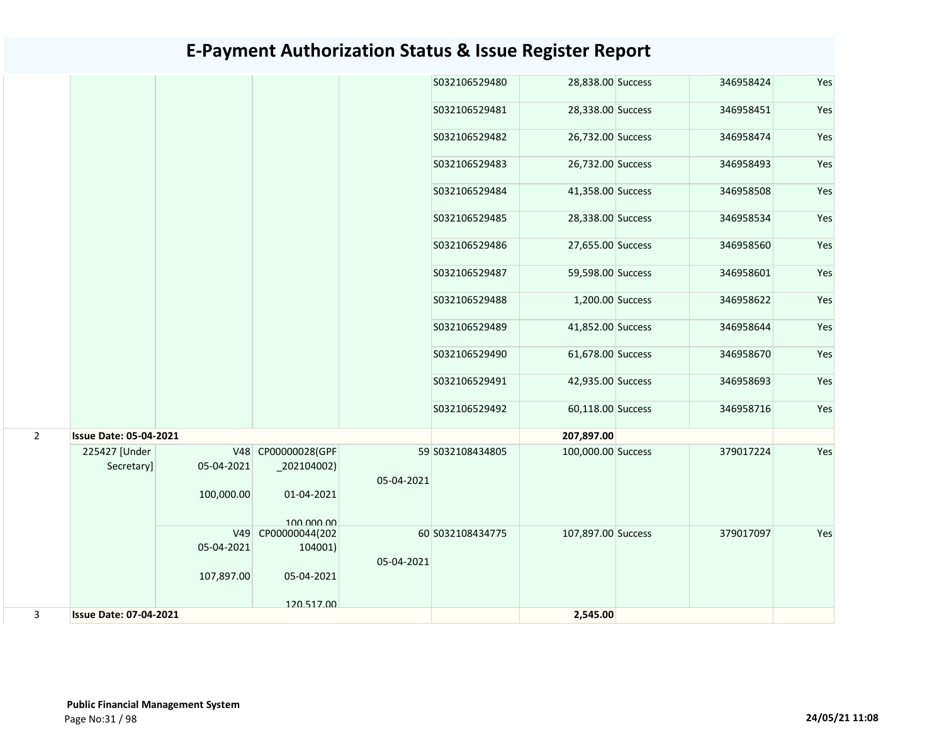|                |                               |            |                                       |            | S032106529480    | 28,838.00 Success  | 346958424 | Yes |
|----------------|-------------------------------|------------|---------------------------------------|------------|------------------|--------------------|-----------|-----|
|                |                               |            |                                       |            | S032106529481    | 28,338.00 Success  | 346958451 | Yes |
|                |                               |            |                                       |            | S032106529482    | 26,732.00 Success  | 346958474 | Yes |
|                |                               |            |                                       |            | S032106529483    | 26,732.00 Success  | 346958493 | Yes |
|                |                               |            |                                       |            | S032106529484    | 41,358.00 Success  | 346958508 | Yes |
|                |                               |            |                                       |            | S032106529485    | 28,338.00 Success  | 346958534 | Yes |
|                |                               |            |                                       |            | S032106529486    | 27,655.00 Success  | 346958560 | Yes |
|                |                               |            |                                       |            | S032106529487    | 59,598.00 Success  | 346958601 | Yes |
|                |                               |            |                                       |            | S032106529488    | 1,200.00 Success   | 346958622 | Yes |
|                |                               |            |                                       |            | S032106529489    | 41,852.00 Success  | 346958644 | Yes |
|                |                               |            |                                       |            | S032106529490    | 61,678.00 Success  | 346958670 | Yes |
|                |                               |            |                                       |            | S032106529491    | 42,935.00 Success  | 346958693 | Yes |
|                |                               |            |                                       |            | S032106529492    | 60,118.00 Success  | 346958716 | Yes |
| $\overline{2}$ | <b>Issue Date: 05-04-2021</b> |            |                                       |            |                  | 207,897.00         |           |     |
|                | 225427 [Under<br>Secretary]   | 05-04-2021 | V48 CP00000028(GPF<br>$_2$ 202104002) | 05-04-2021 | 59 S032108434805 | 100,000.00 Success | 379017224 | Yes |
|                |                               | 100,000.00 | 01-04-2021<br>100,000,00              |            |                  |                    |           |     |
|                |                               | V49        | CP00000044(202                        |            | 60 S032108434775 | 107,897.00 Success | 379017097 | Yes |
|                |                               | 05-04-2021 | 104001)                               |            |                  |                    |           |     |
|                |                               |            |                                       | 05-04-2021 |                  |                    |           |     |
|                |                               | 107,897.00 | 05-04-2021                            |            |                  |                    |           |     |
|                |                               |            | 120 517 00                            |            |                  |                    |           |     |
| 3              | <b>Issue Date: 07-04-2021</b> |            |                                       |            |                  | 2,545.00           |           |     |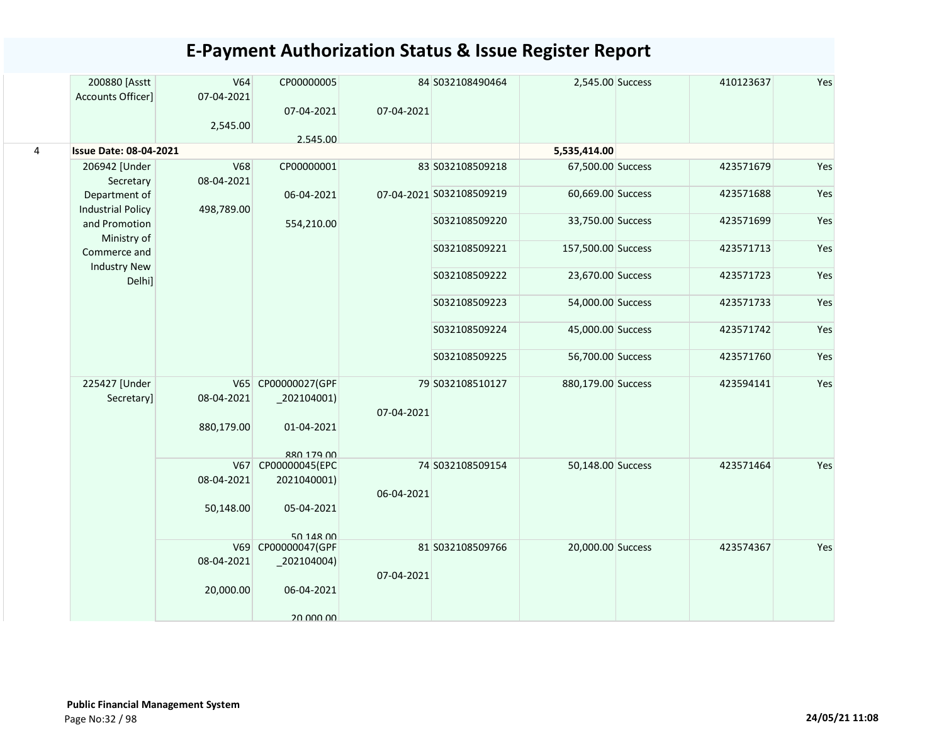|           | 200880 [Asstt<br>Accounts Officer]        | V64<br>07-04-2021<br>2,545.00 | CP00000005<br>07-04-2021<br>2.545.00                        | 07-04-2021 | 84 S032108490464         | 2,545.00 Success   | 410123637 | Yes |
|-----------|-------------------------------------------|-------------------------------|-------------------------------------------------------------|------------|--------------------------|--------------------|-----------|-----|
| $\pmb{4}$ | <b>Issue Date: 08-04-2021</b>             |                               |                                                             |            |                          | 5,535,414.00       |           |     |
|           | 206942 [Under<br>Secretary                | <b>V68</b><br>08-04-2021      | CP00000001                                                  |            | 83 S032108509218         | 67,500.00 Success  | 423571679 | Yes |
|           | Department of<br><b>Industrial Policy</b> | 498,789.00                    | 06-04-2021                                                  |            | 07-04-2021 S032108509219 | 60,669.00 Success  | 423571688 | Yes |
|           | and Promotion<br>Ministry of              |                               | 554,210.00                                                  |            | S032108509220            | 33,750.00 Success  | 423571699 | Yes |
|           | Commerce and<br><b>Industry New</b>       |                               |                                                             |            | S032108509221            | 157,500.00 Success | 423571713 | Yes |
|           | Delhi]                                    |                               |                                                             |            | S032108509222            | 23,670.00 Success  | 423571723 | Yes |
|           |                                           |                               |                                                             |            | S032108509223            | 54,000.00 Success  | 423571733 | Yes |
|           |                                           |                               |                                                             |            | S032108509224            | 45,000.00 Success  | 423571742 | Yes |
|           |                                           |                               |                                                             |            | S032108509225            | 56,700.00 Success  | 423571760 | Yes |
|           | 225427 [Under<br>Secretary]               | 08-04-2021                    | V65 CP00000027(GPF<br>$_2$ 02104001)                        | 07-04-2021 | 79 S032108510127         | 880,179.00 Success | 423594141 | Yes |
|           |                                           | 880,179.00                    | 01-04-2021<br>880 179 00                                    |            |                          |                    |           |     |
|           |                                           | 08-04-2021                    | V67 CP00000045(EPC<br>2021040001)                           | 06-04-2021 | 74 S032108509154         | 50,148.00 Success  | 423571464 | Yes |
|           |                                           | 50,148.00                     | 05-04-2021                                                  |            |                          |                    |           |     |
|           |                                           | 08-04-2021                    | 50 148 00<br>V69 CP00000047(GPF<br>$\left[202104004\right)$ |            | 81 S032108509766         | 20,000.00 Success  | 423574367 | Yes |
|           |                                           | 20,000.00                     | 06-04-2021                                                  | 07-04-2021 |                          |                    |           |     |
|           |                                           |                               | 20,000,00                                                   |            |                          |                    |           |     |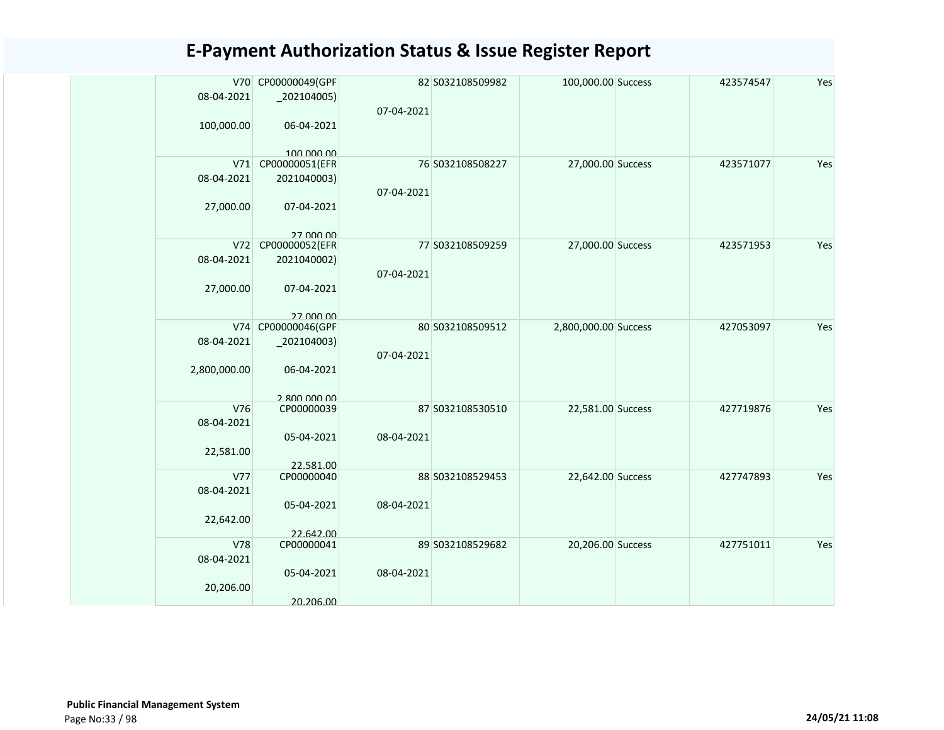| 08-04-2021<br>$_2$ 02104005)<br>07-04-2021<br>100,000.00<br>06-04-2021<br>100,000,00<br>CP00000051(EFR<br>76 S032108508227<br>27,000.00 Success<br>Yes<br>V71<br>423571077<br>08-04-2021<br>2021040003)<br>07-04-2021<br>27,000.00<br>07-04-2021<br>27 000 00<br>V72<br>CP00000052(EFR<br>77 S032108509259<br>27,000.00 Success<br>423571953<br>Yes<br>08-04-2021<br>2021040002)<br>07-04-2021<br>27,000.00<br>07-04-2021<br>27 000 00<br>V74 CP00000046(GPF<br>Yes<br>80 S032108509512<br>2,800,000.00 Success<br>427053097<br>08-04-2021<br>$_2$ 02104003)<br>07-04-2021<br>2,800,000.00<br>06-04-2021<br>2.800.000.00<br>V76<br>CP00000039<br>87 S032108530510<br>Yes<br>22,581.00 Success<br>427719876<br>08-04-2021<br>05-04-2021<br>08-04-2021<br>22,581.00<br>22.581.00<br>V77<br>Yes<br>CP00000040<br>88 S032108529453<br>22,642.00 Success<br>427747893<br>08-04-2021<br>05-04-2021<br>08-04-2021<br>22,642.00<br>22.642.00<br>V78<br>CP00000041<br>20,206.00 Success<br>427751011<br>Yes<br>89 S032108529682<br>08-04-2021<br>05-04-2021<br>08-04-2021<br>20,206.00 |  | V70 CP00000049(GPF | 82 S032108509982 | 100,000.00 Success | 423574547 | Yes |
|-------------------------------------------------------------------------------------------------------------------------------------------------------------------------------------------------------------------------------------------------------------------------------------------------------------------------------------------------------------------------------------------------------------------------------------------------------------------------------------------------------------------------------------------------------------------------------------------------------------------------------------------------------------------------------------------------------------------------------------------------------------------------------------------------------------------------------------------------------------------------------------------------------------------------------------------------------------------------------------------------------------------------------------------------------------------------------|--|--------------------|------------------|--------------------|-----------|-----|
|                                                                                                                                                                                                                                                                                                                                                                                                                                                                                                                                                                                                                                                                                                                                                                                                                                                                                                                                                                                                                                                                               |  |                    |                  |                    |           |     |
|                                                                                                                                                                                                                                                                                                                                                                                                                                                                                                                                                                                                                                                                                                                                                                                                                                                                                                                                                                                                                                                                               |  |                    |                  |                    |           |     |
|                                                                                                                                                                                                                                                                                                                                                                                                                                                                                                                                                                                                                                                                                                                                                                                                                                                                                                                                                                                                                                                                               |  |                    |                  |                    |           |     |
|                                                                                                                                                                                                                                                                                                                                                                                                                                                                                                                                                                                                                                                                                                                                                                                                                                                                                                                                                                                                                                                                               |  |                    |                  |                    |           |     |
|                                                                                                                                                                                                                                                                                                                                                                                                                                                                                                                                                                                                                                                                                                                                                                                                                                                                                                                                                                                                                                                                               |  |                    |                  |                    |           |     |
|                                                                                                                                                                                                                                                                                                                                                                                                                                                                                                                                                                                                                                                                                                                                                                                                                                                                                                                                                                                                                                                                               |  |                    |                  |                    |           |     |
|                                                                                                                                                                                                                                                                                                                                                                                                                                                                                                                                                                                                                                                                                                                                                                                                                                                                                                                                                                                                                                                                               |  |                    |                  |                    |           |     |
|                                                                                                                                                                                                                                                                                                                                                                                                                                                                                                                                                                                                                                                                                                                                                                                                                                                                                                                                                                                                                                                                               |  |                    |                  |                    |           |     |
|                                                                                                                                                                                                                                                                                                                                                                                                                                                                                                                                                                                                                                                                                                                                                                                                                                                                                                                                                                                                                                                                               |  |                    |                  |                    |           |     |
|                                                                                                                                                                                                                                                                                                                                                                                                                                                                                                                                                                                                                                                                                                                                                                                                                                                                                                                                                                                                                                                                               |  |                    |                  |                    |           |     |
|                                                                                                                                                                                                                                                                                                                                                                                                                                                                                                                                                                                                                                                                                                                                                                                                                                                                                                                                                                                                                                                                               |  |                    |                  |                    |           |     |
|                                                                                                                                                                                                                                                                                                                                                                                                                                                                                                                                                                                                                                                                                                                                                                                                                                                                                                                                                                                                                                                                               |  |                    |                  |                    |           |     |
|                                                                                                                                                                                                                                                                                                                                                                                                                                                                                                                                                                                                                                                                                                                                                                                                                                                                                                                                                                                                                                                                               |  |                    |                  |                    |           |     |
|                                                                                                                                                                                                                                                                                                                                                                                                                                                                                                                                                                                                                                                                                                                                                                                                                                                                                                                                                                                                                                                                               |  |                    |                  |                    |           |     |
|                                                                                                                                                                                                                                                                                                                                                                                                                                                                                                                                                                                                                                                                                                                                                                                                                                                                                                                                                                                                                                                                               |  |                    |                  |                    |           |     |
|                                                                                                                                                                                                                                                                                                                                                                                                                                                                                                                                                                                                                                                                                                                                                                                                                                                                                                                                                                                                                                                                               |  |                    |                  |                    |           |     |
|                                                                                                                                                                                                                                                                                                                                                                                                                                                                                                                                                                                                                                                                                                                                                                                                                                                                                                                                                                                                                                                                               |  |                    |                  |                    |           |     |
|                                                                                                                                                                                                                                                                                                                                                                                                                                                                                                                                                                                                                                                                                                                                                                                                                                                                                                                                                                                                                                                                               |  |                    |                  |                    |           |     |
|                                                                                                                                                                                                                                                                                                                                                                                                                                                                                                                                                                                                                                                                                                                                                                                                                                                                                                                                                                                                                                                                               |  |                    |                  |                    |           |     |
|                                                                                                                                                                                                                                                                                                                                                                                                                                                                                                                                                                                                                                                                                                                                                                                                                                                                                                                                                                                                                                                                               |  |                    |                  |                    |           |     |
|                                                                                                                                                                                                                                                                                                                                                                                                                                                                                                                                                                                                                                                                                                                                                                                                                                                                                                                                                                                                                                                                               |  |                    |                  |                    |           |     |
|                                                                                                                                                                                                                                                                                                                                                                                                                                                                                                                                                                                                                                                                                                                                                                                                                                                                                                                                                                                                                                                                               |  |                    |                  |                    |           |     |
|                                                                                                                                                                                                                                                                                                                                                                                                                                                                                                                                                                                                                                                                                                                                                                                                                                                                                                                                                                                                                                                                               |  |                    |                  |                    |           |     |
|                                                                                                                                                                                                                                                                                                                                                                                                                                                                                                                                                                                                                                                                                                                                                                                                                                                                                                                                                                                                                                                                               |  |                    |                  |                    |           |     |
|                                                                                                                                                                                                                                                                                                                                                                                                                                                                                                                                                                                                                                                                                                                                                                                                                                                                                                                                                                                                                                                                               |  |                    |                  |                    |           |     |
|                                                                                                                                                                                                                                                                                                                                                                                                                                                                                                                                                                                                                                                                                                                                                                                                                                                                                                                                                                                                                                                                               |  |                    |                  |                    |           |     |
|                                                                                                                                                                                                                                                                                                                                                                                                                                                                                                                                                                                                                                                                                                                                                                                                                                                                                                                                                                                                                                                                               |  |                    |                  |                    |           |     |
|                                                                                                                                                                                                                                                                                                                                                                                                                                                                                                                                                                                                                                                                                                                                                                                                                                                                                                                                                                                                                                                                               |  |                    |                  |                    |           |     |
|                                                                                                                                                                                                                                                                                                                                                                                                                                                                                                                                                                                                                                                                                                                                                                                                                                                                                                                                                                                                                                                                               |  |                    |                  |                    |           |     |
|                                                                                                                                                                                                                                                                                                                                                                                                                                                                                                                                                                                                                                                                                                                                                                                                                                                                                                                                                                                                                                                                               |  |                    |                  |                    |           |     |
|                                                                                                                                                                                                                                                                                                                                                                                                                                                                                                                                                                                                                                                                                                                                                                                                                                                                                                                                                                                                                                                                               |  |                    |                  |                    |           |     |
|                                                                                                                                                                                                                                                                                                                                                                                                                                                                                                                                                                                                                                                                                                                                                                                                                                                                                                                                                                                                                                                                               |  |                    |                  |                    |           |     |
| 20.206.00                                                                                                                                                                                                                                                                                                                                                                                                                                                                                                                                                                                                                                                                                                                                                                                                                                                                                                                                                                                                                                                                     |  |                    |                  |                    |           |     |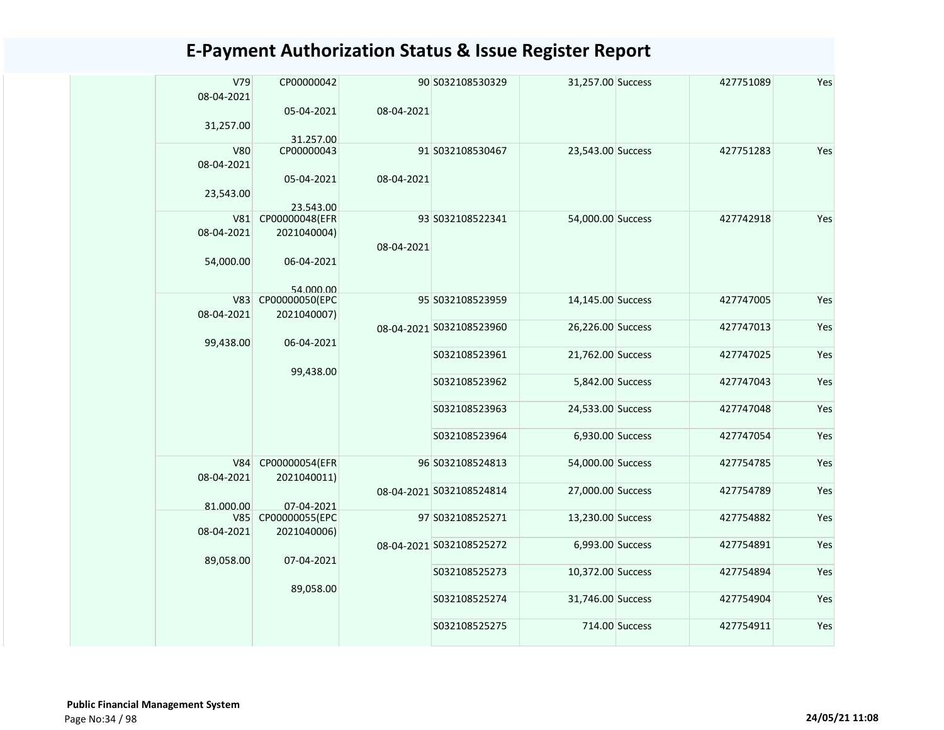| V79<br>08-04-2021        | CP00000042                   |            | 90 S032108530329         | 31,257.00 Success |                | 427751089 | Yes |
|--------------------------|------------------------------|------------|--------------------------|-------------------|----------------|-----------|-----|
| 31,257.00                | 05-04-2021                   | 08-04-2021 |                          |                   |                |           |     |
|                          | 31.257.00                    |            |                          |                   |                |           |     |
| <b>V80</b><br>08-04-2021 | CP00000043                   |            | 91 S032108530467         | 23,543.00 Success |                | 427751283 | Yes |
| 23,543.00                | 05-04-2021                   | 08-04-2021 |                          |                   |                |           |     |
| V81                      | 23.543.00<br>CP00000048(EFR  |            | 93 S032108522341         | 54,000.00 Success |                | 427742918 | Yes |
| 08-04-2021               | 2021040004)                  |            |                          |                   |                |           |     |
|                          |                              | 08-04-2021 |                          |                   |                |           |     |
| 54,000.00                | 06-04-2021<br>54 000 00      |            |                          |                   |                |           |     |
| V83                      | CP00000050(EPC               |            | 95 S032108523959         | 14,145.00 Success |                | 427747005 | Yes |
| 08-04-2021               | 2021040007)                  |            |                          |                   |                |           |     |
|                          |                              |            | 08-04-2021 S032108523960 | 26,226.00 Success |                | 427747013 | Yes |
| 99,438.00                | 06-04-2021                   |            | S032108523961            | 21,762.00 Success |                | 427747025 | Yes |
|                          | 99,438.00                    |            |                          |                   |                |           |     |
|                          |                              |            | S032108523962            | 5,842.00 Success  |                | 427747043 | Yes |
|                          |                              |            | S032108523963            | 24,533.00 Success |                | 427747048 | Yes |
|                          |                              |            | S032108523964            | 6,930.00 Success  |                | 427747054 | Yes |
| V84                      | CP00000054(EFR               |            | 96 S032108524813         | 54,000.00 Success |                | 427754785 | Yes |
| 08-04-2021               | 2021040011)                  |            |                          |                   |                |           |     |
|                          |                              |            | 08-04-2021 S032108524814 | 27,000.00 Success |                | 427754789 | Yes |
| 81.000.00<br>V85         | 07-04-2021<br>CP00000055(EPC |            | 97 S032108525271         | 13,230.00 Success |                | 427754882 | Yes |
|                          |                              |            |                          |                   |                |           |     |
| 08-04-2021               | 2021040006)                  |            |                          | 6,993.00 Success  |                | 427754891 | Yes |
|                          |                              |            | 08-04-2021 S032108525272 |                   |                |           |     |
| 89,058.00                | 07-04-2021                   |            |                          |                   |                |           |     |
|                          |                              |            | S032108525273            | 10,372.00 Success |                | 427754894 | Yes |
|                          | 89,058.00                    |            | S032108525274            | 31,746.00 Success |                | 427754904 | Yes |
|                          |                              |            |                          |                   |                |           |     |
|                          |                              |            | S032108525275            |                   | 714.00 Success | 427754911 | Yes |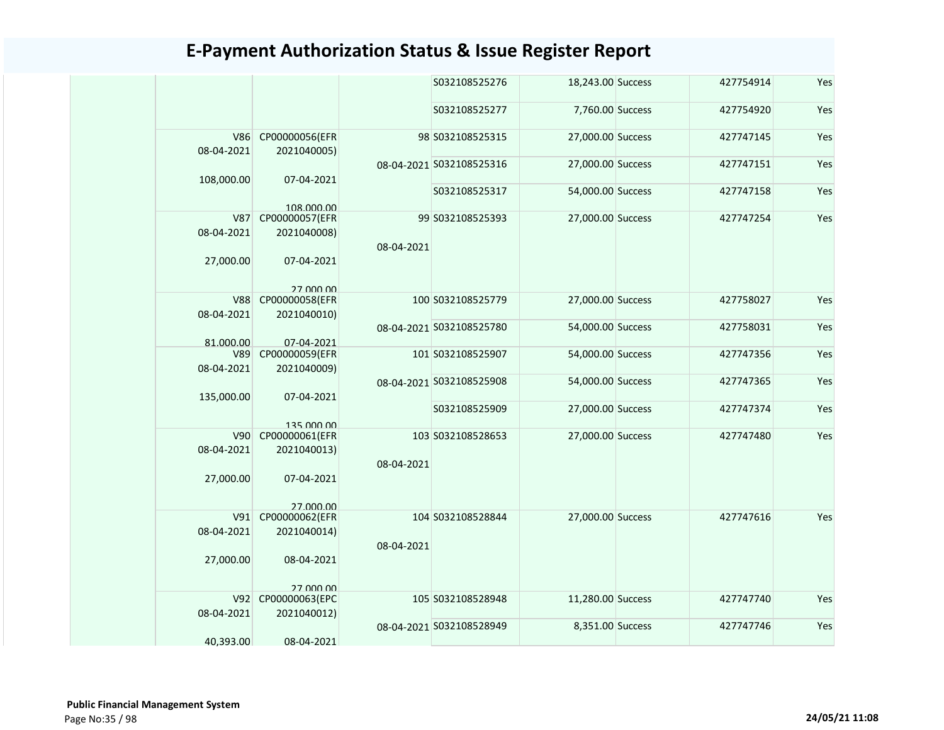|                          |                                            |            | S032108525276            | 18,243.00 Success | 427754914 | Yes |
|--------------------------|--------------------------------------------|------------|--------------------------|-------------------|-----------|-----|
|                          |                                            |            | S032108525277            | 7,760.00 Success  | 427754920 | Yes |
| <b>V86</b><br>08-04-2021 | CP00000056(EFR<br>2021040005)              |            | 98 S032108525315         | 27,000.00 Success | 427747145 | Yes |
| 108,000.00               | 07-04-2021                                 |            | 08-04-2021 S032108525316 | 27,000.00 Success | 427747151 | Yes |
|                          | 108 000 00                                 |            | S032108525317            | 54,000.00 Success | 427747158 | Yes |
| <b>V87</b><br>08-04-2021 | CP00000057(EFR<br>2021040008)              |            | 99 S032108525393         | 27,000.00 Success | 427747254 | Yes |
|                          |                                            | 08-04-2021 |                          |                   |           |     |
| 27,000.00                | 07-04-2021                                 |            |                          |                   |           |     |
| <b>V88</b><br>08-04-2021 | 27 000 00<br>CP00000058(EFR<br>2021040010) |            | 100 S032108525779        | 27,000.00 Success | 427758027 | Yes |
|                          |                                            |            | 08-04-2021 S032108525780 | 54,000.00 Success | 427758031 | Yes |
| 81.000.00<br>V89         | 07-04-2021<br>CP00000059(EFR               |            | 101 S032108525907        | 54,000.00 Success | 427747356 | Yes |
| 08-04-2021               | 2021040009)                                |            |                          |                   |           |     |
| 135,000.00               | 07-04-2021                                 |            | 08-04-2021 S032108525908 | 54,000.00 Success | 427747365 | Yes |
|                          | 135 000 00                                 |            | S032108525909            | 27,000.00 Success | 427747374 | Yes |
| V90                      | CP00000061(EFR                             |            | 103 S032108528653        | 27,000.00 Success | 427747480 | Yes |
| 08-04-2021               | 2021040013)                                |            |                          |                   |           |     |
| 27,000.00                | 07-04-2021                                 | 08-04-2021 |                          |                   |           |     |
|                          | 27,000,00                                  |            |                          |                   |           |     |
|                          | V91 CP00000062(EFR                         |            | 104 S032108528844        | 27,000.00 Success | 427747616 | Yes |
| 08-04-2021               | 2021040014)                                | 08-04-2021 |                          |                   |           |     |
| 27,000.00                | 08-04-2021                                 |            |                          |                   |           |     |
|                          | 27,000,00                                  |            |                          |                   |           |     |
| V92                      | CP00000063(EPC                             |            | 105 S032108528948        | 11,280.00 Success | 427747740 | Yes |
| 08-04-2021               | 2021040012)                                |            | 08-04-2021 S032108528949 | 8,351.00 Success  | 427747746 | Yes |
| 40,393.00                | 08-04-2021                                 |            |                          |                   |           |     |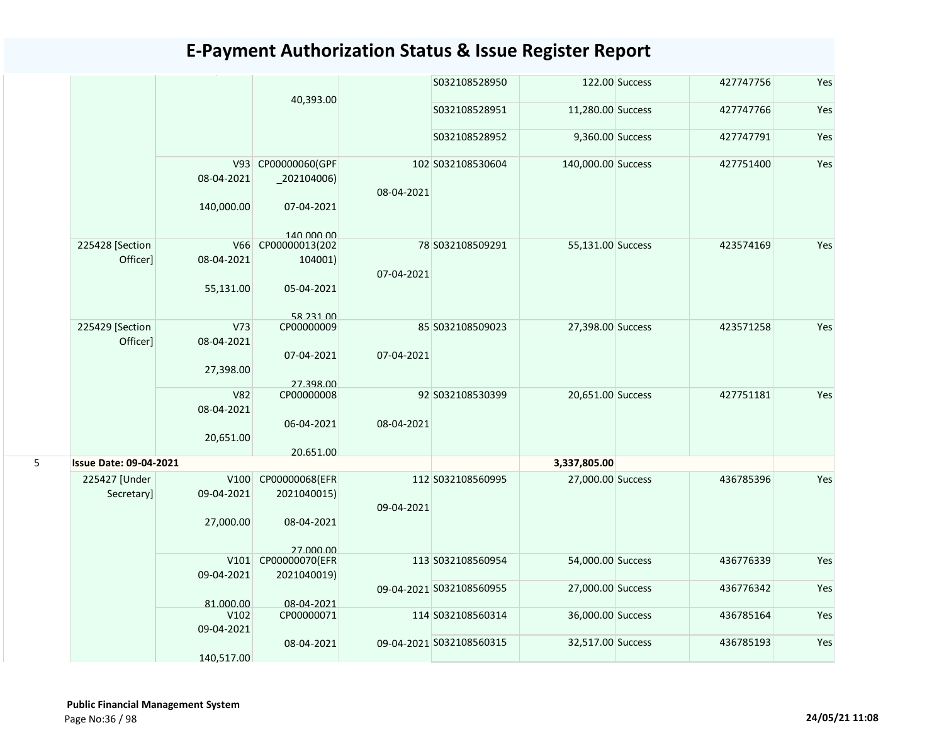|   |                               |                               |                                         |            | S032108528950            |                    | 122.00 Success | 427747756 | Yes |
|---|-------------------------------|-------------------------------|-----------------------------------------|------------|--------------------------|--------------------|----------------|-----------|-----|
|   |                               |                               | 40,393.00                               |            | S032108528951            | 11,280.00 Success  |                | 427747766 | Yes |
|   |                               |                               |                                         |            | S032108528952            | 9,360.00 Success   |                | 427747791 | Yes |
|   |                               | 08-04-2021                    | V93 CP00000060(GPF<br>$_2$ 02104006)    | 08-04-2021 | 102 S032108530604        | 140,000.00 Success |                | 427751400 | Yes |
|   |                               | 140,000.00                    | 07-04-2021                              |            |                          |                    |                |           |     |
|   | 225428 [Section<br>Officer]   | V66<br>08-04-2021             | 140,000,00<br>CP00000013(202<br>104001) |            | 78 S032108509291         | 55,131.00 Success  |                | 423574169 | Yes |
|   |                               | 55,131.00                     | 05-04-2021                              | 07-04-2021 |                          |                    |                |           |     |
|   |                               |                               | 58 231 00                               |            |                          |                    |                |           |     |
|   | 225429 [Section<br>Officer]   | V <sub>73</sub><br>08-04-2021 | CP00000009                              |            | 85 S032108509023         | 27,398.00 Success  |                | 423571258 | Yes |
|   |                               | 27,398.00                     | 07-04-2021<br>27.398.00                 | 07-04-2021 |                          |                    |                |           |     |
|   |                               | <b>V82</b><br>08-04-2021      | CP00000008                              |            | 92 S032108530399         | 20,651.00 Success  |                | 427751181 | Yes |
|   |                               | 20,651.00                     | 06-04-2021                              | 08-04-2021 |                          |                    |                |           |     |
| 5 | <b>Issue Date: 09-04-2021</b> |                               | 20.651.00                               |            |                          | 3,337,805.00       |                |           |     |
|   | 225427 [Under                 | V100                          | CP00000068(EFR                          |            | 112 S032108560995        | 27,000.00 Success  |                | 436785396 | Yes |
|   | Secretary]                    | 09-04-2021                    | 2021040015)                             | 09-04-2021 |                          |                    |                |           |     |
|   |                               | 27,000.00                     | 08-04-2021                              |            |                          |                    |                |           |     |
|   |                               |                               | 27,000,00                               |            |                          |                    |                |           |     |
|   |                               | 09-04-2021                    | V101 CP00000070(EFR<br>2021040019)      |            | 113 S032108560954        | 54,000.00 Success  |                | 436776339 | Yes |
|   |                               |                               |                                         |            | 09-04-2021 S032108560955 | 27,000.00 Success  |                | 436776342 | Yes |
|   |                               | 81.000.00<br>V102             | 08-04-2021<br>CP00000071                |            | 114 S032108560314        | 36,000.00 Success  |                | 436785164 | Yes |
|   |                               | 09-04-2021                    |                                         |            |                          |                    |                |           |     |
|   |                               | 140,517.00                    | 08-04-2021                              |            | 09-04-2021 S032108560315 | 32,517.00 Success  |                | 436785193 | Yes |
|   |                               |                               |                                         |            |                          |                    |                |           |     |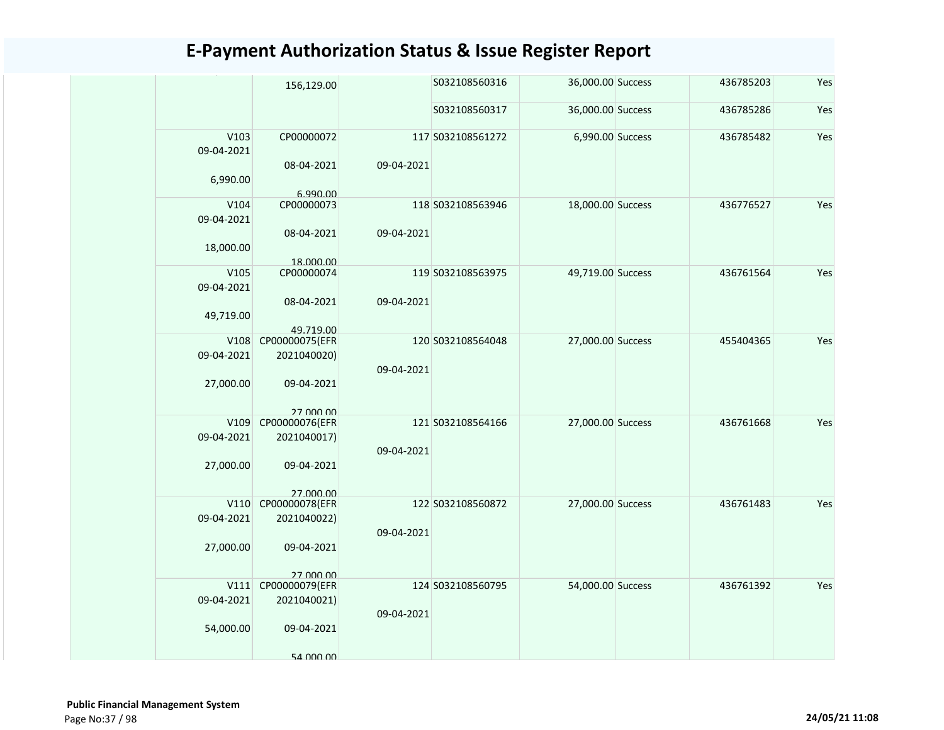|            | 156,129.00              |            | S032108560316     | 36,000.00 Success | 436785203 | Yes |
|------------|-------------------------|------------|-------------------|-------------------|-----------|-----|
|            |                         |            | S032108560317     | 36,000.00 Success | 436785286 | Yes |
| V103       | CP00000072              |            | 117 S032108561272 | 6,990.00 Success  | 436785482 | Yes |
| 09-04-2021 |                         |            |                   |                   |           |     |
|            | 08-04-2021              | 09-04-2021 |                   |                   |           |     |
| 6,990.00   |                         |            |                   |                   |           |     |
|            | 6.990.00                |            |                   |                   |           |     |
| V104       | CP00000073              |            | 118 S032108563946 | 18,000.00 Success | 436776527 | Yes |
| 09-04-2021 |                         |            |                   |                   |           |     |
|            | 08-04-2021              | 09-04-2021 |                   |                   |           |     |
| 18,000.00  |                         |            |                   |                   |           |     |
| V105       | 18.000.00<br>CP00000074 |            | 119 S032108563975 | 49,719.00 Success | 436761564 | Yes |
| 09-04-2021 |                         |            |                   |                   |           |     |
|            | 08-04-2021              | 09-04-2021 |                   |                   |           |     |
| 49,719.00  |                         |            |                   |                   |           |     |
|            | 49.719.00               |            |                   |                   |           |     |
| V108       | CP00000075(EFR          |            | 120 S032108564048 | 27,000.00 Success | 455404365 | Yes |
| 09-04-2021 | 2021040020)             |            |                   |                   |           |     |
|            |                         | 09-04-2021 |                   |                   |           |     |
| 27,000.00  | 09-04-2021              |            |                   |                   |           |     |
|            |                         |            |                   |                   |           |     |
|            | 27 000 00               |            |                   |                   |           |     |
| V109       | CP00000076(EFR          |            | 121 S032108564166 | 27,000.00 Success | 436761668 | Yes |
| 09-04-2021 | 2021040017)             |            |                   |                   |           |     |
|            |                         | 09-04-2021 |                   |                   |           |     |
| 27,000.00  | 09-04-2021              |            |                   |                   |           |     |
|            | 27 000 00               |            |                   |                   |           |     |
| V110       | CP00000078(EFR          |            | 122 S032108560872 | 27,000.00 Success | 436761483 | Yes |
| 09-04-2021 | 2021040022)             |            |                   |                   |           |     |
|            |                         | 09-04-2021 |                   |                   |           |     |
| 27,000.00  | 09-04-2021              |            |                   |                   |           |     |
|            |                         |            |                   |                   |           |     |
|            | 27 000 00               |            |                   |                   |           |     |
| V111       | CP00000079(EFR          |            | 124 S032108560795 | 54,000.00 Success | 436761392 | Yes |
| 09-04-2021 | 2021040021)             |            |                   |                   |           |     |
|            |                         | 09-04-2021 |                   |                   |           |     |
| 54,000.00  | 09-04-2021              |            |                   |                   |           |     |
|            | 54 000 00               |            |                   |                   |           |     |
|            |                         |            |                   |                   |           |     |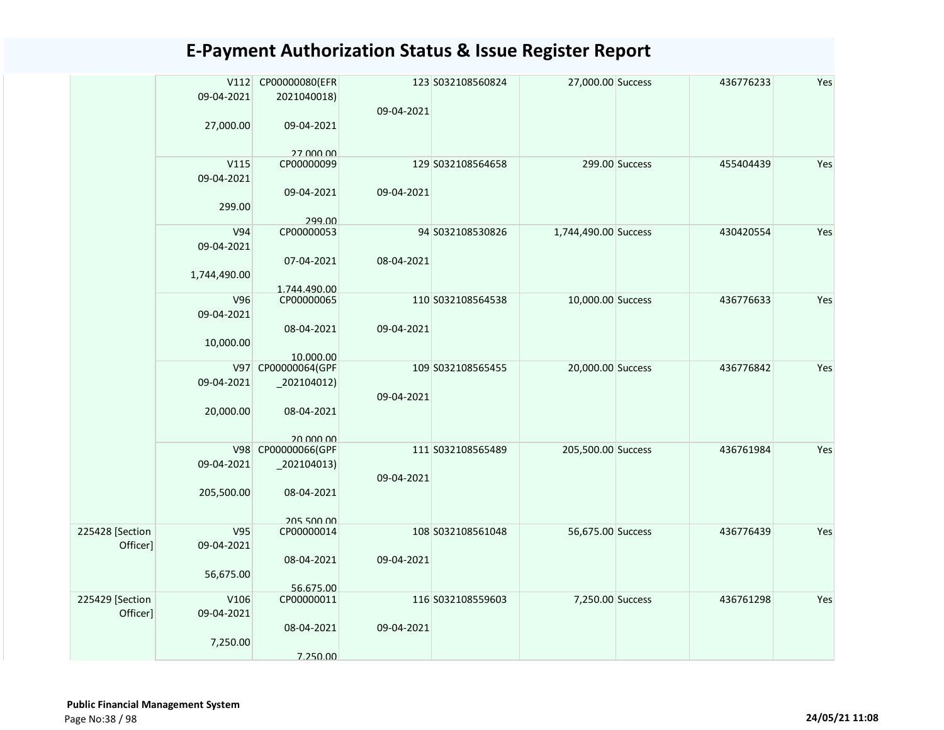|                             | V112<br>09-04-2021<br>27,000.00 | CP00000080(EFR<br>2021040018)<br>09-04-2021 | 09-04-2021 | 123 S032108560824 | 27,000.00 Success    |                | 436776233 | Yes |
|-----------------------------|---------------------------------|---------------------------------------------|------------|-------------------|----------------------|----------------|-----------|-----|
|                             |                                 | 27 000 00                                   |            |                   |                      |                |           |     |
|                             | V115                            | CP00000099                                  |            | 129 S032108564658 |                      | 299.00 Success | 455404439 | Yes |
|                             | 09-04-2021                      |                                             |            |                   |                      |                |           |     |
|                             | 299.00                          | 09-04-2021<br>299.00                        | 09-04-2021 |                   |                      |                |           |     |
|                             | V94                             | CP00000053                                  |            | 94 S032108530826  | 1,744,490.00 Success |                | 430420554 | Yes |
|                             | 09-04-2021                      | 07-04-2021                                  | 08-04-2021 |                   |                      |                |           |     |
|                             | 1,744,490.00                    | 1.744.490.00                                |            |                   |                      |                |           |     |
|                             | V96                             | CP00000065                                  |            | 110 S032108564538 | 10,000.00 Success    |                | 436776633 | Yes |
|                             | 09-04-2021                      |                                             |            |                   |                      |                |           |     |
|                             | 10,000.00                       | 08-04-2021<br>10.000.00                     | 09-04-2021 |                   |                      |                |           |     |
|                             | V97                             | CP00000064(GPF                              |            | 109 S032108565455 | 20,000.00 Success    |                | 436776842 | Yes |
|                             | 09-04-2021                      | $_2$ 202104012)                             |            |                   |                      |                |           |     |
|                             | 20,000.00                       | 08-04-2021                                  | 09-04-2021 |                   |                      |                |           |     |
|                             |                                 |                                             |            |                   |                      |                |           |     |
|                             |                                 | 20,000,00                                   |            |                   |                      |                |           |     |
|                             | 09-04-2021                      | V98 CP00000066(GPF                          |            | 111 S032108565489 | 205,500.00 Success   |                | 436761984 | Yes |
|                             |                                 | $_2$ 202104013)                             | 09-04-2021 |                   |                      |                |           |     |
|                             | 205,500.00                      | 08-04-2021                                  |            |                   |                      |                |           |     |
|                             |                                 | 205 500 00                                  |            |                   |                      |                |           |     |
| 225428 [Section<br>Officer] | V95<br>09-04-2021               | CP00000014                                  |            | 108 S032108561048 | 56,675.00 Success    |                | 436776439 | Yes |
|                             |                                 | 08-04-2021                                  | 09-04-2021 |                   |                      |                |           |     |
|                             | 56,675.00                       | 56.675.00                                   |            |                   |                      |                |           |     |
| 225429 [Section             | V106                            | CP00000011                                  |            | 116 S032108559603 | 7,250.00 Success     |                | 436761298 | Yes |
| Officer]                    | 09-04-2021                      |                                             |            |                   |                      |                |           |     |
|                             | 7,250.00                        | 08-04-2021                                  | 09-04-2021 |                   |                      |                |           |     |
|                             |                                 | 7.250.00                                    |            |                   |                      |                |           |     |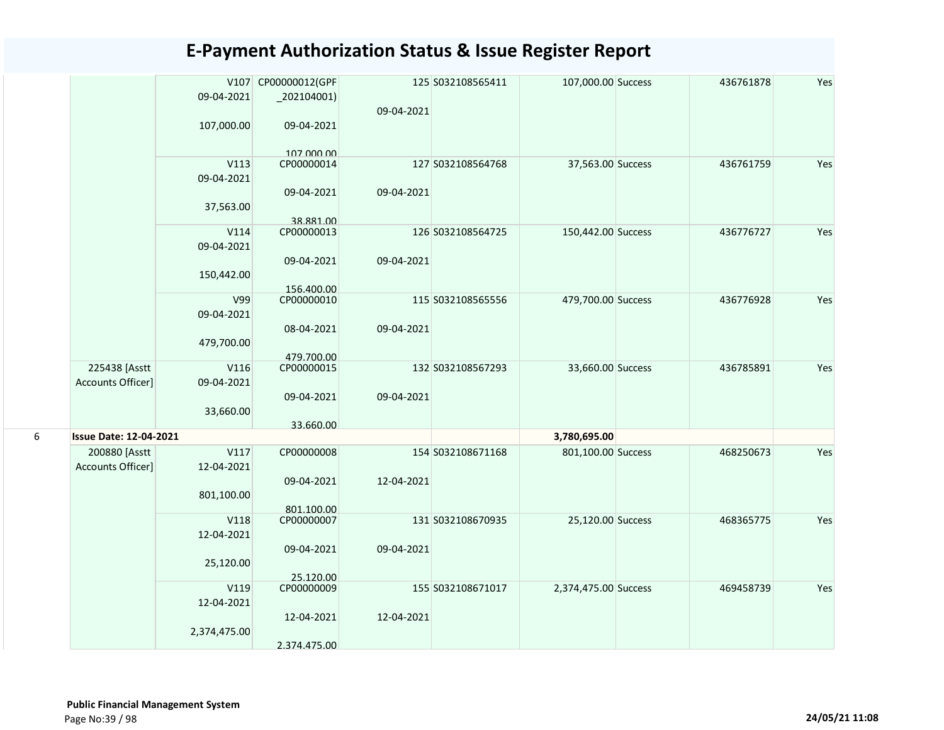|   |                                           |                    | V107 CP00000012(GPF      |            | 125 S032108565411 | 107,000.00 Success   | 436761878 | Yes |
|---|-------------------------------------------|--------------------|--------------------------|------------|-------------------|----------------------|-----------|-----|
|   |                                           | 09-04-2021         | $_2$ 202104001)          |            |                   |                      |           |     |
|   |                                           | 107,000.00         | 09-04-2021               | 09-04-2021 |                   |                      |           |     |
|   |                                           |                    |                          |            |                   |                      |           |     |
|   |                                           |                    | 107 000 00               |            |                   |                      |           |     |
|   |                                           | V113               | CP00000014               |            | 127 S032108564768 | 37,563.00 Success    | 436761759 | Yes |
|   |                                           | 09-04-2021         |                          |            |                   |                      |           |     |
|   |                                           | 37,563.00          | 09-04-2021               | 09-04-2021 |                   |                      |           |     |
|   |                                           |                    | 38.881.00                |            |                   |                      |           |     |
|   |                                           | V114               | CP00000013               |            | 126 S032108564725 | 150,442.00 Success   | 436776727 | Yes |
|   |                                           | 09-04-2021         |                          |            |                   |                      |           |     |
|   |                                           |                    | 09-04-2021               | 09-04-2021 |                   |                      |           |     |
|   |                                           | 150,442.00         |                          |            |                   |                      |           |     |
|   |                                           | V99                | 156.400.00<br>CP00000010 |            | 115 S032108565556 | 479,700.00 Success   | 436776928 | Yes |
|   |                                           | 09-04-2021         |                          |            |                   |                      |           |     |
|   |                                           |                    | 08-04-2021               | 09-04-2021 |                   |                      |           |     |
|   |                                           | 479,700.00         |                          |            |                   |                      |           |     |
|   |                                           |                    | 479.700.00               |            |                   |                      |           |     |
|   | 225438 [Asstt<br><b>Accounts Officer]</b> | V116<br>09-04-2021 | CP00000015               |            | 132 S032108567293 | 33,660.00 Success    | 436785891 | Yes |
|   |                                           |                    | 09-04-2021               | 09-04-2021 |                   |                      |           |     |
|   |                                           | 33,660.00          |                          |            |                   |                      |           |     |
|   |                                           |                    | 33.660.00                |            |                   |                      |           |     |
| 6 | <b>Issue Date: 12-04-2021</b>             |                    |                          |            |                   | 3,780,695.00         |           |     |
|   | 200880 [Asstt                             | V117               | CP00000008               |            | 154 S032108671168 | 801,100.00 Success   | 468250673 | Yes |
|   | Accounts Officer]                         | 12-04-2021         | 09-04-2021               | 12-04-2021 |                   |                      |           |     |
|   |                                           | 801,100.00         |                          |            |                   |                      |           |     |
|   |                                           |                    | 801.100.00               |            |                   |                      |           |     |
|   |                                           | V118               | CP00000007               |            | 131 S032108670935 | 25,120.00 Success    | 468365775 | Yes |
|   |                                           | 12-04-2021         |                          |            |                   |                      |           |     |
|   |                                           |                    | 09-04-2021               | 09-04-2021 |                   |                      |           |     |
|   |                                           | 25,120.00          |                          |            |                   |                      |           |     |
|   |                                           | V119               | 25.120.00<br>CP00000009  |            | 155 S032108671017 | 2,374,475.00 Success | 469458739 | Yes |
|   |                                           | 12-04-2021         |                          |            |                   |                      |           |     |
|   |                                           |                    | 12-04-2021               | 12-04-2021 |                   |                      |           |     |
|   |                                           | 2,374,475.00       |                          |            |                   |                      |           |     |
|   |                                           |                    | 2.374.475.00             |            |                   |                      |           |     |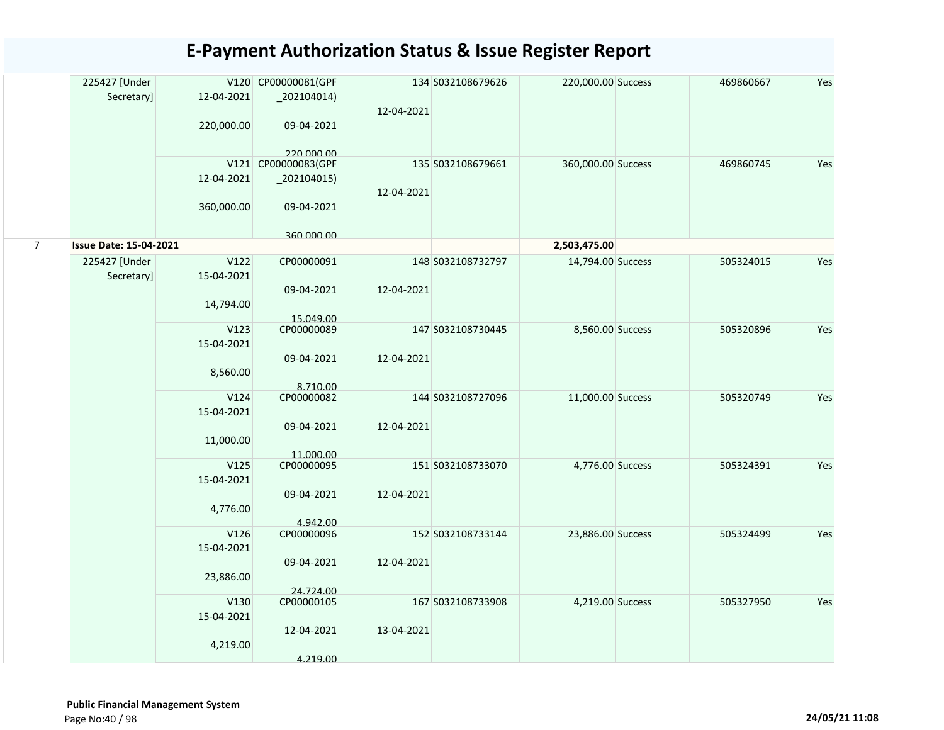|                | 225427 [Under<br>Secretary]   | 12-04-2021<br>220,000.00        | V120 CP00000081(GPF<br>$_2$ 202104014)<br>09-04-2021<br>220 000 00 | 12-04-2021 | 134 S032108679626 | 220,000.00 Success | 469860667 | Yes |
|----------------|-------------------------------|---------------------------------|--------------------------------------------------------------------|------------|-------------------|--------------------|-----------|-----|
|                |                               | 12-04-2021<br>360,000.00        | V121 CP00000083(GPF<br>$_2$ 202104015)<br>09-04-2021               | 12-04-2021 | 135 S032108679661 | 360,000.00 Success | 469860745 | Yes |
| $\overline{7}$ | <b>Issue Date: 15-04-2021</b> |                                 | 360,000,00                                                         |            |                   | 2,503,475.00       |           |     |
|                | 225427 [Under<br>Secretary]   | V122<br>15-04-2021<br>14,794.00 | CP00000091<br>09-04-2021<br>15.049.00                              | 12-04-2021 | 148 S032108732797 | 14,794.00 Success  | 505324015 | Yes |
|                |                               | V123<br>15-04-2021<br>8,560.00  | CP00000089<br>09-04-2021<br>8.710.00                               | 12-04-2021 | 147 S032108730445 | 8,560.00 Success   | 505320896 | Yes |
|                |                               | V124<br>15-04-2021<br>11,000.00 | CP00000082<br>09-04-2021<br>11.000.00                              | 12-04-2021 | 144 S032108727096 | 11,000.00 Success  | 505320749 | Yes |
|                |                               | V125<br>15-04-2021<br>4,776.00  | CP00000095<br>09-04-2021<br>4.942.00                               | 12-04-2021 | 151 S032108733070 | 4,776.00 Success   | 505324391 | Yes |
|                |                               | V126<br>15-04-2021<br>23,886.00 | CP00000096<br>09-04-2021<br>24.724.00                              | 12-04-2021 | 152 S032108733144 | 23,886.00 Success  | 505324499 | Yes |
|                |                               | V130<br>15-04-2021<br>4,219.00  | CP00000105<br>12-04-2021<br>4.219.00                               | 13-04-2021 | 167 S032108733908 | 4,219.00 Success   | 505327950 | Yes |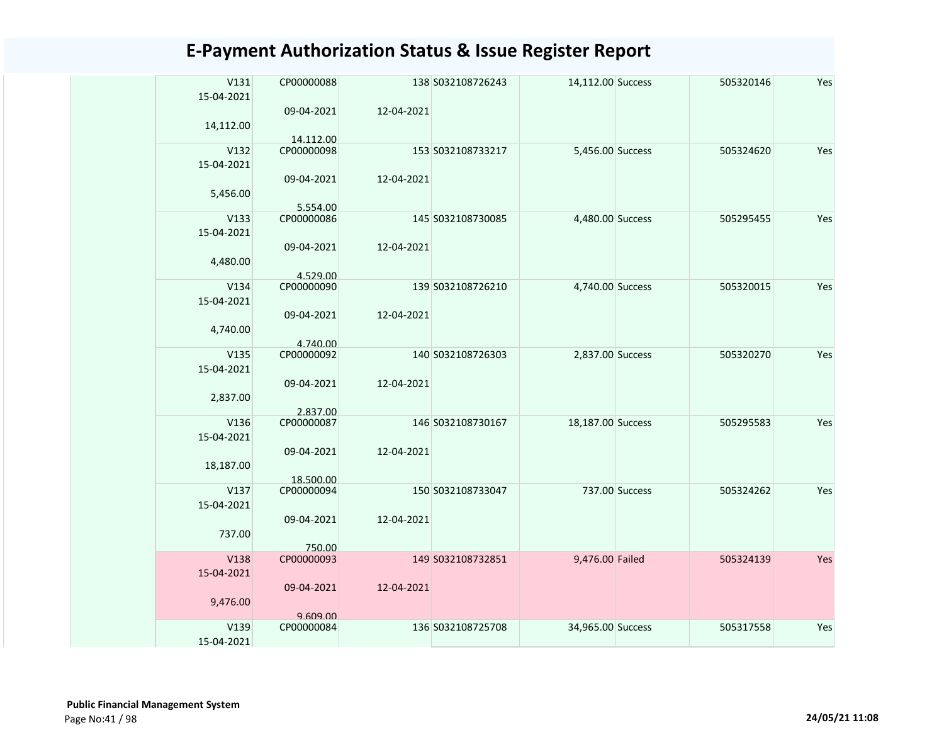| V131<br>15-04-2021 | CP00000088             |            | 138 S032108726243 | 14,112.00 Success |                | 505320146 | Yes |
|--------------------|------------------------|------------|-------------------|-------------------|----------------|-----------|-----|
| 14,112.00          | 09-04-2021             | 12-04-2021 |                   |                   |                |           |     |
|                    | 14.112.00              |            |                   |                   |                |           |     |
| V132               | CP00000098             |            | 153 S032108733217 | 5,456.00 Success  |                | 505324620 | Yes |
| 15-04-2021         |                        |            |                   |                   |                |           |     |
|                    | 09-04-2021             | 12-04-2021 |                   |                   |                |           |     |
| 5,456.00           |                        |            |                   |                   |                |           |     |
|                    | 5.554.00               |            |                   |                   |                |           |     |
| V133               | CP00000086             |            | 145 S032108730085 | 4,480.00 Success  |                | 505295455 | Yes |
| 15-04-2021         |                        |            |                   |                   |                |           |     |
|                    | 09-04-2021             | 12-04-2021 |                   |                   |                |           |     |
| 4,480.00           |                        |            |                   |                   |                |           |     |
| V134               | 4.529.00<br>CP00000090 |            | 139 S032108726210 | 4,740.00 Success  |                | 505320015 | Yes |
| 15-04-2021         |                        |            |                   |                   |                |           |     |
|                    | 09-04-2021             | 12-04-2021 |                   |                   |                |           |     |
| 4,740.00           |                        |            |                   |                   |                |           |     |
|                    | 4.740.00               |            |                   |                   |                |           |     |
| V135               | CP00000092             |            | 140 S032108726303 | 2,837.00 Success  |                | 505320270 | Yes |
| 15-04-2021         |                        |            |                   |                   |                |           |     |
|                    | 09-04-2021             | 12-04-2021 |                   |                   |                |           |     |
| 2,837.00           |                        |            |                   |                   |                |           |     |
|                    | 2.837.00               |            |                   |                   |                |           |     |
| V136               | CP00000087             |            | 146 S032108730167 | 18,187.00 Success |                | 505295583 | Yes |
| 15-04-2021         |                        |            |                   |                   |                |           |     |
|                    | 09-04-2021             | 12-04-2021 |                   |                   |                |           |     |
| 18,187.00          |                        |            |                   |                   |                |           |     |
|                    | 18.500.00              |            |                   |                   |                |           |     |
| V137               | CP00000094             |            | 150 S032108733047 |                   | 737.00 Success | 505324262 | Yes |
| 15-04-2021         | 09-04-2021             |            |                   |                   |                |           |     |
| 737.00             |                        | 12-04-2021 |                   |                   |                |           |     |
|                    | 750.00                 |            |                   |                   |                |           |     |
| V138               | CP00000093             |            | 149 S032108732851 | 9,476.00 Failed   |                | 505324139 | Yes |
| 15-04-2021         |                        |            |                   |                   |                |           |     |
|                    | 09-04-2021             | 12-04-2021 |                   |                   |                |           |     |
| 9,476.00           |                        |            |                   |                   |                |           |     |
|                    | 9.609.00               |            |                   |                   |                |           |     |
| V139               | CP00000084             |            | 136 S032108725708 | 34,965.00 Success |                | 505317558 | Yes |
| 15-04-2021         |                        |            |                   |                   |                |           |     |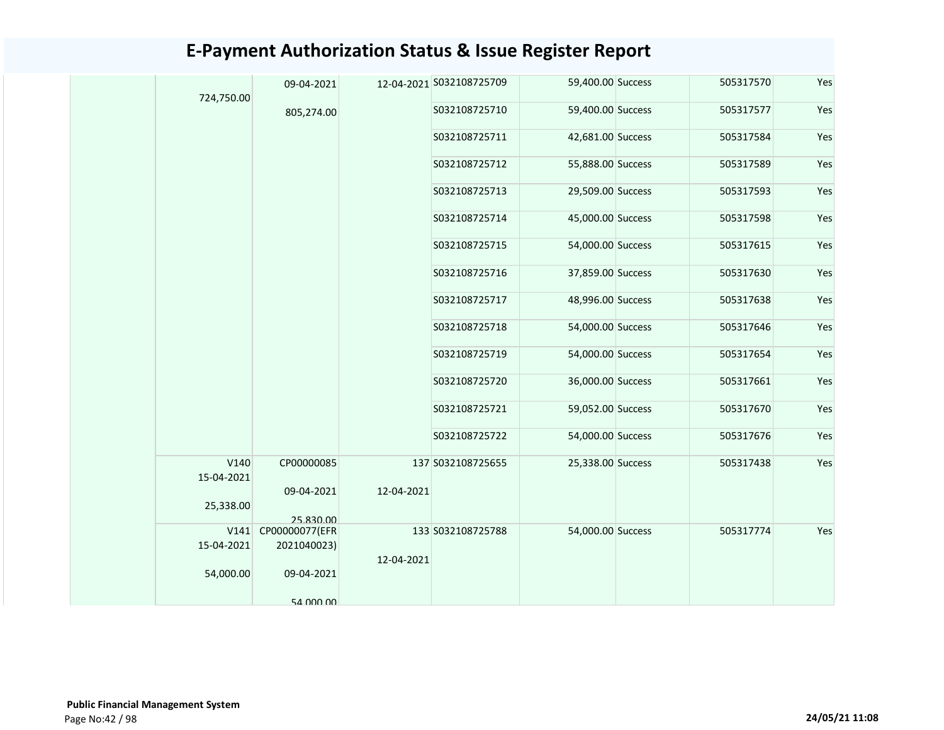|  | 724,750.00         | 09-04-2021     |            | 12-04-2021 S032108725709 | 59,400.00 Success | 505317570 | Yes |
|--|--------------------|----------------|------------|--------------------------|-------------------|-----------|-----|
|  |                    | 805,274.00     |            | S032108725710            | 59,400.00 Success | 505317577 | Yes |
|  |                    |                |            | S032108725711            | 42,681.00 Success | 505317584 | Yes |
|  |                    |                |            | S032108725712            | 55,888.00 Success | 505317589 | Yes |
|  |                    |                |            | S032108725713            | 29,509.00 Success | 505317593 | Yes |
|  |                    |                |            | S032108725714            | 45,000.00 Success | 505317598 | Yes |
|  |                    |                |            | S032108725715            | 54,000.00 Success | 505317615 | Yes |
|  |                    |                |            | S032108725716            | 37,859.00 Success | 505317630 | Yes |
|  |                    |                |            | S032108725717            | 48,996.00 Success | 505317638 | Yes |
|  |                    |                |            | S032108725718            | 54,000.00 Success | 505317646 | Yes |
|  |                    |                |            | S032108725719            | 54,000.00 Success | 505317654 | Yes |
|  |                    |                |            | S032108725720            | 36,000.00 Success | 505317661 | Yes |
|  |                    |                |            | S032108725721            | 59,052.00 Success | 505317670 | Yes |
|  |                    |                |            | S032108725722            | 54,000.00 Success | 505317676 | Yes |
|  | V140<br>15-04-2021 | CP00000085     |            | 137 S032108725655        | 25,338.00 Success | 505317438 | Yes |
|  |                    | 09-04-2021     | 12-04-2021 |                          |                   |           |     |
|  | 25,338.00          |                |            |                          |                   |           |     |
|  |                    | 25.830.00      |            |                          |                   |           |     |
|  | V141               | CP00000077(EFR |            | 133 S032108725788        | 54,000.00 Success | 505317774 | Yes |
|  | 15-04-2021         | 2021040023)    |            |                          |                   |           |     |
|  | 54,000.00          | 09-04-2021     | 12-04-2021 |                          |                   |           |     |
|  |                    | 54 000 00      |            |                          |                   |           |     |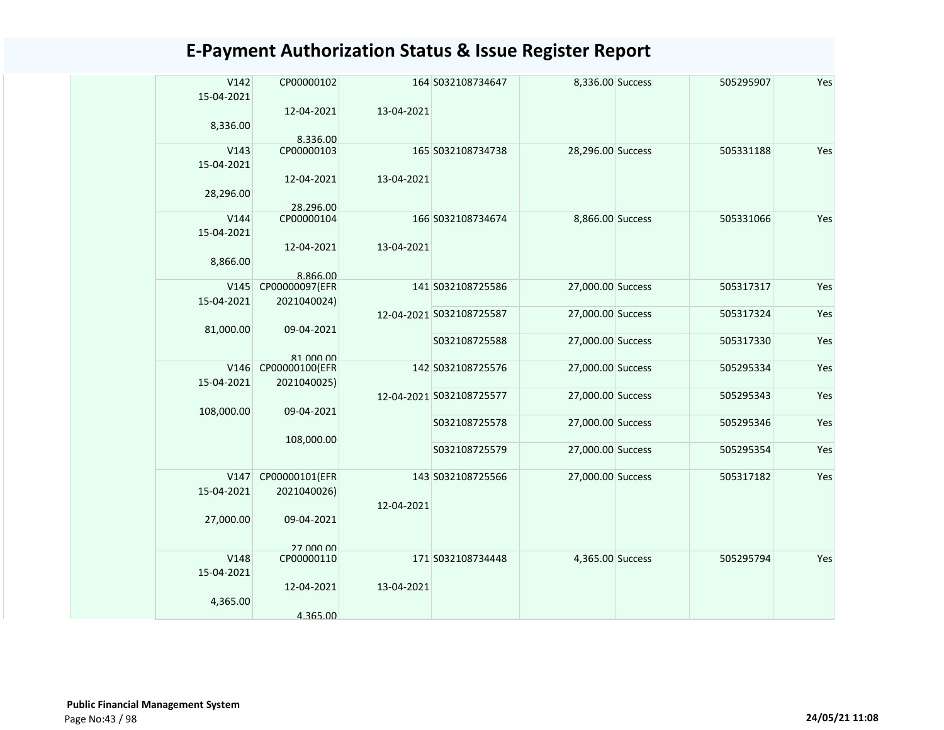| V142<br>15-04-2021 | CP00000102              |            | 164 S032108734647        | 8,336.00 Success  | 505295907 | Yes |
|--------------------|-------------------------|------------|--------------------------|-------------------|-----------|-----|
| 8,336.00           | 12-04-2021              | 13-04-2021 |                          |                   |           |     |
|                    | 8.336.00                |            |                          |                   |           |     |
| V143<br>15-04-2021 | CP00000103              |            | 165 S032108734738        | 28,296.00 Success | 505331188 | Yes |
| 28,296.00          | 12-04-2021              | 13-04-2021 |                          |                   |           |     |
|                    | 28.296.00               |            |                          |                   |           |     |
| V144               | CP00000104              |            | 166 S032108734674        | 8,866.00 Success  | 505331066 | Yes |
| 15-04-2021         |                         |            |                          |                   |           |     |
|                    | 12-04-2021              | 13-04-2021 |                          |                   |           |     |
| 8,866.00           |                         |            |                          |                   |           |     |
|                    | 8.866.00                |            |                          |                   |           |     |
| V145               | CP00000097(EFR          |            | 141 S032108725586        | 27,000.00 Success | 505317317 | Yes |
| 15-04-2021         | 2021040024)             |            |                          |                   |           |     |
|                    |                         |            | 12-04-2021 S032108725587 | 27,000.00 Success | 505317324 | Yes |
| 81,000.00          | 09-04-2021              |            |                          |                   |           |     |
|                    |                         |            | S032108725588            | 27,000.00 Success | 505317330 | Yes |
|                    | 81 000 00               |            |                          |                   |           |     |
| V146               | CP00000100(EFR          |            | 142 S032108725576        | 27,000.00 Success | 505295334 | Yes |
| 15-04-2021         | 2021040025)             |            |                          |                   |           |     |
|                    |                         |            | 12-04-2021 S032108725577 | 27,000.00 Success | 505295343 | Yes |
| 108,000.00         | 09-04-2021              |            |                          |                   |           |     |
|                    |                         |            | S032108725578            | 27,000.00 Success | 505295346 | Yes |
|                    |                         |            |                          |                   |           |     |
|                    | 108,000.00              |            | S032108725579            | 27,000.00 Success | 505295354 | Yes |
|                    |                         |            |                          |                   |           |     |
| V147               | CP00000101(EFR          |            | 143 S032108725566        | 27,000.00 Success | 505317182 | Yes |
| 15-04-2021         | 2021040026)             |            |                          |                   |           |     |
|                    |                         | 12-04-2021 |                          |                   |           |     |
| 27,000.00          | 09-04-2021              |            |                          |                   |           |     |
|                    |                         |            |                          |                   |           |     |
|                    |                         |            |                          |                   |           |     |
| V148               | 27,000,00<br>CP00000110 |            | 171 S032108734448        | 4,365.00 Success  | 505295794 | Yes |
|                    |                         |            |                          |                   |           |     |
| 15-04-2021         |                         |            |                          |                   |           |     |
|                    | 12-04-2021              | 13-04-2021 |                          |                   |           |     |
| 4,365.00           |                         |            |                          |                   |           |     |
|                    | 4.365.00                |            |                          |                   |           |     |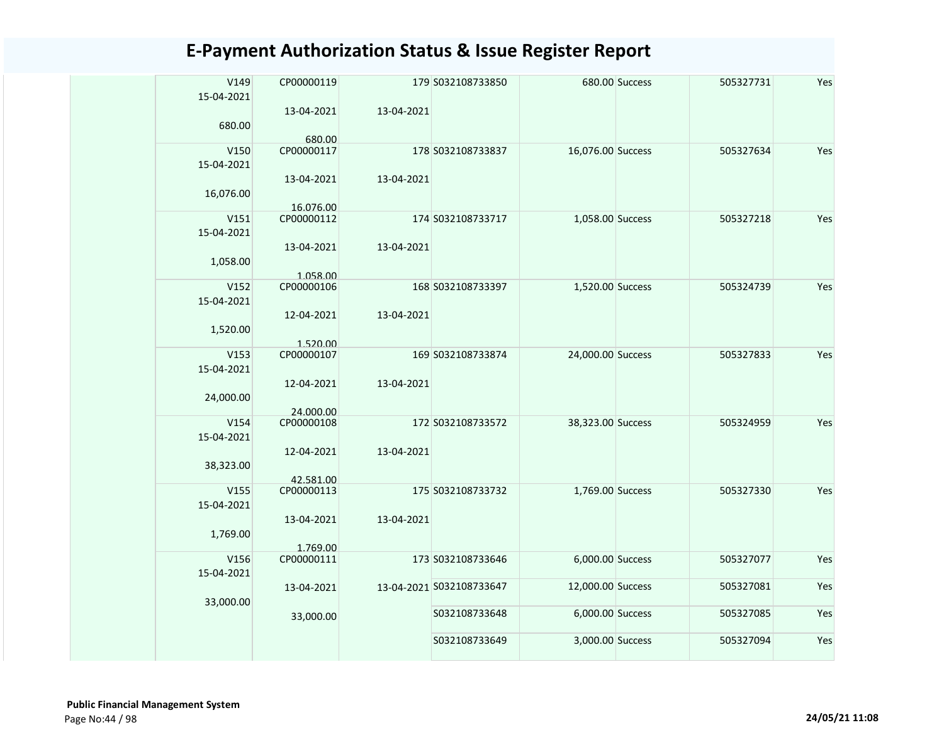|  | V149       | CP00000119 |            | 179 S032108733850        |                   | 680.00 Success | 505327731 | Yes |
|--|------------|------------|------------|--------------------------|-------------------|----------------|-----------|-----|
|  | 15-04-2021 |            |            |                          |                   |                |           |     |
|  |            | 13-04-2021 | 13-04-2021 |                          |                   |                |           |     |
|  | 680.00     |            |            |                          |                   |                |           |     |
|  |            | 680.00     |            |                          |                   |                |           |     |
|  | V150       | CP00000117 |            | 178 S032108733837        | 16,076.00 Success |                | 505327634 | Yes |
|  | 15-04-2021 |            |            |                          |                   |                |           |     |
|  |            | 13-04-2021 | 13-04-2021 |                          |                   |                |           |     |
|  | 16,076.00  |            |            |                          |                   |                |           |     |
|  |            | 16.076.00  |            |                          |                   |                |           |     |
|  | V151       | CP00000112 |            | 174 S032108733717        | 1,058.00 Success  |                | 505327218 | Yes |
|  | 15-04-2021 |            |            |                          |                   |                |           |     |
|  |            | 13-04-2021 | 13-04-2021 |                          |                   |                |           |     |
|  | 1,058.00   |            |            |                          |                   |                |           |     |
|  |            | 1.058.00   |            |                          |                   |                |           |     |
|  | V152       | CP00000106 |            | 168 S032108733397        | 1,520.00 Success  |                | 505324739 | Yes |
|  | 15-04-2021 |            |            |                          |                   |                |           |     |
|  |            | 12-04-2021 | 13-04-2021 |                          |                   |                |           |     |
|  | 1,520.00   |            |            |                          |                   |                |           |     |
|  |            | 1.520.00   |            |                          |                   |                |           |     |
|  | V153       | CP00000107 |            | 169 S032108733874        | 24,000.00 Success |                | 505327833 | Yes |
|  | 15-04-2021 |            |            |                          |                   |                |           |     |
|  |            | 12-04-2021 | 13-04-2021 |                          |                   |                |           |     |
|  | 24,000.00  |            |            |                          |                   |                |           |     |
|  |            | 24.000.00  |            |                          |                   |                |           |     |
|  | V154       | CP00000108 |            | 172 S032108733572        | 38,323.00 Success |                | 505324959 | Yes |
|  | 15-04-2021 |            |            |                          |                   |                |           |     |
|  |            | 12-04-2021 | 13-04-2021 |                          |                   |                |           |     |
|  | 38,323.00  |            |            |                          |                   |                |           |     |
|  |            | 42.581.00  |            |                          |                   |                |           |     |
|  | V155       | CP00000113 |            | 175 S032108733732        | 1,769.00 Success  |                | 505327330 | Yes |
|  | 15-04-2021 |            |            |                          |                   |                |           |     |
|  |            | 13-04-2021 | 13-04-2021 |                          |                   |                |           |     |
|  | 1,769.00   |            |            |                          |                   |                |           |     |
|  |            | 1.769.00   |            |                          |                   |                |           |     |
|  | V156       | CP00000111 |            | 173 S032108733646        | 6,000.00 Success  |                | 505327077 | Yes |
|  | 15-04-2021 |            |            |                          |                   |                |           |     |
|  |            | 13-04-2021 |            | 13-04-2021 S032108733647 | 12,000.00 Success |                | 505327081 | Yes |
|  | 33,000.00  |            |            |                          |                   |                |           |     |
|  |            |            |            | S032108733648            | 6,000.00 Success  |                | 505327085 | Yes |
|  |            | 33,000.00  |            |                          |                   |                |           |     |
|  |            |            |            | S032108733649            | 3,000.00 Success  |                | 505327094 | Yes |
|  |            |            |            |                          |                   |                |           |     |
|  |            |            |            |                          |                   |                |           |     |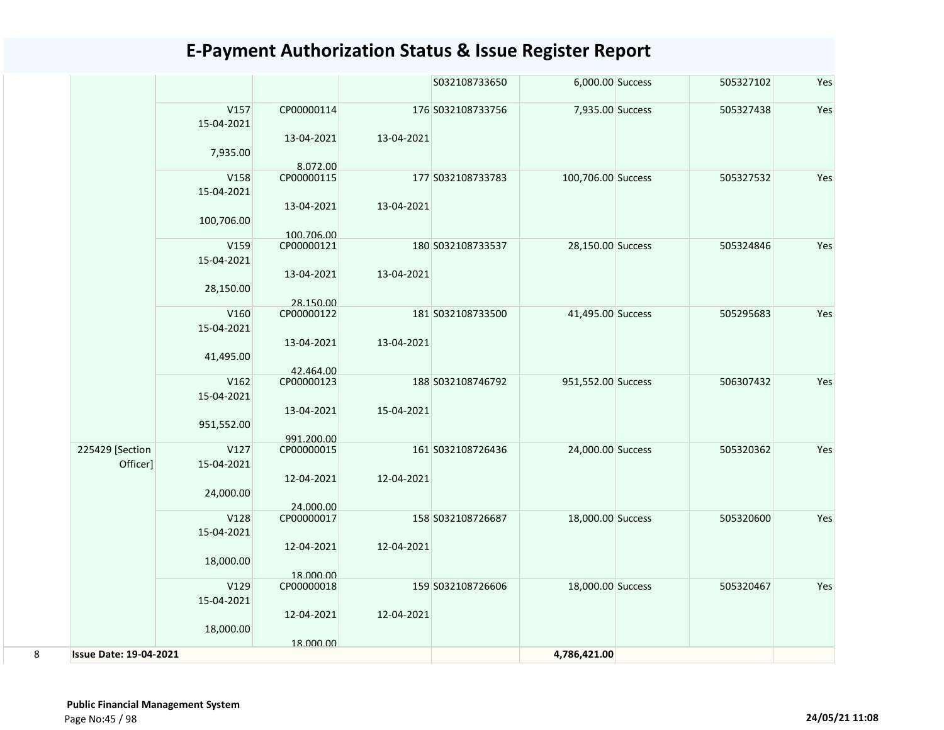|   |                               |                    |                         |            | S032108733650     | 6,000.00 Success   | 505327102 | Yes |
|---|-------------------------------|--------------------|-------------------------|------------|-------------------|--------------------|-----------|-----|
|   |                               | V157<br>15-04-2021 | CP00000114              |            | 176 S032108733756 | 7,935.00 Success   | 505327438 | Yes |
|   |                               |                    | 13-04-2021              | 13-04-2021 |                   |                    |           |     |
|   |                               | 7,935.00           |                         |            |                   |                    |           |     |
|   |                               | V158               | 8.072.00<br>CP00000115  |            | 177 S032108733783 |                    |           | Yes |
|   |                               | 15-04-2021         |                         |            |                   | 100,706.00 Success | 505327532 |     |
|   |                               |                    | 13-04-2021              | 13-04-2021 |                   |                    |           |     |
|   |                               | 100,706.00         |                         |            |                   |                    |           |     |
|   |                               |                    | 100.706.00              |            |                   |                    |           |     |
|   |                               | V159               | CP00000121              |            | 180 S032108733537 | 28,150.00 Success  | 505324846 | Yes |
|   |                               | 15-04-2021         | 13-04-2021              | 13-04-2021 |                   |                    |           |     |
|   |                               | 28,150.00          |                         |            |                   |                    |           |     |
|   |                               |                    | 28.150.00               |            |                   |                    |           |     |
|   |                               | V160               | CP00000122              |            | 181 S032108733500 | 41,495.00 Success  | 505295683 | Yes |
|   |                               | 15-04-2021         |                         |            |                   |                    |           |     |
|   |                               |                    | 13-04-2021              | 13-04-2021 |                   |                    |           |     |
|   |                               | 41,495.00          | 42.464.00               |            |                   |                    |           |     |
|   |                               | V162               | CP00000123              |            | 188 S032108746792 | 951,552.00 Success | 506307432 | Yes |
|   |                               | 15-04-2021         |                         |            |                   |                    |           |     |
|   |                               |                    | 13-04-2021              | 15-04-2021 |                   |                    |           |     |
|   |                               | 951,552.00         | 991.200.00              |            |                   |                    |           |     |
|   | 225429 [Section               | V127               | CP00000015              |            | 161 S032108726436 | 24,000.00 Success  | 505320362 | Yes |
|   | Officer]                      | 15-04-2021         |                         |            |                   |                    |           |     |
|   |                               |                    | 12-04-2021              | 12-04-2021 |                   |                    |           |     |
|   |                               | 24,000.00          |                         |            |                   |                    |           |     |
|   |                               | V128               | 24.000.00<br>CP00000017 |            | 158 S032108726687 | 18,000.00 Success  | 505320600 | Yes |
|   |                               | 15-04-2021         |                         |            |                   |                    |           |     |
|   |                               |                    | 12-04-2021              | 12-04-2021 |                   |                    |           |     |
|   |                               | 18,000.00          |                         |            |                   |                    |           |     |
|   |                               | V129               | 18.000.00<br>CP00000018 |            | 159 S032108726606 | 18,000.00 Success  | 505320467 | Yes |
|   |                               | 15-04-2021         |                         |            |                   |                    |           |     |
|   |                               |                    | 12-04-2021              | 12-04-2021 |                   |                    |           |     |
|   |                               | 18,000.00          |                         |            |                   |                    |           |     |
| 8 | <b>Issue Date: 19-04-2021</b> |                    | 18.000.00               |            |                   | 4,786,421.00       |           |     |
|   |                               |                    |                         |            |                   |                    |           |     |

 **Public Financial Management System**  Page No:45 / 98 **24/05/21 11:08**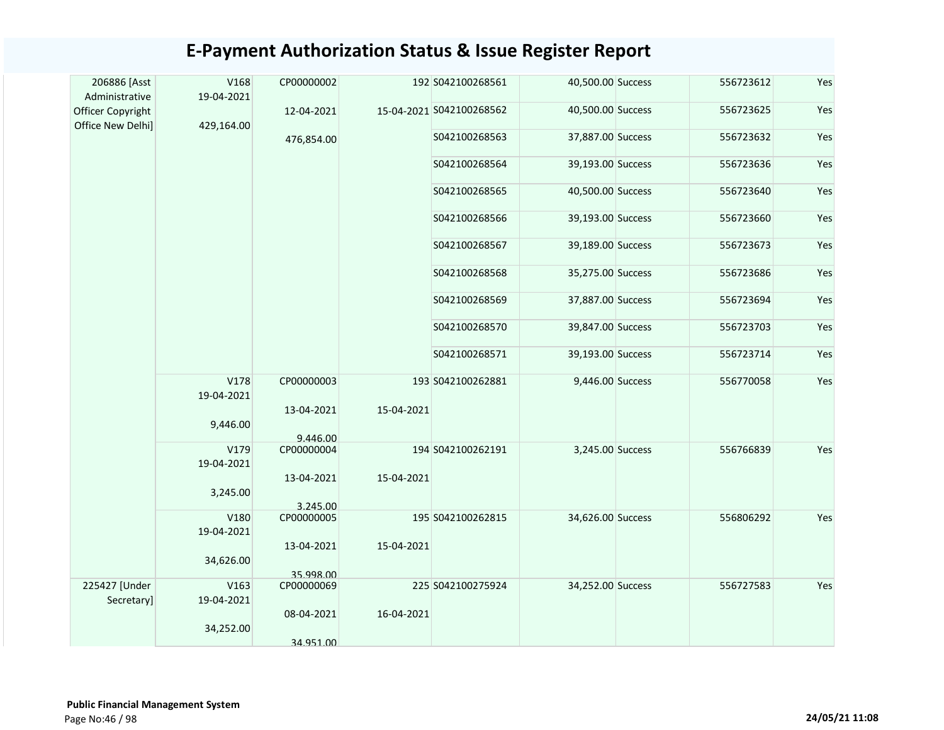| 206886 [Asst<br>Administrative         | V168<br>19-04-2021 | CP00000002               |            | 192 S042100268561        | 40,500.00 Success | 556723612 | Yes |
|----------------------------------------|--------------------|--------------------------|------------|--------------------------|-------------------|-----------|-----|
| Officer Copyright<br>Office New Delhi] | 429,164.00         | 12-04-2021               |            | 15-04-2021 S042100268562 | 40,500.00 Success | 556723625 | Yes |
|                                        |                    | 476,854.00               |            | S042100268563            | 37,887.00 Success | 556723632 | Yes |
|                                        |                    |                          |            | S042100268564            | 39,193.00 Success | 556723636 | Yes |
|                                        |                    |                          |            | S042100268565            | 40,500.00 Success | 556723640 | Yes |
|                                        |                    |                          |            | S042100268566            | 39,193.00 Success | 556723660 | Yes |
|                                        |                    |                          |            | S042100268567            | 39,189.00 Success | 556723673 | Yes |
|                                        |                    |                          |            | S042100268568            | 35,275.00 Success | 556723686 | Yes |
|                                        |                    |                          |            | S042100268569            | 37,887.00 Success | 556723694 | Yes |
|                                        |                    |                          |            | S042100268570            | 39,847.00 Success | 556723703 | Yes |
|                                        |                    |                          |            | S042100268571            | 39,193.00 Success | 556723714 | Yes |
|                                        | V178<br>19-04-2021 | CP00000003<br>13-04-2021 | 15-04-2021 | 193 S042100262881        | 9,446.00 Success  | 556770058 | Yes |
|                                        | 9,446.00           | 9.446.00                 |            |                          |                   |           |     |
|                                        | V179<br>19-04-2021 | CP00000004               |            | 194 S042100262191        | 3,245.00 Success  | 556766839 | Yes |
|                                        | 3,245.00           | 13-04-2021<br>3.245.00   | 15-04-2021 |                          |                   |           |     |
|                                        | V180<br>19-04-2021 | CP00000005               |            | 195 S042100262815        | 34,626.00 Success | 556806292 | Yes |
|                                        | 34,626.00          | 13-04-2021               | 15-04-2021 |                          |                   |           |     |
| 225427 [Under                          | V163               | 35.998.00<br>CP00000069  |            | 225 S042100275924        | 34,252.00 Success | 556727583 | Yes |
| Secretary]                             | 19-04-2021         |                          |            |                          |                   |           |     |
|                                        | 34,252.00          | 08-04-2021               | 16-04-2021 |                          |                   |           |     |
|                                        |                    | 34.951.00                |            |                          |                   |           |     |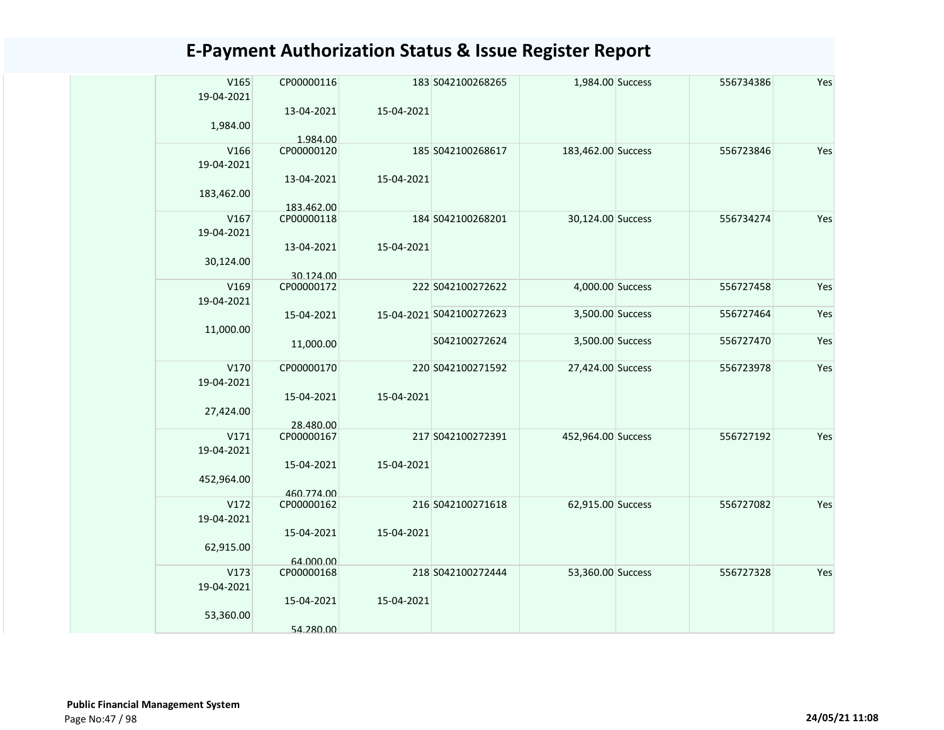| V165<br>19-04-2021 | CP00000116               |            | 183 S042100268265        | 1,984.00 Success   | 556734386 | Yes |
|--------------------|--------------------------|------------|--------------------------|--------------------|-----------|-----|
| 1,984.00           | 13-04-2021<br>1.984.00   | 15-04-2021 |                          |                    |           |     |
| V166<br>19-04-2021 | CP00000120               |            | 185 S042100268617        | 183,462.00 Success | 556723846 | Yes |
| 183,462.00         | 13-04-2021               | 15-04-2021 |                          |                    |           |     |
|                    | 183.462.00               |            |                          |                    |           |     |
| V167<br>19-04-2021 | CP00000118               |            | 184 S042100268201        | 30,124.00 Success  | 556734274 | Yes |
| 30,124.00          | 13-04-2021               | 15-04-2021 |                          |                    |           |     |
| V169               | 30.124.00<br>CP00000172  |            | 222 S042100272622        | 4,000.00 Success   | 556727458 | Yes |
| 19-04-2021         |                          |            |                          |                    |           |     |
| 11,000.00          | 15-04-2021               |            | 15-04-2021 S042100272623 | 3,500.00 Success   | 556727464 | Yes |
|                    | 11,000.00                |            | S042100272624            | 3,500.00 Success   | 556727470 | Yes |
| V170<br>19-04-2021 | CP00000170               |            | 220 S042100271592        | 27,424.00 Success  | 556723978 | Yes |
| 27,424.00          | 15-04-2021<br>28.480.00  | 15-04-2021 |                          |                    |           |     |
| V171<br>19-04-2021 | CP00000167               |            | 217 S042100272391        | 452,964.00 Success | 556727192 | Yes |
| 452,964.00         | 15-04-2021<br>460.774.00 | 15-04-2021 |                          |                    |           |     |
| V172<br>19-04-2021 | CP00000162               |            | 216 S042100271618        | 62,915.00 Success  | 556727082 | Yes |
| 62,915.00          | 15-04-2021               | 15-04-2021 |                          |                    |           |     |
| V173               | 64.000.00<br>CP00000168  |            | 218 S042100272444        | 53,360.00 Success  | 556727328 | Yes |
| 19-04-2021         |                          |            |                          |                    |           |     |
| 53,360.00          | 15-04-2021               | 15-04-2021 |                          |                    |           |     |
|                    | 54.280.00                |            |                          |                    |           |     |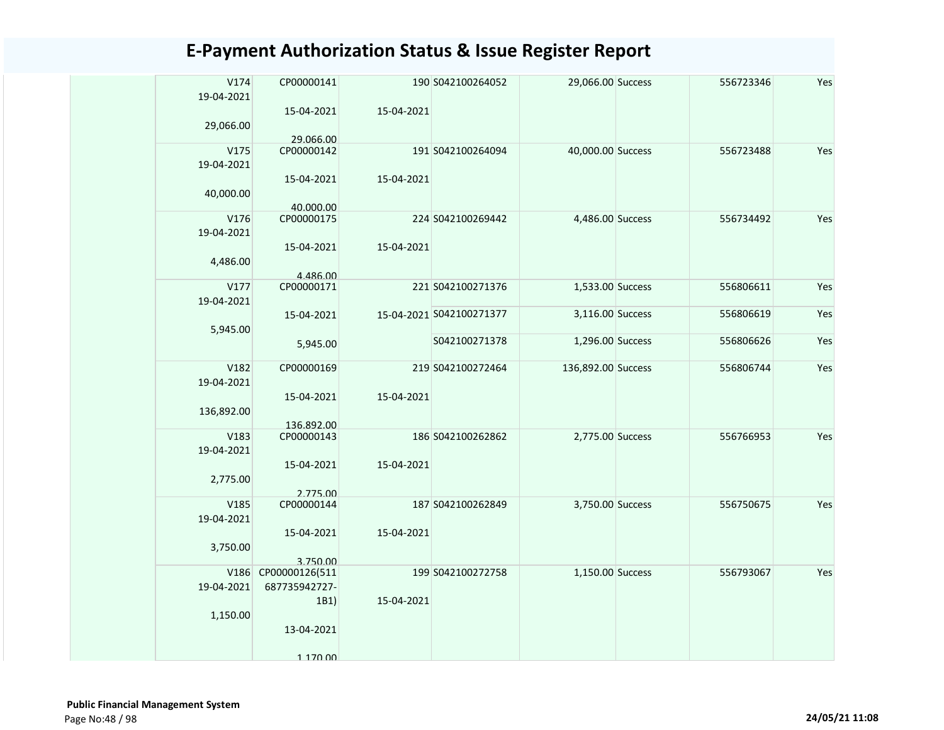| V174<br>19-04-2021 | CP00000141              |            | 190 S042100264052        | 29,066.00 Success  | 556723346 | Yes |
|--------------------|-------------------------|------------|--------------------------|--------------------|-----------|-----|
| 29,066.00          | 15-04-2021              | 15-04-2021 |                          |                    |           |     |
|                    | 29.066.00               |            |                          |                    |           |     |
| V175<br>19-04-2021 | CP00000142              |            | 191 S042100264094        | 40,000.00 Success  | 556723488 | Yes |
| 40,000.00          | 15-04-2021<br>40.000.00 | 15-04-2021 |                          |                    |           |     |
| V176               | CP00000175              |            | 224 S042100269442        | 4,486.00 Success   | 556734492 | Yes |
|                    |                         |            |                          |                    |           |     |
| 19-04-2021         |                         |            |                          |                    |           |     |
|                    | 15-04-2021              | 15-04-2021 |                          |                    |           |     |
| 4,486.00           |                         |            |                          |                    |           |     |
|                    | 4.486.00                |            |                          |                    |           |     |
| V177               | CP00000171              |            | 221 S042100271376        | 1,533.00 Success   | 556806611 | Yes |
| 19-04-2021         |                         |            |                          |                    |           |     |
|                    | 15-04-2021              |            | 15-04-2021 S042100271377 | 3,116.00 Success   | 556806619 | Yes |
|                    |                         |            |                          |                    |           |     |
| 5,945.00           |                         |            |                          |                    |           |     |
|                    | 5,945.00                |            | S042100271378            | 1,296.00 Success   | 556806626 | Yes |
|                    |                         |            |                          |                    |           |     |
| V182               | CP00000169              |            | 219 S042100272464        | 136,892.00 Success | 556806744 | Yes |
| 19-04-2021         |                         |            |                          |                    |           |     |
|                    | 15-04-2021              | 15-04-2021 |                          |                    |           |     |
|                    |                         |            |                          |                    |           |     |
| 136,892.00         |                         |            |                          |                    |           |     |
|                    | 136.892.00              |            |                          |                    |           |     |
| V183               | CP00000143              |            | 186 S042100262862        | 2,775.00 Success   | 556766953 | Yes |
| 19-04-2021         |                         |            |                          |                    |           |     |
|                    | 15-04-2021              | 15-04-2021 |                          |                    |           |     |
| 2,775.00           |                         |            |                          |                    |           |     |
|                    | 2.775.00                |            |                          |                    |           |     |
| V185               | CP00000144              |            | 187 S042100262849        | 3,750.00 Success   | 556750675 | Yes |
| 19-04-2021         |                         |            |                          |                    |           |     |
|                    |                         |            |                          |                    |           |     |
|                    | 15-04-2021              | 15-04-2021 |                          |                    |           |     |
| 3,750.00           |                         |            |                          |                    |           |     |
|                    | 3.750.00                |            |                          |                    |           |     |
| V186               | CP00000126(511          |            | 199 S042100272758        | 1,150.00 Success   | 556793067 | Yes |
| 19-04-2021         | 687735942727-           |            |                          |                    |           |     |
|                    | 1B1)                    | 15-04-2021 |                          |                    |           |     |
|                    |                         |            |                          |                    |           |     |
| 1,150.00           |                         |            |                          |                    |           |     |
|                    | 13-04-2021              |            |                          |                    |           |     |
|                    |                         |            |                          |                    |           |     |
|                    | 1 170 00                |            |                          |                    |           |     |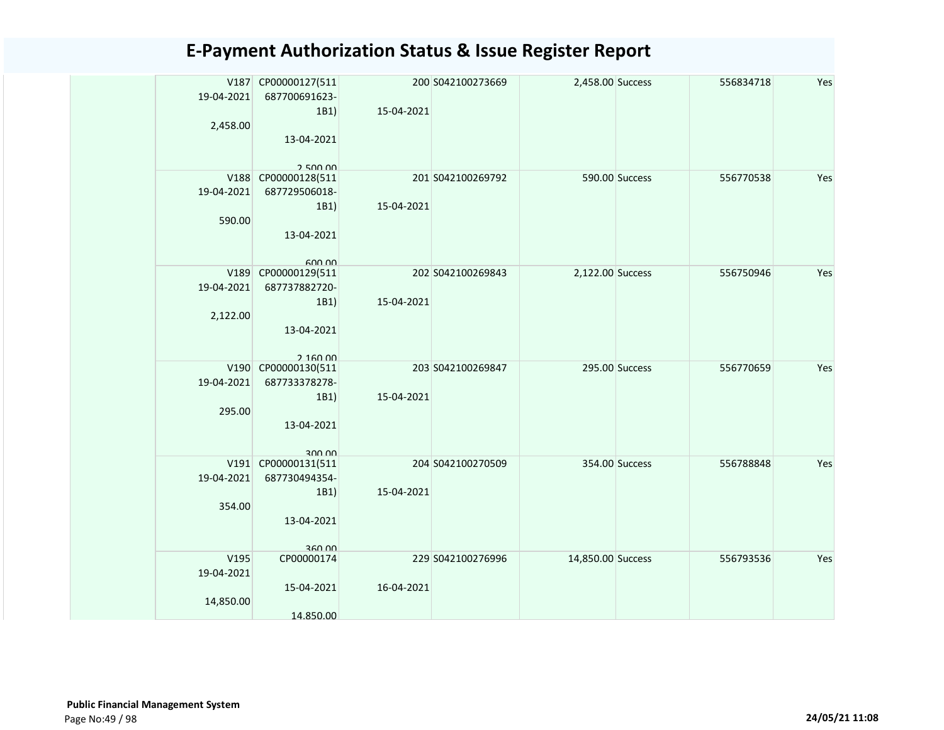|            | V187 CP00000127(511           |            | 200 S042100273669 | 2,458.00 Success  |                | 556834718 | Yes |
|------------|-------------------------------|------------|-------------------|-------------------|----------------|-----------|-----|
| 19-04-2021 | 687700691623-                 |            |                   |                   |                |           |     |
|            | 1B1)                          | 15-04-2021 |                   |                   |                |           |     |
| 2,458.00   |                               |            |                   |                   |                |           |     |
|            | 13-04-2021                    |            |                   |                   |                |           |     |
|            |                               |            |                   |                   |                |           |     |
|            | 250000                        |            |                   |                   |                |           |     |
|            | V188 CP00000128(511           |            | 201 S042100269792 |                   | 590.00 Success | 556770538 | Yes |
| 19-04-2021 | 687729506018-                 |            |                   |                   |                |           |     |
|            | 1B1)                          | 15-04-2021 |                   |                   |                |           |     |
| 590.00     |                               |            |                   |                   |                |           |     |
|            | 13-04-2021                    |            |                   |                   |                |           |     |
|            |                               |            |                   |                   |                |           |     |
|            | 600.00<br>V189 CP00000129(511 |            | 202 S042100269843 | 2,122.00 Success  |                | 556750946 | Yes |
| 19-04-2021 | 687737882720-                 |            |                   |                   |                |           |     |
|            | 1B1)                          | 15-04-2021 |                   |                   |                |           |     |
| 2,122.00   |                               |            |                   |                   |                |           |     |
|            | 13-04-2021                    |            |                   |                   |                |           |     |
|            |                               |            |                   |                   |                |           |     |
|            | 2.16000                       |            |                   |                   |                |           |     |
|            | V190 CP00000130(511           |            | 203 S042100269847 |                   | 295.00 Success | 556770659 | Yes |
| 19-04-2021 | 687733378278-                 |            |                   |                   |                |           |     |
|            | 1B1)                          | 15-04-2021 |                   |                   |                |           |     |
| 295.00     |                               |            |                   |                   |                |           |     |
|            | 13-04-2021                    |            |                   |                   |                |           |     |
|            |                               |            |                   |                   |                |           |     |
|            | 300 00                        |            |                   |                   |                |           |     |
| 19-04-2021 | V191 CP00000131(511           |            | 204 S042100270509 |                   | 354.00 Success | 556788848 | Yes |
|            | 687730494354-                 |            |                   |                   |                |           |     |
|            | 1B1)                          | 15-04-2021 |                   |                   |                |           |     |
| 354.00     |                               |            |                   |                   |                |           |     |
|            | 13-04-2021                    |            |                   |                   |                |           |     |
|            | 360.00                        |            |                   |                   |                |           |     |
| V195       | CP00000174                    |            | 229 S042100276996 | 14,850.00 Success |                | 556793536 | Yes |
| 19-04-2021 |                               |            |                   |                   |                |           |     |
|            | 15-04-2021                    | 16-04-2021 |                   |                   |                |           |     |
| 14,850.00  |                               |            |                   |                   |                |           |     |
|            | 14.850.00                     |            |                   |                   |                |           |     |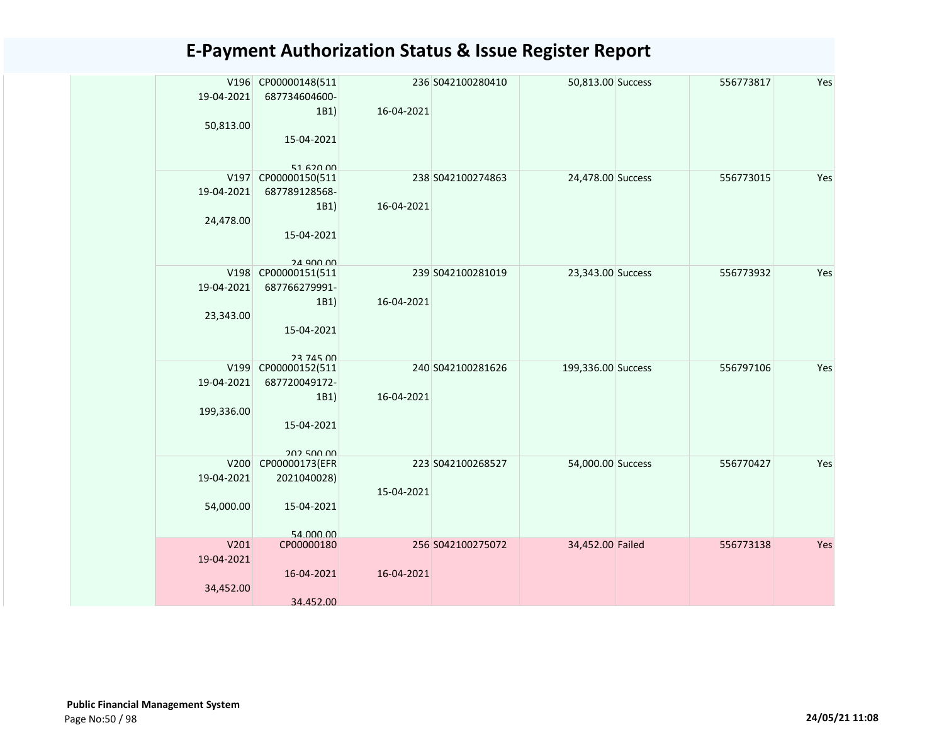|            | V196 CP00000148(511          |            | 236 S042100280410 | 50,813.00 Success  | 556773817 | Yes |
|------------|------------------------------|------------|-------------------|--------------------|-----------|-----|
| 19-04-2021 | 687734604600-                |            |                   |                    |           |     |
|            | 1B1)                         | 16-04-2021 |                   |                    |           |     |
| 50,813.00  |                              |            |                   |                    |           |     |
|            | 15-04-2021                   |            |                   |                    |           |     |
|            | $51$ 620 00                  |            |                   |                    |           |     |
| V197       | CP00000150(511               |            | 238 S042100274863 | 24,478.00 Success  | 556773015 | Yes |
| 19-04-2021 | 687789128568-                |            |                   |                    |           |     |
|            | 1B1)                         | 16-04-2021 |                   |                    |           |     |
| 24,478.00  |                              |            |                   |                    |           |     |
|            | 15-04-2021                   |            |                   |                    |           |     |
|            |                              |            |                   |                    |           |     |
|            | 24 Q00 00                    |            |                   |                    |           |     |
|            | V198 CP00000151(511          |            | 239 S042100281019 | 23,343.00 Success  | 556773932 | Yes |
| 19-04-2021 | 687766279991-                |            |                   |                    |           |     |
| 23,343.00  | 1B1)                         | 16-04-2021 |                   |                    |           |     |
|            | 15-04-2021                   |            |                   |                    |           |     |
|            |                              |            |                   |                    |           |     |
|            | <b>23 745 00</b>             |            |                   |                    |           |     |
| V199       | CP00000152(511               |            | 240 S042100281626 | 199,336.00 Success | 556797106 | Yes |
| 19-04-2021 | 687720049172-                |            |                   |                    |           |     |
|            | 1B1)                         | 16-04-2021 |                   |                    |           |     |
| 199,336.00 |                              |            |                   |                    |           |     |
|            | 15-04-2021                   |            |                   |                    |           |     |
|            |                              |            |                   |                    |           |     |
| V200       | 202 500 00<br>CP00000173(EFR |            | 223 S042100268527 | 54,000.00 Success  | 556770427 | Yes |
| 19-04-2021 | 2021040028)                  |            |                   |                    |           |     |
|            |                              | 15-04-2021 |                   |                    |           |     |
| 54,000.00  | 15-04-2021                   |            |                   |                    |           |     |
|            |                              |            |                   |                    |           |     |
|            | 54 000 00                    |            |                   |                    |           |     |
| V201       | CP00000180                   |            | 256 S042100275072 | 34,452.00 Failed   | 556773138 | Yes |
| 19-04-2021 |                              |            |                   |                    |           |     |
|            | 16-04-2021                   | 16-04-2021 |                   |                    |           |     |
| 34,452.00  |                              |            |                   |                    |           |     |
|            | 34.452.00                    |            |                   |                    |           |     |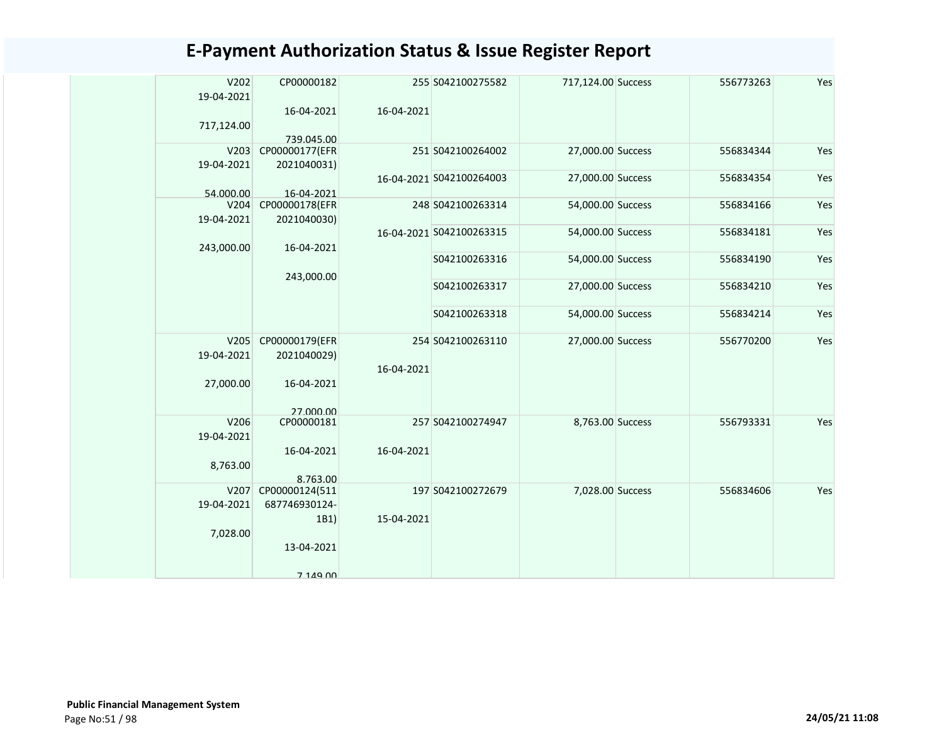| V202<br>19-04-2021 | CP00000182                   |            | 255 S042100275582        | 717,124.00 Success | 556773263 | Yes |
|--------------------|------------------------------|------------|--------------------------|--------------------|-----------|-----|
|                    | 16-04-2021                   | 16-04-2021 |                          |                    |           |     |
| 717,124.00         |                              |            |                          |                    |           |     |
| V203               | 739.045.00<br>CP00000177(EFR |            | 251 S042100264002        | 27,000.00 Success  | 556834344 | Yes |
| 19-04-2021         | 2021040031)                  |            |                          |                    |           |     |
|                    |                              |            | 16-04-2021 S042100264003 | 27,000.00 Success  | 556834354 | Yes |
| 54.000.00          | 16-04-2021                   |            |                          |                    |           |     |
| V204               | CP00000178(EFR               |            | 248 S042100263314        | 54,000.00 Success  | 556834166 | Yes |
| 19-04-2021         | 2021040030)                  |            |                          |                    |           |     |
|                    |                              |            | 16-04-2021 S042100263315 | 54,000.00 Success  | 556834181 | Yes |
| 243,000.00         | 16-04-2021                   |            | S042100263316            | 54,000.00 Success  | 556834190 | Yes |
|                    | 243,000.00                   |            |                          |                    |           |     |
|                    |                              |            | S042100263317            | 27,000.00 Success  | 556834210 | Yes |
|                    |                              |            |                          |                    |           |     |
|                    |                              |            | S042100263318            | 54,000.00 Success  | 556834214 | Yes |
| V205               | CP00000179(EFR               |            | 254 S042100263110        | 27,000.00 Success  | 556770200 | Yes |
| 19-04-2021         | 2021040029)                  |            |                          |                    |           |     |
|                    |                              | 16-04-2021 |                          |                    |           |     |
| 27,000.00          | 16-04-2021                   |            |                          |                    |           |     |
|                    |                              |            |                          |                    |           |     |
|                    | 27 000 00                    |            |                          |                    |           |     |
| V206<br>19-04-2021 | CP00000181                   |            | 257 S042100274947        | 8,763.00 Success   | 556793331 | Yes |
|                    | 16-04-2021                   | 16-04-2021 |                          |                    |           |     |
| 8,763.00           |                              |            |                          |                    |           |     |
|                    | 8.763.00                     |            |                          |                    |           |     |
| V207               | CP00000124(511               |            | 197 S042100272679        | 7,028.00 Success   | 556834606 | Yes |
| 19-04-2021         | 687746930124-                |            |                          |                    |           |     |
|                    | 1B1)                         | 15-04-2021 |                          |                    |           |     |
| 7,028.00           |                              |            |                          |                    |           |     |
|                    | 13-04-2021                   |            |                          |                    |           |     |
|                    | 7 149 00                     |            |                          |                    |           |     |
|                    |                              |            |                          |                    |           |     |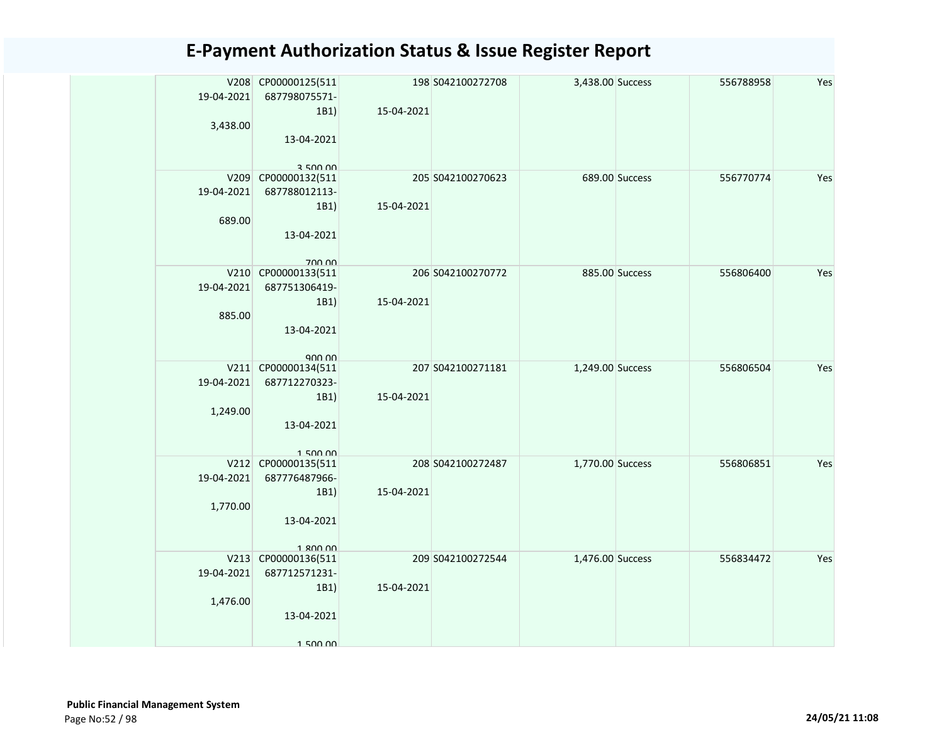|            | V208 CP00000125(511   |            | 198 S042100272708 | 3,438.00 Success |                | 556788958 | Yes |
|------------|-----------------------|------------|-------------------|------------------|----------------|-----------|-----|
| 19-04-2021 | 687798075571-<br>1B1) | 15-04-2021 |                   |                  |                |           |     |
| 3,438.00   |                       |            |                   |                  |                |           |     |
|            | 13-04-2021            |            |                   |                  |                |           |     |
|            |                       |            |                   |                  |                |           |     |
|            | 350000                |            |                   |                  |                |           |     |
|            | V209 CP00000132(511   |            | 205 S042100270623 |                  | 689.00 Success | 556770774 | Yes |
| 19-04-2021 | 687788012113-         |            |                   |                  |                |           |     |
|            | 1B1)                  | 15-04-2021 |                   |                  |                |           |     |
| 689.00     |                       |            |                   |                  |                |           |     |
|            | 13-04-2021            |            |                   |                  |                |           |     |
|            | 700.00                |            |                   |                  |                |           |     |
|            | V210 CP00000133(511   |            | 206 S042100270772 |                  | 885.00 Success | 556806400 | Yes |
| 19-04-2021 | 687751306419-         |            |                   |                  |                |           |     |
|            | 1B1)                  | 15-04-2021 |                   |                  |                |           |     |
| 885.00     |                       |            |                   |                  |                |           |     |
|            | 13-04-2021            |            |                   |                  |                |           |     |
|            | $Q0$ $Q0$             |            |                   |                  |                |           |     |
|            | V211 CP00000134(511   |            | 207 S042100271181 | 1,249.00 Success |                | 556806504 | Yes |
| 19-04-2021 | 687712270323-         |            |                   |                  |                |           |     |
|            | 1B1)                  | 15-04-2021 |                   |                  |                |           |     |
| 1,249.00   |                       |            |                   |                  |                |           |     |
|            | 13-04-2021            |            |                   |                  |                |           |     |
|            | 15000                 |            |                   |                  |                |           |     |
|            | V212 CP00000135(511   |            | 208 S042100272487 | 1,770.00 Success |                | 556806851 | Yes |
| 19-04-2021 | 687776487966-         |            |                   |                  |                |           |     |
|            | 1B1)                  | 15-04-2021 |                   |                  |                |           |     |
| 1,770.00   |                       |            |                   |                  |                |           |     |
|            | 13-04-2021            |            |                   |                  |                |           |     |
|            | 1 800 00              |            |                   |                  |                |           |     |
|            | V213 CP00000136(511   |            | 209 S042100272544 | 1,476.00 Success |                | 556834472 | Yes |
| 19-04-2021 | 687712571231-         |            |                   |                  |                |           |     |
|            | 1B1)                  | 15-04-2021 |                   |                  |                |           |     |
| 1,476.00   |                       |            |                   |                  |                |           |     |
|            | 13-04-2021            |            |                   |                  |                |           |     |
|            |                       |            |                   |                  |                |           |     |
|            | 1 500 00              |            |                   |                  |                |           |     |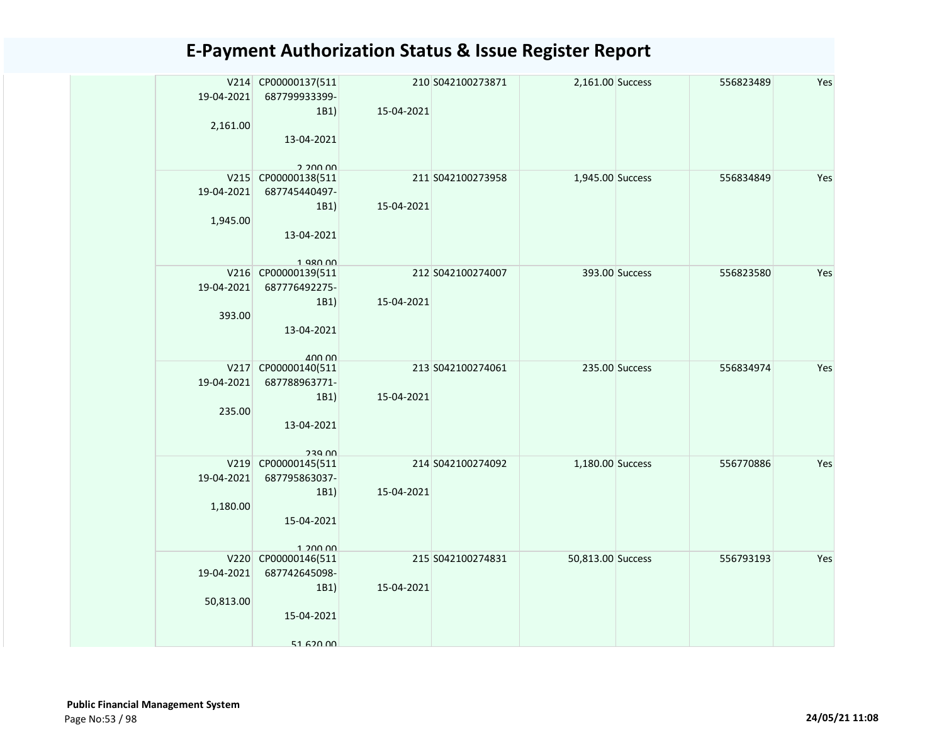| 19-04-2021 | V214 CP00000137(511<br>687799933399- |            | 210 S042100273871 | 2,161.00 Success  |                | 556823489 | Yes |
|------------|--------------------------------------|------------|-------------------|-------------------|----------------|-----------|-----|
|            | 1B1)                                 | 15-04-2021 |                   |                   |                |           |     |
| 2,161.00   |                                      |            |                   |                   |                |           |     |
|            | 13-04-2021                           |            |                   |                   |                |           |     |
|            |                                      |            |                   |                   |                |           |     |
|            | 2.200.00                             |            |                   |                   |                |           |     |
|            | V215 CP00000138(511                  |            | 211 S042100273958 | 1,945.00 Success  |                | 556834849 | Yes |
| 19-04-2021 | 687745440497-                        |            |                   |                   |                |           |     |
|            | 1B1)                                 | 15-04-2021 |                   |                   |                |           |     |
| 1,945.00   |                                      |            |                   |                   |                |           |     |
|            | 13-04-2021                           |            |                   |                   |                |           |     |
|            | $1$ QRN $n$                          |            |                   |                   |                |           |     |
|            | V216 CP00000139(511                  |            | 212 S042100274007 |                   | 393.00 Success | 556823580 | Yes |
| 19-04-2021 | 687776492275-                        |            |                   |                   |                |           |     |
|            | 1B1)                                 | 15-04-2021 |                   |                   |                |           |     |
| 393.00     |                                      |            |                   |                   |                |           |     |
|            | 13-04-2021                           |            |                   |                   |                |           |     |
|            |                                      |            |                   |                   |                |           |     |
|            | $A \cap \cap \cap$                   |            | 213 S042100274061 |                   | 235.00 Success | 556834974 | Yes |
| 19-04-2021 | V217 CP00000140(511<br>687788963771- |            |                   |                   |                |           |     |
|            | 1B1)                                 | 15-04-2021 |                   |                   |                |           |     |
| 235.00     |                                      |            |                   |                   |                |           |     |
|            | 13-04-2021                           |            |                   |                   |                |           |     |
|            |                                      |            |                   |                   |                |           |     |
|            | <b>230 UU</b>                        |            |                   |                   |                |           |     |
|            | V219 CP00000145(511                  |            | 214 S042100274092 | 1,180.00 Success  |                | 556770886 | Yes |
| 19-04-2021 | 687795863037-                        |            |                   |                   |                |           |     |
|            | 1B1)                                 | 15-04-2021 |                   |                   |                |           |     |
| 1,180.00   |                                      |            |                   |                   |                |           |     |
|            | 15-04-2021                           |            |                   |                   |                |           |     |
|            |                                      |            |                   |                   |                |           |     |
|            | 1,200,00<br>V220 CP00000146(511      |            | 215 S042100274831 | 50,813.00 Success |                | 556793193 | Yes |
| 19-04-2021 | 687742645098-                        |            |                   |                   |                |           |     |
|            | 1B1)                                 | 15-04-2021 |                   |                   |                |           |     |
| 50,813.00  |                                      |            |                   |                   |                |           |     |
|            | 15-04-2021                           |            |                   |                   |                |           |     |
|            |                                      |            |                   |                   |                |           |     |
|            | 51 620 00                            |            |                   |                   |                |           |     |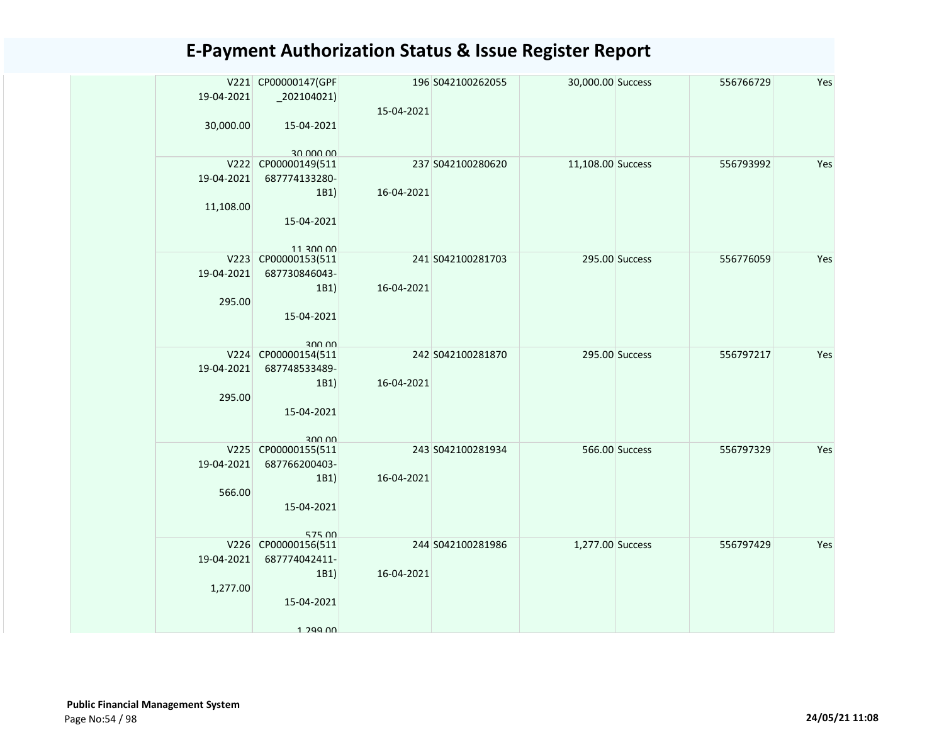|            | V221 CP00000147(GPF              |            | 196 S042100262055 | 30,000.00 Success |                | 556766729 | Yes |
|------------|----------------------------------|------------|-------------------|-------------------|----------------|-----------|-----|
| 19-04-2021 | $_2$ 202104021)                  |            |                   |                   |                |           |     |
|            |                                  | 15-04-2021 |                   |                   |                |           |     |
| 30,000.00  | 15-04-2021                       |            |                   |                   |                |           |     |
|            |                                  |            |                   |                   |                |           |     |
|            | 30 000 00                        |            |                   |                   |                |           |     |
|            | V222 CP00000149(511              |            | 237 S042100280620 | 11,108.00 Success |                | 556793992 | Yes |
| 19-04-2021 | 687774133280-                    |            |                   |                   |                |           |     |
|            | 1B1)                             | 16-04-2021 |                   |                   |                |           |     |
| 11,108.00  |                                  |            |                   |                   |                |           |     |
|            | 15-04-2021                       |            |                   |                   |                |           |     |
|            |                                  |            |                   |                   |                |           |     |
|            | 11 300 00<br>V223 CP00000153(511 |            | 241 S042100281703 |                   | 295.00 Success | 556776059 | Yes |
| 19-04-2021 | 687730846043-                    |            |                   |                   |                |           |     |
|            | 1B1)                             | 16-04-2021 |                   |                   |                |           |     |
| 295.00     |                                  |            |                   |                   |                |           |     |
|            | 15-04-2021                       |            |                   |                   |                |           |     |
|            |                                  |            |                   |                   |                |           |     |
|            | 300,00                           |            |                   |                   |                |           |     |
|            | V224 CP00000154(511              |            | 242 S042100281870 |                   | 295.00 Success | 556797217 | Yes |
| 19-04-2021 | 687748533489-                    |            |                   |                   |                |           |     |
|            | 1B1)                             | 16-04-2021 |                   |                   |                |           |     |
| 295.00     |                                  |            |                   |                   |                |           |     |
|            | 15-04-2021                       |            |                   |                   |                |           |     |
|            |                                  |            |                   |                   |                |           |     |
|            | 300.00<br>V225 CP00000155(511    |            | 243 S042100281934 |                   | 566.00 Success | 556797329 | Yes |
| 19-04-2021 | 687766200403-                    |            |                   |                   |                |           |     |
|            | 1B1)                             | 16-04-2021 |                   |                   |                |           |     |
| 566.00     |                                  |            |                   |                   |                |           |     |
|            | 15-04-2021                       |            |                   |                   |                |           |     |
|            |                                  |            |                   |                   |                |           |     |
|            | 575.00                           |            |                   |                   |                |           |     |
|            | V226 CP00000156(511              |            | 244 S042100281986 | 1,277.00 Success  |                | 556797429 | Yes |
| 19-04-2021 | 687774042411-                    |            |                   |                   |                |           |     |
|            | 1B1)                             | 16-04-2021 |                   |                   |                |           |     |
| 1,277.00   |                                  |            |                   |                   |                |           |     |
|            | 15-04-2021                       |            |                   |                   |                |           |     |
|            |                                  |            |                   |                   |                |           |     |
|            | 1 299 NO                         |            |                   |                   |                |           |     |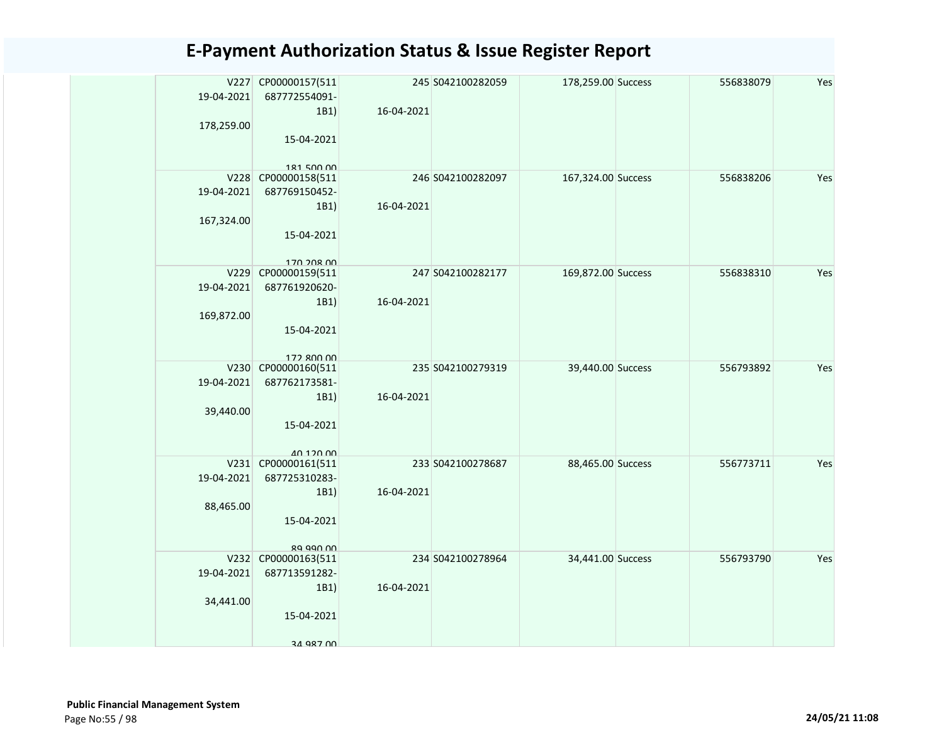| 19-04-2021 | V227 CP00000157(511<br>687772554091- |            | 245 S042100282059 | 178,259.00 Success | 556838079 | Yes |
|------------|--------------------------------------|------------|-------------------|--------------------|-----------|-----|
|            | 1B1)                                 | 16-04-2021 |                   |                    |           |     |
| 178,259.00 | 15-04-2021                           |            |                   |                    |           |     |
|            |                                      |            |                   |                    |           |     |
|            | 181 500 00                           |            |                   |                    |           |     |
|            | V228 CP00000158(511                  |            | 246 S042100282097 | 167,324.00 Success | 556838206 | Yes |
| 19-04-2021 | 687769150452-                        |            |                   |                    |           |     |
|            | 1B1)                                 | 16-04-2021 |                   |                    |           |     |
| 167,324.00 |                                      |            |                   |                    |           |     |
|            | 15-04-2021                           |            |                   |                    |           |     |
|            | 170 208 00                           |            |                   |                    |           |     |
|            | V229 CP00000159(511                  |            | 247 S042100282177 | 169,872.00 Success | 556838310 | Yes |
| 19-04-2021 | 687761920620-                        |            |                   |                    |           |     |
|            | 1B1)                                 | 16-04-2021 |                   |                    |           |     |
| 169,872.00 |                                      |            |                   |                    |           |     |
|            | 15-04-2021                           |            |                   |                    |           |     |
|            |                                      |            |                   |                    |           |     |
| V230       | 177 ROO OO<br>CP00000160(511         |            | 235 S042100279319 | 39,440.00 Success  | 556793892 | Yes |
| 19-04-2021 | 687762173581-                        |            |                   |                    |           |     |
|            | 1B1)                                 | 16-04-2021 |                   |                    |           |     |
| 39,440.00  |                                      |            |                   |                    |           |     |
|            | 15-04-2021                           |            |                   |                    |           |     |
|            |                                      |            |                   |                    |           |     |
|            | 40 120 00<br>V231 CP00000161(511     |            | 233 S042100278687 | 88,465.00 Success  | 556773711 | Yes |
| 19-04-2021 | 687725310283-                        |            |                   |                    |           |     |
|            | 1B1)                                 | 16-04-2021 |                   |                    |           |     |
| 88,465.00  |                                      |            |                   |                    |           |     |
|            | 15-04-2021                           |            |                   |                    |           |     |
|            |                                      |            |                   |                    |           |     |
|            | 89 990 00                            |            |                   |                    |           |     |
|            | V232 CP00000163(511                  |            | 234 S042100278964 | 34,441.00 Success  | 556793790 | Yes |
| 19-04-2021 | 687713591282-                        |            |                   |                    |           |     |
| 34,441.00  | 1B1)                                 | 16-04-2021 |                   |                    |           |     |
|            | 15-04-2021                           |            |                   |                    |           |     |
|            |                                      |            |                   |                    |           |     |
|            | 34 987 00                            |            |                   |                    |           |     |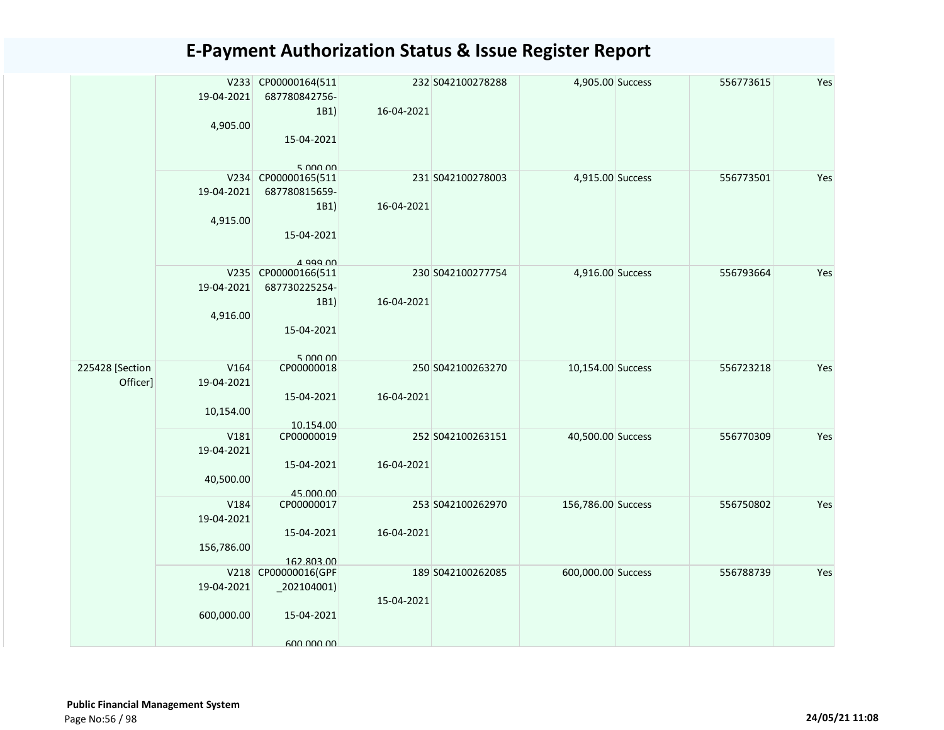|                 |            | V233 CP00000164(511               |            | 232 S042100278288 | 4,905.00 Success   | 556773615 | Yes |
|-----------------|------------|-----------------------------------|------------|-------------------|--------------------|-----------|-----|
|                 | 19-04-2021 | 687780842756-                     |            |                   |                    |           |     |
|                 |            | 1B1)                              | 16-04-2021 |                   |                    |           |     |
|                 | 4,905.00   |                                   |            |                   |                    |           |     |
|                 |            | 15-04-2021                        |            |                   |                    |           |     |
|                 |            |                                   |            |                   |                    |           |     |
|                 |            | 5.000.00                          |            |                   |                    |           |     |
|                 |            | V234 CP00000165(511               |            | 231 S042100278003 | 4,915.00 Success   | 556773501 | Yes |
|                 | 19-04-2021 | 687780815659-                     |            |                   |                    |           |     |
|                 |            |                                   | 16-04-2021 |                   |                    |           |     |
|                 |            | 1B1)                              |            |                   |                    |           |     |
|                 | 4,915.00   |                                   |            |                   |                    |           |     |
|                 |            | 15-04-2021                        |            |                   |                    |           |     |
|                 |            |                                   |            |                   |                    |           |     |
|                 |            | $\Lambda$ agg $\Lambda\Lambda$    |            |                   |                    |           | Yes |
|                 |            | V235 CP00000166(511               |            | 230 S042100277754 | 4,916.00 Success   | 556793664 |     |
|                 | 19-04-2021 | 687730225254-                     |            |                   |                    |           |     |
|                 |            | 1B1)                              | 16-04-2021 |                   |                    |           |     |
|                 | 4,916.00   |                                   |            |                   |                    |           |     |
|                 |            | 15-04-2021                        |            |                   |                    |           |     |
|                 |            |                                   |            |                   |                    |           |     |
|                 |            | 5 000 00                          |            |                   |                    |           |     |
| 225428 [Section | V164       | CP00000018                        |            | 250 S042100263270 | 10,154.00 Success  | 556723218 | Yes |
| Officer]        | 19-04-2021 |                                   |            |                   |                    |           |     |
|                 |            | 15-04-2021                        | 16-04-2021 |                   |                    |           |     |
|                 | 10,154.00  |                                   |            |                   |                    |           |     |
|                 |            | 10.154.00                         |            |                   |                    |           |     |
|                 | V181       | CP00000019                        |            | 252 S042100263151 | 40,500.00 Success  | 556770309 | Yes |
|                 | 19-04-2021 |                                   |            |                   |                    |           |     |
|                 |            | 15-04-2021                        | 16-04-2021 |                   |                    |           |     |
|                 | 40,500.00  |                                   |            |                   |                    |           |     |
|                 |            | 45.000.00                         |            |                   |                    |           |     |
|                 | V184       | CP00000017                        |            | 253 S042100262970 | 156,786.00 Success | 556750802 | Yes |
|                 | 19-04-2021 |                                   |            |                   |                    |           |     |
|                 |            | 15-04-2021                        | 16-04-2021 |                   |                    |           |     |
|                 |            |                                   |            |                   |                    |           |     |
|                 | 156,786.00 |                                   |            |                   |                    |           |     |
|                 |            | 162.803.00<br>V218 CP00000016(GPF |            | 189 S042100262085 | 600,000.00 Success | 556788739 | Yes |
|                 | 19-04-2021 |                                   |            |                   |                    |           |     |
|                 |            | $_2$ 02104001)                    |            |                   |                    |           |     |
|                 |            |                                   | 15-04-2021 |                   |                    |           |     |
|                 | 600,000.00 | 15-04-2021                        |            |                   |                    |           |     |
|                 |            |                                   |            |                   |                    |           |     |
|                 |            | 600 000 00                        |            |                   |                    |           |     |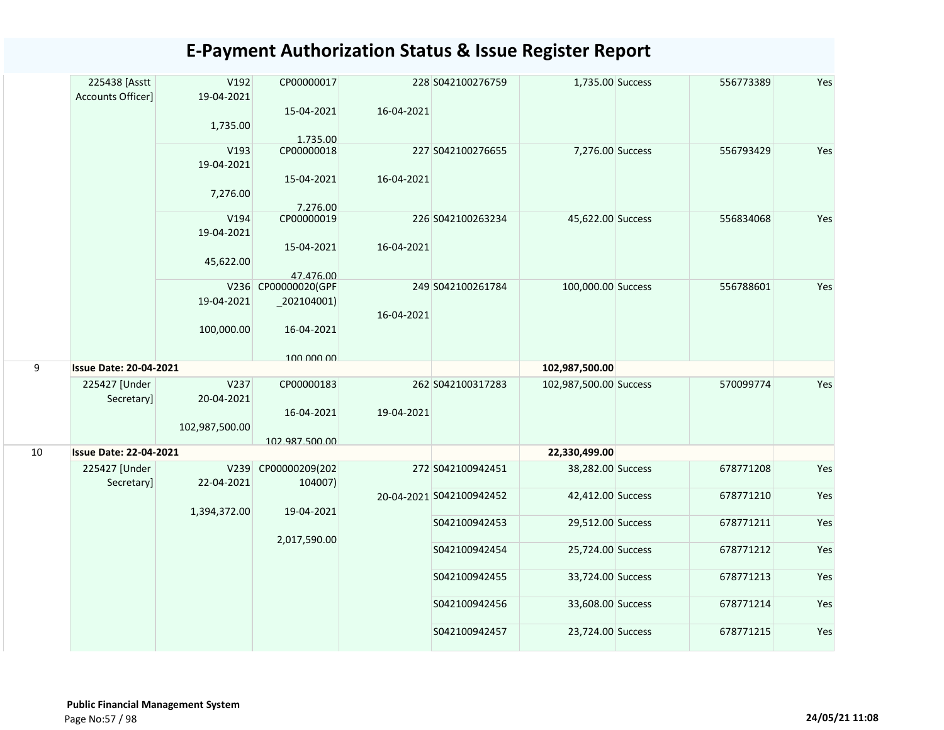|    | 225438 [Asstt<br>Accounts Officer] | V192<br>19-04-2021 | CP00000017                            |            | 228 S042100276759              | 1,735.00 Success                       | 556773389              | Yes        |
|----|------------------------------------|--------------------|---------------------------------------|------------|--------------------------------|----------------------------------------|------------------------|------------|
|    |                                    | 1,735.00           | 15-04-2021<br>1.735.00                | 16-04-2021 |                                |                                        |                        |            |
|    |                                    | V193<br>19-04-2021 | CP00000018                            |            | 227 S042100276655              | 7,276.00 Success                       | 556793429              | Yes        |
|    |                                    | 7,276.00           | 15-04-2021<br>7.276.00                | 16-04-2021 |                                |                                        |                        |            |
|    |                                    | V194<br>19-04-2021 | CP00000019                            |            | 226 S042100263234              | 45,622.00 Success                      | 556834068              | Yes        |
|    |                                    | 45,622.00          | 15-04-2021<br>47.476.00               | 16-04-2021 |                                |                                        |                        |            |
|    |                                    | 19-04-2021         | V236 CP00000020(GPF<br>$_2$ 02104001) |            | 249 S042100261784              | 100,000.00 Success                     | 556788601              | Yes        |
|    |                                    | 100,000.00         | 16-04-2021                            | 16-04-2021 |                                |                                        |                        |            |
|    |                                    |                    | 100,000,00                            |            |                                |                                        |                        |            |
| 9  | <b>Issue Date: 20-04-2021</b>      |                    |                                       |            |                                | 102,987,500.00                         |                        |            |
|    | 225427 [Under<br>Secretary]        | V237<br>20-04-2021 | CP00000183<br>16-04-2021              | 19-04-2021 | 262 S042100317283              | 102,987,500.00 Success                 | 570099774              | Yes        |
|    |                                    |                    |                                       |            |                                |                                        |                        |            |
|    |                                    | 102,987,500.00     |                                       |            |                                |                                        |                        |            |
| 10 | <b>Issue Date: 22-04-2021</b>      |                    | 102.987.500.00                        |            |                                | 22,330,499.00                          |                        |            |
|    | 225427 [Under<br>Secretary]        | V239<br>22-04-2021 | CP00000209(202<br>104007)             |            | 272 S042100942451              | 38,282.00 Success                      | 678771208              | Yes        |
|    |                                    | 1,394,372.00       | 19-04-2021                            |            | 20-04-2021 S042100942452       | 42,412.00 Success                      | 678771210              | Yes        |
|    |                                    |                    | 2,017,590.00                          |            | S042100942453                  | 29,512.00 Success                      | 678771211              | Yes        |
|    |                                    |                    |                                       |            | S042100942454                  | 25,724.00 Success                      | 678771212              | Yes        |
|    |                                    |                    |                                       |            | S042100942455                  | 33,724.00 Success                      | 678771213              | Yes        |
|    |                                    |                    |                                       |            | S042100942456<br>S042100942457 | 33,608.00 Success<br>23,724.00 Success | 678771214<br>678771215 | Yes<br>Yes |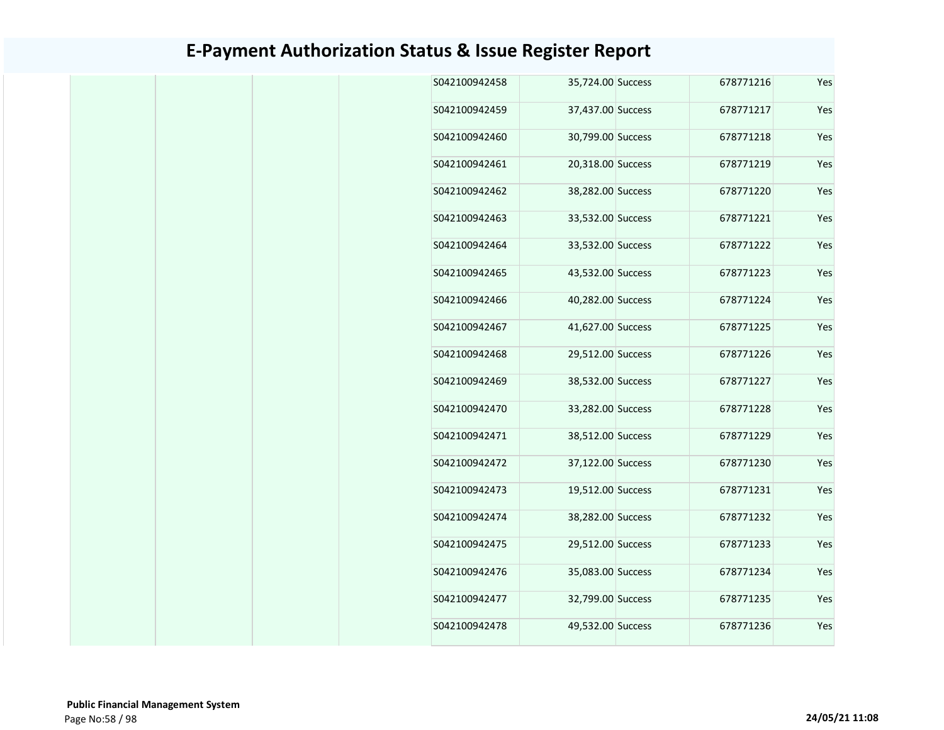| Yes | 678771216 | 35,724.00 Success | S042100942458 |
|-----|-----------|-------------------|---------------|
| Yes | 678771217 | 37,437.00 Success | S042100942459 |
| Yes | 678771218 | 30,799.00 Success | S042100942460 |
| Yes | 678771219 | 20,318.00 Success | S042100942461 |
| Yes | 678771220 | 38,282.00 Success | S042100942462 |
| Yes | 678771221 | 33,532.00 Success | S042100942463 |
| Yes | 678771222 | 33,532.00 Success | S042100942464 |
| Yes | 678771223 | 43,532.00 Success | S042100942465 |
| Yes | 678771224 | 40,282.00 Success | S042100942466 |
| Yes | 678771225 | 41,627.00 Success | S042100942467 |
| Yes | 678771226 | 29,512.00 Success | S042100942468 |
| Yes | 678771227 | 38,532.00 Success | S042100942469 |
| Yes | 678771228 | 33,282.00 Success | S042100942470 |
| Yes | 678771229 | 38,512.00 Success | S042100942471 |
| Yes | 678771230 | 37,122.00 Success | S042100942472 |
| Yes | 678771231 | 19,512.00 Success | S042100942473 |
| Yes | 678771232 | 38,282.00 Success | S042100942474 |
| Yes | 678771233 | 29,512.00 Success | S042100942475 |
| Yes | 678771234 | 35,083.00 Success | S042100942476 |
| Yes | 678771235 | 32,799.00 Success | S042100942477 |
| Yes | 678771236 | 49,532.00 Success | S042100942478 |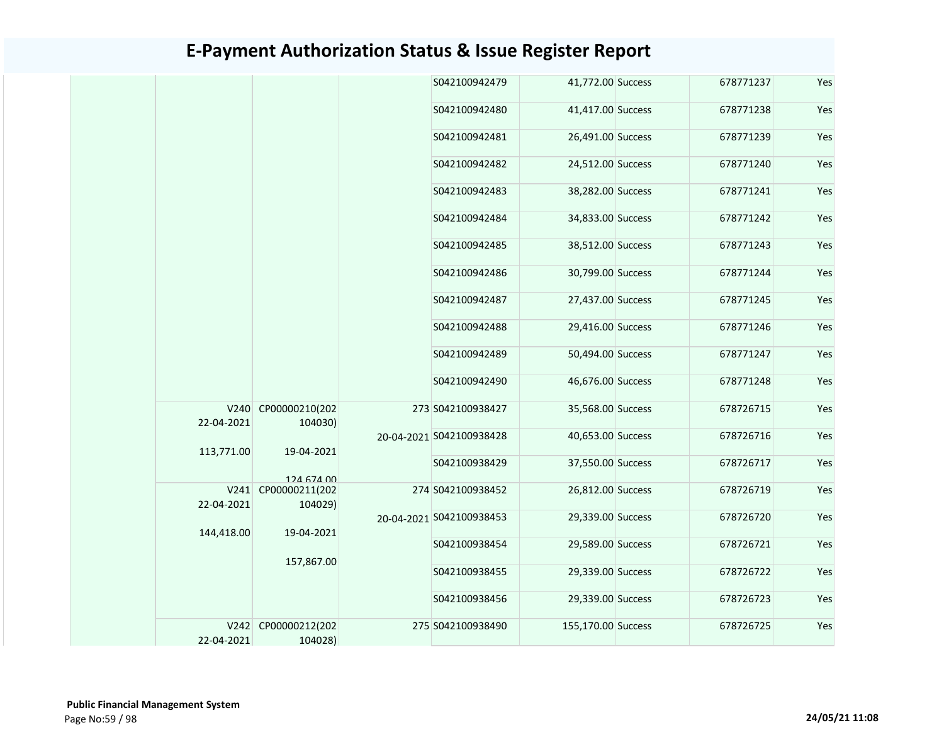| 41,772.00 Success<br>S042100942479<br>678771237<br>41,417.00 Success<br>S042100942480<br>678771238<br>26,491.00 Success<br>S042100942481<br>678771239<br>S042100942482<br>24,512.00 Success<br>678771240<br>S042100942483<br>38,282.00 Success<br>678771241<br>34,833.00 Success<br>S042100942484<br>678771242<br>S042100942485<br>38,512.00 Success<br>678771243<br>30,799.00 Success<br>678771244<br>S042100942486<br>S042100942487<br>27,437.00 Success<br>678771245<br>S042100942488<br>29,416.00 Success<br>678771246<br>50,494.00 Success<br>S042100942489<br>678771247<br>46,676.00 Success<br>S042100942490<br>678771248 |  |  |  |     |
|----------------------------------------------------------------------------------------------------------------------------------------------------------------------------------------------------------------------------------------------------------------------------------------------------------------------------------------------------------------------------------------------------------------------------------------------------------------------------------------------------------------------------------------------------------------------------------------------------------------------------------|--|--|--|-----|
|                                                                                                                                                                                                                                                                                                                                                                                                                                                                                                                                                                                                                                  |  |  |  | Yes |
|                                                                                                                                                                                                                                                                                                                                                                                                                                                                                                                                                                                                                                  |  |  |  | Yes |
|                                                                                                                                                                                                                                                                                                                                                                                                                                                                                                                                                                                                                                  |  |  |  | Yes |
|                                                                                                                                                                                                                                                                                                                                                                                                                                                                                                                                                                                                                                  |  |  |  | Yes |
|                                                                                                                                                                                                                                                                                                                                                                                                                                                                                                                                                                                                                                  |  |  |  | Yes |
|                                                                                                                                                                                                                                                                                                                                                                                                                                                                                                                                                                                                                                  |  |  |  | Yes |
|                                                                                                                                                                                                                                                                                                                                                                                                                                                                                                                                                                                                                                  |  |  |  | Yes |
|                                                                                                                                                                                                                                                                                                                                                                                                                                                                                                                                                                                                                                  |  |  |  | Yes |
|                                                                                                                                                                                                                                                                                                                                                                                                                                                                                                                                                                                                                                  |  |  |  | Yes |
|                                                                                                                                                                                                                                                                                                                                                                                                                                                                                                                                                                                                                                  |  |  |  | Yes |
|                                                                                                                                                                                                                                                                                                                                                                                                                                                                                                                                                                                                                                  |  |  |  | Yes |
|                                                                                                                                                                                                                                                                                                                                                                                                                                                                                                                                                                                                                                  |  |  |  | Yes |
| V240 CP00000210(202<br>273 S042100938427<br>35,568.00 Success<br>678726715<br>22-04-2021<br>104030)                                                                                                                                                                                                                                                                                                                                                                                                                                                                                                                              |  |  |  | Yes |
| 40,653.00 Success<br>678726716<br>20-04-2021 S042100938428<br>113,771.00<br>19-04-2021                                                                                                                                                                                                                                                                                                                                                                                                                                                                                                                                           |  |  |  | Yes |
| S042100938429<br>37,550.00 Success<br>678726717                                                                                                                                                                                                                                                                                                                                                                                                                                                                                                                                                                                  |  |  |  | Yes |
| 124 674 00<br>V241 CP00000211(202<br>26,812.00 Success<br>274 S042100938452<br>678726719<br>22-04-2021<br>104029)                                                                                                                                                                                                                                                                                                                                                                                                                                                                                                                |  |  |  | Yes |
| 29,339.00 Success<br>678726720<br>20-04-2021 S042100938453                                                                                                                                                                                                                                                                                                                                                                                                                                                                                                                                                                       |  |  |  | Yes |
| 144,418.00<br>19-04-2021<br>S042100938454<br>29,589.00 Success<br>678726721                                                                                                                                                                                                                                                                                                                                                                                                                                                                                                                                                      |  |  |  | Yes |
| 157,867.00<br>S042100938455<br>29,339.00 Success<br>678726722                                                                                                                                                                                                                                                                                                                                                                                                                                                                                                                                                                    |  |  |  | Yes |
| S042100938456<br>29,339.00 Success<br>678726723                                                                                                                                                                                                                                                                                                                                                                                                                                                                                                                                                                                  |  |  |  | Yes |
| V242 CP00000212(202<br>275 S042100938490<br>155,170.00 Success<br>678726725<br>22-04-2021<br>104028)                                                                                                                                                                                                                                                                                                                                                                                                                                                                                                                             |  |  |  | Yes |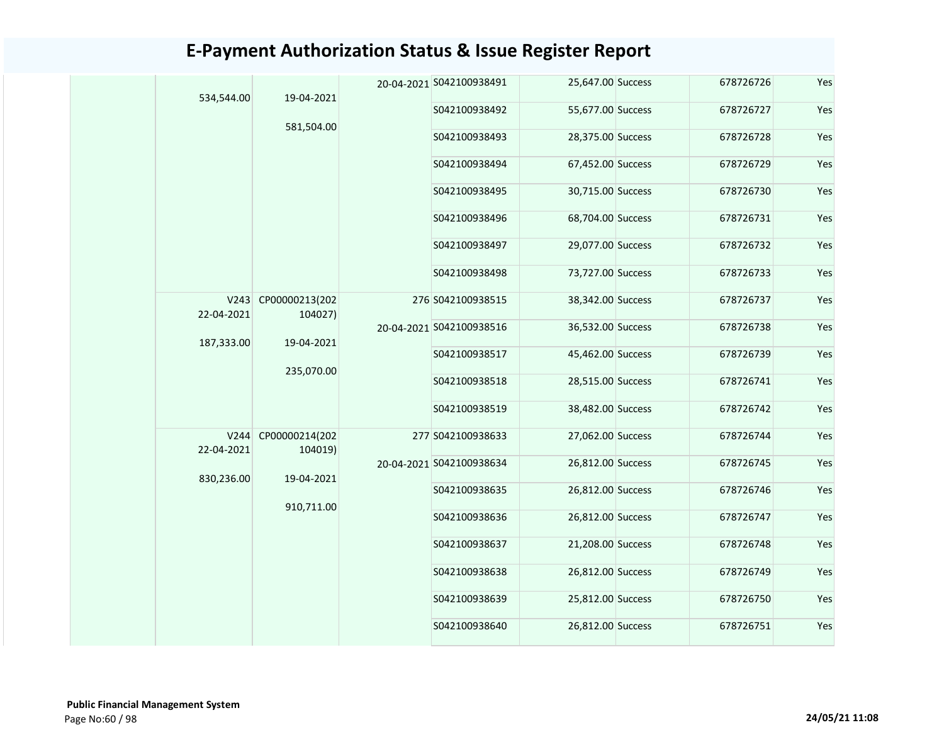|  | 534,544.00         | 19-04-2021                |  | 20-04-2021 S042100938491 | 25,647.00 Success | 678726726 | Yes |               |                   |           |     |
|--|--------------------|---------------------------|--|--------------------------|-------------------|-----------|-----|---------------|-------------------|-----------|-----|
|  |                    | 581,504.00                |  | S042100938492            | 55,677.00 Success | 678726727 | Yes |               |                   |           |     |
|  |                    |                           |  | S042100938493            | 28,375.00 Success | 678726728 | Yes |               |                   |           |     |
|  |                    |                           |  |                          |                   |           |     | S042100938494 | 67,452.00 Success | 678726729 | Yes |
|  |                    |                           |  | S042100938495            | 30,715.00 Success | 678726730 | Yes |               |                   |           |     |
|  |                    |                           |  | S042100938496            | 68,704.00 Success | 678726731 | Yes |               |                   |           |     |
|  |                    |                           |  | S042100938497            | 29,077.00 Success | 678726732 | Yes |               |                   |           |     |
|  |                    |                           |  | S042100938498            | 73,727.00 Success | 678726733 | Yes |               |                   |           |     |
|  | V243<br>22-04-2021 | CP00000213(202<br>104027) |  | 276 S042100938515        | 38,342.00 Success | 678726737 | Yes |               |                   |           |     |
|  | 187,333.00         | 19-04-2021<br>235,070.00  |  | 20-04-2021 S042100938516 | 36,532.00 Success | 678726738 | Yes |               |                   |           |     |
|  |                    |                           |  | S042100938517            | 45,462.00 Success | 678726739 | Yes |               |                   |           |     |
|  |                    |                           |  | S042100938518            | 28,515.00 Success | 678726741 | Yes |               |                   |           |     |
|  |                    |                           |  | S042100938519            | 38,482.00 Success | 678726742 | Yes |               |                   |           |     |
|  | V244<br>22-04-2021 | CP00000214(202<br>104019) |  | 277 S042100938633        | 27,062.00 Success | 678726744 | Yes |               |                   |           |     |
|  | 830,236.00         | 19-04-2021                |  | 20-04-2021 S042100938634 | 26,812.00 Success | 678726745 | Yes |               |                   |           |     |
|  |                    | 910,711.00                |  | S042100938635            | 26,812.00 Success | 678726746 | Yes |               |                   |           |     |
|  |                    |                           |  | S042100938636            | 26,812.00 Success | 678726747 | Yes |               |                   |           |     |
|  |                    |                           |  | S042100938637            | 21,208.00 Success | 678726748 | Yes |               |                   |           |     |
|  |                    |                           |  | S042100938638            | 26,812.00 Success | 678726749 | Yes |               |                   |           |     |
|  |                    |                           |  | S042100938639            | 25,812.00 Success | 678726750 | Yes |               |                   |           |     |
|  |                    |                           |  | S042100938640            | 26,812.00 Success | 678726751 | Yes |               |                   |           |     |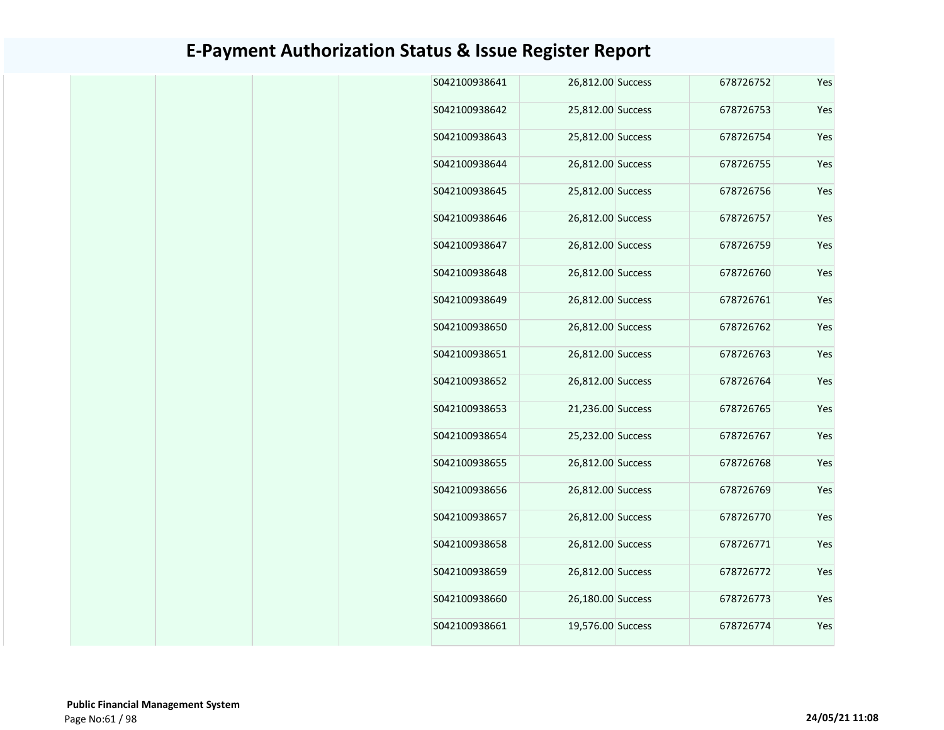| 678726752 |  | S042100938641                                                                                                                                                                                                                                                                                                                                                                                                                                         |
|-----------|--|-------------------------------------------------------------------------------------------------------------------------------------------------------------------------------------------------------------------------------------------------------------------------------------------------------------------------------------------------------------------------------------------------------------------------------------------------------|
| 678726753 |  | S042100938642                                                                                                                                                                                                                                                                                                                                                                                                                                         |
| 678726754 |  | S042100938643                                                                                                                                                                                                                                                                                                                                                                                                                                         |
| 678726755 |  | S042100938644                                                                                                                                                                                                                                                                                                                                                                                                                                         |
| 678726756 |  | S042100938645                                                                                                                                                                                                                                                                                                                                                                                                                                         |
| 678726757 |  | S042100938646                                                                                                                                                                                                                                                                                                                                                                                                                                         |
| 678726759 |  | S042100938647                                                                                                                                                                                                                                                                                                                                                                                                                                         |
| 678726760 |  | S042100938648                                                                                                                                                                                                                                                                                                                                                                                                                                         |
| 678726761 |  | S042100938649                                                                                                                                                                                                                                                                                                                                                                                                                                         |
| 678726762 |  | S042100938650                                                                                                                                                                                                                                                                                                                                                                                                                                         |
| 678726763 |  | S042100938651                                                                                                                                                                                                                                                                                                                                                                                                                                         |
| 678726764 |  | S042100938652                                                                                                                                                                                                                                                                                                                                                                                                                                         |
| 678726765 |  | S042100938653                                                                                                                                                                                                                                                                                                                                                                                                                                         |
| 678726767 |  | S042100938654                                                                                                                                                                                                                                                                                                                                                                                                                                         |
| 678726768 |  | S042100938655                                                                                                                                                                                                                                                                                                                                                                                                                                         |
| 678726769 |  | S042100938656                                                                                                                                                                                                                                                                                                                                                                                                                                         |
| 678726770 |  | S042100938657                                                                                                                                                                                                                                                                                                                                                                                                                                         |
| 678726771 |  | S042100938658                                                                                                                                                                                                                                                                                                                                                                                                                                         |
| 678726772 |  | S042100938659                                                                                                                                                                                                                                                                                                                                                                                                                                         |
| 678726773 |  | S042100938660                                                                                                                                                                                                                                                                                                                                                                                                                                         |
| 678726774 |  | S042100938661                                                                                                                                                                                                                                                                                                                                                                                                                                         |
|           |  | 26,812.00 Success<br>25,812.00 Success<br>25,812.00 Success<br>26,812.00 Success<br>25,812.00 Success<br>26,812.00 Success<br>26,812.00 Success<br>26,812.00 Success<br>26,812.00 Success<br>26,812.00 Success<br>26,812.00 Success<br>26,812.00 Success<br>21,236.00 Success<br>25,232.00 Success<br>26,812.00 Success<br>26,812.00 Success<br>26,812.00 Success<br>26,812.00 Success<br>26,812.00 Success<br>26,180.00 Success<br>19,576.00 Success |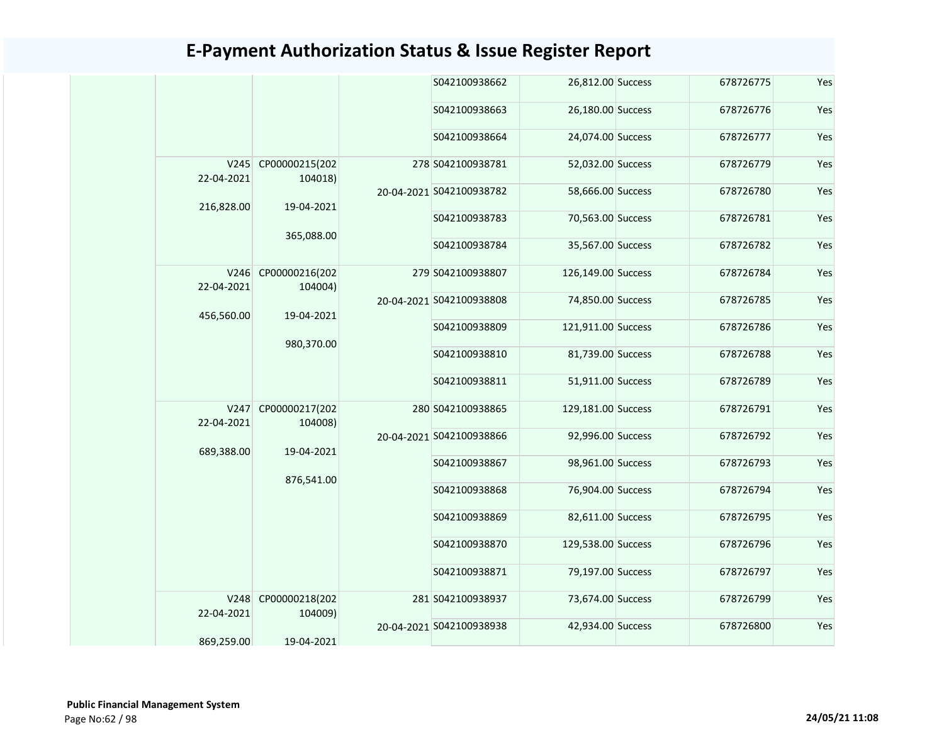|                    |                           |            | S042100938662            | 26,812.00 Success  | 678726775 | Yes |
|--------------------|---------------------------|------------|--------------------------|--------------------|-----------|-----|
|                    |                           |            | S042100938663            | 26,180.00 Success  | 678726776 | Yes |
|                    |                           |            | S042100938664            | 24,074.00 Success  | 678726777 | Yes |
| V245<br>22-04-2021 | CP00000215(202<br>104018) |            | 278 S042100938781        | 52,032.00 Success  | 678726779 | Yes |
|                    |                           |            | 20-04-2021 S042100938782 | 58,666.00 Success  | 678726780 | Yes |
| 216,828.00         | 19-04-2021                |            | S042100938783            | 70,563.00 Success  | 678726781 | Yes |
|                    | 365,088.00                |            | S042100938784            | 35,567.00 Success  | 678726782 | Yes |
| V246<br>22-04-2021 | CP00000216(202<br>104004) |            | 279 S042100938807        | 126,149.00 Success | 678726784 | Yes |
|                    |                           | 19-04-2021 | 20-04-2021 S042100938808 | 74,850.00 Success  | 678726785 | Yes |
| 456,560.00         | 980,370.00                |            | S042100938809            | 121,911.00 Success | 678726786 | Yes |
|                    |                           |            | S042100938810            | 81,739.00 Success  | 678726788 | Yes |
|                    |                           |            | S042100938811            | 51,911.00 Success  | 678726789 | Yes |
| V247<br>22-04-2021 | CP00000217(202<br>104008) |            | 280 S042100938865        | 129,181.00 Success | 678726791 | Yes |
| 689,388.00         | 19-04-2021                |            | 20-04-2021 S042100938866 | 92,996.00 Success  | 678726792 | Yes |
|                    |                           |            | S042100938867            | 98,961.00 Success  | 678726793 | Yes |
|                    | 876,541.00                |            | S042100938868            | 76,904.00 Success  | 678726794 | Yes |
|                    |                           |            | S042100938869            | 82,611.00 Success  | 678726795 | Yes |
|                    |                           |            | S042100938870            | 129,538.00 Success | 678726796 | Yes |
|                    |                           |            | S042100938871            | 79,197.00 Success  | 678726797 | Yes |
| V248<br>22-04-2021 | CP00000218(202<br>104009) |            | 281 S042100938937        | 73,674.00 Success  | 678726799 | Yes |
| 869,259.00         | 19-04-2021                |            | 20-04-2021 S042100938938 | 42,934.00 Success  | 678726800 | Yes |
|                    |                           |            |                          |                    |           |     |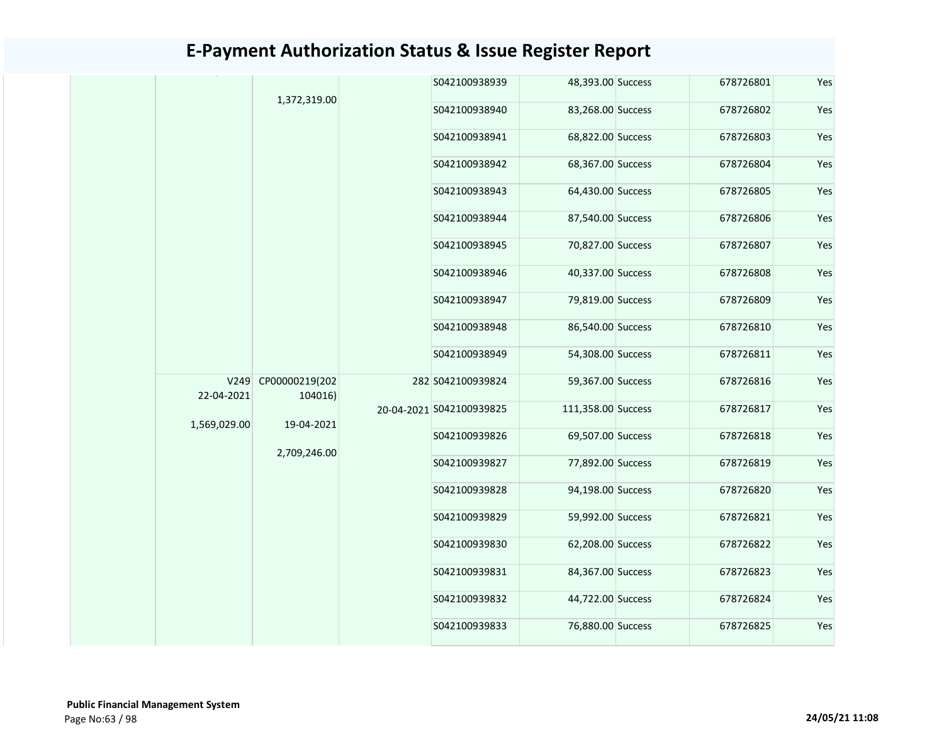|                    |                           |                            | S042100938939            | 48,393.00 Success  | 678726801 | Yes |
|--------------------|---------------------------|----------------------------|--------------------------|--------------------|-----------|-----|
|                    | 1,372,319.00              |                            | S042100938940            | 83,268.00 Success  | 678726802 | Yes |
|                    |                           |                            | S042100938941            | 68,822.00 Success  | 678726803 | Yes |
|                    |                           |                            | S042100938942            | 68,367.00 Success  | 678726804 | Yes |
|                    |                           |                            | S042100938943            | 64,430.00 Success  | 678726805 | Yes |
|                    |                           |                            | S042100938944            | 87,540.00 Success  | 678726806 | Yes |
|                    |                           |                            | S042100938945            | 70,827.00 Success  | 678726807 | Yes |
|                    |                           |                            | S042100938946            | 40,337.00 Success  | 678726808 | Yes |
|                    |                           |                            | S042100938947            | 79,819.00 Success  | 678726809 | Yes |
|                    |                           |                            | S042100938948            | 86,540.00 Success  | 678726810 | Yes |
|                    |                           |                            | S042100938949            | 54,308.00 Success  | 678726811 | Yes |
| V249<br>22-04-2021 | CP00000219(202<br>104016) | 19-04-2021<br>2,709,246.00 | 282 S042100939824        | 59,367.00 Success  | 678726816 | Yes |
|                    |                           |                            | 20-04-2021 S042100939825 | 111,358.00 Success | 678726817 | Yes |
| 1,569,029.00       |                           |                            | S042100939826            | 69,507.00 Success  | 678726818 | Yes |
|                    |                           |                            | S042100939827            | 77,892.00 Success  | 678726819 | Yes |
|                    |                           |                            | S042100939828            | 94,198.00 Success  | 678726820 | Yes |
|                    |                           |                            | S042100939829            | 59,992.00 Success  | 678726821 | Yes |
|                    |                           |                            | S042100939830            | 62,208.00 Success  | 678726822 | Yes |
|                    |                           |                            | S042100939831            | 84,367.00 Success  | 678726823 | Yes |
|                    |                           |                            | S042100939832            | 44,722.00 Success  | 678726824 | Yes |
|                    |                           |                            | S042100939833            | 76,880.00 Success  | 678726825 | Yes |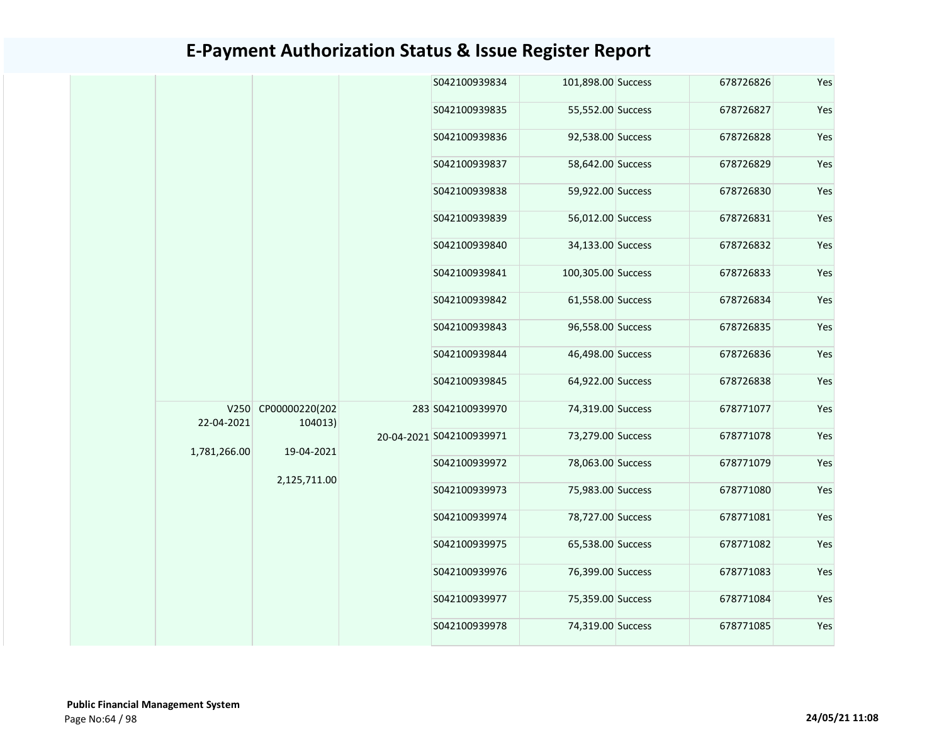|  |              |                                              | S042100939834 | 101,898.00 Success       | 678726826          | Yes       |     |
|--|--------------|----------------------------------------------|---------------|--------------------------|--------------------|-----------|-----|
|  |              |                                              |               | S042100939835            | 55,552.00 Success  | 678726827 | Yes |
|  |              |                                              |               | S042100939836            | 92,538.00 Success  | 678726828 | Yes |
|  |              |                                              |               | S042100939837            | 58,642.00 Success  | 678726829 | Yes |
|  |              |                                              |               | S042100939838            | 59,922.00 Success  | 678726830 | Yes |
|  |              |                                              |               | S042100939839            | 56,012.00 Success  | 678726831 | Yes |
|  |              |                                              |               | S042100939840            | 34,133.00 Success  | 678726832 | Yes |
|  |              |                                              |               | S042100939841            | 100,305.00 Success | 678726833 | Yes |
|  |              |                                              |               | S042100939842            | 61,558.00 Success  | 678726834 | Yes |
|  |              |                                              |               | S042100939843            | 96,558.00 Success  | 678726835 | Yes |
|  |              |                                              |               | S042100939844            | 46,498.00 Success  | 678726836 | Yes |
|  |              |                                              | S042100939845 | 64,922.00 Success        | 678726838          | Yes       |     |
|  | 22-04-2021   | V250 CP00000220(202<br>104013)<br>19-04-2021 |               | 283 S042100939970        | 74,319.00 Success  | 678771077 | Yes |
|  | 1,781,266.00 |                                              |               | 20-04-2021 S042100939971 | 73,279.00 Success  | 678771078 | Yes |
|  |              | 2,125,711.00                                 |               | S042100939972            | 78,063.00 Success  | 678771079 | Yes |
|  |              |                                              |               | S042100939973            | 75,983.00 Success  | 678771080 | Yes |
|  |              |                                              |               | S042100939974            | 78,727.00 Success  | 678771081 | Yes |
|  |              |                                              |               | S042100939975            | 65,538.00 Success  | 678771082 | Yes |
|  |              |                                              |               | S042100939976            | 76,399.00 Success  | 678771083 | Yes |
|  |              |                                              |               | S042100939977            | 75,359.00 Success  | 678771084 | Yes |
|  |              |                                              |               | S042100939978            | 74,319.00 Success  | 678771085 | Yes |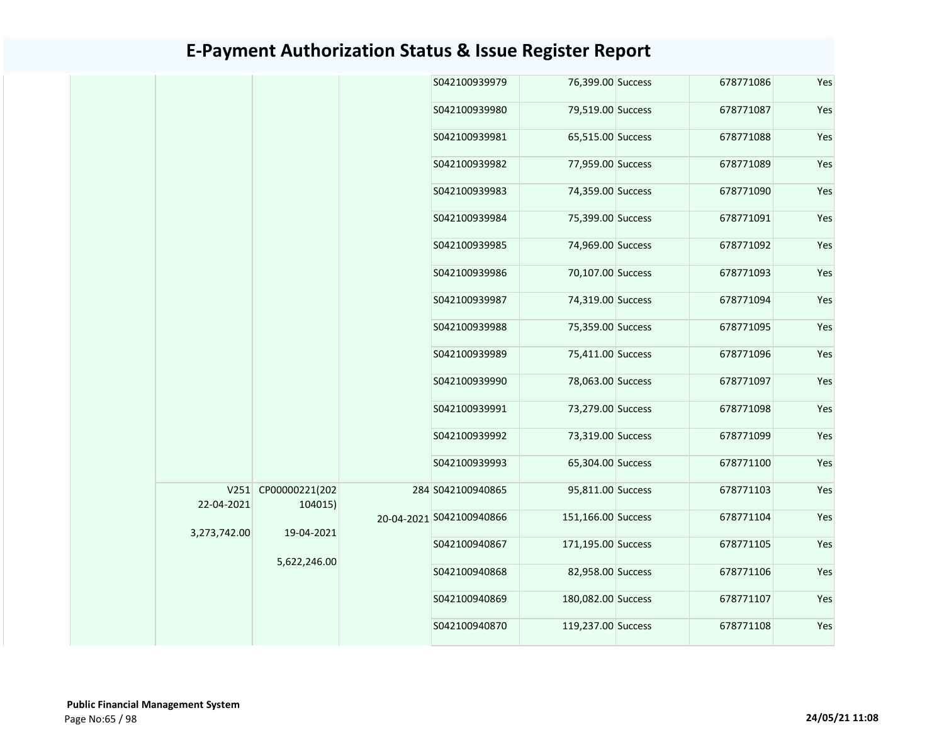|  |              |                            |  | S042100939979                                |                                               | 678771086                                                                                                                                                                                                                                                                                                                                                                                                                                                 | Yes       |
|--|--------------|----------------------------|--|----------------------------------------------|-----------------------------------------------|-----------------------------------------------------------------------------------------------------------------------------------------------------------------------------------------------------------------------------------------------------------------------------------------------------------------------------------------------------------------------------------------------------------------------------------------------------------|-----------|
|  |              |                            |  | S042100939980                                |                                               | 678771087                                                                                                                                                                                                                                                                                                                                                                                                                                                 | Yes       |
|  |              |                            |  | S042100939981                                |                                               | 678771088                                                                                                                                                                                                                                                                                                                                                                                                                                                 | Yes       |
|  |              |                            |  | S042100939982                                |                                               | 678771089                                                                                                                                                                                                                                                                                                                                                                                                                                                 | Yes       |
|  |              |                            |  | S042100939983                                |                                               | 678771090                                                                                                                                                                                                                                                                                                                                                                                                                                                 | Yes       |
|  |              |                            |  | S042100939984                                |                                               | 678771091                                                                                                                                                                                                                                                                                                                                                                                                                                                 | Yes       |
|  |              |                            |  | S042100939985                                |                                               | 678771092                                                                                                                                                                                                                                                                                                                                                                                                                                                 | Yes       |
|  |              |                            |  | S042100939986                                |                                               | 678771093                                                                                                                                                                                                                                                                                                                                                                                                                                                 | Yes       |
|  |              |                            |  | S042100939987                                |                                               | 678771094                                                                                                                                                                                                                                                                                                                                                                                                                                                 | Yes       |
|  |              |                            |  | S042100939988                                |                                               | 678771095                                                                                                                                                                                                                                                                                                                                                                                                                                                 | Yes       |
|  |              |                            |  | S042100939989                                |                                               | 678771096                                                                                                                                                                                                                                                                                                                                                                                                                                                 | Yes       |
|  |              |                            |  | S042100939990                                |                                               | 678771097                                                                                                                                                                                                                                                                                                                                                                                                                                                 | Yes       |
|  |              |                            |  | S042100939991                                |                                               | 678771098                                                                                                                                                                                                                                                                                                                                                                                                                                                 | Yes       |
|  |              |                            |  | S042100939992                                |                                               | 678771099                                                                                                                                                                                                                                                                                                                                                                                                                                                 | Yes       |
|  |              |                            |  | S042100939993                                |                                               | 678771100                                                                                                                                                                                                                                                                                                                                                                                                                                                 | Yes       |
|  |              |                            |  |                                              |                                               | 678771103                                                                                                                                                                                                                                                                                                                                                                                                                                                 | Yes       |
|  |              |                            |  |                                              |                                               | 678771104                                                                                                                                                                                                                                                                                                                                                                                                                                                 | Yes       |
|  |              |                            |  | S042100940867                                |                                               | 678771105                                                                                                                                                                                                                                                                                                                                                                                                                                                 | Yes       |
|  | 5,622,246.00 |                            |  | S042100940868                                |                                               | 678771106                                                                                                                                                                                                                                                                                                                                                                                                                                                 | Yes       |
|  |              |                            |  |                                              | S042100940869                                 |                                                                                                                                                                                                                                                                                                                                                                                                                                                           | 678771107 |
|  |              |                            |  | S042100940870                                |                                               | 678771108                                                                                                                                                                                                                                                                                                                                                                                                                                                 | Yes       |
|  |              | 22-04-2021<br>3,273,742.00 |  | V251 CP00000221(202<br>104015)<br>19-04-2021 | 284 S042100940865<br>20-04-2021 S042100940866 | 76,399.00 Success<br>79,519.00 Success<br>65,515.00 Success<br>77,959.00 Success<br>74,359.00 Success<br>75,399.00 Success<br>74,969.00 Success<br>70,107.00 Success<br>74,319.00 Success<br>75,359.00 Success<br>75,411.00 Success<br>78,063.00 Success<br>73,279.00 Success<br>73,319.00 Success<br>65,304.00 Success<br>95,811.00 Success<br>151,166.00 Success<br>171,195.00 Success<br>82,958.00 Success<br>180,082.00 Success<br>119,237.00 Success |           |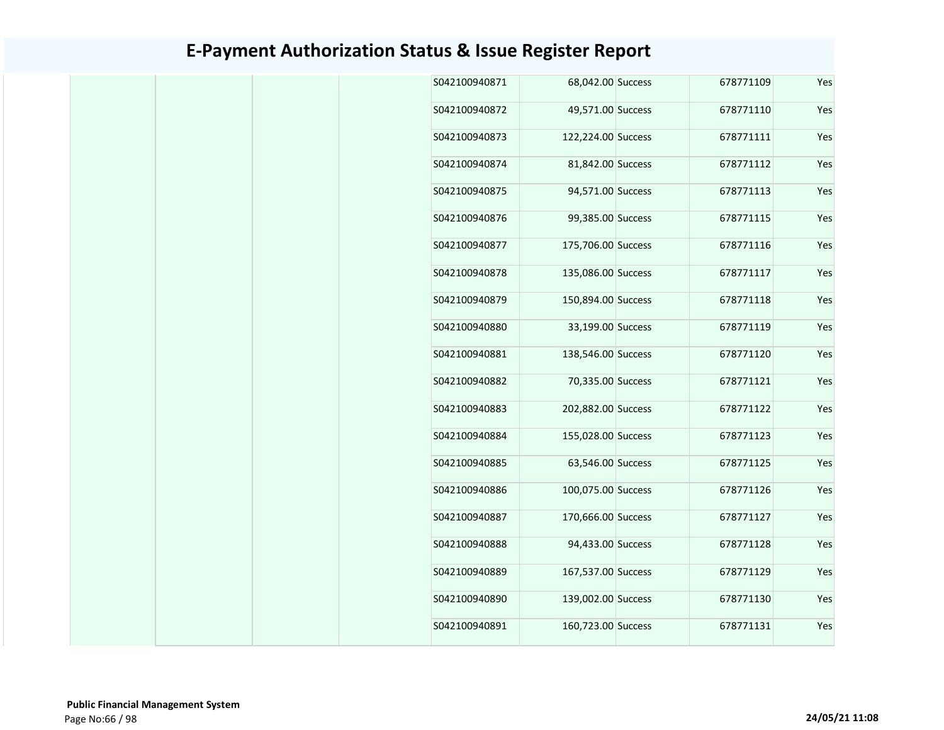| Yes | 678771109 | 68,042.00 Success  | S042100940871 |
|-----|-----------|--------------------|---------------|
| Yes | 678771110 | 49,571.00 Success  | S042100940872 |
| Yes | 678771111 | 122,224.00 Success | S042100940873 |
| Yes | 678771112 | 81,842.00 Success  | S042100940874 |
| Yes | 678771113 | 94,571.00 Success  | S042100940875 |
| Yes | 678771115 | 99,385.00 Success  | S042100940876 |
| Yes | 678771116 | 175,706.00 Success | S042100940877 |
| Yes | 678771117 | 135,086.00 Success | S042100940878 |
| Yes | 678771118 | 150,894.00 Success | S042100940879 |
| Yes | 678771119 | 33,199.00 Success  | S042100940880 |
| Yes | 678771120 | 138,546.00 Success | S042100940881 |
| Yes | 678771121 | 70,335.00 Success  | S042100940882 |
| Yes | 678771122 | 202,882.00 Success | S042100940883 |
| Yes | 678771123 | 155,028.00 Success | S042100940884 |
| Yes | 678771125 | 63,546.00 Success  | S042100940885 |
| Yes | 678771126 | 100,075.00 Success | S042100940886 |
| Yes | 678771127 | 170,666.00 Success | S042100940887 |
| Yes | 678771128 | 94,433.00 Success  | S042100940888 |
| Yes | 678771129 | 167,537.00 Success | S042100940889 |
| Yes | 678771130 | 139,002.00 Success | S042100940890 |
| Yes | 678771131 | 160,723.00 Success | S042100940891 |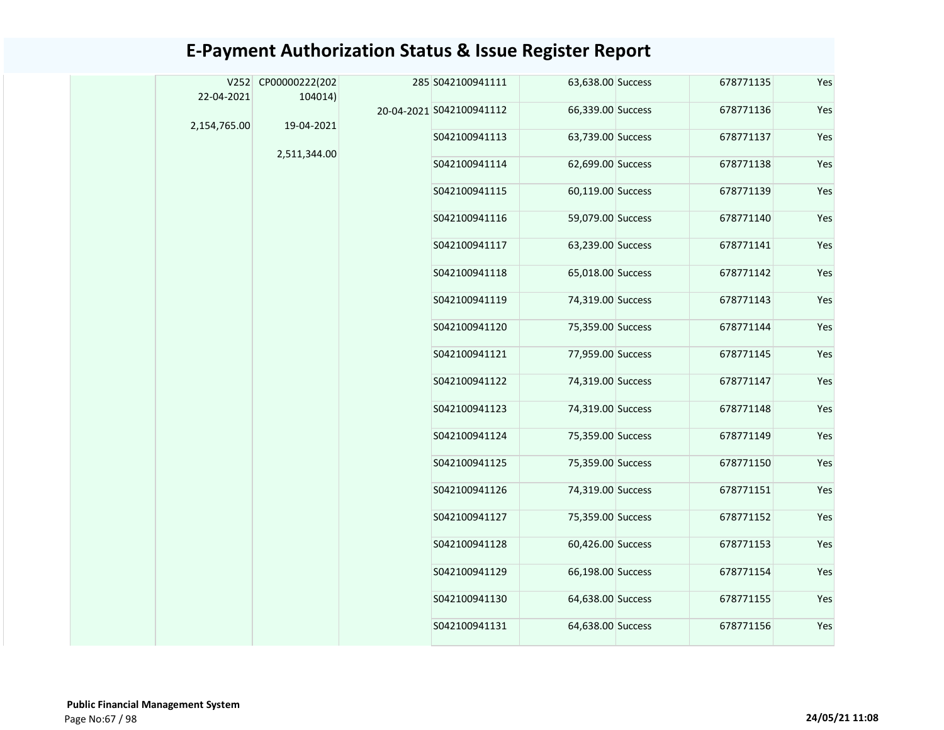### 63,638.00 Success 678771135 Yes 66,339.00 Success 678771136 Yes S042100941113 63,739.00 Success 678771137 Yes S042100941114 62,699.00 Success 678771138 Yes S042100941115 60,119.00 Success 678771139 Yes S042100941116 59,079.00 Success 678771140 Yes S042100941117 63,239.00 Success 678771141 Yes S042100941118 65,018.00 Success 678771142 Yes S042100941119 74,319.00 Success 678771143 Yes S042100941120 75,359.00 Success 678771144 Yes S042100941121 77,959.00 Success 678771145 Yes S042100941122 74,319.00 Success 678771147 Yes S042100941123 74,319.00 Success 678771148 Yes S042100941124 75,359.00 Success 678771149 Yes S042100941125 75,359.00 Success 678771150 Yes S042100941126 74,319.00 Success 678771151 Yes S042100941127 75,359.00 Success 678771152 Yes S042100941128 60,426.00 Success 678771153 Yes S042100941129 66,198.00 Success 678771154 Yes S042100941130 64,638.00 Success 678771155 Yes S042100941131 64,638.00 Success 678771156 Yes V252 CP00000222(202 22-04-2021 2,154,765.00 104014) 19-04-2021 2,511,344.00 285 S042100941111 20-04-2021 S042100941112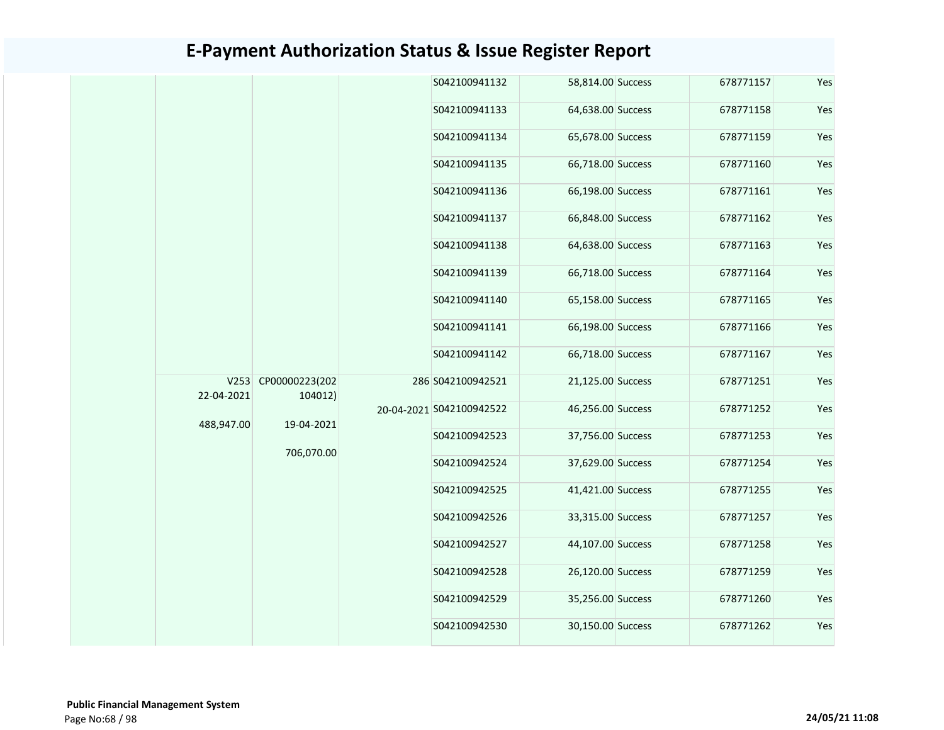|  |  |                                                                          |                   | S042100941132            | 58,814.00 Success | 678771157     | Yes               |               |                   |           |     |
|--|--|--------------------------------------------------------------------------|-------------------|--------------------------|-------------------|---------------|-------------------|---------------|-------------------|-----------|-----|
|  |  |                                                                          |                   | S042100941133            | 64,638.00 Success | 678771158     | Yes               |               |                   |           |     |
|  |  |                                                                          |                   |                          |                   | S042100941134 | 65,678.00 Success | 678771159     | Yes               |           |     |
|  |  |                                                                          |                   | S042100941135            | 66,718.00 Success | 678771160     | Yes               |               |                   |           |     |
|  |  |                                                                          |                   | S042100941136            | 66,198.00 Success | 678771161     | Yes               |               |                   |           |     |
|  |  |                                                                          |                   |                          |                   | S042100941137 | 66,848.00 Success | 678771162     | Yes               |           |     |
|  |  |                                                                          |                   | S042100941138            | 64,638.00 Success | 678771163     | Yes               |               |                   |           |     |
|  |  |                                                                          |                   | S042100941139            | 66,718.00 Success | 678771164     | Yes               |               |                   |           |     |
|  |  |                                                                          |                   | S042100941140            | 65,158.00 Success | 678771165     | Yes               |               |                   |           |     |
|  |  |                                                                          |                   |                          |                   |               |                   | S042100941141 | 66,198.00 Success | 678771166 | Yes |
|  |  | V253 CP00000223(202<br>22-04-2021<br>104012)<br>488,947.00<br>19-04-2021 |                   |                          |                   | S042100941142 | 66,718.00 Success | 678771167     | Yes               |           |     |
|  |  |                                                                          | 286 S042100942521 | 21,125.00 Success        | 678771251         | Yes           |                   |               |                   |           |     |
|  |  |                                                                          |                   | 20-04-2021 S042100942522 | 46,256.00 Success | 678771252     | Yes               |               |                   |           |     |
|  |  |                                                                          | S042100942523     | 37,756.00 Success        | 678771253         | Yes           |                   |               |                   |           |     |
|  |  | 706,070.00                                                               |                   | S042100942524            | 37,629.00 Success | 678771254     | Yes               |               |                   |           |     |
|  |  |                                                                          |                   | S042100942525            | 41,421.00 Success | 678771255     | Yes               |               |                   |           |     |
|  |  |                                                                          |                   | S042100942526            | 33,315.00 Success | 678771257     | Yes               |               |                   |           |     |
|  |  |                                                                          |                   | S042100942527            | 44,107.00 Success | 678771258     | Yes               |               |                   |           |     |
|  |  |                                                                          |                   | S042100942528            | 26,120.00 Success | 678771259     | Yes               |               |                   |           |     |
|  |  |                                                                          |                   | S042100942529            | 35,256.00 Success | 678771260     | Yes               |               |                   |           |     |
|  |  |                                                                          | S042100942530     | 30,150.00 Success        | 678771262         | Yes           |                   |               |                   |           |     |
|  |  |                                                                          |                   |                          |                   |               |                   |               |                   |           |     |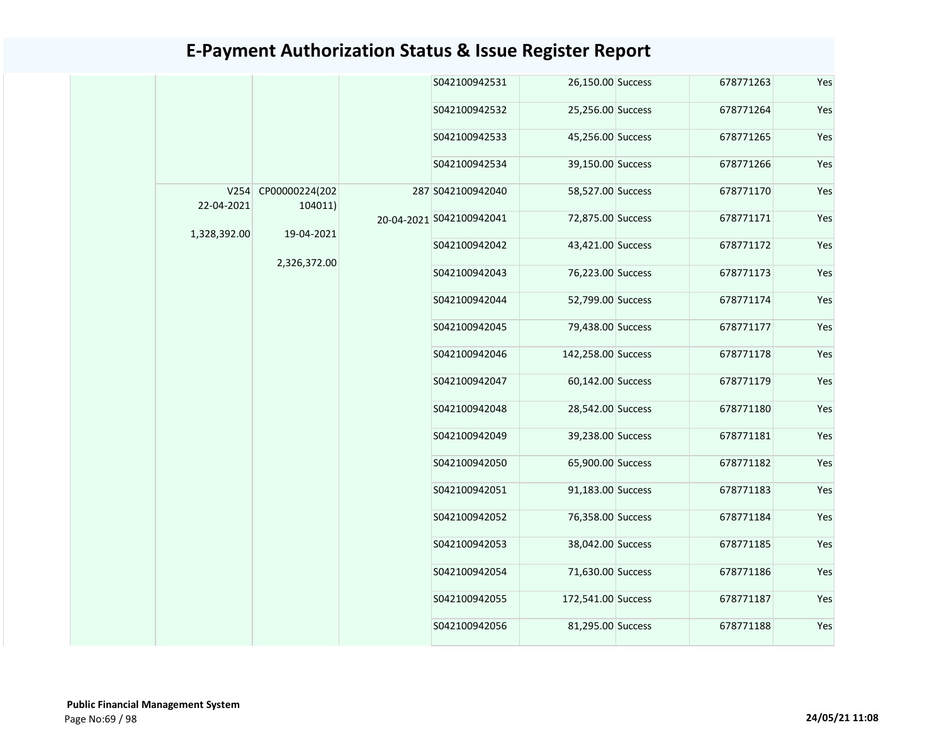|              |                                |               | S042100942531            | 26,150.00 Success  | 678771263         | Yes       |     |  |  |  |
|--------------|--------------------------------|---------------|--------------------------|--------------------|-------------------|-----------|-----|--|--|--|
|              |                                |               | S042100942532            | 25,256.00 Success  | 678771264         | Yes       |     |  |  |  |
|              |                                |               | S042100942533            | 45,256.00 Success  | 678771265         | Yes       |     |  |  |  |
|              |                                | S042100942534 | 39,150.00 Success        | 678771266          | Yes               |           |     |  |  |  |
| 22-04-2021   | V254 CP00000224(202<br>104011) |               | 287 S042100942040        | 58,527.00 Success  | 678771170         | Yes       |     |  |  |  |
|              |                                |               | 20-04-2021 S042100942041 | 72,875.00 Success  | 678771171         | Yes       |     |  |  |  |
| 1,328,392.00 | 19-04-2021<br>2,326,372.00     |               |                          | S042100942042      | 43,421.00 Success | 678771172 | Yes |  |  |  |
|              |                                |               |                          |                    |                   |           |     |  |  |  |
|              |                                |               | S042100942043            | 76,223.00 Success  | 678771173         | Yes       |     |  |  |  |
|              |                                |               | S042100942044            | 52,799.00 Success  | 678771174         | Yes       |     |  |  |  |
|              |                                |               | S042100942045            | 79,438.00 Success  | 678771177         | Yes       |     |  |  |  |
|              |                                |               | S042100942046            | 142,258.00 Success | 678771178         | Yes       |     |  |  |  |
|              |                                |               | S042100942047            | 60,142.00 Success  | 678771179         | Yes       |     |  |  |  |
|              |                                |               | S042100942048            | 28,542.00 Success  | 678771180         | Yes       |     |  |  |  |
|              |                                |               | S042100942049            | 39,238.00 Success  | 678771181         | Yes       |     |  |  |  |
|              |                                |               | S042100942050            | 65,900.00 Success  | 678771182         | Yes       |     |  |  |  |
|              |                                |               | S042100942051            | 91,183.00 Success  | 678771183         | Yes       |     |  |  |  |
|              |                                |               | S042100942052            | 76,358.00 Success  | 678771184         | Yes       |     |  |  |  |
|              |                                |               | S042100942053            | 38,042.00 Success  | 678771185         | Yes       |     |  |  |  |
|              |                                |               | S042100942054            | 71,630.00 Success  | 678771186         | Yes       |     |  |  |  |
|              |                                |               | S042100942055            | 172,541.00 Success | 678771187         | Yes       |     |  |  |  |
|              |                                |               | S042100942056            | 81,295.00 Success  | 678771188         | Yes       |     |  |  |  |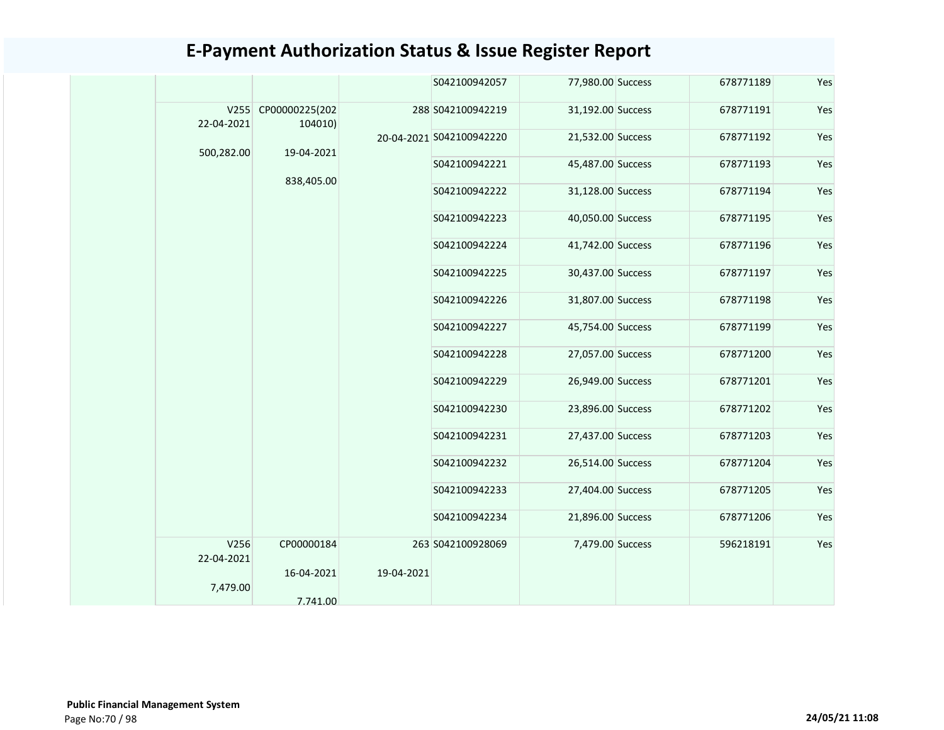|                    |                                |            | S042100942057            | 77,980.00 Success | 678771189 | Yes |
|--------------------|--------------------------------|------------|--------------------------|-------------------|-----------|-----|
| 22-04-2021         | V255 CP00000225(202<br>104010) |            | 288 S042100942219        | 31,192.00 Success | 678771191 | Yes |
|                    |                                |            | 20-04-2021 S042100942220 | 21,532.00 Success | 678771192 | Yes |
| 500,282.00         | 19-04-2021                     |            | S042100942221            | 45,487.00 Success | 678771193 | Yes |
|                    | 838,405.00                     |            | S042100942222            | 31,128.00 Success | 678771194 | Yes |
|                    |                                |            | S042100942223            | 40,050.00 Success | 678771195 | Yes |
|                    |                                |            | S042100942224            | 41,742.00 Success | 678771196 | Yes |
|                    |                                |            | S042100942225            | 30,437.00 Success | 678771197 | Yes |
|                    |                                |            | S042100942226            | 31,807.00 Success | 678771198 | Yes |
|                    |                                |            | S042100942227            | 45,754.00 Success | 678771199 | Yes |
|                    |                                |            | S042100942228            | 27,057.00 Success | 678771200 | Yes |
|                    |                                |            | S042100942229            | 26,949.00 Success | 678771201 | Yes |
|                    |                                |            | S042100942230            | 23,896.00 Success | 678771202 | Yes |
|                    |                                |            | S042100942231            | 27,437.00 Success | 678771203 | Yes |
|                    |                                |            | S042100942232            | 26,514.00 Success | 678771204 | Yes |
|                    |                                |            | S042100942233            | 27,404.00 Success | 678771205 | Yes |
|                    |                                |            | S042100942234            | 21,896.00 Success | 678771206 | Yes |
| V256<br>22-04-2021 | CP00000184                     |            | 263 S042100928069        | 7,479.00 Success  | 596218191 | Yes |
| 7,479.00           | 16-04-2021                     | 19-04-2021 |                          |                   |           |     |
|                    | 7.741.00                       |            |                          |                   |           |     |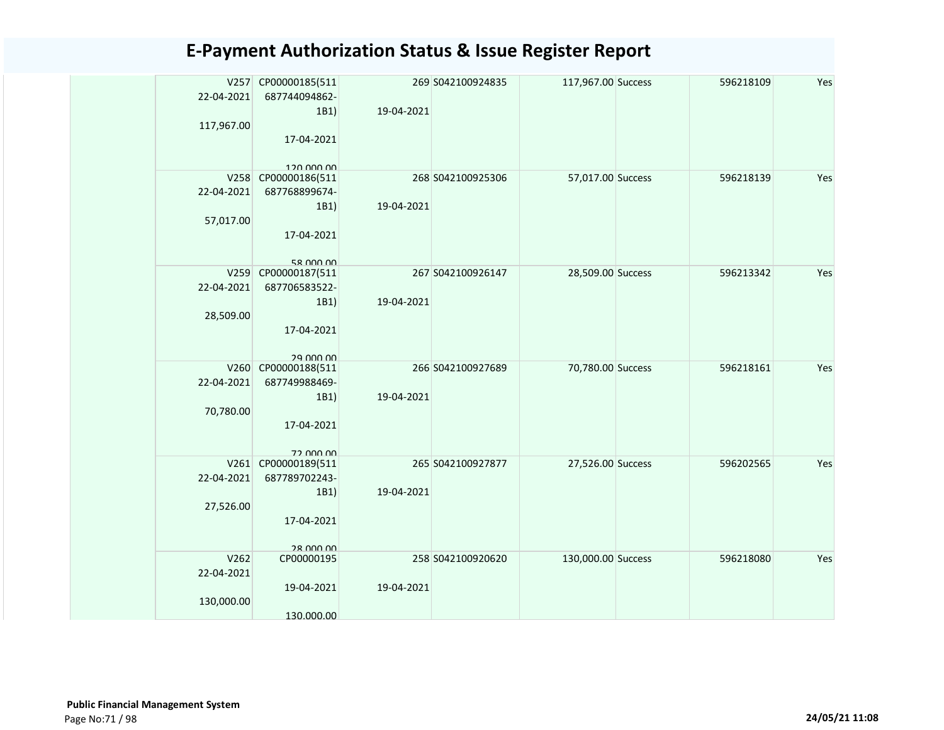|            | V257 CP00000185(511         |            | 269 S042100924835 | 117,967.00 Success | 596218109 | Yes |
|------------|-----------------------------|------------|-------------------|--------------------|-----------|-----|
| 22-04-2021 | 687744094862-               |            |                   |                    |           |     |
|            | 1B1)                        | 19-04-2021 |                   |                    |           |     |
| 117,967.00 |                             |            |                   |                    |           |     |
|            | 17-04-2021                  |            |                   |                    |           |     |
|            | 120,000,00                  |            |                   |                    |           |     |
| V258       | CP00000186(511              |            | 268 S042100925306 | 57,017.00 Success  | 596218139 | Yes |
| 22-04-2021 | 687768899674-               |            |                   |                    |           |     |
|            | 1B1)                        | 19-04-2021 |                   |                    |           |     |
| 57,017.00  |                             |            |                   |                    |           |     |
|            | 17-04-2021                  |            |                   |                    |           |     |
|            |                             |            |                   |                    |           |     |
|            | 58 000 00                   |            |                   |                    |           |     |
| V259       | CP00000187(511              |            | 267 S042100926147 | 28,509.00 Success  | 596213342 | Yes |
| 22-04-2021 | 687706583522-               |            |                   |                    |           |     |
|            | 1B1)                        | 19-04-2021 |                   |                    |           |     |
| 28,509.00  | 17-04-2021                  |            |                   |                    |           |     |
|            |                             |            |                   |                    |           |     |
|            | 29 UUU UU                   |            |                   |                    |           |     |
| V260       | CP00000188(511              |            | 266 S042100927689 | 70,780.00 Success  | 596218161 | Yes |
| 22-04-2021 | 687749988469-               |            |                   |                    |           |     |
|            | 1B1)                        | 19-04-2021 |                   |                    |           |     |
| 70,780.00  |                             |            |                   |                    |           |     |
|            | 17-04-2021                  |            |                   |                    |           |     |
|            |                             |            |                   |                    |           |     |
| V261       | 72 000 00<br>CP00000189(511 |            | 265 S042100927877 | 27,526.00 Success  | 596202565 | Yes |
| 22-04-2021 | 687789702243-               |            |                   |                    |           |     |
|            | 1B1)                        | 19-04-2021 |                   |                    |           |     |
| 27,526.00  |                             |            |                   |                    |           |     |
|            | 17-04-2021                  |            |                   |                    |           |     |
|            |                             |            |                   |                    |           |     |
|            | 28 000 00                   |            |                   |                    |           |     |
| V262       | CP00000195                  |            | 258 S042100920620 | 130,000.00 Success | 596218080 | Yes |
| 22-04-2021 |                             |            |                   |                    |           |     |
|            | 19-04-2021                  | 19-04-2021 |                   |                    |           |     |
| 130,000.00 |                             |            |                   |                    |           |     |
|            | 130.000.00                  |            |                   |                    |           |     |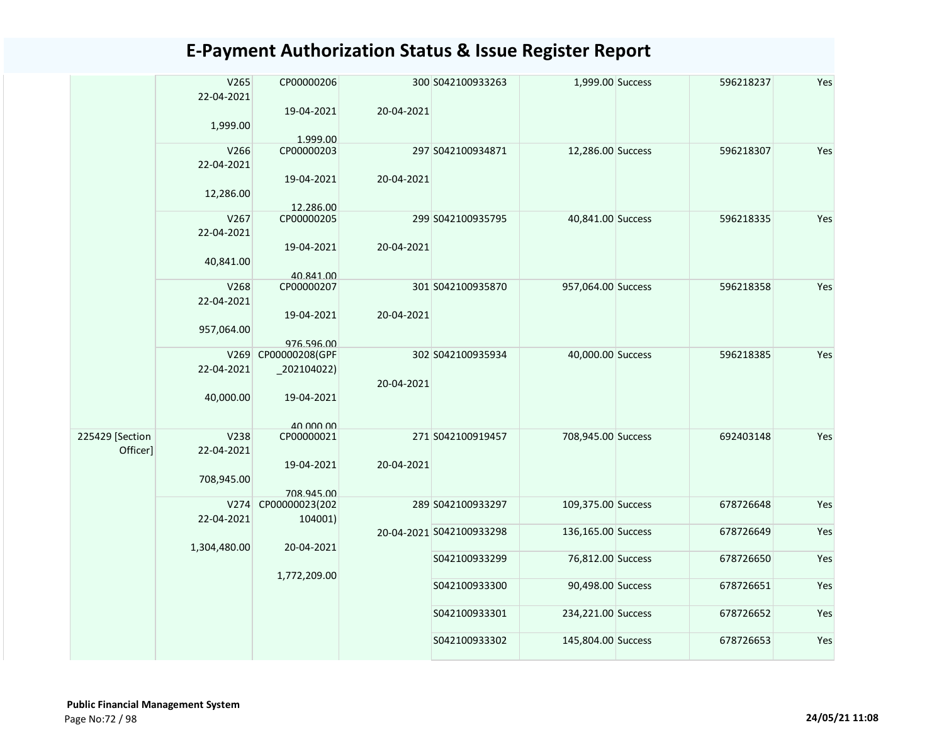|                 | V265<br>22-04-2021 | CP00000206              |            | 300 S042100933263        | 1,999.00 Success   | 596218237 | Yes |
|-----------------|--------------------|-------------------------|------------|--------------------------|--------------------|-----------|-----|
|                 | 1,999.00           | 19-04-2021              | 20-04-2021 |                          |                    |           |     |
|                 |                    | 1.999.00                |            |                          |                    |           |     |
|                 | V266               | CP00000203              |            | 297 S042100934871        | 12,286.00 Success  | 596218307 | Yes |
|                 | 22-04-2021         |                         |            |                          |                    |           |     |
|                 |                    | 19-04-2021              | 20-04-2021 |                          |                    |           |     |
|                 | 12,286.00          |                         |            |                          |                    |           |     |
|                 |                    |                         |            |                          |                    |           |     |
|                 | V267               | 12.286.00<br>CP00000205 |            | 299 S042100935795        | 40,841.00 Success  | 596218335 | Yes |
|                 | 22-04-2021         |                         |            |                          |                    |           |     |
|                 |                    | 19-04-2021              | 20-04-2021 |                          |                    |           |     |
|                 |                    |                         |            |                          |                    |           |     |
|                 | 40,841.00          |                         |            |                          |                    |           |     |
|                 | V268               | 40.841.00<br>CP00000207 |            | 301 S042100935870        |                    | 596218358 | Yes |
|                 |                    |                         |            |                          | 957,064.00 Success |           |     |
|                 | 22-04-2021         |                         |            |                          |                    |           |     |
|                 |                    | 19-04-2021              | 20-04-2021 |                          |                    |           |     |
|                 | 957,064.00         |                         |            |                          |                    |           |     |
|                 |                    | 976.596.00              |            |                          |                    |           |     |
|                 | V269               | CP00000208(GPF          |            | 302 S042100935934        | 40,000.00 Success  | 596218385 | Yes |
|                 | 22-04-2021         | 202104022               |            |                          |                    |           |     |
|                 |                    |                         | 20-04-2021 |                          |                    |           |     |
|                 | 40,000.00          | 19-04-2021              |            |                          |                    |           |     |
|                 |                    |                         |            |                          |                    |           |     |
|                 |                    | 40,000,00               |            |                          |                    |           |     |
| 225429 [Section | V238               | CP00000021              |            | 271 S042100919457        | 708,945.00 Success | 692403148 | Yes |
| Officer]        | 22-04-2021         |                         |            |                          |                    |           |     |
|                 |                    | 19-04-2021              | 20-04-2021 |                          |                    |           |     |
|                 | 708,945.00         |                         |            |                          |                    |           |     |
|                 |                    | 708.945.00              |            |                          |                    |           |     |
|                 | V274               | CP00000023(202          |            | 289 S042100933297        | 109,375.00 Success | 678726648 | Yes |
|                 | 22-04-2021         | 104001)                 |            |                          |                    |           |     |
|                 |                    |                         |            | 20-04-2021 S042100933298 | 136,165.00 Success | 678726649 | Yes |
|                 | 1,304,480.00       | 20-04-2021              |            |                          |                    |           |     |
|                 |                    |                         |            | S042100933299            | 76,812.00 Success  | 678726650 | Yes |
|                 |                    | 1,772,209.00            |            |                          |                    |           |     |
|                 |                    |                         |            | S042100933300            | 90,498.00 Success  | 678726651 | Yes |
|                 |                    |                         |            |                          |                    |           |     |
|                 |                    |                         |            | S042100933301            | 234,221.00 Success | 678726652 | Yes |
|                 |                    |                         |            |                          |                    |           |     |
|                 |                    |                         |            | S042100933302            | 145,804.00 Success | 678726653 | Yes |
|                 |                    |                         |            |                          |                    |           |     |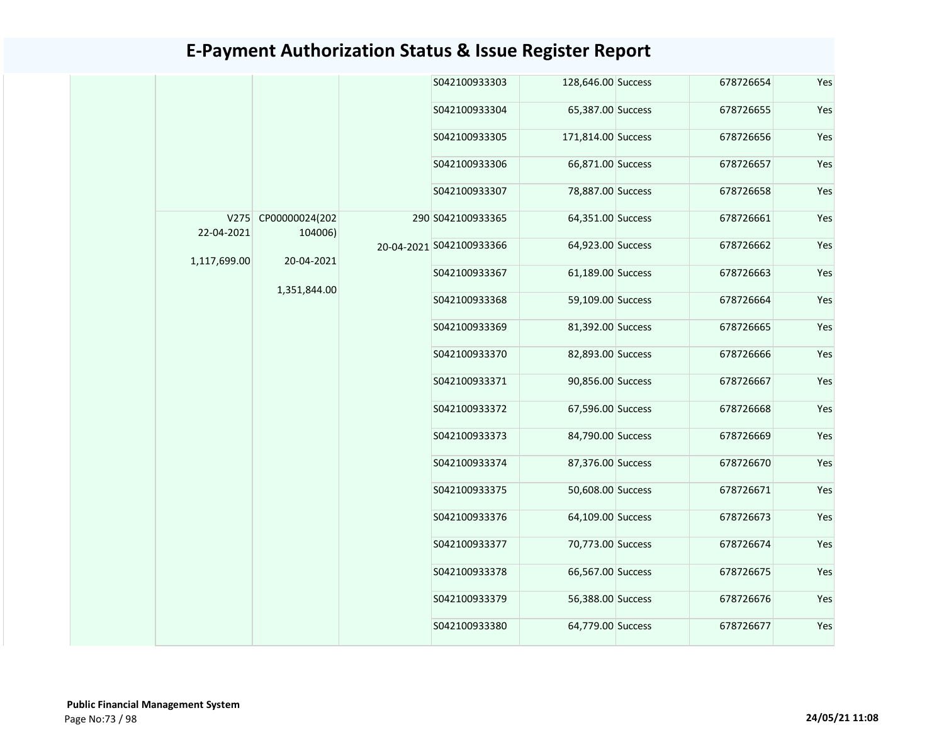|  |                            |                                                              | S042100933303 |                                               | 678726654                                                                                                                                                                                                                                                                                                                                                                                                                                               | Yes |
|--|----------------------------|--------------------------------------------------------------|---------------|-----------------------------------------------|---------------------------------------------------------------------------------------------------------------------------------------------------------------------------------------------------------------------------------------------------------------------------------------------------------------------------------------------------------------------------------------------------------------------------------------------------------|-----|
|  |                            |                                                              | S042100933304 |                                               | 678726655                                                                                                                                                                                                                                                                                                                                                                                                                                               | Yes |
|  |                            |                                                              | S042100933305 |                                               | 678726656                                                                                                                                                                                                                                                                                                                                                                                                                                               | Yes |
|  |                            |                                                              | S042100933306 |                                               | 678726657                                                                                                                                                                                                                                                                                                                                                                                                                                               | Yes |
|  |                            |                                                              | S042100933307 |                                               | 678726658                                                                                                                                                                                                                                                                                                                                                                                                                                               | Yes |
|  |                            |                                                              |               |                                               | 678726661                                                                                                                                                                                                                                                                                                                                                                                                                                               | Yes |
|  |                            |                                                              |               |                                               | 678726662                                                                                                                                                                                                                                                                                                                                                                                                                                               | Yes |
|  |                            |                                                              | S042100933367 |                                               | 678726663                                                                                                                                                                                                                                                                                                                                                                                                                                               | Yes |
|  |                            |                                                              | S042100933368 |                                               | 678726664                                                                                                                                                                                                                                                                                                                                                                                                                                               | Yes |
|  |                            |                                                              | S042100933369 |                                               | 678726665                                                                                                                                                                                                                                                                                                                                                                                                                                               | Yes |
|  |                            |                                                              | S042100933370 |                                               | 678726666                                                                                                                                                                                                                                                                                                                                                                                                                                               | Yes |
|  |                            |                                                              | S042100933371 |                                               | 678726667                                                                                                                                                                                                                                                                                                                                                                                                                                               | Yes |
|  |                            |                                                              | S042100933372 |                                               | 678726668                                                                                                                                                                                                                                                                                                                                                                                                                                               | Yes |
|  |                            |                                                              | S042100933373 |                                               | 678726669                                                                                                                                                                                                                                                                                                                                                                                                                                               | Yes |
|  |                            |                                                              | S042100933374 |                                               | 678726670                                                                                                                                                                                                                                                                                                                                                                                                                                               | Yes |
|  |                            |                                                              | S042100933375 |                                               | 678726671                                                                                                                                                                                                                                                                                                                                                                                                                                               | Yes |
|  |                            |                                                              | S042100933376 |                                               | 678726673                                                                                                                                                                                                                                                                                                                                                                                                                                               | Yes |
|  |                            |                                                              | S042100933377 |                                               | 678726674                                                                                                                                                                                                                                                                                                                                                                                                                                               | Yes |
|  |                            |                                                              | S042100933378 |                                               | 678726675                                                                                                                                                                                                                                                                                                                                                                                                                                               | Yes |
|  |                            |                                                              | S042100933379 |                                               | 678726676                                                                                                                                                                                                                                                                                                                                                                                                                                               | Yes |
|  |                            | S042100933380                                                |               | 678726677                                     | Yes                                                                                                                                                                                                                                                                                                                                                                                                                                                     |     |
|  | 22-04-2021<br>1,117,699.00 | V275 CP00000024(202<br>104006)<br>20-04-2021<br>1,351,844.00 |               | 290 S042100933365<br>20-04-2021 S042100933366 | 128,646.00 Success<br>65,387.00 Success<br>171,814.00 Success<br>66,871.00 Success<br>78,887.00 Success<br>64,351.00 Success<br>64,923.00 Success<br>61,189.00 Success<br>59,109.00 Success<br>81,392.00 Success<br>82,893.00 Success<br>90,856.00 Success<br>67,596.00 Success<br>84,790.00 Success<br>87,376.00 Success<br>50,608.00 Success<br>64,109.00 Success<br>70,773.00 Success<br>66,567.00 Success<br>56,388.00 Success<br>64,779.00 Success |     |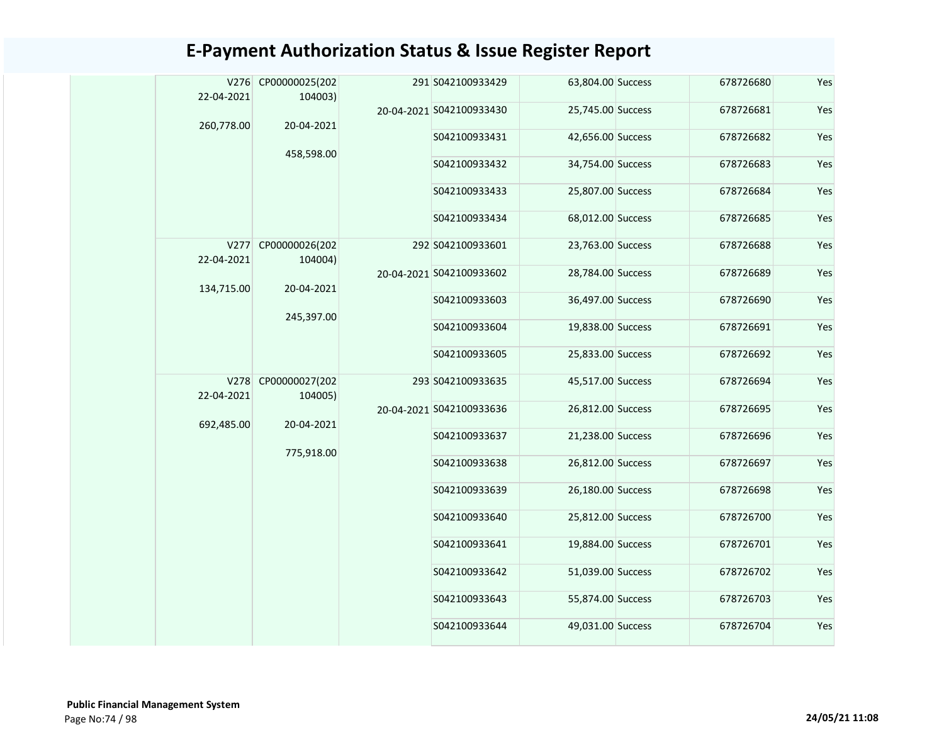| 22-04-2021         | V276 CP00000025(202<br>104003) |  | 291 S042100933429        | 63,804.00 Success | 678726680     | Yes               |           |     |
|--------------------|--------------------------------|--|--------------------------|-------------------|---------------|-------------------|-----------|-----|
| 260,778.00         | 20-04-2021                     |  | 20-04-2021 S042100933430 | 25,745.00 Success | 678726681     | Yes               |           |     |
|                    |                                |  | S042100933431            | 42,656.00 Success | 678726682     | Yes               |           |     |
|                    | 458,598.00                     |  | S042100933432            | 34,754.00 Success | 678726683     | Yes               |           |     |
|                    |                                |  | S042100933433            | 25,807.00 Success | 678726684     | Yes               |           |     |
|                    |                                |  | S042100933434            | 68,012.00 Success | 678726685     | Yes               |           |     |
| V277<br>22-04-2021 | CP00000026(202<br>104004)      |  | 292 S042100933601        | 23,763.00 Success | 678726688     | Yes               |           |     |
| 134,715.00         | 20-04-2021                     |  | 20-04-2021 S042100933602 | 28,784.00 Success | 678726689     | Yes               |           |     |
|                    | 245,397.00                     |  | S042100933603            | 36,497.00 Success | 678726690     | Yes               |           |     |
|                    |                                |  | S042100933604            | 19,838.00 Success | 678726691     | Yes               |           |     |
|                    |                                |  | S042100933605            | 25,833.00 Success | 678726692     | Yes               |           |     |
| V278<br>22-04-2021 | CP00000027(202<br>104005)      |  | 293 S042100933635        | 45,517.00 Success | 678726694     | Yes               |           |     |
| 692,485.00         | 20-04-2021                     |  | 20-04-2021 S042100933636 | 26,812.00 Success | 678726695     | Yes               |           |     |
|                    | 775,918.00                     |  | S042100933637            | 21,238.00 Success | 678726696     | Yes               |           |     |
|                    |                                |  | S042100933638            | 26,812.00 Success | 678726697     | Yes               |           |     |
|                    |                                |  | S042100933639            | 26,180.00 Success | 678726698     | Yes               |           |     |
|                    |                                |  | S042100933640            | 25,812.00 Success | 678726700     | Yes               |           |     |
|                    |                                |  | S042100933641            | 19,884.00 Success | 678726701     | Yes               |           |     |
|                    |                                |  |                          |                   | S042100933642 | 51,039.00 Success | 678726702 | Yes |
|                    |                                |  | S042100933643            | 55,874.00 Success | 678726703     | Yes               |           |     |
|                    |                                |  | S042100933644            | 49,031.00 Success | 678726704     | Yes               |           |     |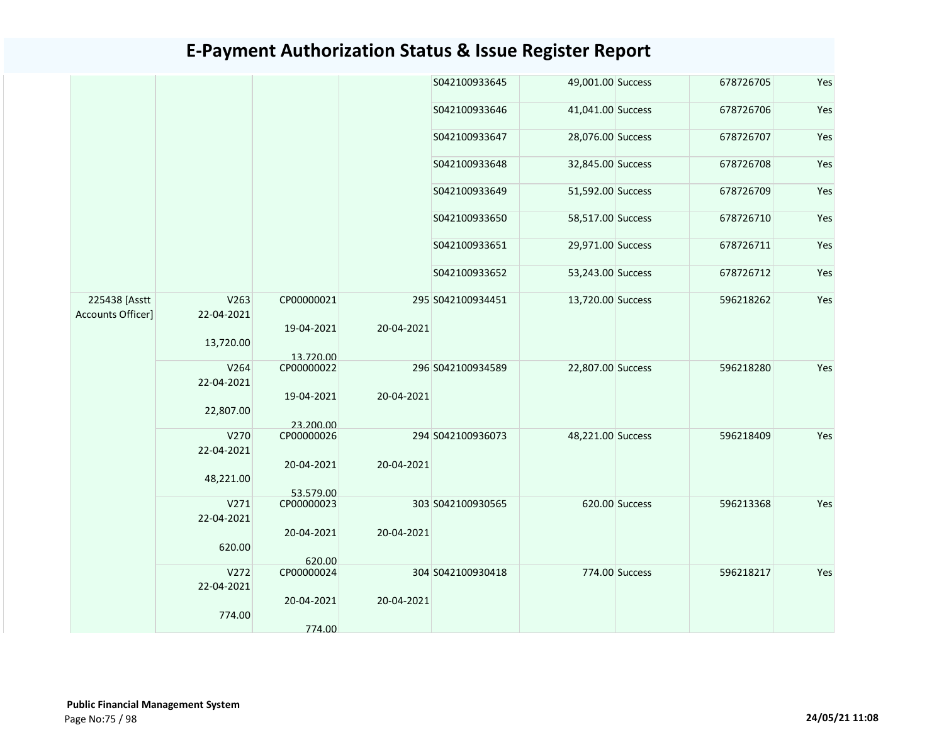|                                           |                    |                         |            | S042100933645     | 49,001.00 Success |                | 678726705 | Yes |
|-------------------------------------------|--------------------|-------------------------|------------|-------------------|-------------------|----------------|-----------|-----|
|                                           |                    |                         |            | S042100933646     | 41,041.00 Success |                | 678726706 | Yes |
|                                           |                    |                         |            | S042100933647     | 28,076.00 Success |                | 678726707 | Yes |
|                                           |                    |                         |            | S042100933648     | 32,845.00 Success |                | 678726708 | Yes |
|                                           |                    |                         |            | S042100933649     | 51,592.00 Success |                | 678726709 | Yes |
|                                           |                    |                         |            | S042100933650     | 58,517.00 Success |                | 678726710 | Yes |
|                                           |                    |                         |            | S042100933651     | 29,971.00 Success |                | 678726711 | Yes |
|                                           |                    |                         |            | S042100933652     | 53,243.00 Success |                | 678726712 | Yes |
| 225438 [Asstt<br><b>Accounts Officer]</b> | V263<br>22-04-2021 | CP00000021              |            | 295 S042100934451 | 13,720.00 Success |                | 596218262 | Yes |
|                                           | 13,720.00          | 19-04-2021<br>13.720.00 | 20-04-2021 |                   |                   |                |           |     |
|                                           | V264<br>22-04-2021 | CP00000022              |            | 296 S042100934589 | 22,807.00 Success |                | 596218280 | Yes |
|                                           | 22,807.00          | 19-04-2021<br>23.200.00 | 20-04-2021 |                   |                   |                |           |     |
|                                           | V270<br>22-04-2021 | CP00000026              |            | 294 S042100936073 | 48,221.00 Success |                | 596218409 | Yes |
|                                           | 48,221.00          | 20-04-2021<br>53.579.00 | 20-04-2021 |                   |                   |                |           |     |
|                                           | V271<br>22-04-2021 | CP00000023              |            | 303 S042100930565 |                   | 620.00 Success | 596213368 | Yes |
|                                           | 620.00             | 20-04-2021              | 20-04-2021 |                   |                   |                |           |     |
|                                           |                    | 620.00                  |            |                   |                   |                |           |     |
|                                           | V272<br>22-04-2021 | CP00000024              |            | 304 S042100930418 |                   | 774.00 Success | 596218217 | Yes |
|                                           | 774.00             | 20-04-2021              | 20-04-2021 |                   |                   |                |           |     |
|                                           |                    | 774.00                  |            |                   |                   |                |           |     |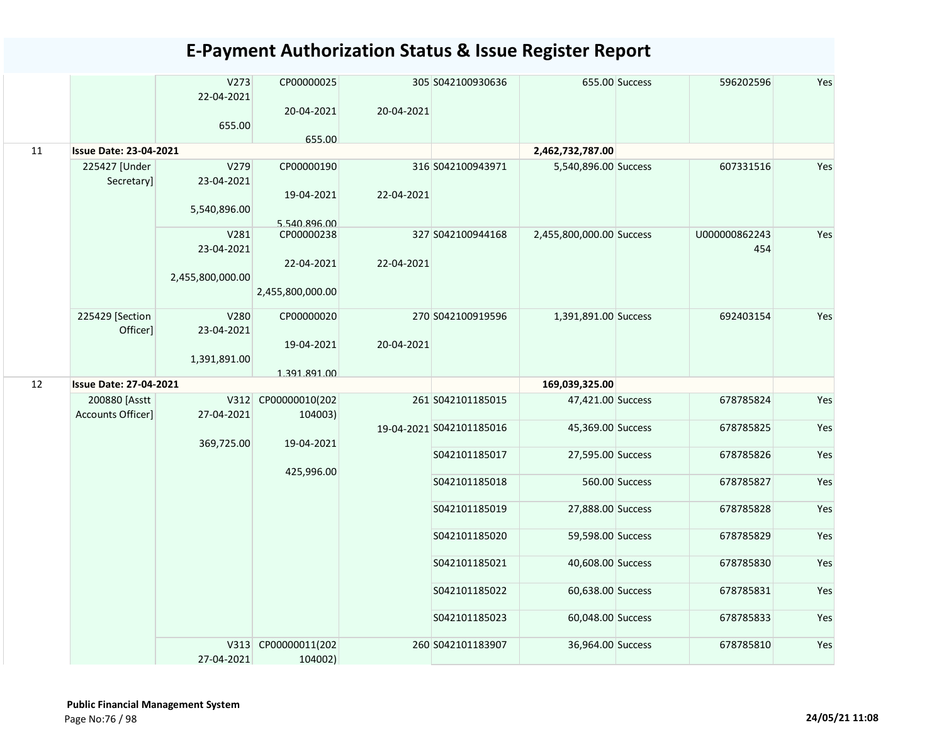|    |                                    | V273<br>22-04-2021 | CP00000025          |            | 305 S042100930636        |                          | 655.00 Success | 596202596     | Yes |
|----|------------------------------------|--------------------|---------------------|------------|--------------------------|--------------------------|----------------|---------------|-----|
|    |                                    | 655.00             | 20-04-2021          | 20-04-2021 |                          |                          |                |               |     |
|    |                                    |                    | 655.00              |            |                          |                          |                |               |     |
| 11 | <b>Issue Date: 23-04-2021</b>      |                    |                     |            |                          | 2,462,732,787.00         |                |               |     |
|    | 225427 [Under                      | V279               | CP00000190          |            | 316 S042100943971        | 5,540,896.00 Success     |                | 607331516     | Yes |
|    | Secretary]                         | 23-04-2021         |                     |            |                          |                          |                |               |     |
|    |                                    |                    | 19-04-2021          | 22-04-2021 |                          |                          |                |               |     |
|    |                                    | 5,540,896.00       |                     |            |                          |                          |                |               |     |
|    |                                    |                    | 5.540.896.00        |            |                          |                          |                |               |     |
|    |                                    | V281               | CP00000238          |            | 327 S042100944168        | 2,455,800,000.00 Success |                | U000000862243 | Yes |
|    |                                    | 23-04-2021         |                     |            |                          |                          |                | 454           |     |
|    |                                    | 2,455,800,000.00   | 22-04-2021          | 22-04-2021 |                          |                          |                |               |     |
|    |                                    |                    | 2,455,800,000.00    |            |                          |                          |                |               |     |
|    |                                    |                    |                     |            |                          |                          |                |               |     |
|    | 225429 [Section                    | V280               | CP00000020          |            | 270 S042100919596        | 1,391,891.00 Success     |                | 692403154     | Yes |
|    | Officer]                           | 23-04-2021         |                     |            |                          |                          |                |               |     |
|    |                                    |                    | 19-04-2021          | 20-04-2021 |                          |                          |                |               |     |
|    |                                    | 1,391,891.00       |                     |            |                          |                          |                |               |     |
| 12 | <b>Issue Date: 27-04-2021</b>      |                    | 1.391.891.00        |            |                          | 169,039,325.00           |                |               |     |
|    |                                    |                    |                     |            |                          |                          |                |               |     |
|    | 200880 [Asstt<br>Accounts Officer] | 27-04-2021         | V312 CP00000010(202 |            | 261 S042101185015        | 47,421.00 Success        |                | 678785824     | Yes |
|    |                                    |                    | 104003)             |            | 19-04-2021 S042101185016 | 45,369.00 Success        |                | 678785825     | Yes |
|    |                                    | 369,725.00         | 19-04-2021          |            |                          |                          |                |               |     |
|    |                                    |                    |                     |            | S042101185017            | 27,595.00 Success        |                | 678785826     | Yes |
|    |                                    |                    | 425,996.00          |            |                          |                          |                |               |     |
|    |                                    |                    |                     |            | S042101185018            |                          | 560.00 Success | 678785827     | Yes |
|    |                                    |                    |                     |            |                          |                          |                |               |     |
|    |                                    |                    |                     |            | S042101185019            | 27,888.00 Success        |                | 678785828     | Yes |
|    |                                    |                    |                     |            | S042101185020            | 59,598.00 Success        |                | 678785829     | Yes |
|    |                                    |                    |                     |            |                          |                          |                |               |     |
|    |                                    |                    |                     |            | S042101185021            | 40,608.00 Success        |                | 678785830     | Yes |
|    |                                    |                    |                     |            | S042101185022            | 60,638.00 Success        |                | 678785831     | Yes |
|    |                                    |                    |                     |            |                          |                          |                |               |     |
|    |                                    |                    |                     |            | S042101185023            | 60,048.00 Success        |                | 678785833     | Yes |
|    |                                    |                    | V313 CP00000011(202 |            | 260 S042101183907        | 36,964.00 Success        |                | 678785810     | Yes |
|    |                                    | 27-04-2021         | 104002)             |            |                          |                          |                |               |     |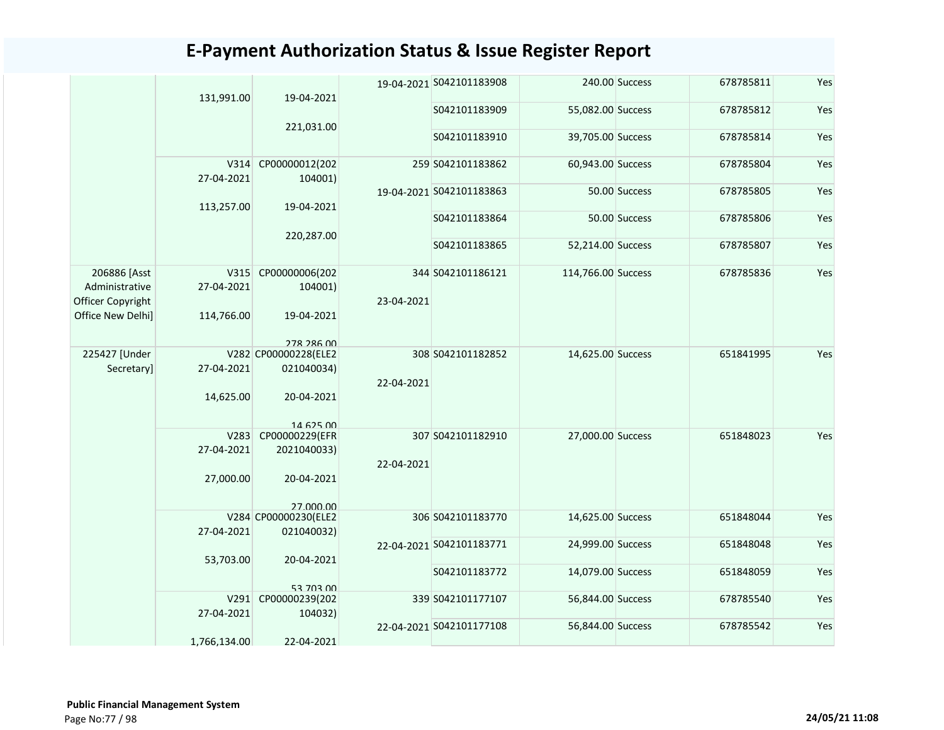|                                | 131,991.00         | 19-04-2021                         |            | 19-04-2021 S042101183908 |                    | 240.00 Success | 678785811 | Yes |
|--------------------------------|--------------------|------------------------------------|------------|--------------------------|--------------------|----------------|-----------|-----|
|                                |                    |                                    |            | S042101183909            | 55,082.00 Success  |                | 678785812 | Yes |
|                                |                    | 221,031.00                         |            | S042101183910            | 39,705.00 Success  |                | 678785814 | Yes |
|                                |                    |                                    |            |                          |                    |                |           |     |
|                                | V314               | CP00000012(202                     |            | 259 S042101183862        | 60,943.00 Success  |                | 678785804 | Yes |
|                                | 27-04-2021         | 104001)                            |            | 19-04-2021 S042101183863 |                    | 50.00 Success  | 678785805 | Yes |
|                                | 113,257.00         | 19-04-2021                         |            |                          |                    |                |           |     |
|                                |                    |                                    |            | S042101183864            |                    | 50.00 Success  | 678785806 | Yes |
|                                |                    | 220,287.00                         |            | S042101183865            | 52,214.00 Success  |                | 678785807 | Yes |
|                                |                    |                                    |            |                          |                    |                |           |     |
| 206886 [Asst<br>Administrative | V315<br>27-04-2021 | CP00000006(202                     |            | 344 S042101186121        | 114,766.00 Success |                | 678785836 | Yes |
| Officer Copyright              |                    | 104001)                            | 23-04-2021 |                          |                    |                |           |     |
| Office New Delhi]              | 114,766.00         | 19-04-2021                         |            |                          |                    |                |           |     |
|                                |                    |                                    |            |                          |                    |                |           |     |
| 225427 [Under                  |                    | 278 286 00<br>V282 CP00000228(ELE2 |            | 308 S042101182852        | 14,625.00 Success  |                | 651841995 | Yes |
| Secretary]                     | 27-04-2021         | 021040034)                         |            |                          |                    |                |           |     |
|                                | 14,625.00          | 20-04-2021                         | 22-04-2021 |                          |                    |                |           |     |
|                                |                    |                                    |            |                          |                    |                |           |     |
|                                |                    | 14 625 00                          |            |                          |                    |                |           |     |
|                                | V283               | CP00000229(EFR                     |            | 307 S042101182910        | 27,000.00 Success  |                | 651848023 | Yes |
|                                | 27-04-2021         | 2021040033)                        | 22-04-2021 |                          |                    |                |           |     |
|                                | 27,000.00          | 20-04-2021                         |            |                          |                    |                |           |     |
|                                |                    |                                    |            |                          |                    |                |           |     |
|                                |                    | 27,000,00<br>V284 CP00000230(ELE2  |            | 306 S042101183770        | 14,625.00 Success  |                | 651848044 | Yes |
|                                | 27-04-2021         | 021040032)                         |            |                          |                    |                |           |     |
|                                |                    |                                    |            | 22-04-2021 S042101183771 | 24,999.00 Success  |                | 651848048 | Yes |
|                                | 53,703.00          | 20-04-2021                         |            | S042101183772            | 14,079.00 Success  |                | 651848059 | Yes |
|                                |                    | 53 703 00                          |            |                          |                    |                |           |     |
|                                | V291               | CP00000239(202                     |            | 339 S042101177107        | 56,844.00 Success  |                | 678785540 | Yes |
|                                | 27-04-2021         | 104032)                            |            | 22-04-2021 S042101177108 | 56,844.00 Success  |                | 678785542 | Yes |
|                                | 1,766,134.00       | 22-04-2021                         |            |                          |                    |                |           |     |
|                                |                    |                                    |            |                          |                    |                |           |     |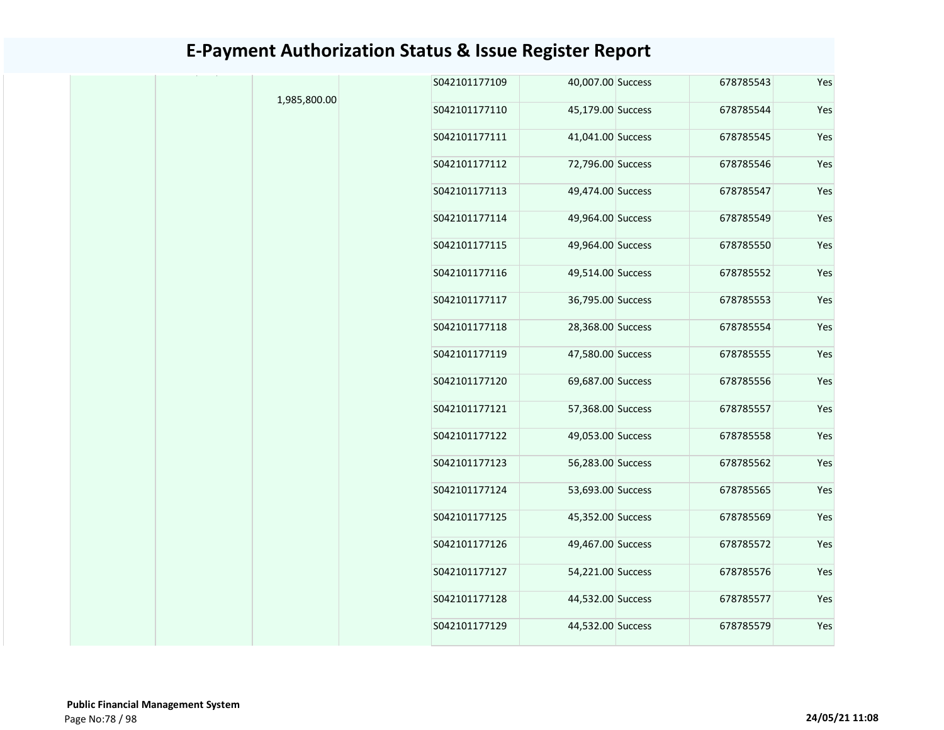|              | S042101177109 | 40,007.00 Success | 678785543 | Yes |
|--------------|---------------|-------------------|-----------|-----|
| 1,985,800.00 | S042101177110 | 45,179.00 Success | 678785544 | Yes |
|              | S042101177111 | 41,041.00 Success | 678785545 | Yes |
|              | S042101177112 | 72,796.00 Success | 678785546 | Yes |
|              | S042101177113 | 49,474.00 Success | 678785547 | Yes |
|              | S042101177114 | 49,964.00 Success | 678785549 | Yes |
|              | S042101177115 | 49,964.00 Success | 678785550 | Yes |
|              | S042101177116 | 49,514.00 Success | 678785552 | Yes |
|              | S042101177117 | 36,795.00 Success | 678785553 | Yes |
|              | S042101177118 | 28,368.00 Success | 678785554 | Yes |
|              | S042101177119 | 47,580.00 Success | 678785555 | Yes |
|              | S042101177120 | 69,687.00 Success | 678785556 | Yes |
|              | S042101177121 | 57,368.00 Success | 678785557 | Yes |
|              | S042101177122 | 49,053.00 Success | 678785558 | Yes |
|              | S042101177123 | 56,283.00 Success | 678785562 | Yes |
|              | S042101177124 | 53,693.00 Success | 678785565 | Yes |
|              | S042101177125 | 45,352.00 Success | 678785569 | Yes |
|              | S042101177126 | 49,467.00 Success | 678785572 | Yes |
|              | S042101177127 | 54,221.00 Success | 678785576 | Yes |
|              | S042101177128 | 44,532.00 Success | 678785577 | Yes |
|              | S042101177129 | 44,532.00 Success | 678785579 | Yes |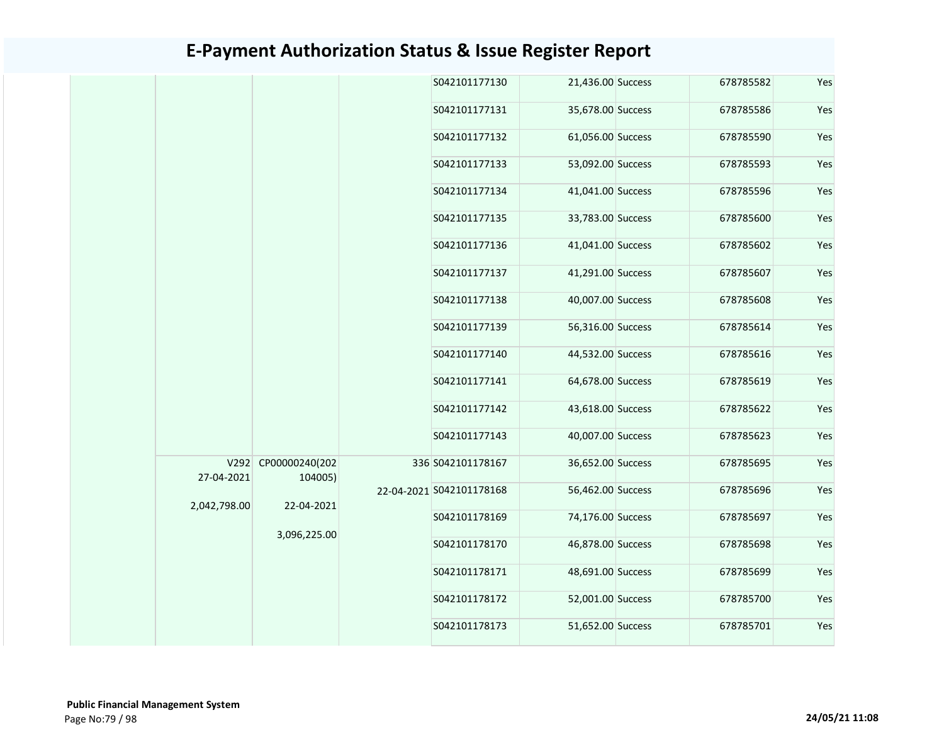|  |              |                                |              | S042101177130            | 21,436.00 Success | 678785582 | Yes |
|--|--------------|--------------------------------|--------------|--------------------------|-------------------|-----------|-----|
|  |              |                                |              | S042101177131            | 35,678.00 Success | 678785586 | Yes |
|  |              |                                |              | S042101177132            | 61,056.00 Success | 678785590 | Yes |
|  |              |                                |              | S042101177133            | 53,092.00 Success | 678785593 | Yes |
|  |              |                                |              | S042101177134            | 41,041.00 Success | 678785596 | Yes |
|  |              |                                |              | S042101177135            | 33,783.00 Success | 678785600 | Yes |
|  |              |                                |              | S042101177136            | 41,041.00 Success | 678785602 | Yes |
|  |              |                                |              | S042101177137            | 41,291.00 Success | 678785607 | Yes |
|  |              |                                |              | S042101177138            | 40,007.00 Success | 678785608 | Yes |
|  |              |                                |              | S042101177139            | 56,316.00 Success | 678785614 | Yes |
|  |              |                                |              | S042101177140            | 44,532.00 Success | 678785616 | Yes |
|  |              |                                |              | S042101177141            | 64,678.00 Success | 678785619 | Yes |
|  |              |                                |              | S042101177142            | 43,618.00 Success | 678785622 | Yes |
|  |              |                                |              | S042101177143            | 40,007.00 Success | 678785623 | Yes |
|  | 27-04-2021   | V292 CP00000240(202<br>104005) |              | 336 S042101178167        | 36,652.00 Success | 678785695 | Yes |
|  | 2,042,798.00 | 22-04-2021                     |              | 22-04-2021 S042101178168 | 56,462.00 Success | 678785696 | Yes |
|  |              |                                |              | S042101178169            | 74,176.00 Success | 678785697 | Yes |
|  |              |                                | 3,096,225.00 | S042101178170            | 46,878.00 Success | 678785698 | Yes |
|  |              |                                |              | S042101178171            | 48,691.00 Success | 678785699 | Yes |
|  |              |                                |              | S042101178172            | 52,001.00 Success | 678785700 | Yes |
|  |              |                                |              | S042101178173            | 51,652.00 Success | 678785701 | Yes |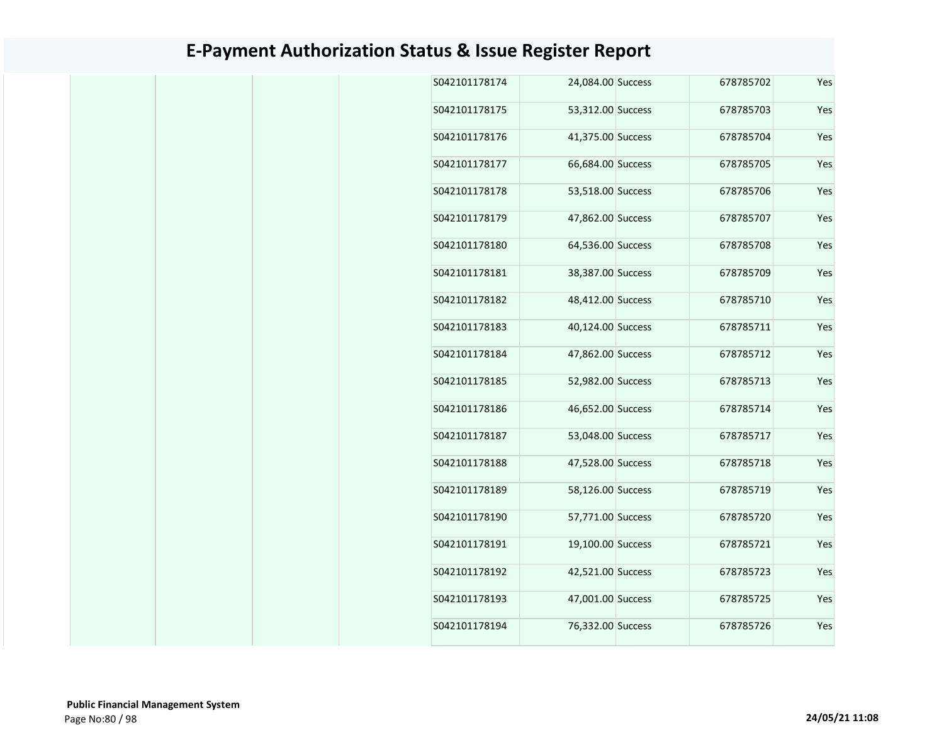| 24,084.00 Success<br>678785702<br>Yes<br>Yes<br>53,312.00 Success<br>678785703<br>Yes<br>41,375.00 Success<br>678785704<br>Yes<br>66,684.00 Success<br>678785705<br>53,518.00 Success<br>678785706<br>Yes<br>47,862.00 Success<br>Yes<br>678785707<br>Yes<br>64,536.00 Success<br>678785708<br>38,387.00 Success<br>678785709<br>Yes<br>Yes<br>48,412.00 Success<br>678785710<br>Yes<br>40,124.00 Success<br>678785711<br>47,862.00 Success<br>Yes<br>678785712<br>Yes<br>52,982.00 Success<br>678785713<br>46,652.00 Success<br>678785714<br>Yes<br>Yes<br>53,048.00 Success<br>678785717<br>47,528.00 Success<br>678785718<br>Yes<br>58,126.00 Success<br>Yes<br>678785719<br>Yes<br>57,771.00 Success<br>678785720<br>Yes<br>19,100.00 Success<br>678785721<br>Yes<br>42,521.00 Success<br>678785723<br>47,001.00 Success<br>Yes<br>678785725<br>678785726<br>Yes<br>76,332.00 Success |  |  |               |
|-------------------------------------------------------------------------------------------------------------------------------------------------------------------------------------------------------------------------------------------------------------------------------------------------------------------------------------------------------------------------------------------------------------------------------------------------------------------------------------------------------------------------------------------------------------------------------------------------------------------------------------------------------------------------------------------------------------------------------------------------------------------------------------------------------------------------------------------------------------------------------------------|--|--|---------------|
|                                                                                                                                                                                                                                                                                                                                                                                                                                                                                                                                                                                                                                                                                                                                                                                                                                                                                           |  |  | S042101178174 |
|                                                                                                                                                                                                                                                                                                                                                                                                                                                                                                                                                                                                                                                                                                                                                                                                                                                                                           |  |  | S042101178175 |
|                                                                                                                                                                                                                                                                                                                                                                                                                                                                                                                                                                                                                                                                                                                                                                                                                                                                                           |  |  | S042101178176 |
|                                                                                                                                                                                                                                                                                                                                                                                                                                                                                                                                                                                                                                                                                                                                                                                                                                                                                           |  |  | S042101178177 |
|                                                                                                                                                                                                                                                                                                                                                                                                                                                                                                                                                                                                                                                                                                                                                                                                                                                                                           |  |  | S042101178178 |
|                                                                                                                                                                                                                                                                                                                                                                                                                                                                                                                                                                                                                                                                                                                                                                                                                                                                                           |  |  | S042101178179 |
|                                                                                                                                                                                                                                                                                                                                                                                                                                                                                                                                                                                                                                                                                                                                                                                                                                                                                           |  |  | S042101178180 |
|                                                                                                                                                                                                                                                                                                                                                                                                                                                                                                                                                                                                                                                                                                                                                                                                                                                                                           |  |  | S042101178181 |
|                                                                                                                                                                                                                                                                                                                                                                                                                                                                                                                                                                                                                                                                                                                                                                                                                                                                                           |  |  | S042101178182 |
|                                                                                                                                                                                                                                                                                                                                                                                                                                                                                                                                                                                                                                                                                                                                                                                                                                                                                           |  |  | S042101178183 |
|                                                                                                                                                                                                                                                                                                                                                                                                                                                                                                                                                                                                                                                                                                                                                                                                                                                                                           |  |  | S042101178184 |
|                                                                                                                                                                                                                                                                                                                                                                                                                                                                                                                                                                                                                                                                                                                                                                                                                                                                                           |  |  | S042101178185 |
|                                                                                                                                                                                                                                                                                                                                                                                                                                                                                                                                                                                                                                                                                                                                                                                                                                                                                           |  |  | S042101178186 |
|                                                                                                                                                                                                                                                                                                                                                                                                                                                                                                                                                                                                                                                                                                                                                                                                                                                                                           |  |  | S042101178187 |
|                                                                                                                                                                                                                                                                                                                                                                                                                                                                                                                                                                                                                                                                                                                                                                                                                                                                                           |  |  | S042101178188 |
|                                                                                                                                                                                                                                                                                                                                                                                                                                                                                                                                                                                                                                                                                                                                                                                                                                                                                           |  |  | S042101178189 |
|                                                                                                                                                                                                                                                                                                                                                                                                                                                                                                                                                                                                                                                                                                                                                                                                                                                                                           |  |  | S042101178190 |
|                                                                                                                                                                                                                                                                                                                                                                                                                                                                                                                                                                                                                                                                                                                                                                                                                                                                                           |  |  | S042101178191 |
|                                                                                                                                                                                                                                                                                                                                                                                                                                                                                                                                                                                                                                                                                                                                                                                                                                                                                           |  |  | S042101178192 |
|                                                                                                                                                                                                                                                                                                                                                                                                                                                                                                                                                                                                                                                                                                                                                                                                                                                                                           |  |  | S042101178193 |
|                                                                                                                                                                                                                                                                                                                                                                                                                                                                                                                                                                                                                                                                                                                                                                                                                                                                                           |  |  | S042101178194 |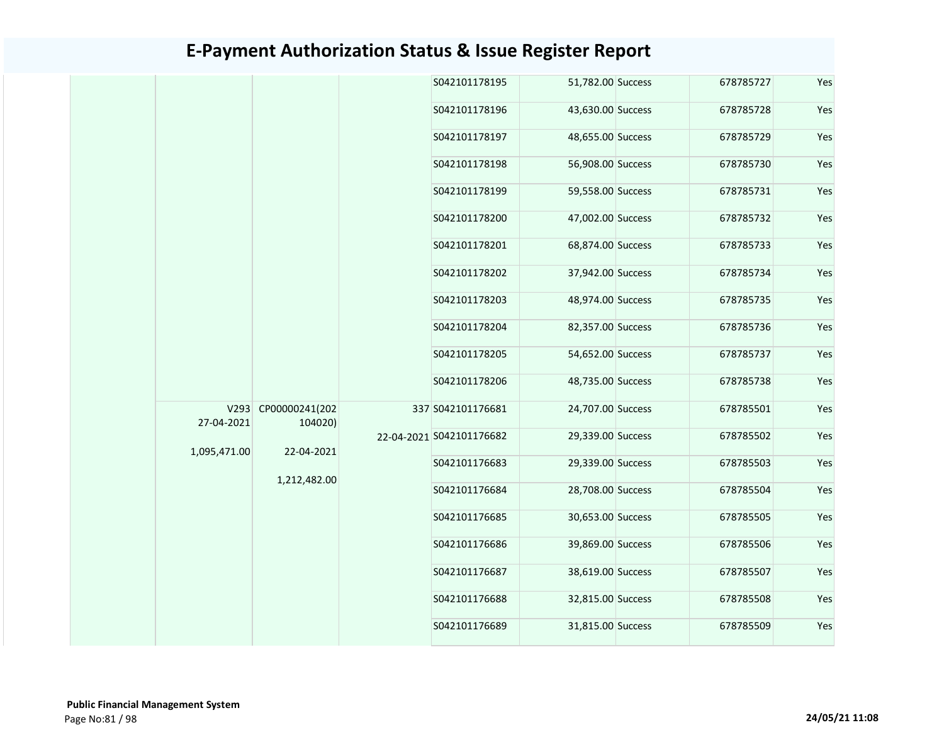|  |              |                                | S042101178195            | 51,782.00 Success | 678785727 | Yes |
|--|--------------|--------------------------------|--------------------------|-------------------|-----------|-----|
|  |              |                                | S042101178196            | 43,630.00 Success | 678785728 | Yes |
|  |              |                                | S042101178197            | 48,655.00 Success | 678785729 | Yes |
|  |              |                                | S042101178198            | 56,908.00 Success | 678785730 | Yes |
|  |              |                                | S042101178199            | 59,558.00 Success | 678785731 | Yes |
|  |              |                                | S042101178200            | 47,002.00 Success | 678785732 | Yes |
|  |              |                                | S042101178201            | 68,874.00 Success | 678785733 | Yes |
|  |              |                                | S042101178202            | 37,942.00 Success | 678785734 | Yes |
|  |              |                                | S042101178203            | 48,974.00 Success | 678785735 | Yes |
|  |              |                                | S042101178204            | 82,357.00 Success | 678785736 | Yes |
|  |              |                                | S042101178205            | 54,652.00 Success | 678785737 | Yes |
|  |              |                                | S042101178206            | 48,735.00 Success | 678785738 | Yes |
|  | 27-04-2021   | V293 CP00000241(202<br>104020) | 337 S042101176681        | 24,707.00 Success | 678785501 | Yes |
|  | 1,095,471.00 | 22-04-2021                     | 22-04-2021 S042101176682 | 29,339.00 Success | 678785502 | Yes |
|  |              | 1,212,482.00                   | S042101176683            | 29,339.00 Success | 678785503 | Yes |
|  |              |                                | S042101176684            | 28,708.00 Success | 678785504 | Yes |
|  |              |                                | S042101176685            | 30,653.00 Success | 678785505 | Yes |
|  |              |                                | S042101176686            | 39,869.00 Success | 678785506 | Yes |
|  |              |                                | S042101176687            | 38,619.00 Success | 678785507 | Yes |
|  |              |                                | S042101176688            | 32,815.00 Success | 678785508 | Yes |
|  |              |                                | S042101176689            | 31,815.00 Success | 678785509 | Yes |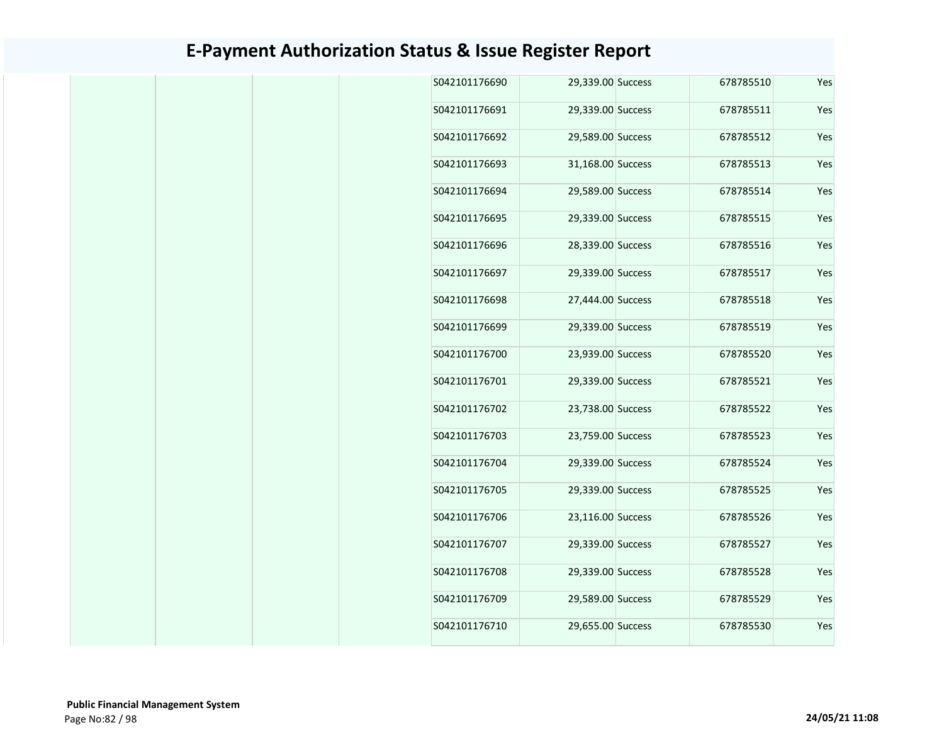| 678785510<br>S042101176690<br>29,339.00 Success<br>S042101176691<br>29,339.00 Success<br>678785511<br>S042101176692<br>29,589.00 Success<br>678785512<br>S042101176693<br>31,168.00 Success<br>678785513<br>S042101176694<br>678785514<br>29,589.00 Success<br>S042101176695<br>29,339.00 Success<br>678785515<br>S042101176696<br>28,339.00 Success<br>678785516<br>29,339.00 Success<br>S042101176697<br>678785517<br>S042101176698<br>27,444.00 Success<br>678785518<br>S042101176699<br>29,339.00 Success<br>678785519<br>23,939.00 Success<br>S042101176700<br>678785520<br>S042101176701<br>29,339.00 Success<br>678785521<br>S042101176702<br>23,738.00 Success<br>678785522<br>S042101176703<br>23,759.00 Success<br>678785523<br>S042101176704<br>29,339.00 Success<br>678785524<br>S042101176705<br>29,339.00 Success<br>678785525<br>S042101176706<br>23,116.00 Success<br>678785526<br>S042101176707<br>678785527<br>29,339.00 Success<br>S042101176708<br>678785528<br>29,339.00 Success<br>S042101176709<br>29,589.00 Success<br>678785529<br>678785530<br>S042101176710<br>29,655.00 Success |     |  |  |
|-------------------------------------------------------------------------------------------------------------------------------------------------------------------------------------------------------------------------------------------------------------------------------------------------------------------------------------------------------------------------------------------------------------------------------------------------------------------------------------------------------------------------------------------------------------------------------------------------------------------------------------------------------------------------------------------------------------------------------------------------------------------------------------------------------------------------------------------------------------------------------------------------------------------------------------------------------------------------------------------------------------------------------------------------------------------------------------------------------------|-----|--|--|
|                                                                                                                                                                                                                                                                                                                                                                                                                                                                                                                                                                                                                                                                                                                                                                                                                                                                                                                                                                                                                                                                                                             | Yes |  |  |
|                                                                                                                                                                                                                                                                                                                                                                                                                                                                                                                                                                                                                                                                                                                                                                                                                                                                                                                                                                                                                                                                                                             | Yes |  |  |
|                                                                                                                                                                                                                                                                                                                                                                                                                                                                                                                                                                                                                                                                                                                                                                                                                                                                                                                                                                                                                                                                                                             | Yes |  |  |
|                                                                                                                                                                                                                                                                                                                                                                                                                                                                                                                                                                                                                                                                                                                                                                                                                                                                                                                                                                                                                                                                                                             | Yes |  |  |
|                                                                                                                                                                                                                                                                                                                                                                                                                                                                                                                                                                                                                                                                                                                                                                                                                                                                                                                                                                                                                                                                                                             | Yes |  |  |
|                                                                                                                                                                                                                                                                                                                                                                                                                                                                                                                                                                                                                                                                                                                                                                                                                                                                                                                                                                                                                                                                                                             | Yes |  |  |
|                                                                                                                                                                                                                                                                                                                                                                                                                                                                                                                                                                                                                                                                                                                                                                                                                                                                                                                                                                                                                                                                                                             | Yes |  |  |
|                                                                                                                                                                                                                                                                                                                                                                                                                                                                                                                                                                                                                                                                                                                                                                                                                                                                                                                                                                                                                                                                                                             | Yes |  |  |
|                                                                                                                                                                                                                                                                                                                                                                                                                                                                                                                                                                                                                                                                                                                                                                                                                                                                                                                                                                                                                                                                                                             | Yes |  |  |
|                                                                                                                                                                                                                                                                                                                                                                                                                                                                                                                                                                                                                                                                                                                                                                                                                                                                                                                                                                                                                                                                                                             | Yes |  |  |
|                                                                                                                                                                                                                                                                                                                                                                                                                                                                                                                                                                                                                                                                                                                                                                                                                                                                                                                                                                                                                                                                                                             | Yes |  |  |
|                                                                                                                                                                                                                                                                                                                                                                                                                                                                                                                                                                                                                                                                                                                                                                                                                                                                                                                                                                                                                                                                                                             | Yes |  |  |
|                                                                                                                                                                                                                                                                                                                                                                                                                                                                                                                                                                                                                                                                                                                                                                                                                                                                                                                                                                                                                                                                                                             | Yes |  |  |
|                                                                                                                                                                                                                                                                                                                                                                                                                                                                                                                                                                                                                                                                                                                                                                                                                                                                                                                                                                                                                                                                                                             | Yes |  |  |
|                                                                                                                                                                                                                                                                                                                                                                                                                                                                                                                                                                                                                                                                                                                                                                                                                                                                                                                                                                                                                                                                                                             | Yes |  |  |
|                                                                                                                                                                                                                                                                                                                                                                                                                                                                                                                                                                                                                                                                                                                                                                                                                                                                                                                                                                                                                                                                                                             | Yes |  |  |
|                                                                                                                                                                                                                                                                                                                                                                                                                                                                                                                                                                                                                                                                                                                                                                                                                                                                                                                                                                                                                                                                                                             | Yes |  |  |
|                                                                                                                                                                                                                                                                                                                                                                                                                                                                                                                                                                                                                                                                                                                                                                                                                                                                                                                                                                                                                                                                                                             | Yes |  |  |
|                                                                                                                                                                                                                                                                                                                                                                                                                                                                                                                                                                                                                                                                                                                                                                                                                                                                                                                                                                                                                                                                                                             | Yes |  |  |
|                                                                                                                                                                                                                                                                                                                                                                                                                                                                                                                                                                                                                                                                                                                                                                                                                                                                                                                                                                                                                                                                                                             | Yes |  |  |
|                                                                                                                                                                                                                                                                                                                                                                                                                                                                                                                                                                                                                                                                                                                                                                                                                                                                                                                                                                                                                                                                                                             | Yes |  |  |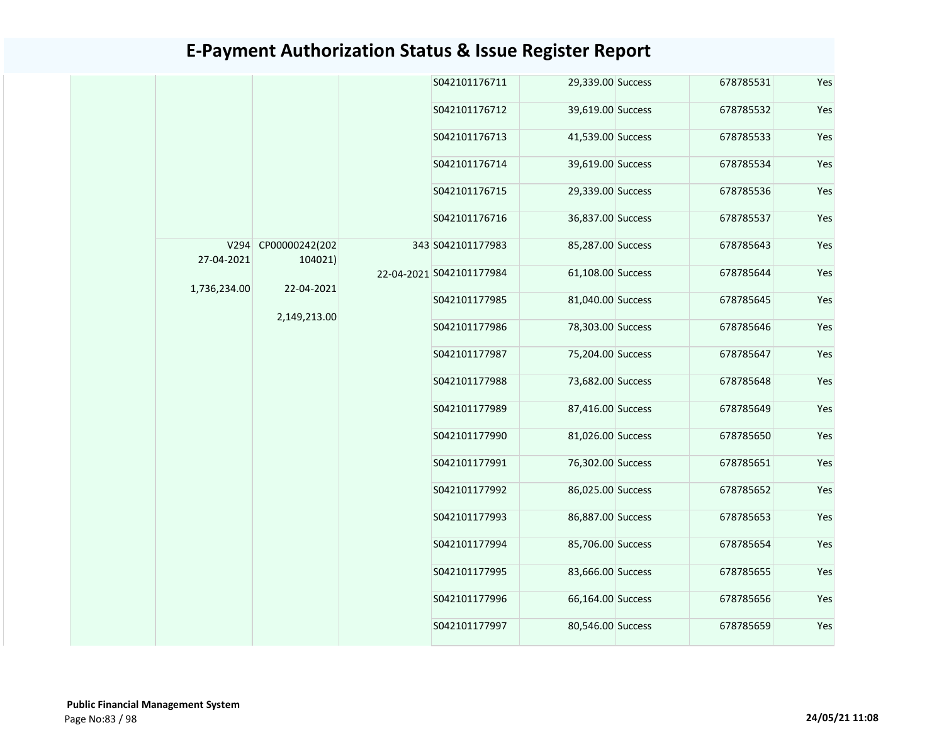|  |              |                     |               | S042101176711            | 29,339.00 Success | 678785531     | Yes               |           |     |  |               |                   |
|--|--------------|---------------------|---------------|--------------------------|-------------------|---------------|-------------------|-----------|-----|--|---------------|-------------------|
|  |              |                     |               | S042101176712            | 39,619.00 Success | 678785532     | Yes               |           |     |  |               |                   |
|  |              |                     |               | S042101176713            | 41,539.00 Success | 678785533     | Yes               |           |     |  |               |                   |
|  |              |                     |               | S042101176714            | 39,619.00 Success | 678785534     | Yes               |           |     |  |               |                   |
|  |              |                     |               | S042101176715            | 29,339.00 Success | 678785536     | Yes               |           |     |  |               |                   |
|  |              |                     |               | S042101176716            | 36,837.00 Success | 678785537     | Yes               |           |     |  |               |                   |
|  |              | V294 CP00000242(202 |               | 343 S042101177983        | 85,287.00 Success | 678785643     | Yes               |           |     |  |               |                   |
|  | 27-04-2021   | 104021)             |               | 22-04-2021 S042101177984 | 61,108.00 Success | 678785644     | Yes               |           |     |  |               |                   |
|  | 1,736,234.00 | 22-04-2021          |               | S042101177985            | 81,040.00 Success | 678785645     | Yes               |           |     |  |               |                   |
|  |              | 2,149,213.00        |               | S042101177986            | 78,303.00 Success | 678785646     | Yes               |           |     |  |               |                   |
|  |              |                     |               | S042101177987            | 75,204.00 Success | 678785647     | Yes               |           |     |  |               |                   |
|  |              |                     |               | S042101177988            | 73,682.00 Success | 678785648     | Yes               |           |     |  |               |                   |
|  |              |                     |               | S042101177989            | 87,416.00 Success | 678785649     | Yes               |           |     |  |               |                   |
|  |              |                     |               | S042101177990            | 81,026.00 Success | 678785650     | Yes               |           |     |  |               |                   |
|  |              |                     |               | S042101177991            | 76,302.00 Success | 678785651     | Yes               |           |     |  |               |                   |
|  |              |                     |               | S042101177992            | 86,025.00 Success | 678785652     | Yes               |           |     |  |               |                   |
|  |              |                     |               | S042101177993            | 86,887.00 Success | 678785653     | Yes               |           |     |  |               |                   |
|  |              |                     |               | S042101177994            | 85,706.00 Success | 678785654     | Yes               |           |     |  |               |                   |
|  |              |                     | S042101177995 | 83,666.00 Success        | 678785655         | Yes           |                   |           |     |  |               |                   |
|  |              |                     |               |                          |                   | S042101177996 | 66,164.00 Success | 678785656 | Yes |  |               |                   |
|  |              |                     |               |                          |                   |               |                   |           |     |  | S042101177997 | 80,546.00 Success |
|  |              |                     |               |                          |                   |               |                   |           |     |  |               |                   |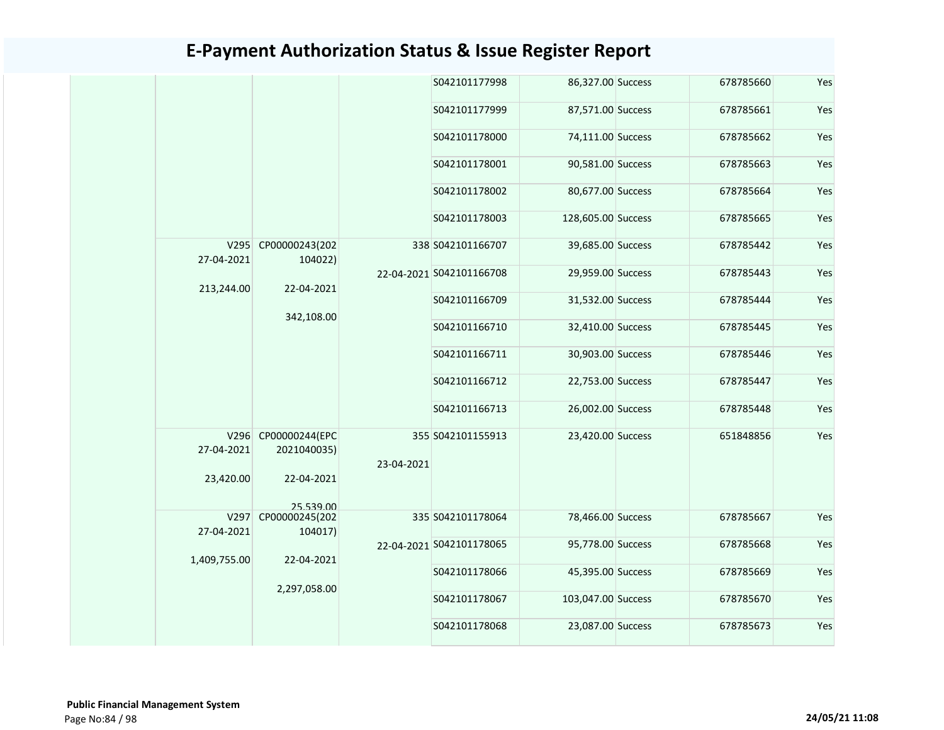|                         |                                                  |            | S042101177998            | 86,327.00 Success  | 678785660 | Yes |
|-------------------------|--------------------------------------------------|------------|--------------------------|--------------------|-----------|-----|
|                         |                                                  |            | S042101177999            | 87,571.00 Success  | 678785661 | Yes |
|                         |                                                  |            | S042101178000            | 74,111.00 Success  | 678785662 | Yes |
|                         |                                                  |            | S042101178001            | 90,581.00 Success  | 678785663 | Yes |
|                         |                                                  |            | S042101178002            | 80,677.00 Success  | 678785664 | Yes |
|                         |                                                  |            | S042101178003            | 128,605.00 Success | 678785665 | Yes |
| V295<br>27-04-2021      | CP00000243(202<br>104022)                        |            | 338 S042101166707        | 39,685.00 Success  | 678785442 | Yes |
| 213,244.00              | 22-04-2021                                       |            | 22-04-2021 S042101166708 | 29,959.00 Success  | 678785443 | Yes |
|                         |                                                  |            | S042101166709            | 31,532.00 Success  | 678785444 | Yes |
|                         | 342,108.00                                       |            | S042101166710            | 32,410.00 Success  | 678785445 | Yes |
|                         |                                                  |            | S042101166711            | 30,903.00 Success  | 678785446 | Yes |
|                         |                                                  |            | S042101166712            | 22,753.00 Success  | 678785447 | Yes |
|                         |                                                  |            | S042101166713            | 26,002.00 Success  | 678785448 | Yes |
| 27-04-2021<br>23,420.00 | V296 CP00000244(EPC<br>2021040035)<br>22-04-2021 | 23-04-2021 | 355 S042101155913        | 23,420.00 Success  | 651848856 | Yes |
|                         | 25 539 00                                        |            |                          |                    |           |     |
| V297<br>27-04-2021      | CP00000245(202<br>104017)                        |            | 335 S042101178064        | 78,466.00 Success  | 678785667 | Yes |
|                         | 22-04-2021                                       |            | 22-04-2021 S042101178065 | 95,778.00 Success  | 678785668 | Yes |
|                         | 1,409,755.00                                     |            | S042101178066            | 45,395.00 Success  | 678785669 | Yes |
|                         | 2,297,058.00                                     |            | S042101178067            | 103,047.00 Success | 678785670 | Yes |
|                         |                                                  |            | S042101178068            | 23,087.00 Success  | 678785673 | Yes |
|                         |                                                  |            |                          |                    |           |     |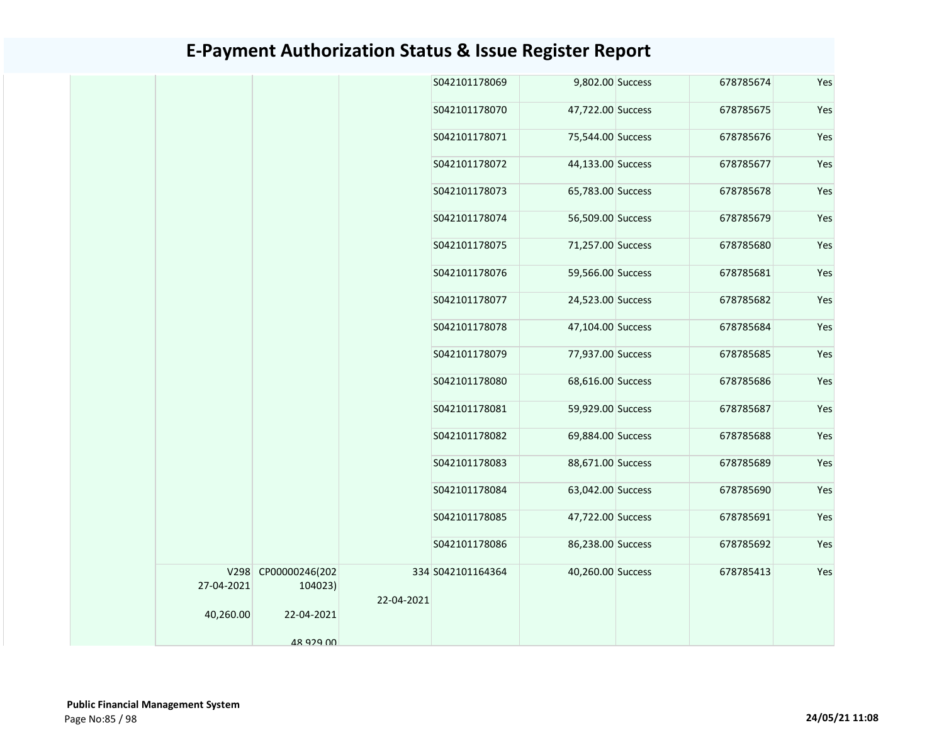|            |                                |            | S042101178069     | 9,802.00 Success  | 678785674 | Yes |
|------------|--------------------------------|------------|-------------------|-------------------|-----------|-----|
|            |                                |            | S042101178070     | 47,722.00 Success | 678785675 | Yes |
|            |                                |            | S042101178071     | 75,544.00 Success | 678785676 | Yes |
|            |                                |            | S042101178072     | 44,133.00 Success | 678785677 | Yes |
|            |                                |            | S042101178073     | 65,783.00 Success | 678785678 | Yes |
|            |                                |            | S042101178074     | 56,509.00 Success | 678785679 | Yes |
|            |                                |            | S042101178075     | 71,257.00 Success | 678785680 | Yes |
|            |                                |            | S042101178076     | 59,566.00 Success | 678785681 | Yes |
|            |                                |            | S042101178077     | 24,523.00 Success | 678785682 | Yes |
|            |                                |            | S042101178078     | 47,104.00 Success | 678785684 | Yes |
|            |                                |            | S042101178079     | 77,937.00 Success | 678785685 | Yes |
|            |                                |            | S042101178080     | 68,616.00 Success | 678785686 | Yes |
|            |                                |            | S042101178081     | 59,929.00 Success | 678785687 | Yes |
|            |                                |            | S042101178082     | 69,884.00 Success | 678785688 | Yes |
|            |                                |            | S042101178083     | 88,671.00 Success | 678785689 | Yes |
|            |                                |            | S042101178084     | 63,042.00 Success | 678785690 | Yes |
|            |                                |            | S042101178085     | 47,722.00 Success | 678785691 | Yes |
|            |                                |            | S042101178086     | 86,238.00 Success | 678785692 | Yes |
| 27-04-2021 | V298 CP00000246(202<br>104023) |            | 334 S042101164364 | 40,260.00 Success | 678785413 | Yes |
|            |                                | 22-04-2021 |                   |                   |           |     |
| 40,260.00  | 22-04-2021                     |            |                   |                   |           |     |
|            | 48 929 00                      |            |                   |                   |           |     |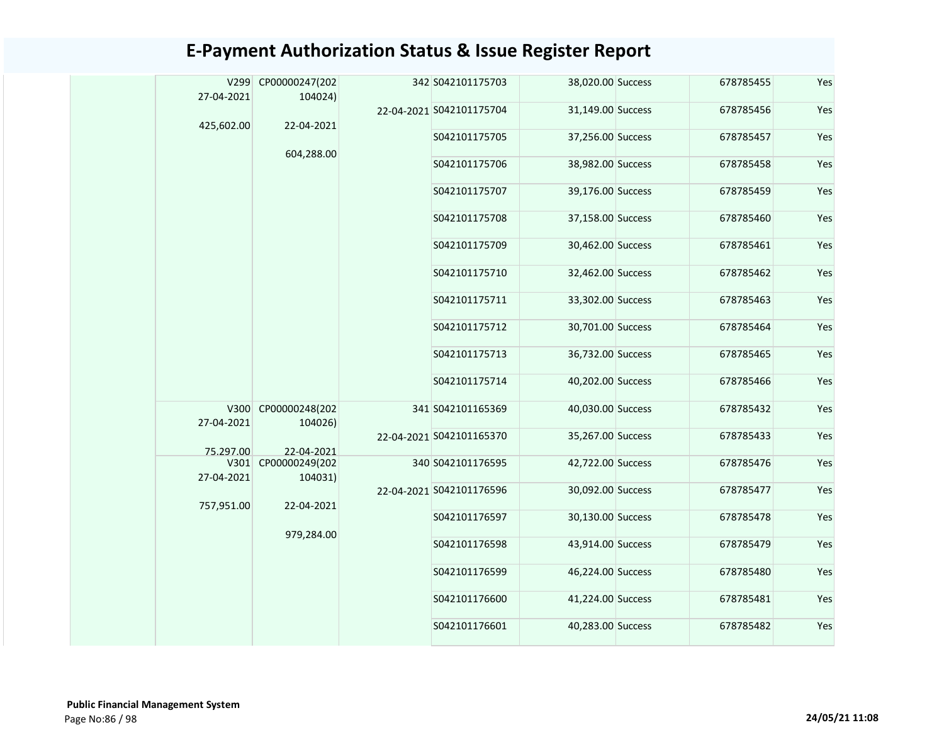|  | V299               | CP00000247(202                 |  | 342 S042101175703        | 38,020.00 Success | 678785455 | Yes |
|--|--------------------|--------------------------------|--|--------------------------|-------------------|-----------|-----|
|  | 27-04-2021         | 104024)                        |  | 22-04-2021 S042101175704 | 31,149.00 Success | 678785456 | Yes |
|  | 425,602.00         | 22-04-2021                     |  |                          |                   |           |     |
|  |                    | 604,288.00                     |  | S042101175705            | 37,256.00 Success | 678785457 | Yes |
|  |                    |                                |  | S042101175706            | 38,982.00 Success | 678785458 | Yes |
|  |                    |                                |  | S042101175707            | 39,176.00 Success | 678785459 | Yes |
|  |                    |                                |  | S042101175708            | 37,158.00 Success | 678785460 | Yes |
|  |                    |                                |  | S042101175709            | 30,462.00 Success | 678785461 | Yes |
|  |                    |                                |  | S042101175710            | 32,462.00 Success | 678785462 | Yes |
|  |                    |                                |  | S042101175711            | 33,302.00 Success | 678785463 | Yes |
|  |                    |                                |  | S042101175712            | 30,701.00 Success | 678785464 | Yes |
|  |                    |                                |  | S042101175713            | 36,732.00 Success | 678785465 | Yes |
|  |                    |                                |  | S042101175714            | 40,202.00 Success | 678785466 | Yes |
|  | 27-04-2021         | V300 CP00000248(202<br>104026) |  | 341 S042101165369        | 40,030.00 Success | 678785432 | Yes |
|  | 75.297.00          | 22-04-2021                     |  | 22-04-2021 S042101165370 | 35,267.00 Success | 678785433 | Yes |
|  | V301<br>27-04-2021 | CP00000249(202<br>104031)      |  | 340 S042101176595        | 42,722.00 Success | 678785476 | Yes |
|  | 757,951.00         | 22-04-2021                     |  | 22-04-2021 S042101176596 | 30,092.00 Success | 678785477 | Yes |
|  |                    | 979,284.00                     |  | S042101176597            | 30,130.00 Success | 678785478 | Yes |
|  |                    |                                |  | S042101176598            | 43,914.00 Success | 678785479 | Yes |
|  |                    |                                |  | S042101176599            | 46,224.00 Success | 678785480 | Yes |
|  |                    |                                |  | S042101176600            | 41,224.00 Success | 678785481 | Yes |
|  |                    |                                |  | S042101176601            | 40,283.00 Success | 678785482 | Yes |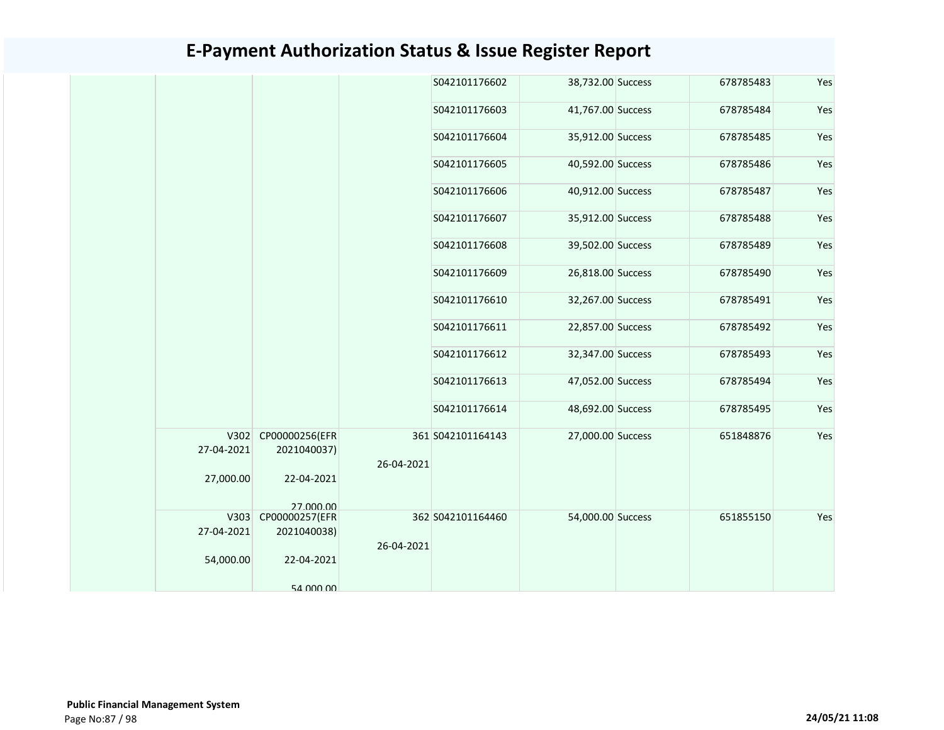|  |            |                                    |            | S042101176602     | 38,732.00 Success | 678785483 | Yes |
|--|------------|------------------------------------|------------|-------------------|-------------------|-----------|-----|
|  |            |                                    |            | S042101176603     | 41,767.00 Success | 678785484 | Yes |
|  |            |                                    |            | S042101176604     | 35,912.00 Success | 678785485 | Yes |
|  |            |                                    |            | S042101176605     | 40,592.00 Success | 678785486 | Yes |
|  |            |                                    |            | S042101176606     | 40,912.00 Success | 678785487 | Yes |
|  |            |                                    |            | S042101176607     | 35,912.00 Success | 678785488 | Yes |
|  |            |                                    |            | S042101176608     | 39,502.00 Success | 678785489 | Yes |
|  |            |                                    |            | S042101176609     | 26,818.00 Success | 678785490 | Yes |
|  |            |                                    |            | S042101176610     | 32,267.00 Success | 678785491 | Yes |
|  |            |                                    |            | S042101176611     | 22,857.00 Success | 678785492 | Yes |
|  |            |                                    |            | S042101176612     | 32,347.00 Success | 678785493 | Yes |
|  |            |                                    |            | S042101176613     | 47,052.00 Success | 678785494 | Yes |
|  |            |                                    |            | S042101176614     | 48,692.00 Success | 678785495 | Yes |
|  | 27-04-2021 | V302 CP00000256(EFR<br>2021040037) | 26-04-2021 | 361 S042101164143 | 27,000.00 Success | 651848876 | Yes |
|  | 27,000.00  | 22-04-2021                         |            |                   |                   |           |     |
|  |            | 27 000 00                          |            |                   |                   |           |     |
|  |            | V303 CP00000257(EFR                |            | 362 S042101164460 | 54,000.00 Success | 651855150 | Yes |
|  | 27-04-2021 | 2021040038)                        |            |                   |                   |           |     |
|  | 54,000.00  | 22-04-2021                         | 26-04-2021 |                   |                   |           |     |
|  |            | 54 000 00                          |            |                   |                   |           |     |
|  |            |                                    |            |                   |                   |           |     |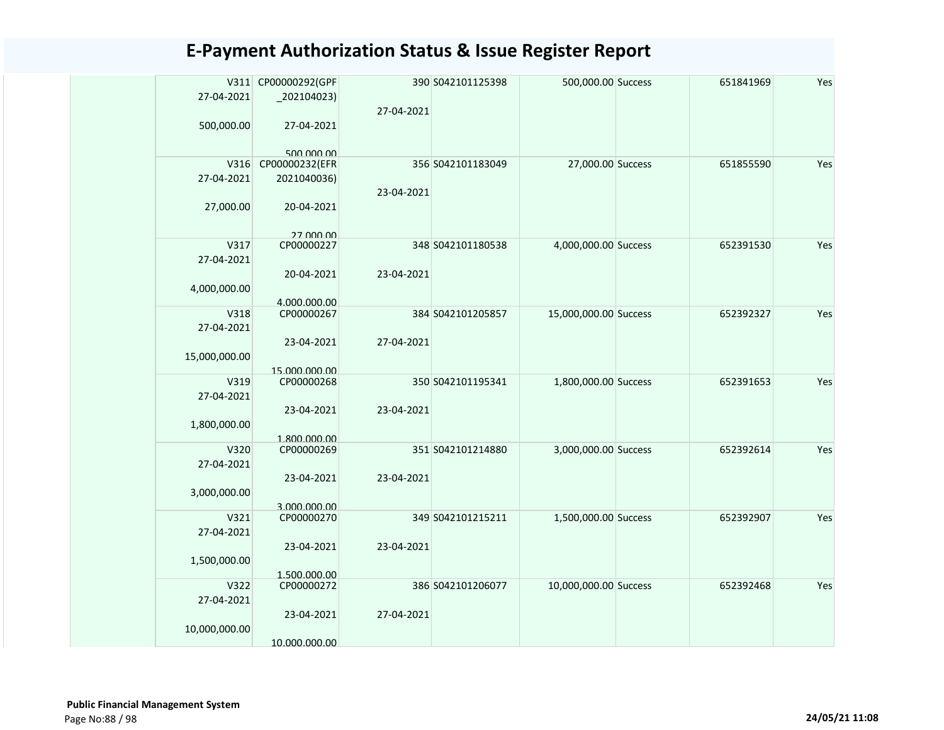|               | V311 CP00000292(GPF         |            | 390 S042101125398 | 500,000.00 Success    | 651841969 | Yes |
|---------------|-----------------------------|------------|-------------------|-----------------------|-----------|-----|
| 27-04-2021    | $_2$ 02104023)              |            |                   |                       |           |     |
|               |                             | 27-04-2021 |                   |                       |           |     |
| 500,000.00    | 27-04-2021                  |            |                   |                       |           |     |
|               |                             |            |                   |                       |           |     |
|               | 500,000,00                  |            |                   |                       |           |     |
|               | V316 CP00000232(EFR         |            | 356 S042101183049 | 27,000.00 Success     | 651855590 | Yes |
| 27-04-2021    | 2021040036)                 |            |                   |                       |           |     |
|               |                             | 23-04-2021 |                   |                       |           |     |
| 27,000.00     | 20-04-2021                  |            |                   |                       |           |     |
|               |                             |            |                   |                       |           |     |
|               | 27 000 00                   |            |                   |                       |           |     |
| V317          | CP00000227                  |            | 348 S042101180538 | 4,000,000.00 Success  | 652391530 | Yes |
| 27-04-2021    |                             |            |                   |                       |           |     |
|               | 20-04-2021                  | 23-04-2021 |                   |                       |           |     |
| 4,000,000.00  |                             |            |                   |                       |           |     |
|               | 4.000.000.00                |            |                   |                       |           |     |
| V318          | CP00000267                  |            | 384 S042101205857 | 15,000,000.00 Success | 652392327 | Yes |
| 27-04-2021    |                             |            |                   |                       |           |     |
|               | 23-04-2021                  | 27-04-2021 |                   |                       |           |     |
| 15,000,000.00 |                             |            |                   |                       |           |     |
| V319          | 15.000.000.00<br>CP00000268 |            | 350 S042101195341 | 1,800,000.00 Success  | 652391653 | Yes |
| 27-04-2021    |                             |            |                   |                       |           |     |
|               |                             |            |                   |                       |           |     |
|               | 23-04-2021                  | 23-04-2021 |                   |                       |           |     |
| 1,800,000.00  |                             |            |                   |                       |           |     |
| V320          | 1.800.000.00<br>CP00000269  |            | 351 S042101214880 | 3,000,000.00 Success  | 652392614 | Yes |
| 27-04-2021    |                             |            |                   |                       |           |     |
|               | 23-04-2021                  | 23-04-2021 |                   |                       |           |     |
| 3,000,000.00  |                             |            |                   |                       |           |     |
|               | 3.000.000.00                |            |                   |                       |           |     |
| V321          | CP00000270                  |            | 349 S042101215211 | 1,500,000.00 Success  | 652392907 | Yes |
| 27-04-2021    |                             |            |                   |                       |           |     |
|               | 23-04-2021                  | 23-04-2021 |                   |                       |           |     |
| 1,500,000.00  |                             |            |                   |                       |           |     |
|               | 1.500.000.00                |            |                   |                       |           |     |
| V322          | CP00000272                  |            | 386 S042101206077 | 10,000,000.00 Success | 652392468 | Yes |
| 27-04-2021    |                             |            |                   |                       |           |     |
|               | 23-04-2021                  | 27-04-2021 |                   |                       |           |     |
| 10,000,000.00 |                             |            |                   |                       |           |     |
|               | 10.000.000.00               |            |                   |                       |           |     |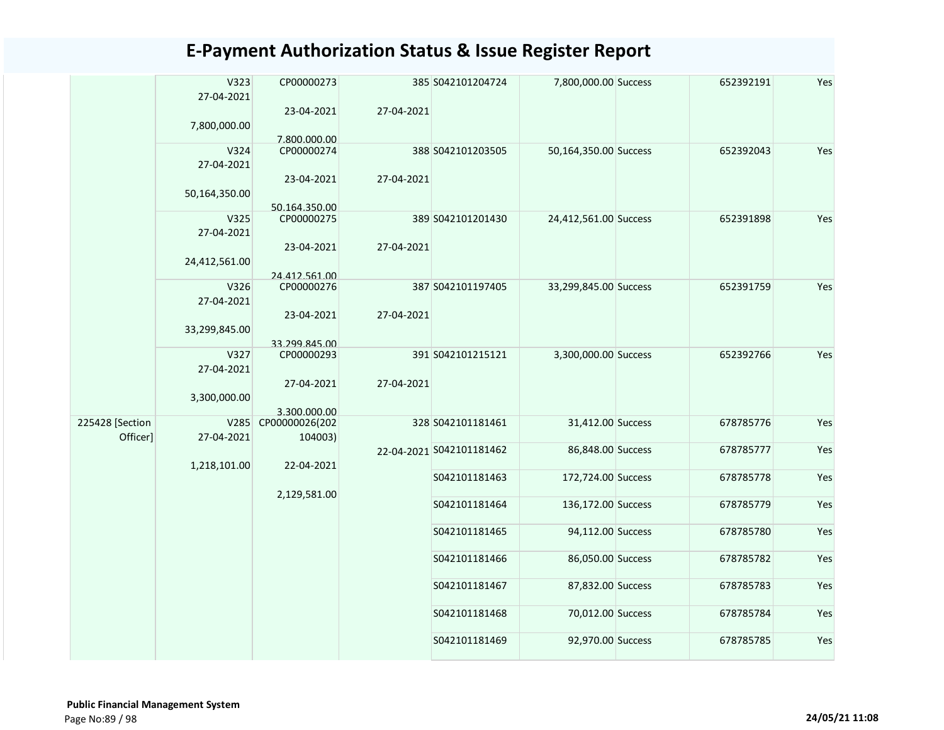|                 | V323<br>27-04-2021 | CP00000273                  |            | 385 S042101204724        | 7,800,000.00 Success  | 652392191 | Yes |
|-----------------|--------------------|-----------------------------|------------|--------------------------|-----------------------|-----------|-----|
|                 |                    | 23-04-2021                  | 27-04-2021 |                          |                       |           |     |
|                 | 7,800,000.00       | 7.800.000.00                |            |                          |                       |           |     |
|                 | V324               | CP00000274                  |            | 388 S042101203505        | 50,164,350.00 Success | 652392043 | Yes |
|                 | 27-04-2021         |                             |            |                          |                       |           |     |
|                 | 50,164,350.00      | 23-04-2021<br>50.164.350.00 | 27-04-2021 |                          |                       |           |     |
|                 | V325               | CP00000275                  |            | 389 S042101201430        | 24,412,561.00 Success | 652391898 | Yes |
|                 | 27-04-2021         |                             |            |                          |                       |           |     |
|                 |                    | 23-04-2021                  | 27-04-2021 |                          |                       |           |     |
|                 | 24,412,561.00      |                             |            |                          |                       |           |     |
|                 | V326               | 24.412.561.00<br>CP00000276 |            | 387 S042101197405        | 33,299,845.00 Success | 652391759 | Yes |
|                 | 27-04-2021         |                             |            |                          |                       |           |     |
|                 |                    | 23-04-2021                  | 27-04-2021 |                          |                       |           |     |
|                 | 33,299,845.00      |                             |            |                          |                       |           |     |
|                 |                    | 33.299.845.00               |            |                          |                       |           |     |
|                 | V327<br>27-04-2021 | CP00000293                  |            | 391 S042101215121        | 3,300,000.00 Success  | 652392766 | Yes |
|                 |                    | 27-04-2021                  | 27-04-2021 |                          |                       |           |     |
|                 | 3,300,000.00       |                             |            |                          |                       |           |     |
|                 |                    | 3.300.000.00                |            |                          |                       |           |     |
| 225428 [Section | V285               | CP00000026(202              |            | 328 S042101181461        | 31,412.00 Success     | 678785776 | Yes |
| Officer]        | 27-04-2021         | 104003)                     |            | 22-04-2021 S042101181462 | 86,848.00 Success     | 678785777 | Yes |
|                 | 1,218,101.00       | 22-04-2021                  |            |                          |                       |           |     |
|                 |                    |                             |            | S042101181463            | 172,724.00 Success    | 678785778 | Yes |
|                 |                    | 2,129,581.00                |            |                          |                       |           |     |
|                 |                    |                             |            | S042101181464            | 136,172.00 Success    | 678785779 | Yes |
|                 |                    |                             |            | S042101181465            | 94,112.00 Success     | 678785780 | Yes |
|                 |                    |                             |            |                          |                       |           |     |
|                 |                    |                             |            | S042101181466            | 86,050.00 Success     | 678785782 | Yes |
|                 |                    |                             |            | S042101181467            | 87,832.00 Success     | 678785783 | Yes |
|                 |                    |                             |            |                          |                       |           |     |
|                 |                    |                             |            | S042101181468            | 70,012.00 Success     | 678785784 | Yes |
|                 |                    |                             |            |                          |                       |           |     |
|                 |                    |                             |            | S042101181469            | 92,970.00 Success     | 678785785 | Yes |
|                 |                    |                             |            |                          |                       |           |     |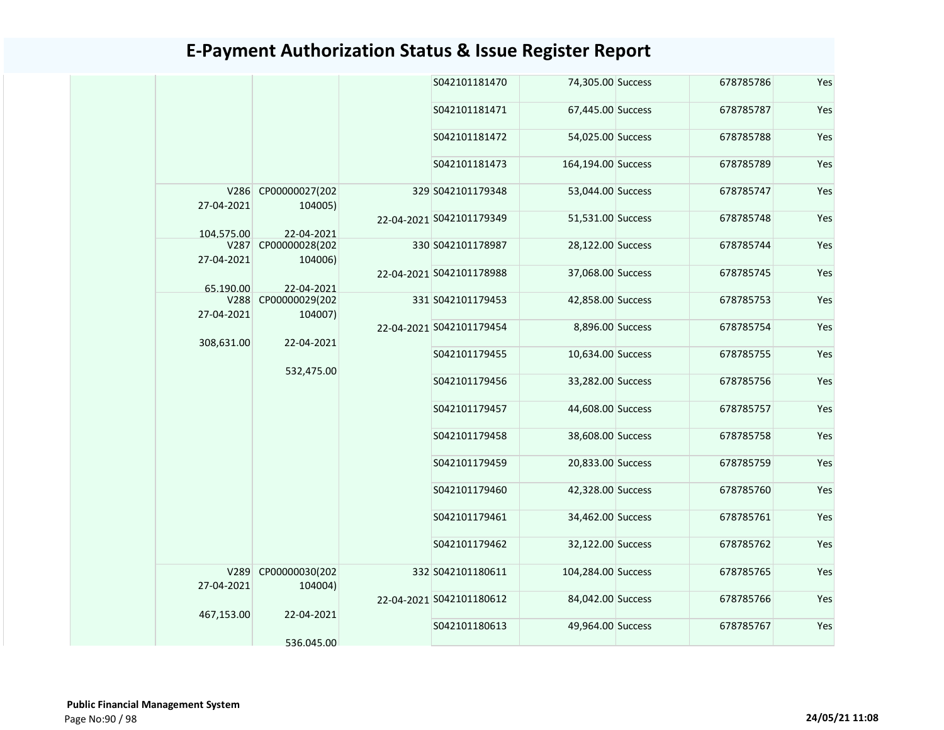|            |                                                                                               |                                                                                                           | S042101181470 |                                                                                                                                                                                                  | 678785786                                                                                                                                                                                                                                                                                                                                                                                                                                              | Yes       |     |
|------------|-----------------------------------------------------------------------------------------------|-----------------------------------------------------------------------------------------------------------|---------------|--------------------------------------------------------------------------------------------------------------------------------------------------------------------------------------------------|--------------------------------------------------------------------------------------------------------------------------------------------------------------------------------------------------------------------------------------------------------------------------------------------------------------------------------------------------------------------------------------------------------------------------------------------------------|-----------|-----|
|            |                                                                                               |                                                                                                           | S042101181471 |                                                                                                                                                                                                  | 678785787                                                                                                                                                                                                                                                                                                                                                                                                                                              | Yes       |     |
|            |                                                                                               |                                                                                                           | S042101181472 |                                                                                                                                                                                                  | 678785788                                                                                                                                                                                                                                                                                                                                                                                                                                              | Yes       |     |
|            |                                                                                               |                                                                                                           | S042101181473 |                                                                                                                                                                                                  | 678785789                                                                                                                                                                                                                                                                                                                                                                                                                                              | Yes       |     |
|            |                                                                                               |                                                                                                           |               |                                                                                                                                                                                                  | 678785747                                                                                                                                                                                                                                                                                                                                                                                                                                              | Yes       |     |
|            |                                                                                               |                                                                                                           |               |                                                                                                                                                                                                  | 678785748                                                                                                                                                                                                                                                                                                                                                                                                                                              | Yes       |     |
| V287       | CP00000028(202                                                                                |                                                                                                           |               |                                                                                                                                                                                                  | 678785744                                                                                                                                                                                                                                                                                                                                                                                                                                              | Yes       |     |
|            |                                                                                               |                                                                                                           |               |                                                                                                                                                                                                  | 678785745                                                                                                                                                                                                                                                                                                                                                                                                                                              | Yes       |     |
| V288       | 104007)<br>22-04-2021                                                                         | CP00000029(202                                                                                            |               |                                                                                                                                                                                                  |                                                                                                                                                                                                                                                                                                                                                                                                                                                        | 678785753 | Yes |
|            |                                                                                               |                                                                                                           |               |                                                                                                                                                                                                  | 678785754                                                                                                                                                                                                                                                                                                                                                                                                                                              | Yes       |     |
|            |                                                                                               | S042101179455                                                                                             |               | 678785755                                                                                                                                                                                        | Yes                                                                                                                                                                                                                                                                                                                                                                                                                                                    |           |     |
|            |                                                                                               |                                                                                                           | S042101179456 |                                                                                                                                                                                                  | 678785756                                                                                                                                                                                                                                                                                                                                                                                                                                              | Yes       |     |
|            |                                                                                               |                                                                                                           | S042101179457 |                                                                                                                                                                                                  | 678785757                                                                                                                                                                                                                                                                                                                                                                                                                                              | Yes       |     |
|            |                                                                                               |                                                                                                           | S042101179458 |                                                                                                                                                                                                  | 678785758                                                                                                                                                                                                                                                                                                                                                                                                                                              | Yes       |     |
|            |                                                                                               |                                                                                                           | S042101179459 |                                                                                                                                                                                                  | 678785759                                                                                                                                                                                                                                                                                                                                                                                                                                              | Yes       |     |
|            |                                                                                               |                                                                                                           | S042101179460 |                                                                                                                                                                                                  | 678785760                                                                                                                                                                                                                                                                                                                                                                                                                                              | Yes       |     |
|            |                                                                                               |                                                                                                           | S042101179461 |                                                                                                                                                                                                  | 678785761                                                                                                                                                                                                                                                                                                                                                                                                                                              | Yes       |     |
|            |                                                                                               | 104004)                                                                                                   | S042101179462 |                                                                                                                                                                                                  | 678785762                                                                                                                                                                                                                                                                                                                                                                                                                                              | Yes       |     |
| 27-04-2021 | CP00000030(202                                                                                |                                                                                                           |               |                                                                                                                                                                                                  | 678785765                                                                                                                                                                                                                                                                                                                                                                                                                                              | Yes       |     |
|            |                                                                                               |                                                                                                           |               |                                                                                                                                                                                                  | 678785766                                                                                                                                                                                                                                                                                                                                                                                                                                              | Yes       |     |
|            | 536.045.00                                                                                    |                                                                                                           | S042101180613 |                                                                                                                                                                                                  | 678785767                                                                                                                                                                                                                                                                                                                                                                                                                                              | Yes       |     |
|            | 27-04-2021<br>104.575.00<br>27-04-2021<br>65.190.00<br>27-04-2021<br>308,631.00<br>467,153.00 | V286 CP00000027(202<br>104005)<br>22-04-2021<br>104006)<br>22-04-2021<br>532,475.00<br>V289<br>22-04-2021 |               | 329 S042101179348<br>22-04-2021 S042101179349<br>330 S042101178987<br>22-04-2021 S042101178988<br>331 S042101179453<br>22-04-2021 S042101179454<br>332 S042101180611<br>22-04-2021 S042101180612 | 74,305.00 Success<br>67,445.00 Success<br>54,025.00 Success<br>164,194.00 Success<br>53,044.00 Success<br>51,531.00 Success<br>28,122.00 Success<br>37,068.00 Success<br>42,858.00 Success<br>8,896.00 Success<br>10,634.00 Success<br>33,282.00 Success<br>44,608.00 Success<br>38,608.00 Success<br>20,833.00 Success<br>42,328.00 Success<br>34,462.00 Success<br>32,122.00 Success<br>104,284.00 Success<br>84,042.00 Success<br>49,964.00 Success |           |     |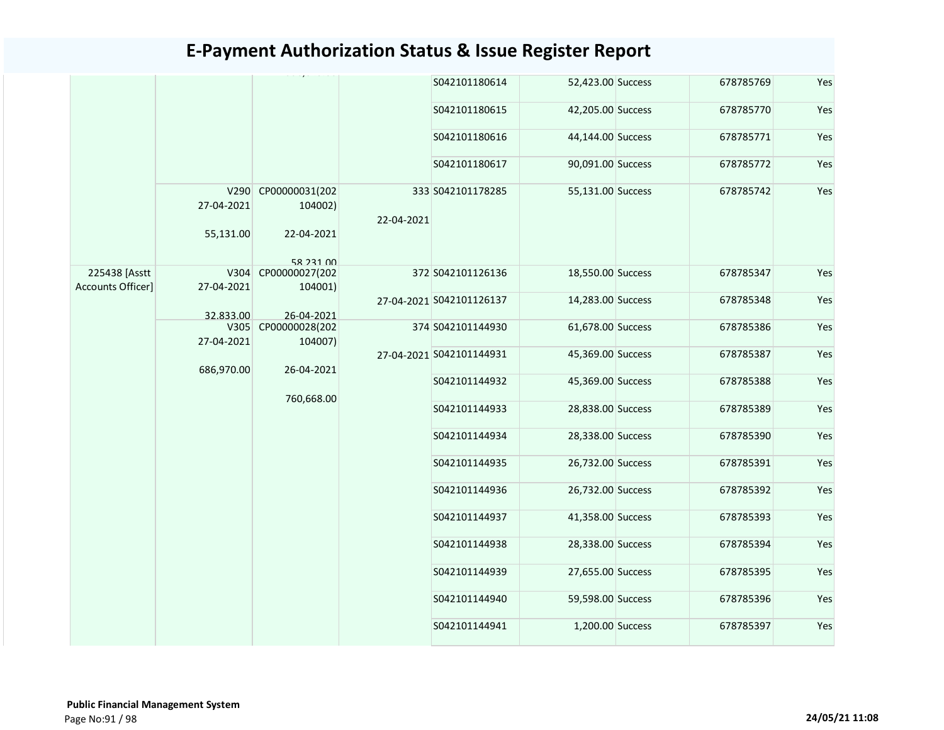|                                    |                    |                                |            | S042101180614            | 52,423.00 Success | 678785769 | Yes |
|------------------------------------|--------------------|--------------------------------|------------|--------------------------|-------------------|-----------|-----|
|                                    |                    |                                |            | S042101180615            | 42,205.00 Success | 678785770 | Yes |
|                                    |                    |                                |            | S042101180616            | 44,144.00 Success | 678785771 | Yes |
|                                    |                    |                                |            | S042101180617            | 90,091.00 Success | 678785772 | Yes |
|                                    | 27-04-2021         | V290 CP00000031(202<br>104002) | 22-04-2021 | 333 S042101178285        | 55,131.00 Success | 678785742 | Yes |
|                                    | 55,131.00          | 22-04-2021                     |            |                          |                   |           |     |
|                                    |                    | 58 231 00                      |            |                          |                   |           |     |
| 225438 [Asstt<br>Accounts Officer] | V304<br>27-04-2021 | CP00000027(202<br>104001)      |            | 372 S042101126136        | 18,550.00 Success | 678785347 | Yes |
|                                    |                    |                                |            | 27-04-2021 S042101126137 | 14,283.00 Success | 678785348 | Yes |
|                                    | 32.833.00          | 26-04-2021                     |            |                          |                   |           |     |
|                                    | V305               | CP00000028(202                 |            | 374 S042101144930        | 61,678.00 Success | 678785386 | Yes |
|                                    | 27-04-2021         | 104007)                        |            |                          |                   |           |     |
|                                    | 686,970.00         | 26-04-2021                     |            | 27-04-2021 S042101144931 | 45,369.00 Success | 678785387 | Yes |
|                                    |                    |                                |            | S042101144932            | 45,369.00 Success | 678785388 | Yes |
|                                    |                    | 760,668.00                     |            | S042101144933            | 28,838.00 Success | 678785389 | Yes |
|                                    |                    |                                |            | S042101144934            | 28,338.00 Success | 678785390 | Yes |
|                                    |                    |                                |            | S042101144935            | 26,732.00 Success | 678785391 | Yes |
|                                    |                    |                                |            | S042101144936            | 26,732.00 Success | 678785392 | Yes |
|                                    |                    |                                |            | S042101144937            | 41,358.00 Success | 678785393 | Yes |
|                                    |                    |                                |            | S042101144938            | 28,338.00 Success | 678785394 | Yes |
|                                    |                    |                                |            | S042101144939            | 27,655.00 Success | 678785395 | Yes |
|                                    |                    |                                |            | S042101144940            | 59,598.00 Success | 678785396 | Yes |
|                                    |                    |                                |            | S042101144941            | 1,200.00 Success  | 678785397 | Yes |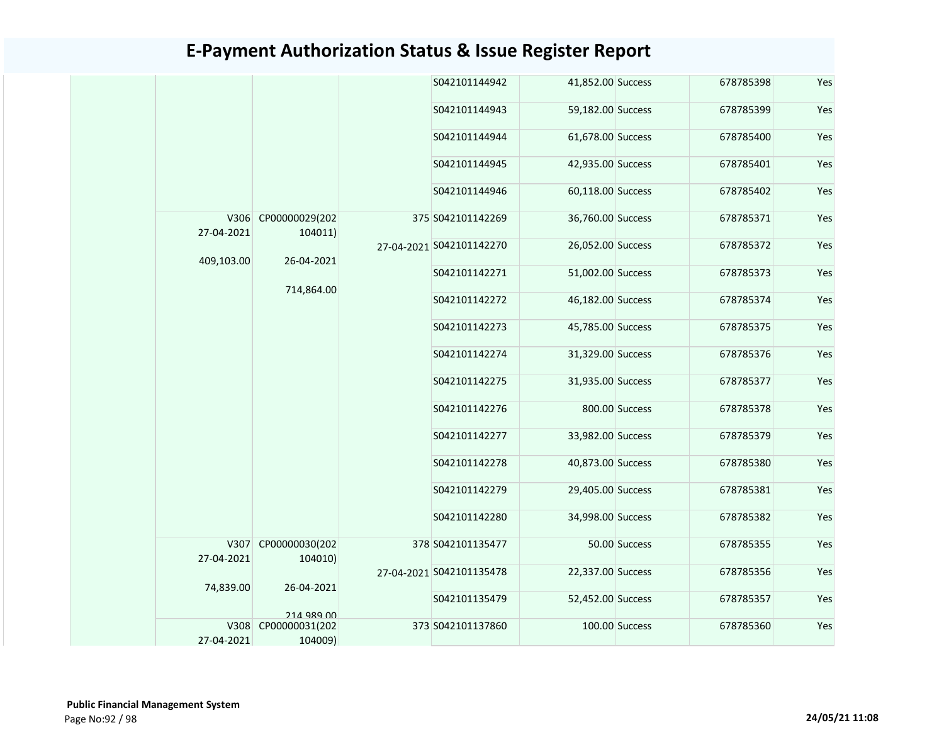|                    |                              |  | S042101144942            | 41,852.00 Success |                | 678785398 | Yes |
|--------------------|------------------------------|--|--------------------------|-------------------|----------------|-----------|-----|
|                    |                              |  | S042101144943            | 59,182.00 Success |                | 678785399 | Yes |
|                    |                              |  | S042101144944            | 61,678.00 Success |                | 678785400 | Yes |
|                    |                              |  | S042101144945            | 42,935.00 Success |                | 678785401 | Yes |
|                    |                              |  | S042101144946            | 60,118.00 Success |                | 678785402 | Yes |
| V306<br>27-04-2021 | CP00000029(202<br>104011)    |  | 375 S042101142269        | 36,760.00 Success |                | 678785371 | Yes |
|                    |                              |  | 27-04-2021 S042101142270 | 26,052.00 Success |                | 678785372 | Yes |
| 409,103.00         | 26-04-2021                   |  | S042101142271            | 51,002.00 Success |                | 678785373 | Yes |
|                    | 714,864.00                   |  | S042101142272            | 46,182.00 Success |                | 678785374 | Yes |
|                    |                              |  | S042101142273            | 45,785.00 Success |                | 678785375 | Yes |
|                    |                              |  | S042101142274            | 31,329.00 Success |                | 678785376 | Yes |
|                    |                              |  | S042101142275            | 31,935.00 Success |                | 678785377 | Yes |
|                    |                              |  | S042101142276            |                   | 800.00 Success | 678785378 | Yes |
|                    |                              |  | S042101142277            | 33,982.00 Success |                | 678785379 | Yes |
|                    |                              |  | S042101142278            | 40,873.00 Success |                | 678785380 | Yes |
|                    |                              |  | S042101142279            | 29,405.00 Success |                | 678785381 | Yes |
|                    |                              |  | S042101142280            | 34,998.00 Success |                | 678785382 | Yes |
|                    | V307 CP00000030(202          |  | 378 S042101135477        |                   | 50.00 Success  | 678785355 | Yes |
| 27-04-2021         | 104010)                      |  | 27-04-2021 S042101135478 | 22,337.00 Success |                | 678785356 | Yes |
| 74,839.00          | 26-04-2021                   |  | S042101135479            | 52,452.00 Success |                | 678785357 | Yes |
| V308               | 214 989 00<br>CP00000031(202 |  | 373 S042101137860        |                   | 100.00 Success | 678785360 | Yes |
| 27-04-2021         | 104009)                      |  |                          |                   |                |           |     |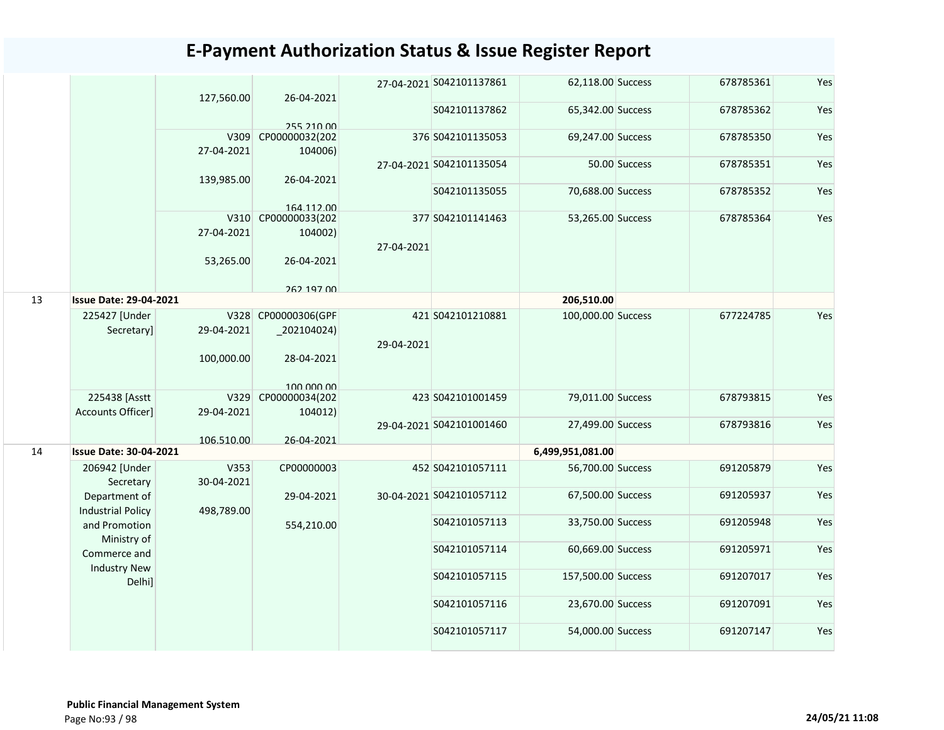|    |                               | 127,560.00 | 26-04-2021                   |            | 27-04-2021 S042101137861 | 62,118.00 Success  |               | 678785361 | Yes |
|----|-------------------------------|------------|------------------------------|------------|--------------------------|--------------------|---------------|-----------|-----|
|    |                               |            |                              |            | S042101137862            | 65,342.00 Success  |               | 678785362 | Yes |
|    |                               | V309       | 255 210 00<br>CP00000032(202 |            | 376 S042101135053        | 69,247.00 Success  |               | 678785350 | Yes |
|    |                               | 27-04-2021 | 104006)                      |            |                          |                    |               |           |     |
|    |                               | 139,985.00 | 26-04-2021                   |            | 27-04-2021 S042101135054 |                    | 50.00 Success | 678785351 | Yes |
|    |                               |            |                              |            | S042101135055            | 70,688.00 Success  |               | 678785352 | Yes |
|    |                               |            | 164 112 00                   |            |                          |                    |               |           |     |
|    |                               |            | V310 CP00000033(202          |            | 377 S042101141463        | 53,265.00 Success  |               | 678785364 | Yes |
|    |                               | 27-04-2021 | 104002)                      |            |                          |                    |               |           |     |
|    |                               |            |                              | 27-04-2021 |                          |                    |               |           |     |
|    |                               | 53,265.00  | 26-04-2021                   |            |                          |                    |               |           |     |
|    |                               |            | 262 197 00                   |            |                          |                    |               |           |     |
| 13 | <b>Issue Date: 29-04-2021</b> |            |                              |            |                          | 206,510.00         |               |           |     |
|    | 225427 [Under                 |            | V328 CP00000306(GPF          |            | 421 S042101210881        | 100,000.00 Success |               | 677224785 | Yes |
|    | Secretary]                    | 29-04-2021 | $_2$ 202104024)              |            |                          |                    |               |           |     |
|    |                               |            |                              | 29-04-2021 |                          |                    |               |           |     |
|    |                               | 100,000.00 | 28-04-2021                   |            |                          |                    |               |           |     |
|    |                               |            | 100,000,00                   |            |                          |                    |               |           |     |
|    | 225438 [Asstt                 | V329       | CP00000034(202               |            | 423 S042101001459        | 79,011.00 Success  |               | 678793815 | Yes |
|    | Accounts Officer]             | 29-04-2021 | 104012)                      |            |                          |                    |               |           |     |
|    |                               |            |                              |            | 29-04-2021 S042101001460 | 27,499.00 Success  |               | 678793816 | Yes |
|    |                               | 106.510.00 | 26-04-2021                   |            |                          |                    |               |           |     |
| 14 | <b>Issue Date: 30-04-2021</b> |            |                              |            |                          | 6,499,951,081.00   |               |           |     |
|    | 206942 [Under                 | V353       | CP00000003                   |            | 452 S042101057111        | 56,700.00 Success  |               | 691205879 | Yes |
|    | Secretary                     | 30-04-2021 |                              |            |                          |                    |               |           |     |
|    | Department of                 |            | 29-04-2021                   |            | 30-04-2021 S042101057112 | 67,500.00 Success  |               | 691205937 | Yes |
|    | <b>Industrial Policy</b>      | 498,789.00 |                              |            |                          |                    |               |           |     |
|    | and Promotion                 |            | 554,210.00                   |            | S042101057113            | 33,750.00 Success  |               | 691205948 | Yes |
|    | Ministry of                   |            |                              |            |                          |                    |               |           |     |
|    | Commerce and                  |            |                              |            | S042101057114            | 60,669.00 Success  |               | 691205971 | Yes |
|    | <b>Industry New</b>           |            |                              |            |                          |                    |               |           |     |
|    | Delhi]                        |            |                              |            | S042101057115            | 157,500.00 Success |               | 691207017 | Yes |
|    |                               |            |                              |            | S042101057116            | 23,670.00 Success  |               | 691207091 | Yes |
|    |                               |            |                              |            | S042101057117            | 54,000.00 Success  |               | 691207147 | Yes |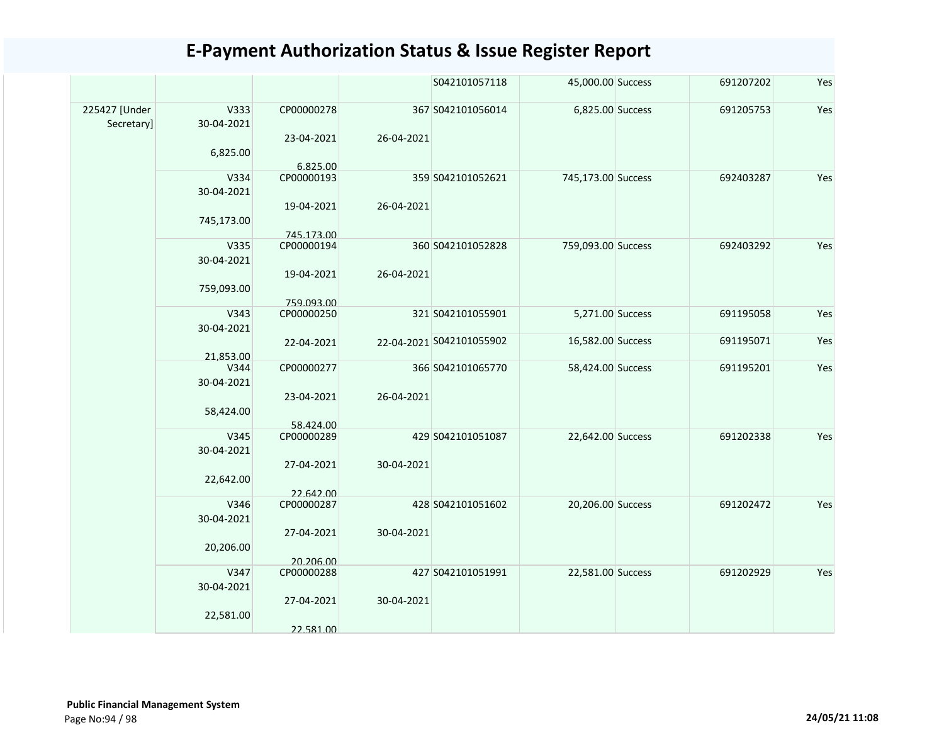|                             |                    |                          |            | S042101057118            | 45,000.00 Success  | 691207202 | Yes |
|-----------------------------|--------------------|--------------------------|------------|--------------------------|--------------------|-----------|-----|
| 225427 [Under<br>Secretary] | V333<br>30-04-2021 | CP00000278               |            | 367 S042101056014        | 6,825.00 Success   | 691205753 | Yes |
|                             | 6,825.00           | 23-04-2021<br>6.825.00   | 26-04-2021 |                          |                    |           |     |
|                             | V334<br>30-04-2021 | CP00000193               |            | 359 S042101052621        | 745,173.00 Success | 692403287 | Yes |
|                             | 745,173.00         | 19-04-2021               | 26-04-2021 |                          |                    |           |     |
|                             | V335<br>30-04-2021 | 745.173.00<br>CP00000194 |            | 360 S042101052828        | 759,093.00 Success | 692403292 | Yes |
|                             | 759,093.00         | 19-04-2021               | 26-04-2021 |                          |                    |           |     |
|                             | V343<br>30-04-2021 | 759.093.00<br>CP00000250 |            | 321 S042101055901        | 5,271.00 Success   | 691195058 | Yes |
|                             | 21.853.00          | 22-04-2021               |            | 22-04-2021 S042101055902 | 16,582.00 Success  | 691195071 | Yes |
|                             | V344<br>30-04-2021 | CP00000277               |            | 366 S042101065770        | 58,424.00 Success  | 691195201 | Yes |
|                             | 58,424.00          | 23-04-2021<br>58.424.00  | 26-04-2021 |                          |                    |           |     |
|                             | V345<br>30-04-2021 | CP00000289               |            | 429 S042101051087        | 22,642.00 Success  | 691202338 | Yes |
|                             | 22,642.00          | 27-04-2021<br>22.642.00  | 30-04-2021 |                          |                    |           |     |
|                             | V346<br>30-04-2021 | CP00000287               |            | 428 S042101051602        | 20,206.00 Success  | 691202472 | Yes |
|                             | 20,206.00          | 27-04-2021               | 30-04-2021 |                          |                    |           |     |
|                             | V347<br>30-04-2021 | 20.206.00<br>CP00000288  |            | 427 S042101051991        | 22,581.00 Success  | 691202929 | Yes |
|                             | 22,581.00          | 27-04-2021               | 30-04-2021 |                          |                    |           |     |
|                             |                    | 22.581.00                |            |                          |                    |           |     |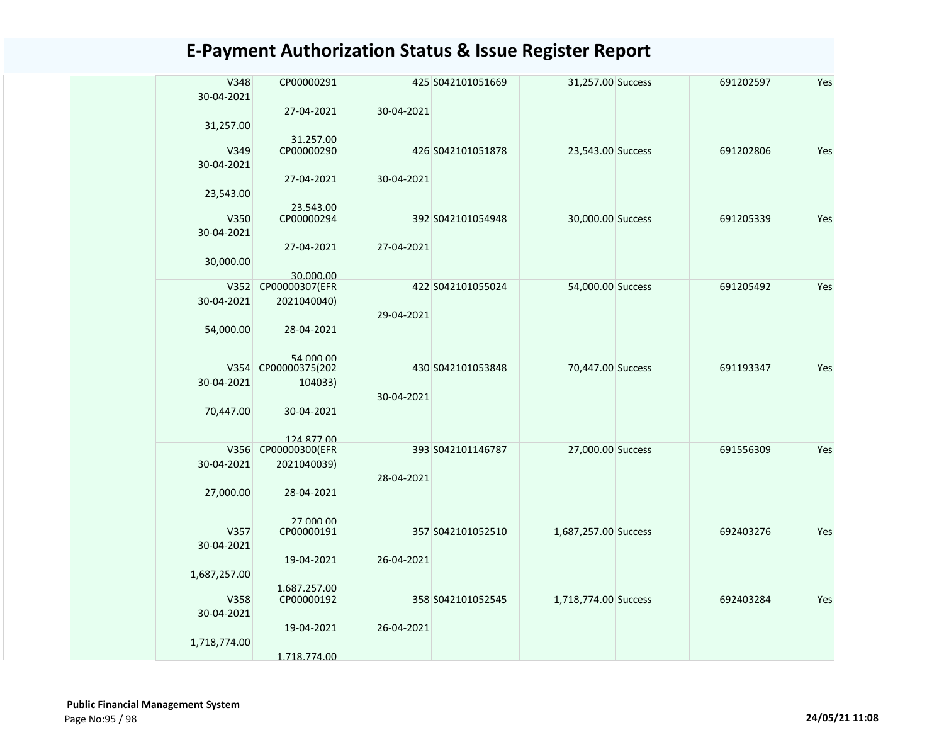| V348         | CP00000291                  |            | 425 S042101051669 | 31,257.00 Success    | 691202597 | Yes |
|--------------|-----------------------------|------------|-------------------|----------------------|-----------|-----|
| 30-04-2021   |                             |            |                   |                      |           |     |
|              | 27-04-2021                  | 30-04-2021 |                   |                      |           |     |
| 31,257.00    |                             |            |                   |                      |           |     |
|              | 31.257.00                   |            |                   |                      |           |     |
| V349         | CP00000290                  |            | 426 S042101051878 | 23,543.00 Success    | 691202806 | Yes |
| 30-04-2021   |                             |            |                   |                      |           |     |
|              | 27-04-2021                  | 30-04-2021 |                   |                      |           |     |
| 23,543.00    |                             |            |                   |                      |           |     |
|              | 23.543.00                   |            |                   |                      |           |     |
| V350         | CP00000294                  |            | 392 S042101054948 | 30,000.00 Success    | 691205339 | Yes |
| 30-04-2021   |                             |            |                   |                      |           |     |
|              | 27-04-2021                  | 27-04-2021 |                   |                      |           |     |
|              |                             |            |                   |                      |           |     |
| 30,000.00    |                             |            |                   |                      |           |     |
| V352         | 30.000.00<br>CP00000307(EFR |            | 422 S042101055024 | 54,000.00 Success    | 691205492 | Yes |
|              |                             |            |                   |                      |           |     |
| 30-04-2021   | 2021040040)                 |            |                   |                      |           |     |
|              |                             | 29-04-2021 |                   |                      |           |     |
| 54,000.00    | 28-04-2021                  |            |                   |                      |           |     |
|              |                             |            |                   |                      |           |     |
|              | 54 000 00                   |            |                   |                      |           |     |
|              | V354 CP00000375(202         |            | 430 S042101053848 | 70,447.00 Success    | 691193347 | Yes |
| 30-04-2021   | 104033)                     |            |                   |                      |           |     |
|              |                             | 30-04-2021 |                   |                      |           |     |
| 70,447.00    | 30-04-2021                  |            |                   |                      |           |     |
|              |                             |            |                   |                      |           |     |
|              | 124 877 00                  |            |                   |                      |           |     |
|              | V356 CP00000300(EFR         |            | 393 S042101146787 | 27,000.00 Success    | 691556309 | Yes |
| 30-04-2021   | 2021040039)                 |            |                   |                      |           |     |
|              |                             | 28-04-2021 |                   |                      |           |     |
| 27,000.00    | 28-04-2021                  |            |                   |                      |           |     |
|              |                             |            |                   |                      |           |     |
|              | 27 000 00                   |            |                   |                      |           |     |
| V357         | CP00000191                  |            | 357 S042101052510 | 1,687,257.00 Success | 692403276 | Yes |
| 30-04-2021   |                             |            |                   |                      |           |     |
|              | 19-04-2021                  | 26-04-2021 |                   |                      |           |     |
| 1,687,257.00 |                             |            |                   |                      |           |     |
|              | 1.687.257.00                |            |                   |                      |           |     |
| V358         | CP00000192                  |            | 358 S042101052545 | 1,718,774.00 Success | 692403284 | Yes |
| 30-04-2021   |                             |            |                   |                      |           |     |
|              | 19-04-2021                  | 26-04-2021 |                   |                      |           |     |
| 1,718,774.00 |                             |            |                   |                      |           |     |
|              | 1.718.774.00                |            |                   |                      |           |     |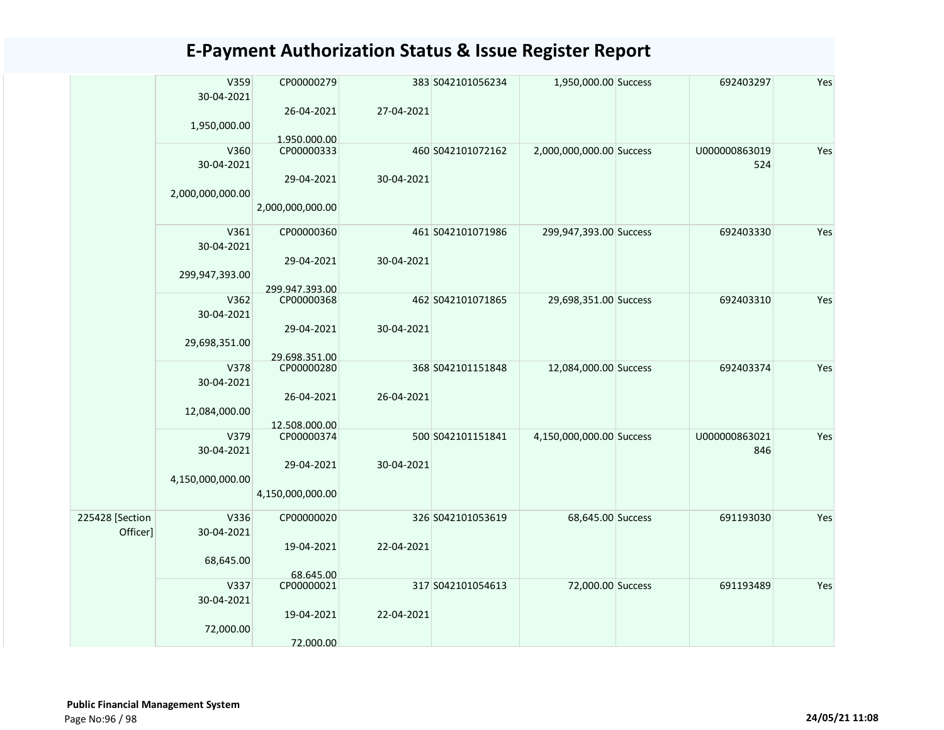|                 | V359<br>30-04-2021 | CP00000279                   |            | 383 S042101056234 | 1,950,000.00 Success     | 692403297     | Yes |
|-----------------|--------------------|------------------------------|------------|-------------------|--------------------------|---------------|-----|
|                 |                    | 26-04-2021                   | 27-04-2021 |                   |                          |               |     |
|                 | 1,950,000.00       | 1.950.000.00                 |            |                   |                          |               |     |
|                 | V360               | CP00000333                   |            | 460 S042101072162 | 2,000,000,000.00 Success | U000000863019 | Yes |
|                 | 30-04-2021         |                              |            |                   |                          | 524           |     |
|                 |                    | 29-04-2021                   | 30-04-2021 |                   |                          |               |     |
|                 | 2,000,000,000.00   |                              |            |                   |                          |               |     |
|                 |                    | 2,000,000,000.00             |            |                   |                          |               |     |
|                 | V361               | CP00000360                   |            | 461 S042101071986 | 299,947,393.00 Success   | 692403330     | Yes |
|                 | 30-04-2021         |                              |            |                   |                          |               |     |
|                 |                    | 29-04-2021                   | 30-04-2021 |                   |                          |               |     |
|                 | 299,947,393.00     |                              |            |                   |                          |               |     |
|                 | V362               | 299.947.393.00<br>CP00000368 |            | 462 S042101071865 | 29,698,351.00 Success    | 692403310     | Yes |
|                 | 30-04-2021         |                              |            |                   |                          |               |     |
|                 |                    | 29-04-2021                   | 30-04-2021 |                   |                          |               |     |
|                 | 29,698,351.00      |                              |            |                   |                          |               |     |
|                 |                    | 29.698.351.00                |            |                   |                          |               |     |
|                 | V378               | CP00000280                   |            | 368 S042101151848 | 12,084,000.00 Success    | 692403374     | Yes |
|                 | 30-04-2021         |                              |            |                   |                          |               |     |
|                 | 12,084,000.00      | 26-04-2021                   | 26-04-2021 |                   |                          |               |     |
|                 |                    | 12.508.000.00                |            |                   |                          |               |     |
|                 | V379               | CP00000374                   |            | 500 S042101151841 | 4,150,000,000.00 Success | U000000863021 | Yes |
|                 | 30-04-2021         |                              |            |                   |                          | 846           |     |
|                 |                    | 29-04-2021                   | 30-04-2021 |                   |                          |               |     |
|                 | 4,150,000,000.00   |                              |            |                   |                          |               |     |
|                 |                    | 4,150,000,000.00             |            |                   |                          |               |     |
| 225428 [Section | V336               | CP00000020                   |            | 326 S042101053619 | 68,645.00 Success        | 691193030     | Yes |
| Officer]        | 30-04-2021         |                              |            |                   |                          |               |     |
|                 |                    | 19-04-2021                   | 22-04-2021 |                   |                          |               |     |
|                 | 68,645.00          |                              |            |                   |                          |               |     |
|                 |                    | 68.645.00                    |            |                   |                          |               |     |
|                 | V337<br>30-04-2021 | CP00000021                   |            | 317 S042101054613 | 72,000.00 Success        | 691193489     | Yes |
|                 |                    | 19-04-2021                   | 22-04-2021 |                   |                          |               |     |
|                 | 72,000.00          |                              |            |                   |                          |               |     |
|                 |                    | 72.000.00                    |            |                   |                          |               |     |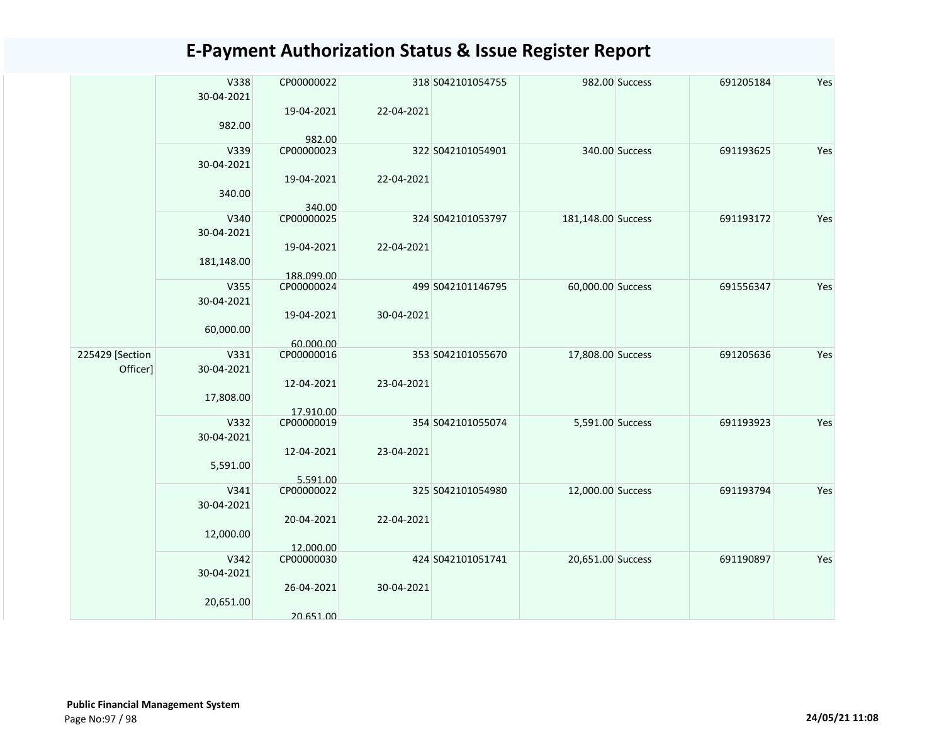|  |                 | V338<br>30-04-2021 | CP00000022           |            | 318 S042101054755 |                    | 982.00 Success | 691205184 | Yes |
|--|-----------------|--------------------|----------------------|------------|-------------------|--------------------|----------------|-----------|-----|
|  |                 |                    |                      |            |                   |                    |                |           |     |
|  |                 |                    | 19-04-2021           | 22-04-2021 |                   |                    |                |           |     |
|  |                 | 982.00             |                      |            |                   |                    |                |           |     |
|  |                 | V339               | 982.00<br>CP00000023 |            | 322 S042101054901 |                    | 340.00 Success | 691193625 | Yes |
|  |                 | 30-04-2021         |                      |            |                   |                    |                |           |     |
|  |                 |                    | 19-04-2021           | 22-04-2021 |                   |                    |                |           |     |
|  |                 | 340.00             |                      |            |                   |                    |                |           |     |
|  |                 |                    |                      |            |                   |                    |                |           |     |
|  |                 | V340               | 340.00<br>CP00000025 |            | 324 S042101053797 | 181,148.00 Success |                | 691193172 | Yes |
|  |                 | 30-04-2021         |                      |            |                   |                    |                |           |     |
|  |                 |                    | 19-04-2021           | 22-04-2021 |                   |                    |                |           |     |
|  |                 | 181,148.00         |                      |            |                   |                    |                |           |     |
|  |                 |                    | 188.099.00           |            |                   |                    |                |           |     |
|  |                 | V355               | CP00000024           |            | 499 S042101146795 | 60,000.00 Success  |                | 691556347 | Yes |
|  |                 | 30-04-2021         |                      |            |                   |                    |                |           |     |
|  |                 |                    | 19-04-2021           | 30-04-2021 |                   |                    |                |           |     |
|  |                 | 60,000.00          |                      |            |                   |                    |                |           |     |
|  |                 |                    | 60.000.00            |            |                   |                    |                |           |     |
|  | 225429 [Section | V331               | CP00000016           |            | 353 S042101055670 | 17,808.00 Success  |                | 691205636 | Yes |
|  | Officer]        | 30-04-2021         |                      |            |                   |                    |                |           |     |
|  |                 |                    | 12-04-2021           | 23-04-2021 |                   |                    |                |           |     |
|  |                 | 17,808.00          |                      |            |                   |                    |                |           |     |
|  |                 |                    | 17.910.00            |            |                   |                    |                |           |     |
|  |                 | V332               | CP00000019           |            | 354 S042101055074 | 5,591.00 Success   |                | 691193923 | Yes |
|  |                 | 30-04-2021         |                      |            |                   |                    |                |           |     |
|  |                 |                    | 12-04-2021           | 23-04-2021 |                   |                    |                |           |     |
|  |                 | 5,591.00           |                      |            |                   |                    |                |           |     |
|  |                 |                    | 5.591.00             |            |                   |                    |                |           |     |
|  |                 | V341               | CP00000022           |            | 325 S042101054980 | 12,000.00 Success  |                | 691193794 | Yes |
|  |                 | 30-04-2021         |                      |            |                   |                    |                |           |     |
|  |                 |                    | 20-04-2021           | 22-04-2021 |                   |                    |                |           |     |
|  |                 | 12,000.00          |                      |            |                   |                    |                |           |     |
|  |                 |                    | 12.000.00            |            |                   |                    |                |           |     |
|  |                 | V342               | CP00000030           |            | 424 S042101051741 | 20,651.00 Success  |                | 691190897 | Yes |
|  |                 | 30-04-2021         |                      |            |                   |                    |                |           |     |
|  |                 |                    | 26-04-2021           | 30-04-2021 |                   |                    |                |           |     |
|  |                 | 20,651.00          |                      |            |                   |                    |                |           |     |
|  |                 |                    | 20.651.00            |            |                   |                    |                |           |     |